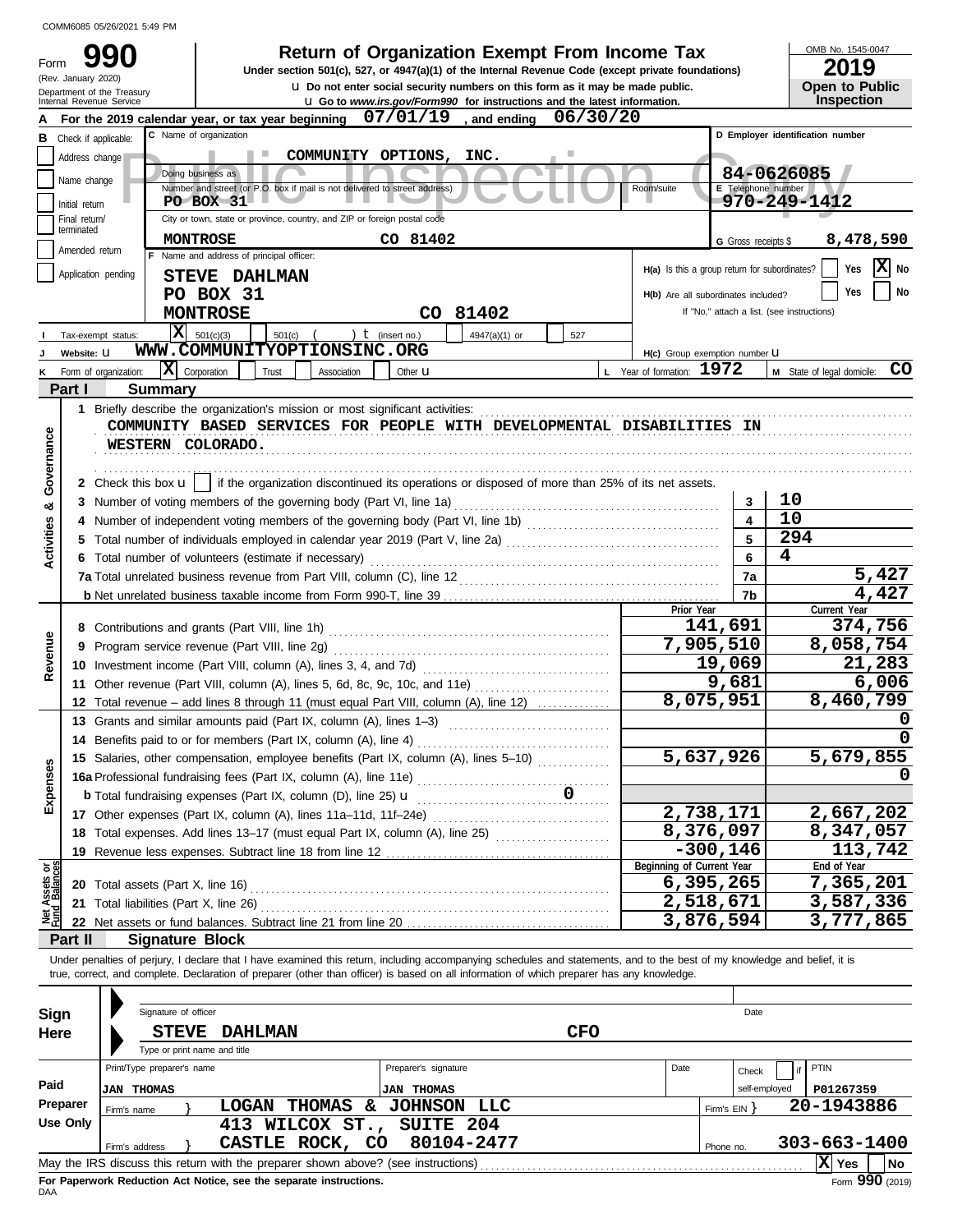| Form                                                                              | (Rev. January 2020)                                                                                                             | Department of the Treasury<br>Internal Revenue Service                                                                                                                                                                                                                                                                   |                                                                                                                                                          |            |                             |                                                                            | <b>Return of Organization Exempt From Income Tax</b><br>Under section 501(c), 527, or 4947(a)(1) of the Internal Revenue Code (except private foundations)<br>U. Do not enter social security numbers on this form as it may be made public.<br><b>u</b> Go to www.irs.gov/Form990 for instructions and the latest information. |            |                                               |                           | OMB No. 1545-0047<br>2019<br><b>Open to Public</b><br>Inspection |
|-----------------------------------------------------------------------------------|---------------------------------------------------------------------------------------------------------------------------------|--------------------------------------------------------------------------------------------------------------------------------------------------------------------------------------------------------------------------------------------------------------------------------------------------------------------------|----------------------------------------------------------------------------------------------------------------------------------------------------------|------------|-----------------------------|----------------------------------------------------------------------------|---------------------------------------------------------------------------------------------------------------------------------------------------------------------------------------------------------------------------------------------------------------------------------------------------------------------------------|------------|-----------------------------------------------|---------------------------|------------------------------------------------------------------|
|                                                                                   |                                                                                                                                 | For the 2019 calendar year, or tax year beginning                                                                                                                                                                                                                                                                        |                                                                                                                                                          |            |                             | 07/01/19                                                                   | and ending                                                                                                                                                                                                                                                                                                                      | 06/30/20   |                                               |                           |                                                                  |
| в                                                                                 |                                                                                                                                 | Check if applicable:                                                                                                                                                                                                                                                                                                     | C Name of organization                                                                                                                                   |            |                             |                                                                            |                                                                                                                                                                                                                                                                                                                                 |            |                                               |                           | D Employer identification number                                 |
|                                                                                   | Address change                                                                                                                  |                                                                                                                                                                                                                                                                                                                          |                                                                                                                                                          |            |                             | COMMUNITY OPTIONS,                                                         | INC.                                                                                                                                                                                                                                                                                                                            |            |                                               |                           |                                                                  |
|                                                                                   |                                                                                                                                 |                                                                                                                                                                                                                                                                                                                          | Doing business as                                                                                                                                        |            |                             |                                                                            |                                                                                                                                                                                                                                                                                                                                 |            |                                               |                           | 84-0626085                                                       |
|                                                                                   | Name change                                                                                                                     |                                                                                                                                                                                                                                                                                                                          |                                                                                                                                                          |            |                             | Number and street (or P.O. box if mail is not delivered to street address) |                                                                                                                                                                                                                                                                                                                                 |            | Room/suite                                    | E Telephone number        |                                                                  |
|                                                                                   | Initial return                                                                                                                  |                                                                                                                                                                                                                                                                                                                          | <b>PO BOX 31</b>                                                                                                                                         |            |                             |                                                                            |                                                                                                                                                                                                                                                                                                                                 |            |                                               |                           | 970-249-1412                                                     |
|                                                                                   | Final return/<br>terminated                                                                                                     |                                                                                                                                                                                                                                                                                                                          |                                                                                                                                                          |            |                             | City or town, state or province, country, and ZIP or foreign postal code   |                                                                                                                                                                                                                                                                                                                                 |            |                                               |                           |                                                                  |
| CO 81402<br>8,478,590<br><b>MONTROSE</b><br>G Gross receipts \$<br>Amended return |                                                                                                                                 |                                                                                                                                                                                                                                                                                                                          |                                                                                                                                                          |            |                             |                                                                            |                                                                                                                                                                                                                                                                                                                                 |            |                                               |                           |                                                                  |
|                                                                                   |                                                                                                                                 |                                                                                                                                                                                                                                                                                                                          | F Name and address of principal officer:                                                                                                                 |            |                             |                                                                            |                                                                                                                                                                                                                                                                                                                                 |            | H(a) Is this a group return for subordinates? |                           | X<br>Yes<br>No                                                   |
|                                                                                   |                                                                                                                                 | Application pending                                                                                                                                                                                                                                                                                                      | STEVE DAHLMAN                                                                                                                                            |            |                             |                                                                            |                                                                                                                                                                                                                                                                                                                                 |            |                                               |                           |                                                                  |
|                                                                                   |                                                                                                                                 |                                                                                                                                                                                                                                                                                                                          | PO BOX 31                                                                                                                                                |            |                             |                                                                            |                                                                                                                                                                                                                                                                                                                                 |            | H(b) Are all subordinates included?           |                           | No<br>Yes                                                        |
|                                                                                   |                                                                                                                                 |                                                                                                                                                                                                                                                                                                                          | <b>MONTROSE</b>                                                                                                                                          |            |                             |                                                                            | CO 81402                                                                                                                                                                                                                                                                                                                        |            |                                               |                           | If "No," attach a list. (see instructions)                       |
|                                                                                   |                                                                                                                                 | X<br>Tax-exempt status:                                                                                                                                                                                                                                                                                                  | 501(c)(3)                                                                                                                                                | $501(c)$ ( |                             | ) $t$ (insert no.)                                                         | 4947(a)(1) or                                                                                                                                                                                                                                                                                                                   | 527        |                                               |                           |                                                                  |
|                                                                                   | Website: U                                                                                                                      |                                                                                                                                                                                                                                                                                                                          |                                                                                                                                                          |            | WWW.COMMUNITYOPTIONSINC.ORG |                                                                            |                                                                                                                                                                                                                                                                                                                                 |            | H(c) Group exemption number U                 |                           |                                                                  |
|                                                                                   |                                                                                                                                 | x <br>Form of organization:                                                                                                                                                                                                                                                                                              | Corporation                                                                                                                                              | Trust      | Association                 | Other <b>u</b>                                                             |                                                                                                                                                                                                                                                                                                                                 |            | L Year of formation: 1972                     |                           | CO<br>M State of legal domicile:                                 |
|                                                                                   | Part I                                                                                                                          | <b>Summary</b>                                                                                                                                                                                                                                                                                                           |                                                                                                                                                          |            |                             |                                                                            |                                                                                                                                                                                                                                                                                                                                 |            |                                               |                           |                                                                  |
|                                                                                   |                                                                                                                                 | 1 Briefly describe the organization's mission or most significant activities:                                                                                                                                                                                                                                            |                                                                                                                                                          |            |                             |                                                                            |                                                                                                                                                                                                                                                                                                                                 |            |                                               |                           |                                                                  |
| Governance                                                                        |                                                                                                                                 | COMMUNITY BASED SERVICES FOR PEOPLE WITH DEVELOPMENTAL DISABILITIES IN<br>WESTERN COLORADO.<br>2 Check this box $\mathbf{u}$   if the organization discontinued its operations or disposed of more than 25% of its net assets.                                                                                           |                                                                                                                                                          |            |                             |                                                                            |                                                                                                                                                                                                                                                                                                                                 |            |                                               |                           |                                                                  |
|                                                                                   |                                                                                                                                 | 3 Number of voting members of the governing body (Part VI, line 1a)                                                                                                                                                                                                                                                      |                                                                                                                                                          |            |                             |                                                                            |                                                                                                                                                                                                                                                                                                                                 |            |                                               | 3                         | 10                                                               |
| න්                                                                                |                                                                                                                                 |                                                                                                                                                                                                                                                                                                                          |                                                                                                                                                          |            |                             |                                                                            |                                                                                                                                                                                                                                                                                                                                 |            |                                               | $\overline{\mathbf{A}}$   | 10                                                               |
| Activities                                                                        |                                                                                                                                 | Total number of individuals employed in calendar year 2019 (Part V, line 2a) [[[[[[[[[[[[[[[[[[[[[[[[[[[[[[[[                                                                                                                                                                                                            |                                                                                                                                                          |            |                             |                                                                            |                                                                                                                                                                                                                                                                                                                                 |            |                                               | 5                         | 294                                                              |
|                                                                                   |                                                                                                                                 |                                                                                                                                                                                                                                                                                                                          |                                                                                                                                                          |            |                             |                                                                            |                                                                                                                                                                                                                                                                                                                                 |            |                                               | 6                         | 4                                                                |
|                                                                                   | 6 Total number of volunteers (estimate if necessary)<br>7a Total unrelated business revenue from Part VIII, column (C), line 12 |                                                                                                                                                                                                                                                                                                                          |                                                                                                                                                          |            |                             |                                                                            |                                                                                                                                                                                                                                                                                                                                 |            |                                               | 7a                        | 5,427                                                            |
|                                                                                   |                                                                                                                                 |                                                                                                                                                                                                                                                                                                                          |                                                                                                                                                          |            |                             |                                                                            |                                                                                                                                                                                                                                                                                                                                 |            |                                               | 7b                        | 4,427                                                            |
|                                                                                   |                                                                                                                                 |                                                                                                                                                                                                                                                                                                                          |                                                                                                                                                          |            |                             |                                                                            |                                                                                                                                                                                                                                                                                                                                 |            | Prior Year                                    |                           | Current Year                                                     |
|                                                                                   |                                                                                                                                 |                                                                                                                                                                                                                                                                                                                          |                                                                                                                                                          |            |                             |                                                                            |                                                                                                                                                                                                                                                                                                                                 |            |                                               | 141,691                   | 374,756                                                          |
| Revenue                                                                           |                                                                                                                                 | 9 Program service revenue (Part VIII, line 2g)                                                                                                                                                                                                                                                                           |                                                                                                                                                          |            |                             |                                                                            |                                                                                                                                                                                                                                                                                                                                 |            |                                               | 7,905,510                 | 8,058,754                                                        |
|                                                                                   |                                                                                                                                 |                                                                                                                                                                                                                                                                                                                          |                                                                                                                                                          |            |                             |                                                                            |                                                                                                                                                                                                                                                                                                                                 |            |                                               | 19,069                    | 21,283                                                           |
|                                                                                   |                                                                                                                                 |                                                                                                                                                                                                                                                                                                                          | 11 Other revenue (Part VIII, column (A), lines 5, 6d, 8c, 9c, 10c, and 11e)                                                                              |            |                             |                                                                            |                                                                                                                                                                                                                                                                                                                                 |            |                                               |                           | 6,006                                                            |
|                                                                                   |                                                                                                                                 |                                                                                                                                                                                                                                                                                                                          |                                                                                                                                                          |            |                             |                                                                            |                                                                                                                                                                                                                                                                                                                                 |            |                                               | 9,681<br>8,075,951        | 8,460,799                                                        |
|                                                                                   |                                                                                                                                 | 12 Total revenue - add lines 8 through 11 (must equal Part VIII, column (A), line 12)                                                                                                                                                                                                                                    |                                                                                                                                                          |            |                             |                                                                            |                                                                                                                                                                                                                                                                                                                                 |            |                                               |                           | 0                                                                |
|                                                                                   |                                                                                                                                 | 13 Grants and similar amounts paid (Part IX, column (A), lines 1-3)                                                                                                                                                                                                                                                      |                                                                                                                                                          |            |                             |                                                                            |                                                                                                                                                                                                                                                                                                                                 |            |                                               |                           |                                                                  |
|                                                                                   |                                                                                                                                 |                                                                                                                                                                                                                                                                                                                          | 14 Benefits paid to or for members (Part IX, column (A), line 4)<br>15 Salaries, other compensation, employee benefits (Part IX, column (A), lines 5-10) |            |                             |                                                                            |                                                                                                                                                                                                                                                                                                                                 |            |                                               |                           | 0<br>5,679,855                                                   |
|                                                                                   |                                                                                                                                 |                                                                                                                                                                                                                                                                                                                          |                                                                                                                                                          |            |                             |                                                                            |                                                                                                                                                                                                                                                                                                                                 |            |                                               | 5,637,926                 |                                                                  |
| Expenses                                                                          |                                                                                                                                 |                                                                                                                                                                                                                                                                                                                          |                                                                                                                                                          |            |                             |                                                                            |                                                                                                                                                                                                                                                                                                                                 |            |                                               |                           |                                                                  |
|                                                                                   |                                                                                                                                 | <b>b</b> Total fundraising expenses (Part IX, column (D), line 25) $\mathbf{u}$                                                                                                                                                                                                                                          |                                                                                                                                                          |            |                             |                                                                            |                                                                                                                                                                                                                                                                                                                                 |            |                                               |                           |                                                                  |
|                                                                                   |                                                                                                                                 | 17 Other expenses (Part IX, column (A), lines 11a-11d, 11f-24e)                                                                                                                                                                                                                                                          |                                                                                                                                                          |            |                             |                                                                            |                                                                                                                                                                                                                                                                                                                                 |            |                                               | 2,738,171                 | 2,667,202                                                        |
|                                                                                   |                                                                                                                                 | 18 Total expenses. Add lines 13-17 (must equal Part IX, column (A), line 25) [[[[[[[[[[[[[[[[[[[[[[[[[[[[[[[[                                                                                                                                                                                                            |                                                                                                                                                          |            |                             |                                                                            |                                                                                                                                                                                                                                                                                                                                 |            |                                               | $\overline{8}$ , 376, 097 | 8,347,057                                                        |
|                                                                                   |                                                                                                                                 | 19 Revenue less expenses. Subtract line 18 from line 12                                                                                                                                                                                                                                                                  |                                                                                                                                                          |            |                             |                                                                            |                                                                                                                                                                                                                                                                                                                                 |            |                                               | $-300, 146$               | 113,742                                                          |
| Net Assets or<br>Fund Balances                                                    |                                                                                                                                 |                                                                                                                                                                                                                                                                                                                          |                                                                                                                                                          |            |                             |                                                                            |                                                                                                                                                                                                                                                                                                                                 |            | Beginning of Current Year                     |                           | End of Year                                                      |
|                                                                                   |                                                                                                                                 | 20 Total assets (Part X, line 16)                                                                                                                                                                                                                                                                                        |                                                                                                                                                          |            |                             |                                                                            |                                                                                                                                                                                                                                                                                                                                 |            |                                               | 6,395,265                 | 7,365,201                                                        |
|                                                                                   |                                                                                                                                 | 21 Total liabilities (Part X, line 26)                                                                                                                                                                                                                                                                                   |                                                                                                                                                          |            |                             |                                                                            |                                                                                                                                                                                                                                                                                                                                 |            |                                               | 2,518,671                 | 3,587,336                                                        |
|                                                                                   |                                                                                                                                 |                                                                                                                                                                                                                                                                                                                          |                                                                                                                                                          |            |                             |                                                                            |                                                                                                                                                                                                                                                                                                                                 |            |                                               | 3,876,594                 | 3,777,865                                                        |
|                                                                                   | Part II                                                                                                                         | <b>Signature Block</b>                                                                                                                                                                                                                                                                                                   |                                                                                                                                                          |            |                             |                                                                            |                                                                                                                                                                                                                                                                                                                                 |            |                                               |                           |                                                                  |
|                                                                                   |                                                                                                                                 | Under penalties of perjury, I declare that I have examined this return, including accompanying schedules and statements, and to the best of my knowledge and belief, it is<br>true, correct, and complete. Declaration of preparer (other than officer) is based on all information of which preparer has any knowledge. |                                                                                                                                                          |            |                             |                                                                            |                                                                                                                                                                                                                                                                                                                                 |            |                                               |                           |                                                                  |
| <b>Sign</b>                                                                       |                                                                                                                                 | Signature of officer                                                                                                                                                                                                                                                                                                     |                                                                                                                                                          |            |                             |                                                                            |                                                                                                                                                                                                                                                                                                                                 |            |                                               | Date                      |                                                                  |
| Here                                                                              |                                                                                                                                 | <b>STEVE</b>                                                                                                                                                                                                                                                                                                             |                                                                                                                                                          | DAHLMAN    |                             |                                                                            |                                                                                                                                                                                                                                                                                                                                 | <b>CFO</b> |                                               |                           |                                                                  |
|                                                                                   |                                                                                                                                 | Type or print name and title                                                                                                                                                                                                                                                                                             |                                                                                                                                                          |            |                             |                                                                            |                                                                                                                                                                                                                                                                                                                                 |            |                                               |                           |                                                                  |
|                                                                                   |                                                                                                                                 | Print/Type preparer's name                                                                                                                                                                                                                                                                                               |                                                                                                                                                          |            |                             | Preparer's signature                                                       |                                                                                                                                                                                                                                                                                                                                 |            | Date                                          | Check                     | <b>PTIN</b><br>if                                                |
| Paid                                                                              |                                                                                                                                 | <b>JAN THOMAS</b>                                                                                                                                                                                                                                                                                                        |                                                                                                                                                          |            |                             | <b>JAN THOMAS</b>                                                          |                                                                                                                                                                                                                                                                                                                                 |            |                                               | self-employed             | P01267359                                                        |
|                                                                                   | Preparer                                                                                                                        |                                                                                                                                                                                                                                                                                                                          |                                                                                                                                                          |            |                             | LOGAN THOMAS & JOHNSON LLC                                                 |                                                                                                                                                                                                                                                                                                                                 |            |                                               |                           | 20-1943886                                                       |
|                                                                                   | <b>Use Only</b>                                                                                                                 | Firm's name                                                                                                                                                                                                                                                                                                              |                                                                                                                                                          |            |                             | 413 WILCOX ST., SUITE 204                                                  |                                                                                                                                                                                                                                                                                                                                 |            |                                               | Firm's $EIN$ }            |                                                                  |
|                                                                                   |                                                                                                                                 |                                                                                                                                                                                                                                                                                                                          |                                                                                                                                                          |            | CASTLE ROCK, CO             |                                                                            | 80104-2477                                                                                                                                                                                                                                                                                                                      |            |                                               |                           | 303-663-1400                                                     |
|                                                                                   |                                                                                                                                 | Firm's address<br>May the IRS discuss this return with the preparer shown above? (see instructions)                                                                                                                                                                                                                      |                                                                                                                                                          |            |                             |                                                                            |                                                                                                                                                                                                                                                                                                                                 |            |                                               | Phone no.                 | X Yes<br><b>No</b>                                               |
|                                                                                   |                                                                                                                                 |                                                                                                                                                                                                                                                                                                                          |                                                                                                                                                          |            |                             |                                                                            |                                                                                                                                                                                                                                                                                                                                 |            |                                               |                           |                                                                  |

| Sign     | Signature of officer         |                                                                                   |                       |            |      | Date          |            |                    |        |
|----------|------------------------------|-----------------------------------------------------------------------------------|-----------------------|------------|------|---------------|------------|--------------------|--------|
| Here     | <b>STEVE</b>                 | DAHLMAN                                                                           |                       | <b>CFO</b> |      |               |            |                    |        |
|          | Type or print name and title |                                                                                   |                       |            |      |               |            |                    |        |
|          | Print/Type preparer's name   |                                                                                   | Preparer's signature  |            | Date | Check         |            | PTIN               |        |
| Paid     | <b>JAN THOMAS</b>            |                                                                                   | <b>THOMAS</b><br>IJAN |            |      | self-employed |            | P01267359          |        |
| Preparer | Firm's name                  | <b>LOGAN</b><br><b>THOMAS</b><br>δc.                                              | <b>JOHNSON</b><br>LLC |            |      | Firm's EIN Y  | 20-1943886 |                    |        |
| Use Only |                              | 413 WILCOX ST.,                                                                   | <b>SUITE 204</b>      |            |      |               |            |                    |        |
|          | Firm's address               | CASTLE ROCK, CO                                                                   | 80104-2477            |            |      | Phone no.     |            | $303 - 663 - 1400$ |        |
|          |                              | May the IRS discuss this return with the preparer shown above? (see instructions) |                       |            |      |               |            | $ X $ Yes          | l No   |
|          |                              |                                                                                   |                       |            |      |               |            |                    | $\sim$ |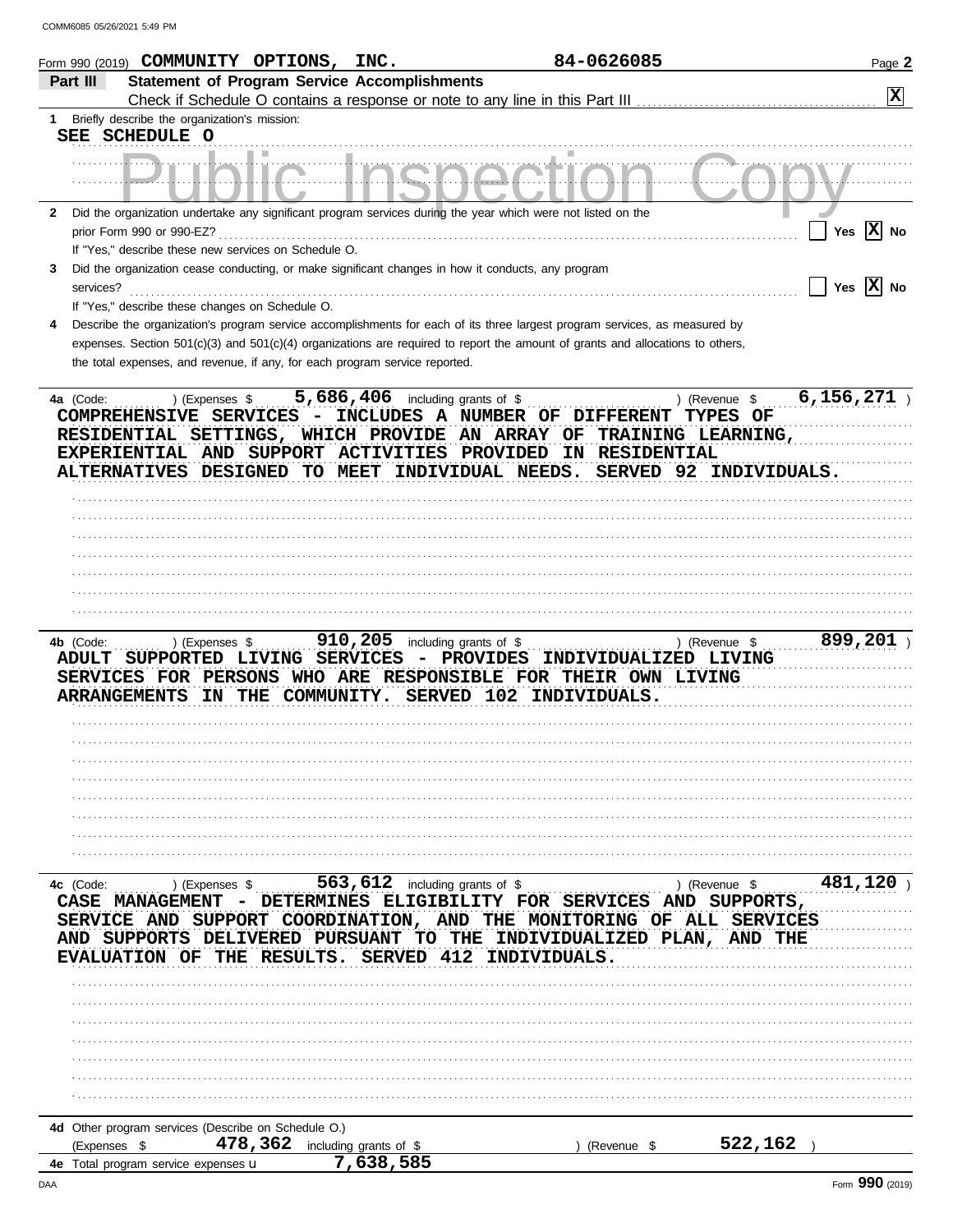| Form 990 (2019) $\mathop{\mathtt{COMMUNITY}}$ $\mathop{\mathtt{OPTIONS}}$ , $\mathop{\mathtt{INC}}$ .                                                                                                                                                           |                                                     | 84-0626085                                                                                                                     | Page 2                                                                  |
|-----------------------------------------------------------------------------------------------------------------------------------------------------------------------------------------------------------------------------------------------------------------|-----------------------------------------------------|--------------------------------------------------------------------------------------------------------------------------------|-------------------------------------------------------------------------|
| Part III                                                                                                                                                                                                                                                        | <b>Statement of Program Service Accomplishments</b> |                                                                                                                                |                                                                         |
|                                                                                                                                                                                                                                                                 |                                                     | Check if Schedule O contains a response or note to any line in this Part III                                                   | X                                                                       |
| Briefly describe the organization's mission:<br>1.                                                                                                                                                                                                              |                                                     |                                                                                                                                |                                                                         |
| SEE SCHEDULE O                                                                                                                                                                                                                                                  |                                                     |                                                                                                                                |                                                                         |
|                                                                                                                                                                                                                                                                 |                                                     |                                                                                                                                |                                                                         |
|                                                                                                                                                                                                                                                                 |                                                     |                                                                                                                                |                                                                         |
| Did the organization undertake any significant program services during the year which were not listed on the<br>$\mathbf{2}$                                                                                                                                    |                                                     |                                                                                                                                |                                                                         |
| prior Form 990 or 990-EZ?                                                                                                                                                                                                                                       |                                                     |                                                                                                                                | Yes $\boxed{\mathbf{X}}$ No                                             |
| If "Yes," describe these new services on Schedule O.                                                                                                                                                                                                            |                                                     |                                                                                                                                |                                                                         |
| Did the organization cease conducting, or make significant changes in how it conducts, any program<br>3                                                                                                                                                         |                                                     |                                                                                                                                |                                                                         |
| services?                                                                                                                                                                                                                                                       |                                                     |                                                                                                                                | Yes $\overline{X}$ No                                                   |
| If "Yes," describe these changes on Schedule O.                                                                                                                                                                                                                 |                                                     |                                                                                                                                |                                                                         |
| 4                                                                                                                                                                                                                                                               |                                                     | Describe the organization's program service accomplishments for each of its three largest program services, as measured by     |                                                                         |
|                                                                                                                                                                                                                                                                 |                                                     | expenses. Section 501(c)(3) and 501(c)(4) organizations are required to report the amount of grants and allocations to others, |                                                                         |
| the total expenses, and revenue, if any, for each program service reported.                                                                                                                                                                                     |                                                     |                                                                                                                                |                                                                         |
|                                                                                                                                                                                                                                                                 |                                                     |                                                                                                                                |                                                                         |
| ) (Expenses \$<br>4a (Code:<br>COMPREHENSIVE SERVICES - INCLUDES A NUMBER OF DIFFERENT<br>RESIDENTIAL SETTINGS, WHICH PROVIDE AN ARRAY OF TRAINING LEARNING,<br>EXPERIENTIAL AND SUPPORT ACTIVITIES PROVIDED<br>ALTERNATIVES DESIGNED TO MEET INDIVIDUAL NEEDS. | 5,686,406 including grants of \$                    | IN RESIDENTIAL                                                                                                                 | 6,156,271<br>) (Revenue \$<br><b>TYPES OF</b><br>SERVED 92 INDIVIDUALS. |
|                                                                                                                                                                                                                                                                 |                                                     |                                                                                                                                |                                                                         |
|                                                                                                                                                                                                                                                                 |                                                     |                                                                                                                                |                                                                         |
|                                                                                                                                                                                                                                                                 |                                                     |                                                                                                                                |                                                                         |
|                                                                                                                                                                                                                                                                 |                                                     |                                                                                                                                |                                                                         |
|                                                                                                                                                                                                                                                                 |                                                     |                                                                                                                                |                                                                         |
|                                                                                                                                                                                                                                                                 |                                                     |                                                                                                                                |                                                                         |
|                                                                                                                                                                                                                                                                 |                                                     |                                                                                                                                |                                                                         |
|                                                                                                                                                                                                                                                                 |                                                     |                                                                                                                                |                                                                         |
| 4b (Code:<br>) (Expenses \$<br>ADULT SUPPORTED LIVING SERVICES<br>SERVICES FOR PERSONS WHO ARE RESPONSIBLE FOR THEIR OWN LIVING                                                                                                                                 | 910, 205 including grants of $$$                    | - PROVIDES<br>INDIVIDUALIZED LIVING                                                                                            | 899,201<br>) (Revenue \$                                                |
| <b>ARRANGEMENTS</b>                                                                                                                                                                                                                                             | IN THE COMMUNITY.<br>SERVED 102                     | INDIVIDUALS.                                                                                                                   |                                                                         |
|                                                                                                                                                                                                                                                                 |                                                     |                                                                                                                                |                                                                         |
|                                                                                                                                                                                                                                                                 |                                                     |                                                                                                                                |                                                                         |
|                                                                                                                                                                                                                                                                 |                                                     |                                                                                                                                |                                                                         |
|                                                                                                                                                                                                                                                                 |                                                     |                                                                                                                                |                                                                         |
|                                                                                                                                                                                                                                                                 |                                                     |                                                                                                                                |                                                                         |
|                                                                                                                                                                                                                                                                 |                                                     |                                                                                                                                |                                                                         |
|                                                                                                                                                                                                                                                                 |                                                     |                                                                                                                                |                                                                         |
|                                                                                                                                                                                                                                                                 |                                                     |                                                                                                                                |                                                                         |
| 4c (Code:<br>) (Expenses \$<br><b>CASE MANAGEMENT</b><br>SERVICE AND SUPPORT COORDINATION, AND THE MONITORING OF ALL SERVICES                                                                                                                                   | 563,612 including grants of \$                      | DETERMINES ELIGIBILITY FOR SERVICES AND                                                                                        | 481,120<br>) (Revenue \$<br>SUPPORTS,                                   |
| AND SUPPORTS DELIVERED PURSUANT<br><b>EVALUATION OF</b>                                                                                                                                                                                                         | TO THE<br>412<br>THE RESULTS.<br><b>SERVED</b>      | INDIVIDUALIZED PLAN,<br>INDIVIDUALS.                                                                                           | <b>AND THE</b>                                                          |
|                                                                                                                                                                                                                                                                 |                                                     |                                                                                                                                |                                                                         |
|                                                                                                                                                                                                                                                                 |                                                     |                                                                                                                                |                                                                         |
|                                                                                                                                                                                                                                                                 |                                                     |                                                                                                                                |                                                                         |
|                                                                                                                                                                                                                                                                 |                                                     |                                                                                                                                |                                                                         |
|                                                                                                                                                                                                                                                                 |                                                     |                                                                                                                                |                                                                         |
|                                                                                                                                                                                                                                                                 |                                                     |                                                                                                                                |                                                                         |
|                                                                                                                                                                                                                                                                 |                                                     |                                                                                                                                |                                                                         |
|                                                                                                                                                                                                                                                                 |                                                     |                                                                                                                                |                                                                         |
| 4d Other program services (Describe on Schedule O.)                                                                                                                                                                                                             |                                                     |                                                                                                                                |                                                                         |
| 478,362<br>(Expenses \$                                                                                                                                                                                                                                         | including grants of \$                              | (Revenue \$                                                                                                                    | 522,162                                                                 |
| 4e Total program service expenses u                                                                                                                                                                                                                             | 7,638,585                                           |                                                                                                                                |                                                                         |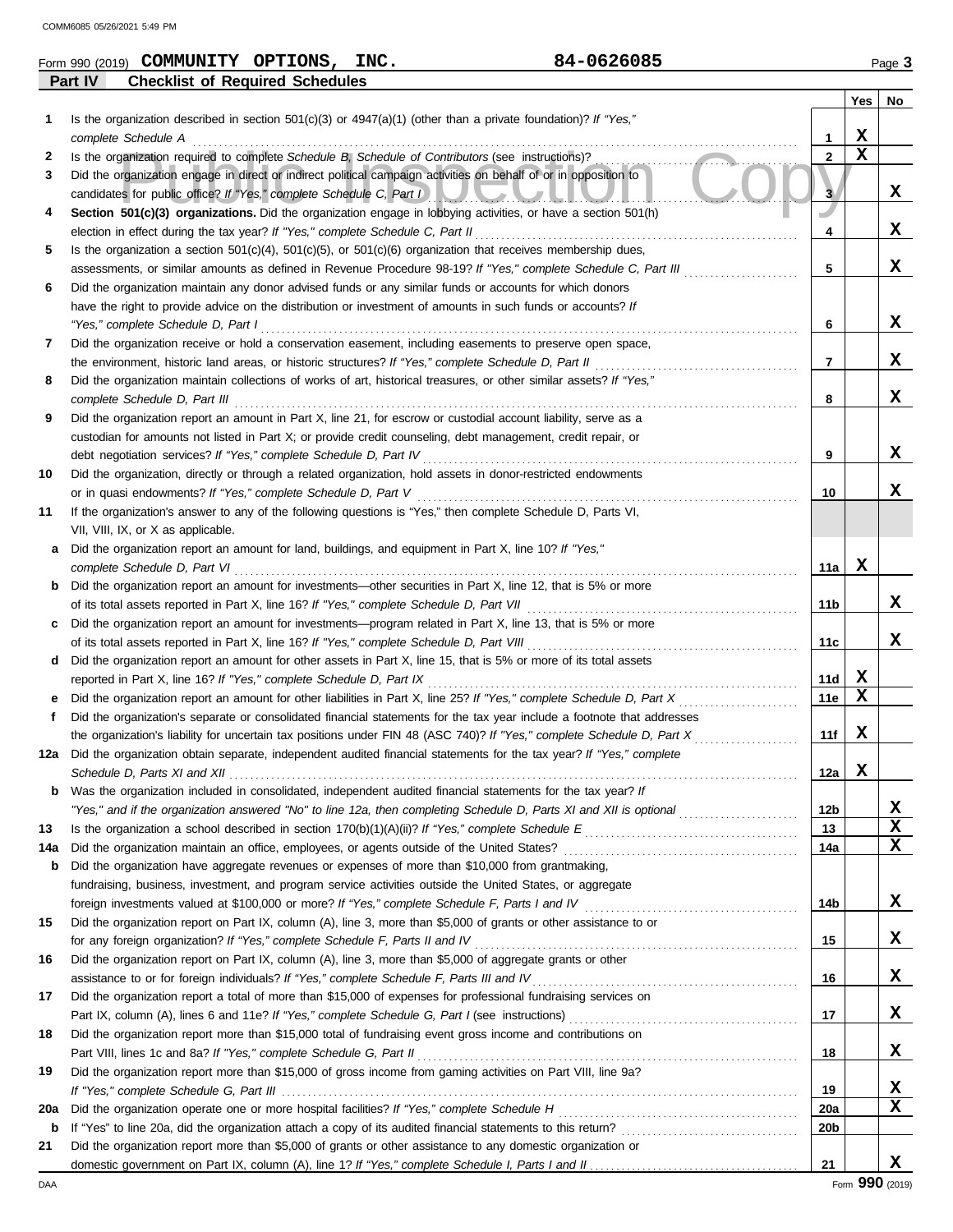**Part IV Checklist of Required Schedules**

| Form 990 (2019) | COMMUNITY | OPTIONS | INC. | $-0626085$<br>ч л. | Page |
|-----------------|-----------|---------|------|--------------------|------|
|-----------------|-----------|---------|------|--------------------|------|

|                   |                                                                                                                                                                                                                                                                                                                  |              | Yes         | No |
|-------------------|------------------------------------------------------------------------------------------------------------------------------------------------------------------------------------------------------------------------------------------------------------------------------------------------------------------|--------------|-------------|----|
| 1                 | Is the organization described in section 501(c)(3) or $4947(a)(1)$ (other than a private foundation)? If "Yes,"                                                                                                                                                                                                  |              |             |    |
|                   | complete Schedule A                                                                                                                                                                                                                                                                                              | 1            | х           |    |
| 2                 | Is the organization required to complete Schedule B, Schedule of Contributors (see instructions)?                                                                                                                                                                                                                | $\mathbf{2}$ | $\mathbf x$ |    |
| 3                 | Did the organization engage in direct or indirect political campaign activities on behalf of or in opposition to<br>candidates for public office? If "Yes," complete Schedule C, Part I<br><u> De Barbara de Santo de Santo de Santo de Santo de Santo de Santo de Santo de Santo de Santo de Santo de Santo</u> | 3            |             | x  |
| 4                 | Section 501(c)(3) organizations. Did the organization engage in lobbying activities, or have a section 501(h)                                                                                                                                                                                                    |              |             |    |
|                   | election in effect during the tax year? If "Yes," complete Schedule C, Part II                                                                                                                                                                                                                                   | 4            |             | x  |
| 5                 | Is the organization a section $501(c)(4)$ , $501(c)(5)$ , or $501(c)(6)$ organization that receives membership dues,                                                                                                                                                                                             |              |             |    |
|                   | assessments, or similar amounts as defined in Revenue Procedure 98-19? If "Yes," complete Schedule C, Part III                                                                                                                                                                                                   | 5            |             | X  |
| 6                 | Did the organization maintain any donor advised funds or any similar funds or accounts for which donors                                                                                                                                                                                                          |              |             |    |
|                   | have the right to provide advice on the distribution or investment of amounts in such funds or accounts? If                                                                                                                                                                                                      |              |             | x  |
|                   | "Yes," complete Schedule D, Part I                                                                                                                                                                                                                                                                               | 6            |             |    |
| 7                 | Did the organization receive or hold a conservation easement, including easements to preserve open space,<br>the environment, historic land areas, or historic structures? If "Yes," complete Schedule D, Part II                                                                                                | 7            |             | x  |
| 8                 | Did the organization maintain collections of works of art, historical treasures, or other similar assets? If "Yes,"                                                                                                                                                                                              |              |             |    |
|                   | complete Schedule D, Part III                                                                                                                                                                                                                                                                                    | 8            |             | x  |
| 9                 | Did the organization report an amount in Part X, line 21, for escrow or custodial account liability, serve as a                                                                                                                                                                                                  |              |             |    |
|                   | custodian for amounts not listed in Part X; or provide credit counseling, debt management, credit repair, or                                                                                                                                                                                                     |              |             |    |
|                   | debt negotiation services? If "Yes," complete Schedule D, Part IV                                                                                                                                                                                                                                                | 9            |             | x  |
| 10                | Did the organization, directly or through a related organization, hold assets in donor-restricted endowments                                                                                                                                                                                                     |              |             |    |
|                   | or in quasi endowments? If "Yes," complete Schedule D, Part V                                                                                                                                                                                                                                                    | 10           |             | x  |
| 11                | If the organization's answer to any of the following questions is "Yes," then complete Schedule D, Parts VI,                                                                                                                                                                                                     |              |             |    |
|                   | VII, VIII, IX, or X as applicable.                                                                                                                                                                                                                                                                               |              |             |    |
| а                 | Did the organization report an amount for land, buildings, and equipment in Part X, line 10? If "Yes,"                                                                                                                                                                                                           |              |             |    |
|                   | complete Schedule D, Part VI                                                                                                                                                                                                                                                                                     | 11a          | х           |    |
| b                 | Did the organization report an amount for investments—other securities in Part X, line 12, that is 5% or more                                                                                                                                                                                                    |              |             |    |
|                   | of its total assets reported in Part X, line 16? If "Yes," complete Schedule D, Part VII                                                                                                                                                                                                                         | 11b          |             | x  |
|                   | Did the organization report an amount for investments—program related in Part X, line 13, that is 5% or more                                                                                                                                                                                                     |              |             |    |
|                   | of its total assets reported in Part X, line 16? If "Yes," complete Schedule D, Part VIII                                                                                                                                                                                                                        | 11c          |             | x  |
| d                 | Did the organization report an amount for other assets in Part X, line 15, that is 5% or more of its total assets                                                                                                                                                                                                |              |             |    |
|                   | reported in Part X, line 16? If "Yes," complete Schedule D, Part IX                                                                                                                                                                                                                                              | 11d          | X           |    |
|                   | Did the organization report an amount for other liabilities in Part X, line 25? If "Yes," complete Schedule D, Part X                                                                                                                                                                                            | 11e          | X           |    |
| f                 | Did the organization's separate or consolidated financial statements for the tax year include a footnote that addresses                                                                                                                                                                                          |              |             |    |
|                   | the organization's liability for uncertain tax positions under FIN 48 (ASC 740)? If "Yes," complete Schedule D, Part X                                                                                                                                                                                           | 11f          | X           |    |
| 12a               | Did the organization obtain separate, independent audited financial statements for the tax year? If "Yes," complete<br>Schedule D, Parts XI and XII                                                                                                                                                              | 12a          | X           |    |
|                   | Was the organization included in consolidated, independent audited financial statements for the tax year? It                                                                                                                                                                                                     |              |             |    |
|                   | "Yes," and if the organization answered "No" to line 12a, then completing Schedule D, Parts XI and XII is optional                                                                                                                                                                                               | 12b          |             | x  |
| 13                |                                                                                                                                                                                                                                                                                                                  | 13           |             | х  |
| 14a               | Did the organization maintain an office, employees, or agents outside of the United States?                                                                                                                                                                                                                      | 14a          |             | x  |
| b                 | Did the organization have aggregate revenues or expenses of more than \$10,000 from grantmaking,                                                                                                                                                                                                                 |              |             |    |
|                   | fundraising, business, investment, and program service activities outside the United States, or aggregate                                                                                                                                                                                                        |              |             |    |
|                   | foreign investments valued at \$100,000 or more? If "Yes," complete Schedule F, Parts I and IV [[[[[[[[[[[[[[[                                                                                                                                                                                                   | 14b          |             | x  |
| 15                | Did the organization report on Part IX, column (A), line 3, more than \$5,000 of grants or other assistance to or                                                                                                                                                                                                |              |             |    |
|                   | for any foreign organization? If "Yes," complete Schedule F, Parts II and IV                                                                                                                                                                                                                                     | 15           |             | x  |
| 16                | Did the organization report on Part IX, column (A), line 3, more than \$5,000 of aggregate grants or other                                                                                                                                                                                                       |              |             |    |
|                   | assistance to or for foreign individuals? If "Yes," complete Schedule F, Parts III and IV                                                                                                                                                                                                                        | 16           |             | x  |
| 17                | Did the organization report a total of more than \$15,000 of expenses for professional fundraising services on                                                                                                                                                                                                   |              |             |    |
|                   |                                                                                                                                                                                                                                                                                                                  | 17           |             | x  |
| 18                | Did the organization report more than \$15,000 total of fundraising event gross income and contributions on                                                                                                                                                                                                      |              |             |    |
|                   | Part VIII, lines 1c and 8a? If "Yes," complete Schedule G, Part II                                                                                                                                                                                                                                               | 18           |             | x  |
| 19                | Did the organization report more than \$15,000 of gross income from gaming activities on Part VIII, line 9a?                                                                                                                                                                                                     |              |             |    |
|                   |                                                                                                                                                                                                                                                                                                                  | 19           |             | x  |
| 20a               |                                                                                                                                                                                                                                                                                                                  | <b>20a</b>   |             | х  |
| $\mathbf b$<br>21 | Did the organization report more than \$5,000 of grants or other assistance to any domestic organization or                                                                                                                                                                                                      | 20b          |             |    |
|                   |                                                                                                                                                                                                                                                                                                                  | 21           |             | x  |
|                   |                                                                                                                                                                                                                                                                                                                  |              |             |    |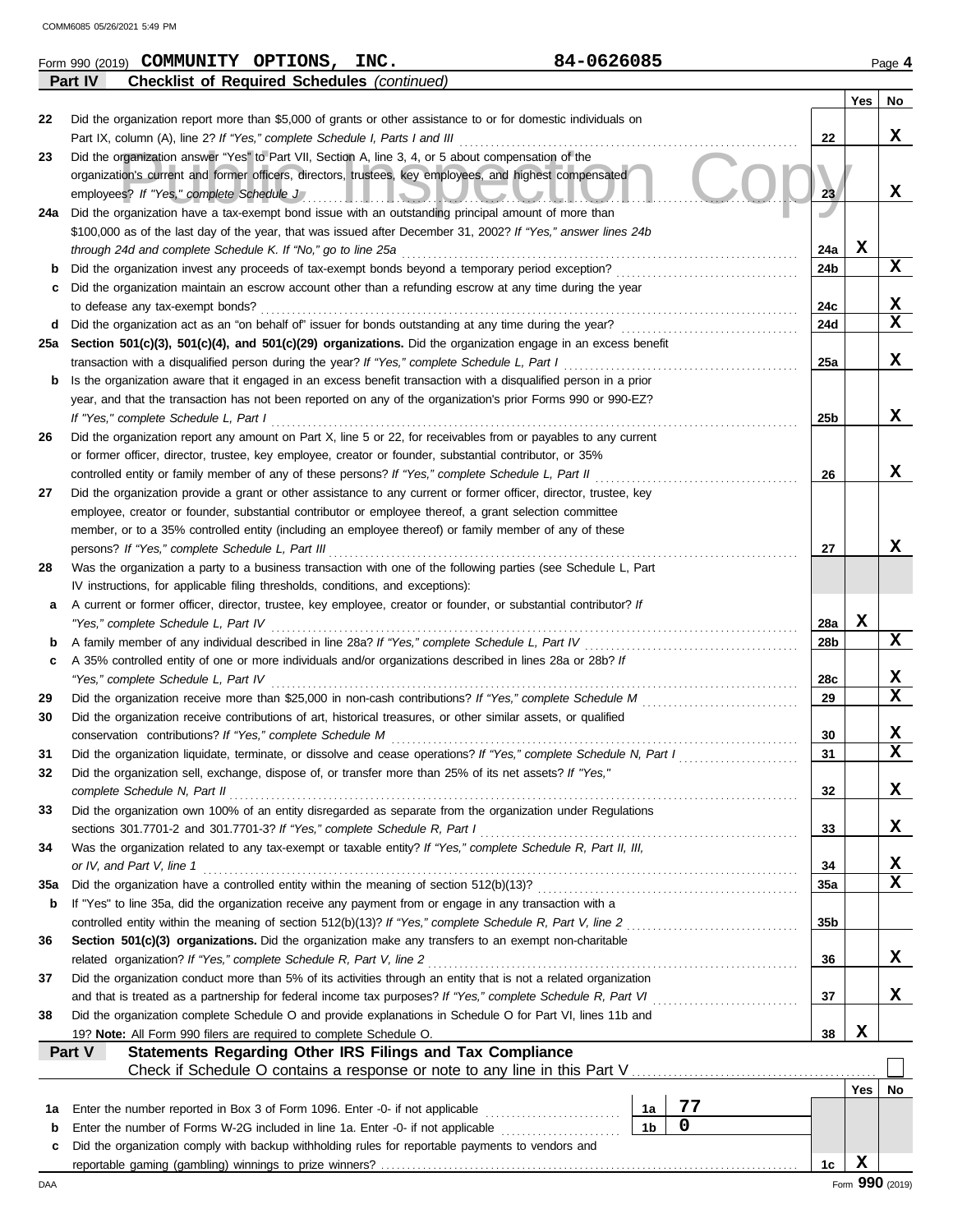|     | <b>Checklist of Required Schedules (continued)</b><br>Part IV                                                                                                                                                  |                 |     |             |
|-----|----------------------------------------------------------------------------------------------------------------------------------------------------------------------------------------------------------------|-----------------|-----|-------------|
|     |                                                                                                                                                                                                                |                 | Yes | No          |
| 22  | Did the organization report more than \$5,000 of grants or other assistance to or for domestic individuals on                                                                                                  |                 |     | X           |
|     | Part IX, column (A), line 2? If "Yes," complete Schedule I, Parts I and III                                                                                                                                    | 22              |     |             |
| 23  | Did the organization answer "Yes" to Part VII, Section A, line 3, 4, or 5 about compensation of the<br>organization's current and former officers, directors, trustees, key employees, and highest compensated |                 |     |             |
|     | employees? If "Yes," complete Schedule J"                                                                                                                                                                      | 23              |     | X           |
| 24a | <u>II IOIUUUIIUI</u><br>Did the organization have a tax-exempt bond issue with an outstanding principal amount of more than                                                                                    |                 |     |             |
|     | \$100,000 as of the last day of the year, that was issued after December 31, 2002? If "Yes," answer lines 24b                                                                                                  |                 |     |             |
|     | through 24d and complete Schedule K. If "No," go to line 25a                                                                                                                                                   | 24a             | x   |             |
| b   | Did the organization invest any proceeds of tax-exempt bonds beyond a temporary period exception?                                                                                                              | 24b             |     | X           |
| c   | Did the organization maintain an escrow account other than a refunding escrow at any time during the year                                                                                                      |                 |     |             |
|     | to defease any tax-exempt bonds?                                                                                                                                                                               | 24c             |     | X           |
| d   |                                                                                                                                                                                                                | 24d             |     | $\mathbf x$ |
| 25a | Section 501(c)(3), 501(c)(4), and 501(c)(29) organizations. Did the organization engage in an excess benefit                                                                                                   |                 |     |             |
|     | transaction with a disqualified person during the year? If "Yes," complete Schedule L, Part I                                                                                                                  | 25a             |     | X           |
| b   | Is the organization aware that it engaged in an excess benefit transaction with a disqualified person in a prior                                                                                               |                 |     |             |
|     | year, and that the transaction has not been reported on any of the organization's prior Forms 990 or 990-EZ?                                                                                                   |                 |     |             |
|     | If "Yes," complete Schedule L, Part I                                                                                                                                                                          | 25 <sub>b</sub> |     | x           |
| 26  | Did the organization report any amount on Part X, line 5 or 22, for receivables from or payables to any current                                                                                                |                 |     |             |
|     | or former officer, director, trustee, key employee, creator or founder, substantial contributor, or 35%                                                                                                        |                 |     |             |
|     | controlled entity or family member of any of these persons? If "Yes," complete Schedule L, Part II                                                                                                             | 26              |     | x           |
| 27  | Did the organization provide a grant or other assistance to any current or former officer, director, trustee, key                                                                                              |                 |     |             |
|     | employee, creator or founder, substantial contributor or employee thereof, a grant selection committee                                                                                                         |                 |     |             |
|     | member, or to a 35% controlled entity (including an employee thereof) or family member of any of these                                                                                                         |                 |     | x           |
|     | persons? If "Yes," complete Schedule L, Part III                                                                                                                                                               | 27              |     |             |
| 28  | Was the organization a party to a business transaction with one of the following parties (see Schedule L, Part<br>IV instructions, for applicable filing thresholds, conditions, and exceptions):              |                 |     |             |
| а   | A current or former officer, director, trustee, key employee, creator or founder, or substantial contributor? If                                                                                               |                 |     |             |
|     | "Yes," complete Schedule L, Part IV                                                                                                                                                                            | 28a             | X   |             |
| b   | A family member of any individual described in line 28a? If "Yes," complete Schedule L, Part IV [[[[[[[[[[[[[                                                                                                  | 28b             |     | X           |
| c   | A 35% controlled entity of one or more individuals and/or organizations described in lines 28a or 28b? If                                                                                                      |                 |     |             |
|     | "Yes," complete Schedule L, Part IV                                                                                                                                                                            | 28c             |     | x           |
| 29  |                                                                                                                                                                                                                | 29              |     | $\mathbf x$ |
| 30  | Did the organization receive contributions of art, historical treasures, or other similar assets, or qualified                                                                                                 |                 |     |             |
|     | conservation contributions? If "Yes," complete Schedule M                                                                                                                                                      | 30              |     | x           |
| 31  | Did the organization liquidate, terminate, or dissolve and cease operations? If "Yes," complete Schedule N, Part I                                                                                             | 31              |     | $\mathbf x$ |
| 32  | Did the organization sell, exchange, dispose of, or transfer more than 25% of its net assets? If "Yes,"                                                                                                        |                 |     |             |
|     | complete Schedule N, Part II                                                                                                                                                                                   | 32              |     | X           |
| 33  | Did the organization own 100% of an entity disregarded as separate from the organization under Regulations                                                                                                     |                 |     |             |
|     | sections 301.7701-2 and 301.7701-3? If "Yes," complete Schedule R, Part I                                                                                                                                      | 33              |     | X           |
| 34  | Was the organization related to any tax-exempt or taxable entity? If "Yes," complete Schedule R, Part II, III,                                                                                                 |                 |     |             |
|     | or IV, and Part V, line 1                                                                                                                                                                                      | 34              |     | X           |
| 35a |                                                                                                                                                                                                                | 35a             |     | $\mathbf x$ |
| b   | If "Yes" to line 35a, did the organization receive any payment from or engage in any transaction with a                                                                                                        |                 |     |             |
|     | controlled entity within the meaning of section 512(b)(13)? If "Yes," complete Schedule R, Part V, line 2                                                                                                      | 35b             |     |             |
| 36  | Section 501(c)(3) organizations. Did the organization make any transfers to an exempt non-charitable                                                                                                           |                 |     |             |
|     | related organization? If "Yes," complete Schedule R, Part V, line 2                                                                                                                                            | 36              |     | X           |
| 37  | Did the organization conduct more than 5% of its activities through an entity that is not a related organization                                                                                               |                 |     | x           |
|     | and that is treated as a partnership for federal income tax purposes? If "Yes," complete Schedule R, Part VI                                                                                                   | 37              |     |             |
| 38  | Did the organization complete Schedule O and provide explanations in Schedule O for Part VI, lines 11b and                                                                                                     | 38              | X   |             |
|     | 19? Note: All Form 990 filers are required to complete Schedule O.<br><b>Statements Regarding Other IRS Filings and Tax Compliance</b><br>Part V                                                               |                 |     |             |
|     |                                                                                                                                                                                                                |                 |     |             |
|     |                                                                                                                                                                                                                |                 | Yes | No          |
|     | 77<br>Enter the number reported in Box 3 of Form 1096. Enter -0- if not applicable<br>1а                                                                                                                       |                 |     |             |
| 1a  |                                                                                                                                                                                                                |                 |     |             |
| b   | $\pmb{0}$<br>1 <sub>b</sub><br>Enter the number of Forms W-2G included in line 1a. Enter -0- if not applicable                                                                                                 |                 |     |             |
| c   | Did the organization comply with backup withholding rules for reportable payments to vendors and                                                                                                               |                 | X   |             |

Form 990 (2019) Page **4 COMMUNITY OPTIONS, INC. 84-0626085**

| b   | If "Yes" to line 35a, did the organization receive any payment from or engage in   |
|-----|------------------------------------------------------------------------------------|
|     | controlled entity within the meaning of section 512(b)(13)? If "Yes," complete So  |
| 36  | <b>Section 501(c)(3) organizations.</b> Did the organization make any transfers to |
|     | related organization? If "Yes," complete Schedule R, Part V, line 2                |
| 37  | Did the organization conduct more than 5% of its activities through an entity that |
|     | and that is treated as a partnership for federal income tax purposes? If "Yes," c  |
| 38  | Did the organization complete Schedule O and provide explanations in Schedul       |
|     | 19? Note: All Form 990 filers are required to complete Schedule O.                 |
|     | Statements Regarding Other IRS Filings and Tax (<br><b>Part V</b>                  |
|     | Check if Schedule O contains a response or note to a                               |
|     |                                                                                    |
| 1a  | Enter the number reported in Box 3 of Form 1096. Enter -0- if not applicable       |
| b   | Enter the number of Forms W-2G included in line 1a. Enter -0- if not applicable    |
| C   | Did the organization comply with backup withholding rules for reportable payme     |
|     | reportable gaming (gambling) winnings to prize winners?                            |
| DAA |                                                                                    |
|     |                                                                                    |
|     |                                                                                    |
|     |                                                                                    |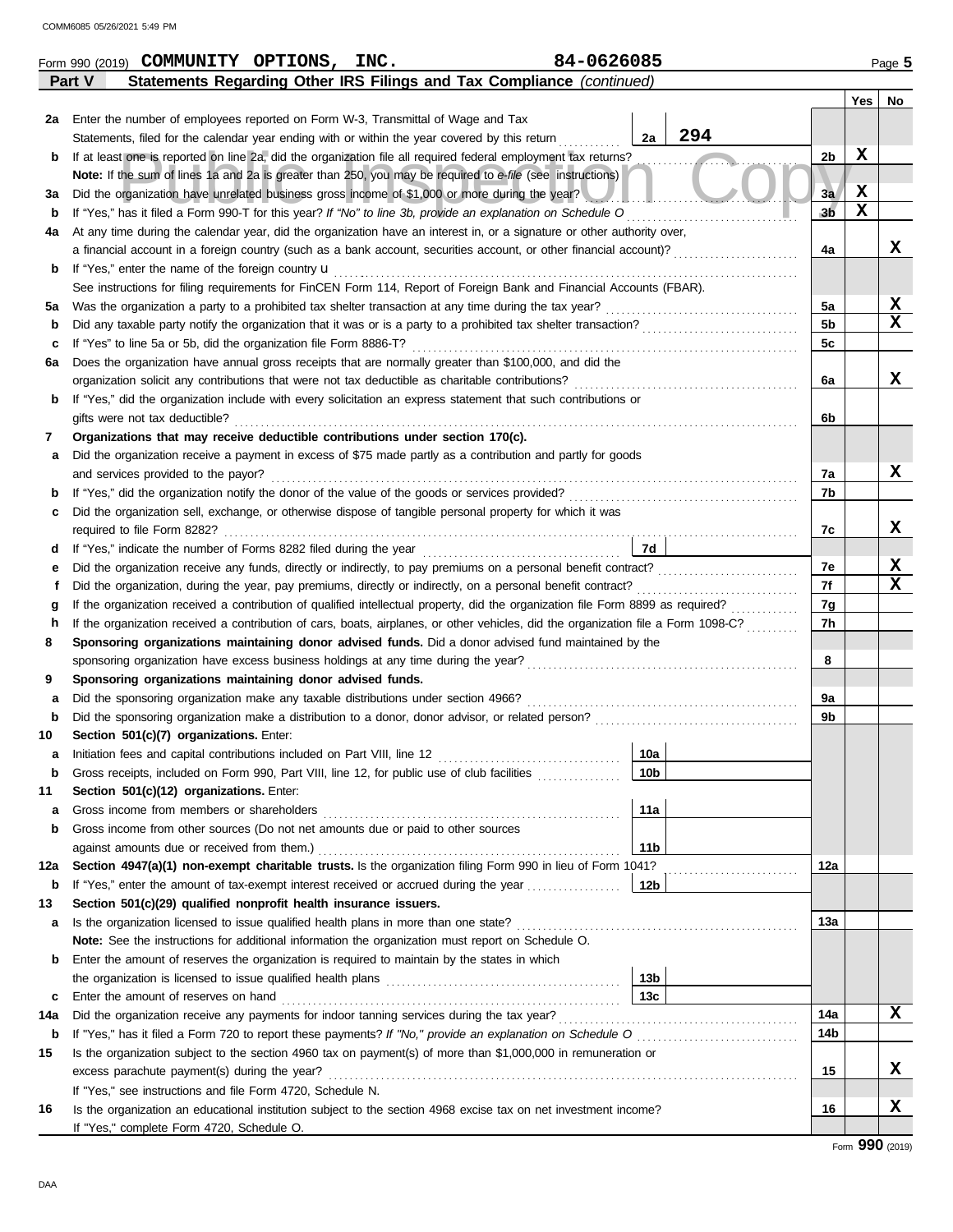| 84-0626085<br>Form 990 (2019) COMMUNITY OPTIONS, INC. |                                                                                                       |  |  |                                                                                                                                                                                                                                            |                 |                |             | Page 5           |
|-------------------------------------------------------|-------------------------------------------------------------------------------------------------------|--|--|--------------------------------------------------------------------------------------------------------------------------------------------------------------------------------------------------------------------------------------------|-----------------|----------------|-------------|------------------|
|                                                       | Part V                                                                                                |  |  | Statements Regarding Other IRS Filings and Tax Compliance (continued)                                                                                                                                                                      |                 |                |             |                  |
|                                                       |                                                                                                       |  |  |                                                                                                                                                                                                                                            |                 |                | Yes         | No               |
| 2a                                                    | Enter the number of employees reported on Form W-3, Transmittal of Wage and Tax                       |  |  |                                                                                                                                                                                                                                            |                 |                |             |                  |
|                                                       | Statements, filed for the calendar year ending with or within the year covered by this return         |  |  |                                                                                                                                                                                                                                            | 294<br>2a       |                |             |                  |
| b                                                     |                                                                                                       |  |  | If at least one is reported on line 2a, did the organization file all required federal employment tax returns?                                                                                                                             |                 | 2b             | $\mathbf x$ |                  |
|                                                       |                                                                                                       |  |  | Note: If the sum of lines 1a and 2a is greater than 250, you may be required to e-file (see instructions)                                                                                                                                  |                 |                |             |                  |
| За                                                    | Did the organization have unrelated business gross income of \$1,000 or more during the year?         |  |  |                                                                                                                                                                                                                                            |                 | 3a             | X           |                  |
| b                                                     |                                                                                                       |  |  | If "Yes," has it filed a Form 990-T for this year? If "No" to line 3b, provide an explanation on Schedule O                                                                                                                                |                 | 3 <sub>b</sub> | $\mathbf x$ |                  |
| 4a                                                    |                                                                                                       |  |  | At any time during the calendar year, did the organization have an interest in, or a signature or other authority over,                                                                                                                    |                 |                |             |                  |
|                                                       |                                                                                                       |  |  | a financial account in a foreign country (such as a bank account, securities account, or other financial account)?                                                                                                                         |                 | 4a             |             | x                |
| b                                                     | If "Yes," enter the name of the foreign country <b>u</b>                                              |  |  |                                                                                                                                                                                                                                            |                 |                |             |                  |
|                                                       |                                                                                                       |  |  | See instructions for filing requirements for FinCEN Form 114, Report of Foreign Bank and Financial Accounts (FBAR).                                                                                                                        |                 |                |             |                  |
| 5a                                                    | Was the organization a party to a prohibited tax shelter transaction at any time during the tax year? |  |  |                                                                                                                                                                                                                                            |                 | 5a             |             | x                |
| b                                                     |                                                                                                       |  |  |                                                                                                                                                                                                                                            |                 | 5b             |             | $\mathbf x$      |
| c                                                     | If "Yes" to line 5a or 5b, did the organization file Form 8886-T?                                     |  |  |                                                                                                                                                                                                                                            |                 | 5c             |             |                  |
| 6а                                                    |                                                                                                       |  |  | Does the organization have annual gross receipts that are normally greater than \$100,000, and did the                                                                                                                                     |                 |                |             |                  |
|                                                       | organization solicit any contributions that were not tax deductible as charitable contributions?      |  |  |                                                                                                                                                                                                                                            |                 | 6a             |             | x                |
| b                                                     |                                                                                                       |  |  | If "Yes," did the organization include with every solicitation an express statement that such contributions or                                                                                                                             |                 |                |             |                  |
|                                                       | gifts were not tax deductible?                                                                        |  |  |                                                                                                                                                                                                                                            |                 | 6b             |             |                  |
| 7                                                     | Organizations that may receive deductible contributions under section 170(c).                         |  |  |                                                                                                                                                                                                                                            |                 |                |             |                  |
| a                                                     |                                                                                                       |  |  | Did the organization receive a payment in excess of \$75 made partly as a contribution and partly for goods                                                                                                                                |                 |                |             |                  |
|                                                       | and services provided to the payor?                                                                   |  |  |                                                                                                                                                                                                                                            |                 | 7a             |             | X                |
| b                                                     |                                                                                                       |  |  |                                                                                                                                                                                                                                            |                 | 7b             |             |                  |
| c                                                     |                                                                                                       |  |  | Did the organization sell, exchange, or otherwise dispose of tangible personal property for which it was                                                                                                                                   |                 |                |             |                  |
|                                                       |                                                                                                       |  |  |                                                                                                                                                                                                                                            |                 | 7c             |             | x                |
| d                                                     |                                                                                                       |  |  |                                                                                                                                                                                                                                            | <b>7d</b>       |                |             |                  |
| е                                                     |                                                                                                       |  |  |                                                                                                                                                                                                                                            |                 | 7e             |             | X<br>$\mathbf x$ |
| t                                                     |                                                                                                       |  |  | Did the organization, during the year, pay premiums, directly or indirectly, on a personal benefit contract?                                                                                                                               |                 | 7f             |             |                  |
| g                                                     |                                                                                                       |  |  | If the organization received a contribution of qualified intellectual property, did the organization file Form 8899 as required?                                                                                                           |                 | 7g<br>7h       |             |                  |
| h                                                     |                                                                                                       |  |  | If the organization received a contribution of cars, boats, airplanes, or other vehicles, did the organization file a Form 1098-C?<br>Sponsoring organizations maintaining donor advised funds. Did a donor advised fund maintained by the |                 |                |             |                  |
| 8                                                     |                                                                                                       |  |  |                                                                                                                                                                                                                                            |                 | 8              |             |                  |
| 9                                                     | Sponsoring organizations maintaining donor advised funds.                                             |  |  |                                                                                                                                                                                                                                            |                 |                |             |                  |
| a                                                     | Did the sponsoring organization make any taxable distributions under section 4966?                    |  |  |                                                                                                                                                                                                                                            |                 | 9a             |             |                  |
| b                                                     |                                                                                                       |  |  |                                                                                                                                                                                                                                            |                 | 9b             |             |                  |
| 10                                                    | Section 501(c)(7) organizations. Enter:                                                               |  |  |                                                                                                                                                                                                                                            |                 |                |             |                  |
| a                                                     |                                                                                                       |  |  |                                                                                                                                                                                                                                            | 10a             |                |             |                  |
| b                                                     | Gross receipts, included on Form 990, Part VIII, line 12, for public use of club facilities           |  |  |                                                                                                                                                                                                                                            | 10 <sub>b</sub> |                |             |                  |
| 11                                                    | Section 501(c)(12) organizations. Enter:                                                              |  |  |                                                                                                                                                                                                                                            |                 |                |             |                  |
| а                                                     | Gross income from members or shareholders                                                             |  |  |                                                                                                                                                                                                                                            | 11a             |                |             |                  |
| b                                                     | Gross income from other sources (Do not net amounts due or paid to other sources                      |  |  |                                                                                                                                                                                                                                            |                 |                |             |                  |
|                                                       | against amounts due or received from them.)                                                           |  |  |                                                                                                                                                                                                                                            | 11 <sub>b</sub> |                |             |                  |
| 12a                                                   |                                                                                                       |  |  | Section 4947(a)(1) non-exempt charitable trusts. Is the organization filing Form 990 in lieu of Form 1041?                                                                                                                                 |                 | 12a            |             |                  |
| b                                                     |                                                                                                       |  |  | If "Yes," enter the amount of tax-exempt interest received or accrued during the year                                                                                                                                                      | 12b             |                |             |                  |
| 13                                                    | Section 501(c)(29) qualified nonprofit health insurance issuers.                                      |  |  |                                                                                                                                                                                                                                            |                 |                |             |                  |
| а                                                     | Is the organization licensed to issue qualified health plans in more than one state?                  |  |  |                                                                                                                                                                                                                                            |                 | 13а            |             |                  |
|                                                       | Note: See the instructions for additional information the organization must report on Schedule O.     |  |  |                                                                                                                                                                                                                                            |                 |                |             |                  |
| b                                                     | Enter the amount of reserves the organization is required to maintain by the states in which          |  |  |                                                                                                                                                                                                                                            |                 |                |             |                  |
|                                                       |                                                                                                       |  |  | the organization is licensed to issue qualified health plans [11] contains the organization is licensed to issue qualified health plans                                                                                                    | 13 <sub>b</sub> |                |             |                  |
| c                                                     | Enter the amount of reserves on hand                                                                  |  |  |                                                                                                                                                                                                                                            | 13 <sub>c</sub> |                |             |                  |
| 14a                                                   | Did the organization receive any payments for indoor tanning services during the tax year?            |  |  |                                                                                                                                                                                                                                            |                 | 14a            |             | X                |
| b                                                     |                                                                                                       |  |  |                                                                                                                                                                                                                                            |                 | 14b            |             |                  |
| 15                                                    |                                                                                                       |  |  | Is the organization subject to the section 4960 tax on payment(s) of more than \$1,000,000 in remuneration or                                                                                                                              |                 |                |             |                  |
|                                                       | excess parachute payment(s) during the year?                                                          |  |  |                                                                                                                                                                                                                                            |                 | 15             |             | x                |
|                                                       | If "Yes," see instructions and file Form 4720, Schedule N.                                            |  |  |                                                                                                                                                                                                                                            |                 |                |             |                  |
| 16                                                    |                                                                                                       |  |  | Is the organization an educational institution subject to the section 4968 excise tax on net investment income?                                                                                                                            |                 | 16             |             | X                |
|                                                       | If "Yes," complete Form 4720, Schedule O.                                                             |  |  |                                                                                                                                                                                                                                            |                 |                |             |                  |

|  | -0626085 |  |
|--|----------|--|
|  |          |  |

|  |  | $\overline{A}$ |
|--|--|----------------|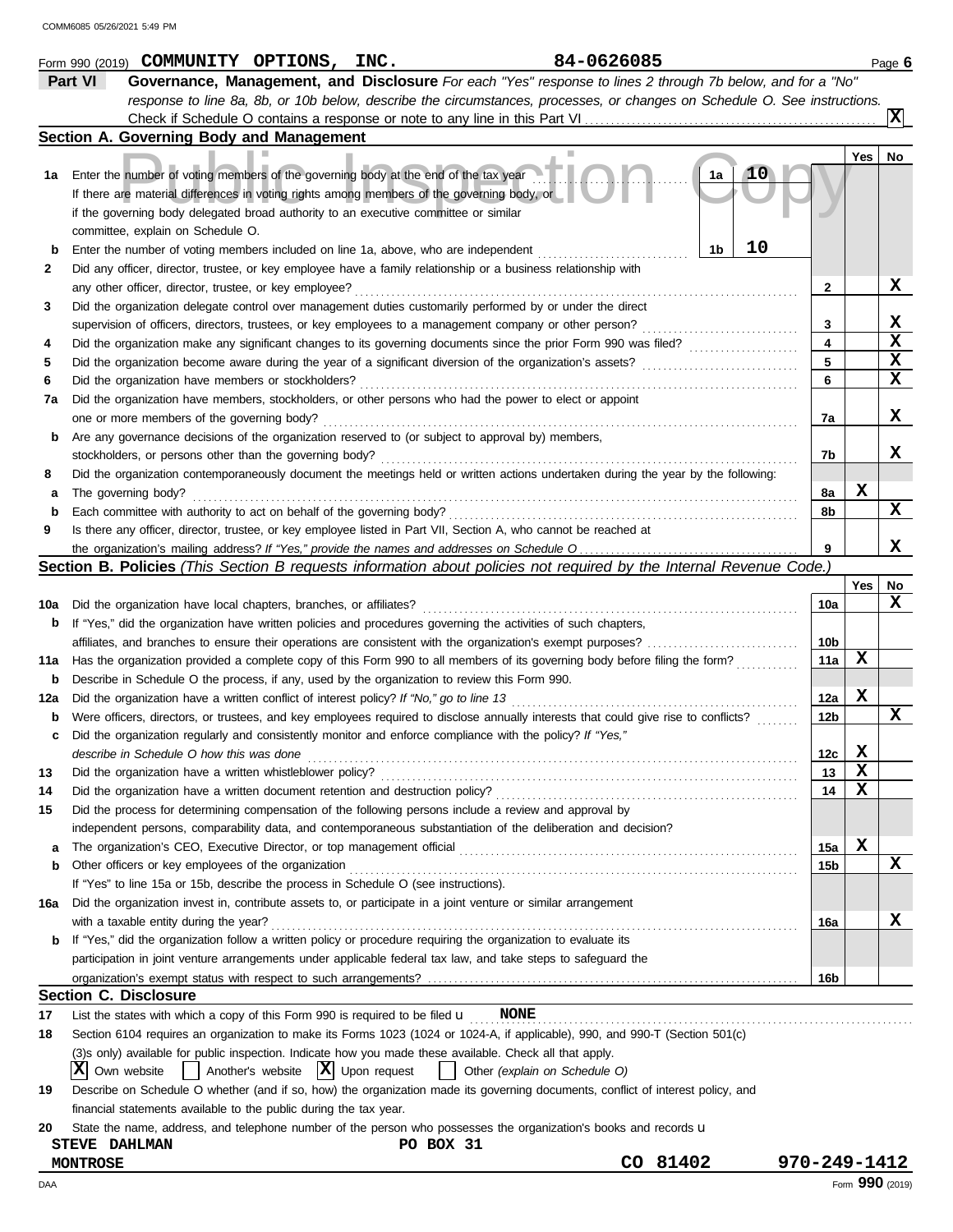|          | 84-0626085<br>Form 990 (2019) COMMUNITY OPTIONS, INC.                                                                                                                                                                       |                 |     | Page 6                   |
|----------|-----------------------------------------------------------------------------------------------------------------------------------------------------------------------------------------------------------------------------|-----------------|-----|--------------------------|
|          | Part VI<br>Governance, Management, and Disclosure For each "Yes" response to lines 2 through 7b below, and for a "No"                                                                                                       |                 |     |                          |
|          | response to line 8a, 8b, or 10b below, describe the circumstances, processes, or changes on Schedule O. See instructions.                                                                                                   |                 |     |                          |
|          |                                                                                                                                                                                                                             |                 |     | $\vert \mathbf{x} \vert$ |
|          | Section A. Governing Body and Management                                                                                                                                                                                    |                 |     |                          |
|          |                                                                                                                                                                                                                             |                 | Yes | No                       |
| 1a       | Enter the number of voting members of the governing body at the end of the tax year<br>1a                                                                                                                                   |                 |     |                          |
|          | If there are material differences in voting rights among members of the governing body, or                                                                                                                                  |                 |     |                          |
|          | if the governing body delegated broad authority to an executive committee or similar                                                                                                                                        |                 |     |                          |
|          | committee, explain on Schedule O.                                                                                                                                                                                           |                 |     |                          |
| b        | 10<br>1b<br>Enter the number of voting members included on line 1a, above, who are independent                                                                                                                              |                 |     |                          |
| 2        | Did any officer, director, trustee, or key employee have a family relationship or a business relationship with                                                                                                              |                 |     |                          |
|          | any other officer, director, trustee, or key employee?                                                                                                                                                                      | 2               |     | X.                       |
| 3        | Did the organization delegate control over management duties customarily performed by or under the direct                                                                                                                   |                 |     |                          |
|          | supervision of officers, directors, trustees, or key employees to a management company or other person?                                                                                                                     | 3               |     | x                        |
| 4        | Did the organization make any significant changes to its governing documents since the prior Form 990 was filed?                                                                                                            | 4               |     | $\mathbf x$              |
| 5        | Did the organization become aware during the year of a significant diversion of the organization's assets?                                                                                                                  | 5               |     | $\mathbf x$              |
| 6        | Did the organization have members or stockholders?                                                                                                                                                                          | 6               |     | X                        |
| 7a       | Did the organization have members, stockholders, or other persons who had the power to elect or appoint                                                                                                                     |                 |     |                          |
|          | one or more members of the governing body?                                                                                                                                                                                  | 7a              |     | x                        |
| b        | Are any governance decisions of the organization reserved to (or subject to approval by) members,                                                                                                                           |                 |     |                          |
|          | stockholders, or persons other than the governing body?                                                                                                                                                                     | 7b              |     | x                        |
| 8        | Did the organization contemporaneously document the meetings held or written actions undertaken during the year by the following:                                                                                           |                 |     |                          |
| а        | The governing body?                                                                                                                                                                                                         | 8а              | x   |                          |
| b        | Each committee with authority to act on behalf of the governing body?                                                                                                                                                       | 8b              |     | X                        |
| 9        | Is there any officer, director, trustee, or key employee listed in Part VII, Section A, who cannot be reached at                                                                                                            |                 |     |                          |
|          |                                                                                                                                                                                                                             | 9               |     | X                        |
|          | Section B. Policies (This Section B requests information about policies not required by the Internal Revenue Code.)                                                                                                         |                 |     |                          |
|          |                                                                                                                                                                                                                             |                 | Yes | No                       |
| 10a      | Did the organization have local chapters, branches, or affiliates?                                                                                                                                                          | 10a             |     | X                        |
| b        | If "Yes," did the organization have written policies and procedures governing the activities of such chapters,                                                                                                              |                 |     |                          |
|          |                                                                                                                                                                                                                             | 10b             |     |                          |
| 11a      | Has the organization provided a complete copy of this Form 990 to all members of its governing body before filing the form?                                                                                                 | 11a             | x   |                          |
| b        | Describe in Schedule O the process, if any, used by the organization to review this Form 990.                                                                                                                               |                 |     |                          |
| 12a      | Did the organization have a written conflict of interest policy? If "No," go to line 13                                                                                                                                     | 12a             | X   |                          |
| b        | Were officers, directors, or trustees, and key employees required to disclose annually interests that could give rise to conflicts?                                                                                         | 12 <sub>b</sub> |     | X                        |
| c        | Did the organization regularly and consistently monitor and enforce compliance with the policy? If "Yes,"                                                                                                                   |                 |     |                          |
|          | describe in Schedule O how this was done                                                                                                                                                                                    | 12c             | x   |                          |
| 13       | Did the organization have a written whistleblower policy?                                                                                                                                                                   | 13              | х   |                          |
| 14       | Did the organization have a written document retention and destruction policy?                                                                                                                                              | 14              | x   |                          |
| 15       | Did the process for determining compensation of the following persons include a review and approval by                                                                                                                      |                 |     |                          |
|          | independent persons, comparability data, and contemporaneous substantiation of the deliberation and decision?                                                                                                               |                 |     |                          |
| а        |                                                                                                                                                                                                                             | 15a             | х   |                          |
| b        | Other officers or key employees of the organization                                                                                                                                                                         | 15b             |     | x                        |
|          | If "Yes" to line 15a or 15b, describe the process in Schedule O (see instructions).                                                                                                                                         |                 |     |                          |
| 16a      | Did the organization invest in, contribute assets to, or participate in a joint venture or similar arrangement                                                                                                              |                 |     |                          |
|          | with a taxable entity during the year?                                                                                                                                                                                      | 16a             |     | x                        |
| b        | If "Yes," did the organization follow a written policy or procedure requiring the organization to evaluate its                                                                                                              |                 |     |                          |
|          | participation in joint venture arrangements under applicable federal tax law, and take steps to safeguard the                                                                                                               |                 |     |                          |
|          | <b>Section C. Disclosure</b>                                                                                                                                                                                                | 16b             |     |                          |
|          |                                                                                                                                                                                                                             |                 |     |                          |
| 17<br>18 | List the states with which a copy of this Form 990 is required to be filed $\mathbf u$ MONE<br>Section 6104 requires an organization to make its Forms 1023 (1024 or 1024-A, if applicable), 990, and 990-T (Section 501(c) |                 |     |                          |
|          | (3)s only) available for public inspection. Indicate how you made these available. Check all that apply.                                                                                                                    |                 |     |                          |
|          | $ \mathbf{X} $ Upon request<br>XI<br>Own website<br>Another's website<br>Other (explain on Schedule O)                                                                                                                      |                 |     |                          |
|          | Describe on Schedule O whether (and if so, how) the organization made its governing documents, conflict of interest policy, and                                                                                             |                 |     |                          |
| 19       | financial statements available to the public during the tax year.                                                                                                                                                           |                 |     |                          |
| 20       | State the name, address, and telephone number of the person who possesses the organization's books and records u                                                                                                            |                 |     |                          |
|          | PO BOX 31<br><b>STEVE DAHLMAN</b>                                                                                                                                                                                           |                 |     |                          |
|          | CO 81402<br><b>MONTROSE</b>                                                                                                                                                                                                 | 970-249-1412    |     |                          |

DAA Form **990** (2019)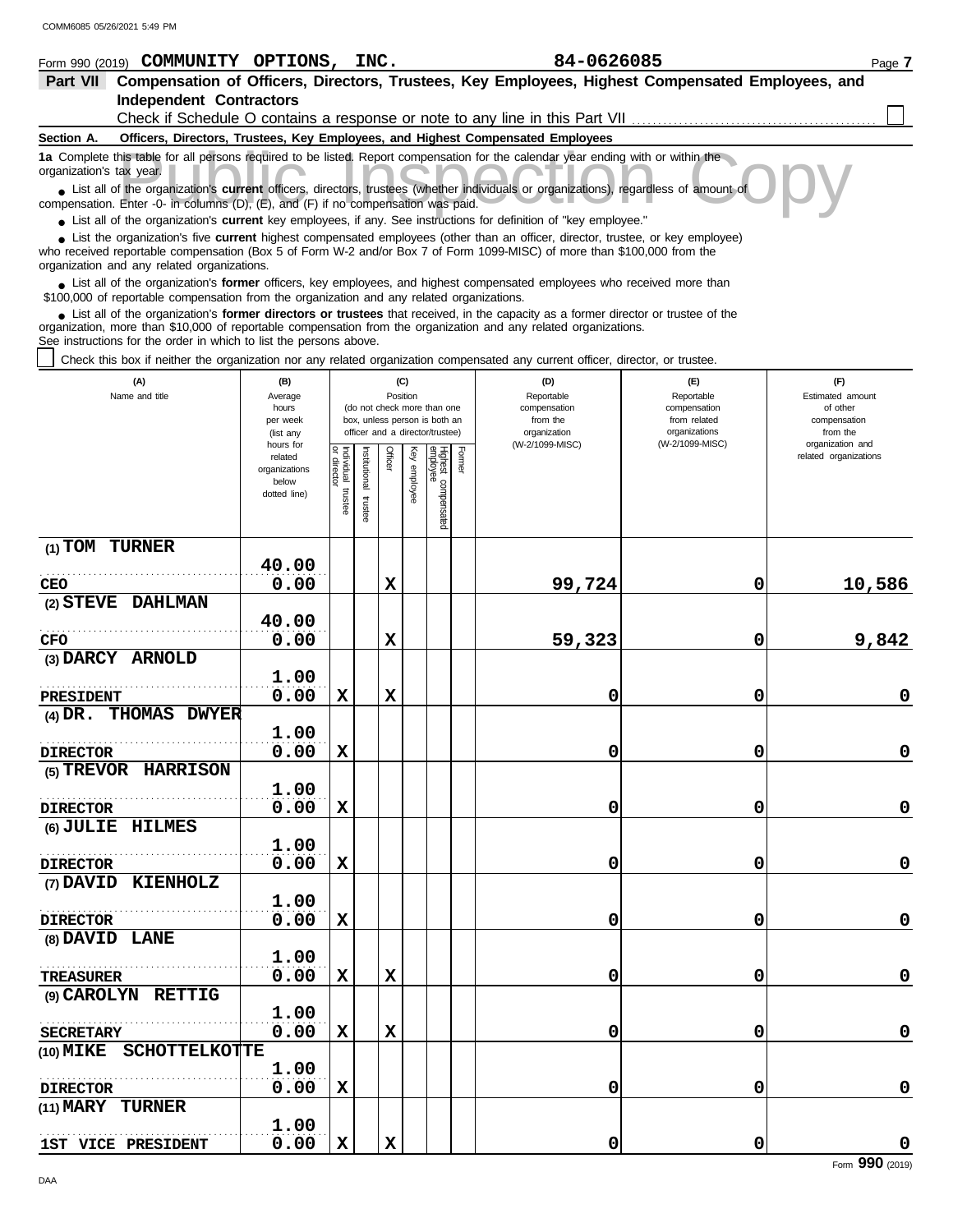| COMM6085 05/26/2021 5:49 PM                                                                                                                                                                                                                                                                                                   |                          |                           |              |             |                 |                                                              |        |                                                                                 |                                                                                                  |                              |
|-------------------------------------------------------------------------------------------------------------------------------------------------------------------------------------------------------------------------------------------------------------------------------------------------------------------------------|--------------------------|---------------------------|--------------|-------------|-----------------|--------------------------------------------------------------|--------|---------------------------------------------------------------------------------|--------------------------------------------------------------------------------------------------|------------------------------|
| Form 990 (2019) COMMUNITY OPTIONS, INC.                                                                                                                                                                                                                                                                                       |                          |                           |              |             |                 |                                                              |        | 84-0626085                                                                      |                                                                                                  | Page 7                       |
| Part VII                                                                                                                                                                                                                                                                                                                      |                          |                           |              |             |                 |                                                              |        |                                                                                 | Compensation of Officers, Directors, Trustees, Key Employees, Highest Compensated Employees, and |                              |
| <b>Independent Contractors</b>                                                                                                                                                                                                                                                                                                |                          |                           |              |             |                 |                                                              |        |                                                                                 |                                                                                                  |                              |
|                                                                                                                                                                                                                                                                                                                               |                          |                           |              |             |                 |                                                              |        |                                                                                 | Check if Schedule O contains a response or note to any line in this Part VII                     |                              |
| Section A.                                                                                                                                                                                                                                                                                                                    |                          |                           |              |             |                 |                                                              |        | Officers, Directors, Trustees, Key Employees, and Highest Compensated Employees |                                                                                                  |                              |
| 1a Complete this table for all persons required to be listed. Report compensation for the calendar year ending with or within the<br>organization's tax year.                                                                                                                                                                 |                          |                           |              |             |                 |                                                              |        |                                                                                 |                                                                                                  |                              |
| • List all of the organization's current officers, directors, trustees (whether individuals or organizations), regardless of amount of                                                                                                                                                                                        |                          |                           |              |             |                 |                                                              |        |                                                                                 |                                                                                                  |                              |
| compensation. Enter -0- in columns (D), (E), and (F) if no compensation was paid.                                                                                                                                                                                                                                             |                          |                           |              |             |                 |                                                              |        |                                                                                 |                                                                                                  |                              |
| • List all of the organization's <b>current</b> key employees, if any. See instructions for definition of "key employee."<br>• List the organization's five current highest compensated employees (other than an officer, director, trustee, or key employee)                                                                 |                          |                           |              |             |                 |                                                              |        |                                                                                 |                                                                                                  |                              |
| who received reportable compensation (Box 5 of Form W-2 and/or Box 7 of Form 1099-MISC) of more than \$100,000 from the<br>organization and any related organizations.                                                                                                                                                        |                          |                           |              |             |                 |                                                              |        |                                                                                 |                                                                                                  |                              |
| List all of the organization's former officers, key employees, and highest compensated employees who received more than<br>\$100,000 of reportable compensation from the organization and any related organizations.                                                                                                          |                          |                           |              |             |                 |                                                              |        |                                                                                 |                                                                                                  |                              |
| • List all of the organization's former directors or trustees that received, in the capacity as a former director or trustee of the<br>organization, more than \$10,000 of reportable compensation from the organization and any related organizations.<br>See instructions for the order in which to list the persons above. |                          |                           |              |             |                 |                                                              |        |                                                                                 |                                                                                                  |                              |
| Check this box if neither the organization nor any related organization compensated any current officer, director, or trustee.                                                                                                                                                                                                |                          |                           |              |             |                 |                                                              |        |                                                                                 |                                                                                                  |                              |
| (A)<br>Name and title                                                                                                                                                                                                                                                                                                         | (B)<br>Average           |                           |              |             | (C)<br>Position |                                                              |        | (D)<br>Reportable                                                               | (E)<br>Reportable                                                                                | (F)<br>Estimated amount      |
|                                                                                                                                                                                                                                                                                                                               | hours<br>per week        |                           |              |             |                 | (do not check more than one<br>box, unless person is both an |        | compensation<br>from the                                                        | compensation<br>from related                                                                     | of other<br>compensation     |
|                                                                                                                                                                                                                                                                                                                               | (list any<br>hours for   |                           |              |             |                 | officer and a director/trustee)                              |        | organization<br>(W-2/1099-MISC)                                                 | organizations<br>(W-2/1099-MISC)                                                                 | from the<br>organization and |
|                                                                                                                                                                                                                                                                                                                               | related<br>organizations | Individual<br>or director |              | Officer     | Ķey             |                                                              | Former |                                                                                 |                                                                                                  | related organizations        |
|                                                                                                                                                                                                                                                                                                                               | below                    |                           | nstitutional |             | employee        | Highest compensated<br>employee                              |        |                                                                                 |                                                                                                  |                              |
|                                                                                                                                                                                                                                                                                                                               | dotted line)             | trustee                   | trustee      |             |                 |                                                              |        |                                                                                 |                                                                                                  |                              |
|                                                                                                                                                                                                                                                                                                                               |                          |                           |              |             |                 |                                                              |        |                                                                                 |                                                                                                  |                              |
| $(1)$ TOM TURNER                                                                                                                                                                                                                                                                                                              |                          |                           |              |             |                 |                                                              |        |                                                                                 |                                                                                                  |                              |
|                                                                                                                                                                                                                                                                                                                               | 40.00                    |                           |              |             |                 |                                                              |        |                                                                                 |                                                                                                  |                              |
| CEO                                                                                                                                                                                                                                                                                                                           | 0.00                     |                           |              | X           |                 |                                                              |        | 99,724                                                                          | 0                                                                                                | 10,586                       |
| (2) STEVE DAHLMAN                                                                                                                                                                                                                                                                                                             |                          |                           |              |             |                 |                                                              |        |                                                                                 |                                                                                                  |                              |
|                                                                                                                                                                                                                                                                                                                               | 40.00                    |                           |              |             |                 |                                                              |        |                                                                                 |                                                                                                  |                              |
| CFO                                                                                                                                                                                                                                                                                                                           | 0.00                     |                           |              | $\mathbf x$ |                 |                                                              |        | 59,323                                                                          | 0                                                                                                | 9,842                        |
| (3) DARCY ARNOLD                                                                                                                                                                                                                                                                                                              | 1.00                     |                           |              |             |                 |                                                              |        |                                                                                 |                                                                                                  |                              |
| <b>PRESIDENT</b>                                                                                                                                                                                                                                                                                                              | 0.00                     | х                         |              | X           |                 |                                                              |        | 0                                                                               | 0                                                                                                | 0                            |
| THOMAS DWYER<br>$(4)$ DR.                                                                                                                                                                                                                                                                                                     |                          |                           |              |             |                 |                                                              |        |                                                                                 |                                                                                                  |                              |
|                                                                                                                                                                                                                                                                                                                               | 1.00                     |                           |              |             |                 |                                                              |        |                                                                                 |                                                                                                  |                              |
| <b>DIRECTOR</b>                                                                                                                                                                                                                                                                                                               | 0.00                     | X                         |              |             |                 |                                                              |        | 0                                                                               | $\mathbf 0$                                                                                      | 0                            |
| (5) TREVOR HARRISON                                                                                                                                                                                                                                                                                                           |                          |                           |              |             |                 |                                                              |        |                                                                                 |                                                                                                  |                              |
|                                                                                                                                                                                                                                                                                                                               | 1.00                     |                           |              |             |                 |                                                              |        |                                                                                 |                                                                                                  |                              |
| <b>DIRECTOR</b>                                                                                                                                                                                                                                                                                                               | 0.00                     | $\mathbf x$               |              |             |                 |                                                              |        | 0                                                                               | 0                                                                                                | 0                            |
| (6) JULIE HILMES                                                                                                                                                                                                                                                                                                              |                          |                           |              |             |                 |                                                              |        |                                                                                 |                                                                                                  |                              |
|                                                                                                                                                                                                                                                                                                                               | 1.00                     |                           |              |             |                 |                                                              |        |                                                                                 |                                                                                                  |                              |
| <b>DIRECTOR</b>                                                                                                                                                                                                                                                                                                               | 0.00                     | X                         |              |             |                 |                                                              |        | 0                                                                               | 0                                                                                                | 0                            |

**0.00 X 0 0 0**

**0.00 X 0 0 0**

**0.00 X X 0 0 0**

**0.00 X X 0 0 0**

**0.00 X 0 0 0**

**(7) DAVID KIENHOLZ**

. . . . . . . . . . . . . . . . . . . . . . . . . . . . . . . . . . . . . . . . . . . . . . . . . . . . . . . **DIRECTOR**

. . . . . . . . . . . . . . . . . . . . . . . . . . . . . . . . . . . . . . . . . . . . . . . . . . . . . . . **TREASURER**

 $SECTION 1000$   $0.00$ </u></u>

**1ST VICE PRESIDENT**  $\begin{bmatrix} 1 & 0 & 0 \\ 0 & 0 & 0 \end{bmatrix}$ 

. . . . . . . . . . . . . . . . . . . . . . . . . . . . . . . . . . . . . . . . . . . . . . . . . . . . . . .

 $\overline{\text{c\_core}}$ 

**1.00**

**1.00**

**1.00**

**1.00**

**1.00**

**(9) CAROLYN RETTIG**

**(10) MIKE SCHOTTELKOTTE**

**(8) DAVID LANE**

**DIRECTOR**

**DIRECTOR**

**(11) MARY TURNER**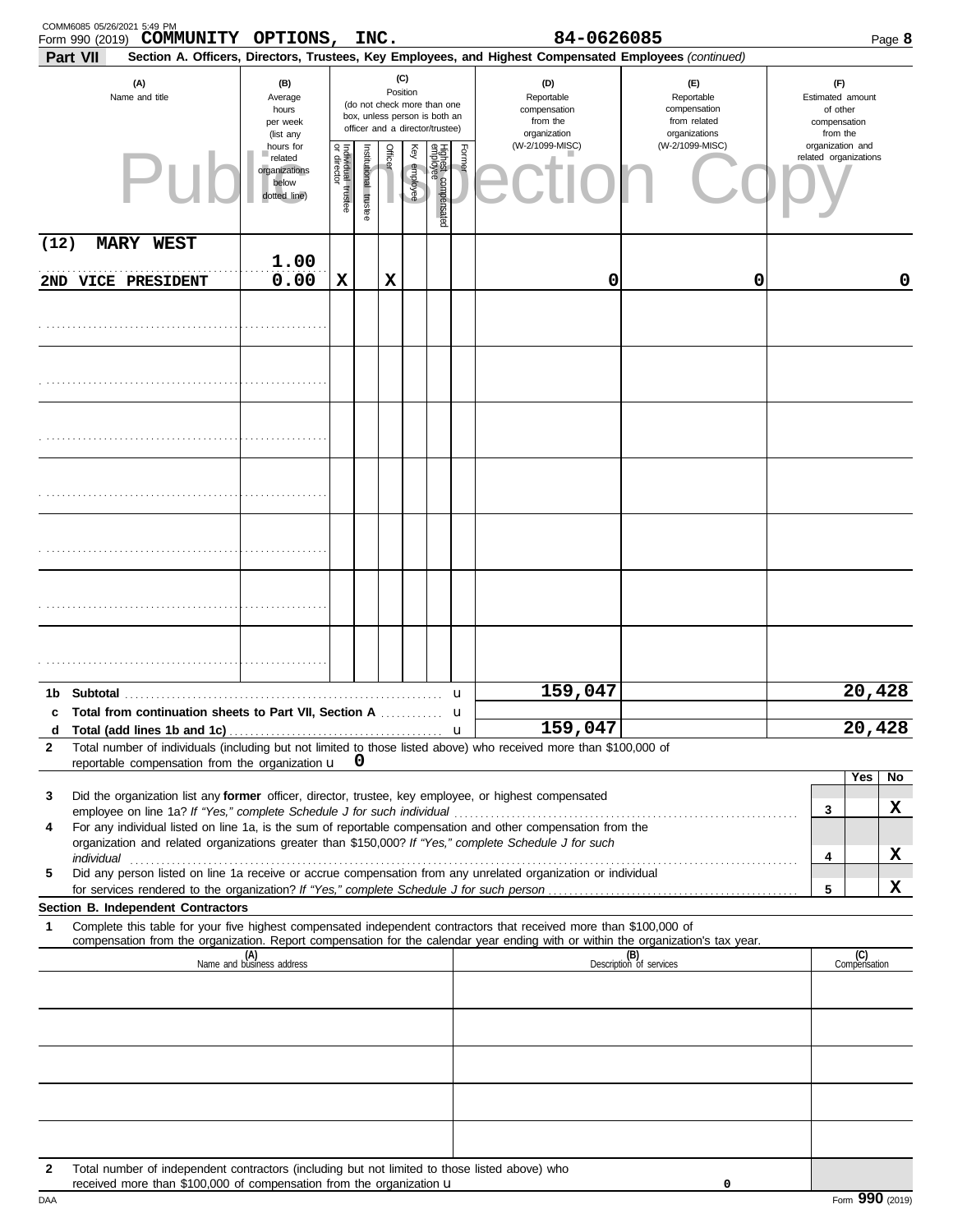|              | COMM6085 05/26/2021 5:49 PM<br>Form 990 (2019) | COMMUNITY OPTIONS,                                                   |                                                                |                                   | INC.                  |                |                 |                                                                                                 |        | 84-0626085                                                                                                                                                                                                                                                                                                                              |                                                                    |                                                                 | Page 8              |
|--------------|------------------------------------------------|----------------------------------------------------------------------|----------------------------------------------------------------|-----------------------------------|-----------------------|----------------|-----------------|-------------------------------------------------------------------------------------------------|--------|-----------------------------------------------------------------------------------------------------------------------------------------------------------------------------------------------------------------------------------------------------------------------------------------------------------------------------------------|--------------------------------------------------------------------|-----------------------------------------------------------------|---------------------|
|              | Part VII                                       |                                                                      |                                                                |                                   |                       |                |                 |                                                                                                 |        | Section A. Officers, Directors, Trustees, Key Employees, and Highest Compensated Employees (continued)                                                                                                                                                                                                                                  |                                                                    |                                                                 |                     |
|              | (A)<br>Name and title                          |                                                                      | (B)<br>Average<br>hours<br>per week<br>(list any               |                                   |                       |                | (C)<br>Position | (do not check more than one<br>box, unless person is both an<br>officer and a director/trustee) |        | (D)<br>Reportable<br>compensation<br>from the<br>organization                                                                                                                                                                                                                                                                           | (E)<br>Reportable<br>compensation<br>from related<br>organizations | (F)<br>Estimated amount<br>of other<br>compensation<br>from the |                     |
|              |                                                |                                                                      | hours for<br>related<br>organizations<br>below<br>dotted line) | Individual trustee<br>or director | Institutional trustee | <b>Officer</b> | Ķey<br>employee | Highest compensated<br>employee                                                                 | Former | (W-2/1099-MISC)                                                                                                                                                                                                                                                                                                                         | (W-2/1099-MISC)                                                    | organization and<br>related organizations                       |                     |
| (12)         |                                                | <b>MARY WEST</b>                                                     |                                                                |                                   |                       |                |                 |                                                                                                 |        |                                                                                                                                                                                                                                                                                                                                         |                                                                    |                                                                 |                     |
|              | 2ND VICE PRESIDENT                             |                                                                      | 1.00<br>0.00                                                   | X                                 |                       | X              |                 |                                                                                                 |        | 0                                                                                                                                                                                                                                                                                                                                       | 0                                                                  |                                                                 | 0                   |
|              |                                                |                                                                      |                                                                |                                   |                       |                |                 |                                                                                                 |        |                                                                                                                                                                                                                                                                                                                                         |                                                                    |                                                                 |                     |
|              |                                                |                                                                      |                                                                |                                   |                       |                |                 |                                                                                                 |        |                                                                                                                                                                                                                                                                                                                                         |                                                                    |                                                                 |                     |
|              |                                                |                                                                      |                                                                |                                   |                       |                |                 |                                                                                                 |        |                                                                                                                                                                                                                                                                                                                                         |                                                                    |                                                                 |                     |
|              |                                                |                                                                      |                                                                |                                   |                       |                |                 |                                                                                                 |        |                                                                                                                                                                                                                                                                                                                                         |                                                                    |                                                                 |                     |
|              |                                                |                                                                      |                                                                |                                   |                       |                |                 |                                                                                                 |        |                                                                                                                                                                                                                                                                                                                                         |                                                                    |                                                                 |                     |
|              |                                                |                                                                      |                                                                |                                   |                       |                |                 |                                                                                                 |        |                                                                                                                                                                                                                                                                                                                                         |                                                                    |                                                                 |                     |
|              |                                                |                                                                      |                                                                |                                   |                       |                |                 |                                                                                                 |        |                                                                                                                                                                                                                                                                                                                                         |                                                                    |                                                                 |                     |
|              |                                                |                                                                      |                                                                |                                   |                       |                |                 |                                                                                                 | u      | 159,047                                                                                                                                                                                                                                                                                                                                 |                                                                    |                                                                 | 20,428              |
|              |                                                | c Total from continuation sheets to Part VII, Section A              |                                                                |                                   |                       |                |                 |                                                                                                 | u      |                                                                                                                                                                                                                                                                                                                                         |                                                                    |                                                                 |                     |
| d<br>2       |                                                |                                                                      |                                                                |                                   |                       |                |                 |                                                                                                 |        | 159,047<br>Total number of individuals (including but not limited to those listed above) who received more than \$100,000 of                                                                                                                                                                                                            |                                                                    |                                                                 | 20,428              |
|              |                                                | reportable compensation from the organization $\mathbf{u}$ 0         |                                                                |                                   |                       |                |                 |                                                                                                 |        |                                                                                                                                                                                                                                                                                                                                         |                                                                    |                                                                 | <b>Yes</b><br>No    |
| 3            |                                                |                                                                      |                                                                |                                   |                       |                |                 |                                                                                                 |        | Did the organization list any former officer, director, trustee, key employee, or highest compensated                                                                                                                                                                                                                                   |                                                                    |                                                                 |                     |
| 4            |                                                |                                                                      |                                                                |                                   |                       |                |                 |                                                                                                 |        | For any individual listed on line 1a, is the sum of reportable compensation and other compensation from the                                                                                                                                                                                                                             |                                                                    | 3                                                               | x                   |
|              |                                                |                                                                      |                                                                |                                   |                       |                |                 |                                                                                                 |        | organization and related organizations greater than \$150,000? If "Yes," complete Schedule J for such<br>individual with a construction of the construction of the construction of the construction of the construction of the construction of the construction of the construction of the construction of the construction of the cons |                                                                    | 4                                                               | X                   |
| 5            |                                                |                                                                      |                                                                |                                   |                       |                |                 |                                                                                                 |        | Did any person listed on line 1a receive or accrue compensation from any unrelated organization or individual                                                                                                                                                                                                                           |                                                                    |                                                                 |                     |
|              |                                                | Section B. Independent Contractors                                   |                                                                |                                   |                       |                |                 |                                                                                                 |        |                                                                                                                                                                                                                                                                                                                                         |                                                                    | 5                                                               | X                   |
| 1            |                                                |                                                                      |                                                                |                                   |                       |                |                 |                                                                                                 |        | Complete this table for your five highest compensated independent contractors that received more than \$100,000 of                                                                                                                                                                                                                      |                                                                    |                                                                 |                     |
|              |                                                |                                                                      | (A)<br>Name and business address                               |                                   |                       |                |                 |                                                                                                 |        | compensation from the organization. Report compensation for the calendar year ending with or within the organization's tax year.                                                                                                                                                                                                        | (B)<br>Description of services                                     |                                                                 | (C)<br>Compensation |
|              |                                                |                                                                      |                                                                |                                   |                       |                |                 |                                                                                                 |        |                                                                                                                                                                                                                                                                                                                                         |                                                                    |                                                                 |                     |
|              |                                                |                                                                      |                                                                |                                   |                       |                |                 |                                                                                                 |        |                                                                                                                                                                                                                                                                                                                                         |                                                                    |                                                                 |                     |
|              |                                                |                                                                      |                                                                |                                   |                       |                |                 |                                                                                                 |        |                                                                                                                                                                                                                                                                                                                                         |                                                                    |                                                                 |                     |
|              |                                                |                                                                      |                                                                |                                   |                       |                |                 |                                                                                                 |        |                                                                                                                                                                                                                                                                                                                                         |                                                                    |                                                                 |                     |
| $\mathbf{2}$ |                                                | received more than \$100,000 of compensation from the organization u |                                                                |                                   |                       |                |                 |                                                                                                 |        | Total number of independent contractors (including but not limited to those listed above) who                                                                                                                                                                                                                                           | 0                                                                  |                                                                 |                     |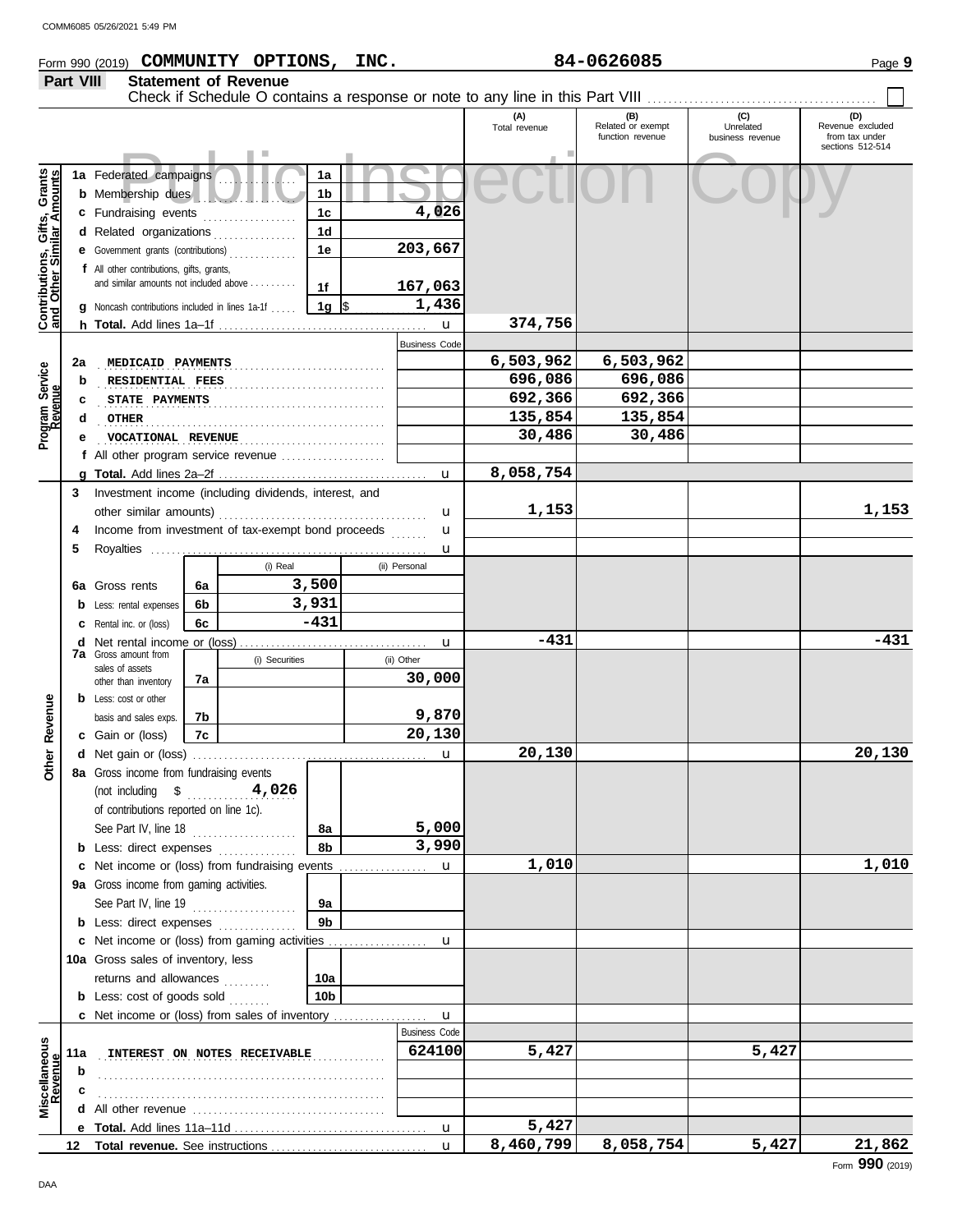#### COMM6085 05/26/2021 5:49 PMForm 990 (2019) Page **9 COMMUNITY OPTIONS, INC. 84-0626085 Part VIII Statement of Revenue** Check if Schedule O contains a response or note to any line in this Part VIII **(A) (B) (C) (D)** Total revenue Related or exempt Unrelated Revenue excluded<br>
function revenue business revenue from tax under business revenue sections 512-514 Prated campaigns  $\frac{1}{16}$  **1a SECCLION** COPY Contributions, Gifts, Grants **1a Contributions, Gifts, Grants and Other Similar Amounts 1a** Federated campaigns . . . . . . . . . . . . . . . **1b b** Membership dues . . . . . . . . . . . . . . . . . . . **4,026 1c c** Fundraising events . . . . . . . . . . . . . . . **1d d** Related organizations . . . . . . . . . . . . . . **203,667 1e e** Government grants (contributions) . . . . . . . . . . . . . **f** All other contributions, gifts, grants, and similar amounts not included above . . . . . . . **167,063 1f 1g** \$ . . . . . . . . . . . . . . . . . . . . . **1,436 g** Noncash contributions included in lines 1a-1f . . . . . **374,756** u **h Total.** Add lines 1a–1f . . . . . . . . . . . . . . . . . . . . . . . . . . . . . . . . . . . . . . . . Business Code . . . . . . . . . . . . . . . . . . . . . . . . . . . . . . . . . . . . . . . . . . . . . . . . . . . . . . . **2a MEDICAID PAYMENTS 6,503,962 6,503,962** Program Service<br>Revenue **Program Service** . . . . . . . . . . . . . . . . . . . . . . . . . . . . . . . . . . . . . . . . . . . . . . . . . . . . . . . **RESIDENTIAL FEES 696,086 696,086 b c** . . . . . . . . . . . . . . . . . . . . . . . . . . . . . . . . . . . . . . . . . . . . . . . . . . . . . . . **STATE PAYMENTS 692,366 692,366 d** . . . . . . . . . . . . . . . . . . . . . . . . . . . . . . . . . . . . . . . . . . . . . . . . . . . . . . . **OTHER 135,854 135,854 e** . . . . . . . . . . . . . . . . . . . . . . . . . . . . . . . . . . . . . . . . . . . . . . . . . . . . . . . **VOCATIONAL REVENUE 30,486 30,486 f** All other program service revenue . . . . . . . . . . . . . . . . . . . . **8,058,754 g Total.** Add lines 2a–2f . . . . . . . . . . . . . . . . . . . . . . . . . . . . . . . . . . . . . . . . u Investment income (including dividends, interest, and **3** other similar amounts) u . . . . . . . . . . . . . . . . . . . . . . . . . . . . . . . . . . . . . . . . **4** Income from investment of tax-exempt bond proceeds ....... u

|                          |     | trivestment income (including dividends, interest, and<br>other similar amounts) |     |                              |                 |               | u                    | 1,153     |           |       | 1,153  |
|--------------------------|-----|----------------------------------------------------------------------------------|-----|------------------------------|-----------------|---------------|----------------------|-----------|-----------|-------|--------|
|                          | 4   | Income from investment of tax-exempt bond proceeds                               |     |                              |                 |               | u                    |           |           |       |        |
|                          | 5   |                                                                                  |     |                              |                 |               | u                    |           |           |       |        |
|                          |     |                                                                                  |     | (i) Real                     |                 | (ii) Personal |                      |           |           |       |        |
|                          |     | 6a Gross rents                                                                   | 6a  |                              | 3,500           |               |                      |           |           |       |        |
|                          |     | <b>b</b> Less: rental expenses                                                   | 6b  |                              | 3,931           |               |                      |           |           |       |        |
|                          |     | <b>c</b> Rental inc. or (loss)                                                   | 6с  |                              | $-431$          |               |                      |           |           |       |        |
|                          | d   |                                                                                  |     |                              |                 |               |                      | $-431$    |           |       | $-431$ |
|                          |     | <b>7a</b> Gross amount from                                                      |     | (i) Securities               |                 | (ii) Other    | u                    |           |           |       |        |
|                          |     | sales of assets                                                                  |     |                              |                 |               | 30,000               |           |           |       |        |
|                          |     | other than inventory                                                             | 7a  |                              |                 |               |                      |           |           |       |        |
| Other Revenue            |     | <b>b</b> Less: cost or other                                                     |     |                              |                 |               | 9,870                |           |           |       |        |
|                          |     | basis and sales exps.                                                            | 7b. |                              |                 |               | 20,130               |           |           |       |        |
|                          |     | c Gain or (loss)                                                                 | 7c  |                              |                 |               |                      |           |           |       |        |
|                          |     |                                                                                  |     |                              |                 |               | u                    | 20,130    |           |       | 20,130 |
|                          |     | 8a Gross income from fundraising events                                          |     |                              |                 |               |                      |           |           |       |        |
|                          |     | (not including $$$ 4,026                                                         |     |                              |                 |               |                      |           |           |       |        |
|                          |     | of contributions reported on line 1c).                                           |     |                              |                 |               |                      |           |           |       |        |
|                          |     | See Part IV, line 18                                                             |     |                              | 8а              |               | 5,000                |           |           |       |        |
|                          |     | <b>b</b> Less: direct expenses <i>minimum</i>                                    |     |                              | 8b              |               | 3,990                |           |           |       |        |
|                          |     |                                                                                  |     |                              |                 |               |                      | 1,010     |           |       | 1,010  |
|                          |     | 9a Gross income from gaming activities.                                          |     |                              |                 |               |                      |           |           |       |        |
|                          |     | See Part IV, line 19                                                             |     |                              | 9а              |               |                      |           |           |       |        |
|                          |     | <b>b</b> Less: direct expenses                                                   |     |                              | 9 <sub>b</sub>  |               |                      |           |           |       |        |
|                          |     | c Net income or (loss) from gaming activities                                    |     |                              |                 |               | $\mathbf u$          |           |           |       |        |
|                          |     | 10a Gross sales of inventory, less                                               |     |                              |                 |               |                      |           |           |       |        |
|                          |     | returns and allowances                                                           |     |                              | 10a             |               |                      |           |           |       |        |
|                          |     | <b>b</b> Less: $cost$ of goods $sol$                                             |     |                              | 10 <sub>b</sub> |               |                      |           |           |       |        |
|                          |     | <b>c</b> Net income or (loss) from sales of inventory                            |     |                              |                 |               | u                    |           |           |       |        |
|                          |     |                                                                                  |     |                              |                 |               | <b>Business Code</b> |           |           |       |        |
|                          | 11a |                                                                                  |     | INTEREST ON NOTES RECEIVABLE |                 |               | 624100               | 5,427     |           | 5,427 |        |
|                          | b   |                                                                                  |     |                              |                 |               |                      |           |           |       |        |
|                          |     |                                                                                  |     |                              |                 |               |                      |           |           |       |        |
| Miscellaneous<br>Revenue | d   |                                                                                  |     |                              |                 |               |                      |           |           |       |        |
|                          |     |                                                                                  |     |                              |                 |               |                      | 5,427     |           |       |        |
|                          |     |                                                                                  |     |                              |                 |               | $\mathbf{u}$         | 8,460,799 | 8,058,754 | 5,427 | 21,862 |
|                          |     |                                                                                  |     |                              |                 |               |                      |           |           |       | 0.00   |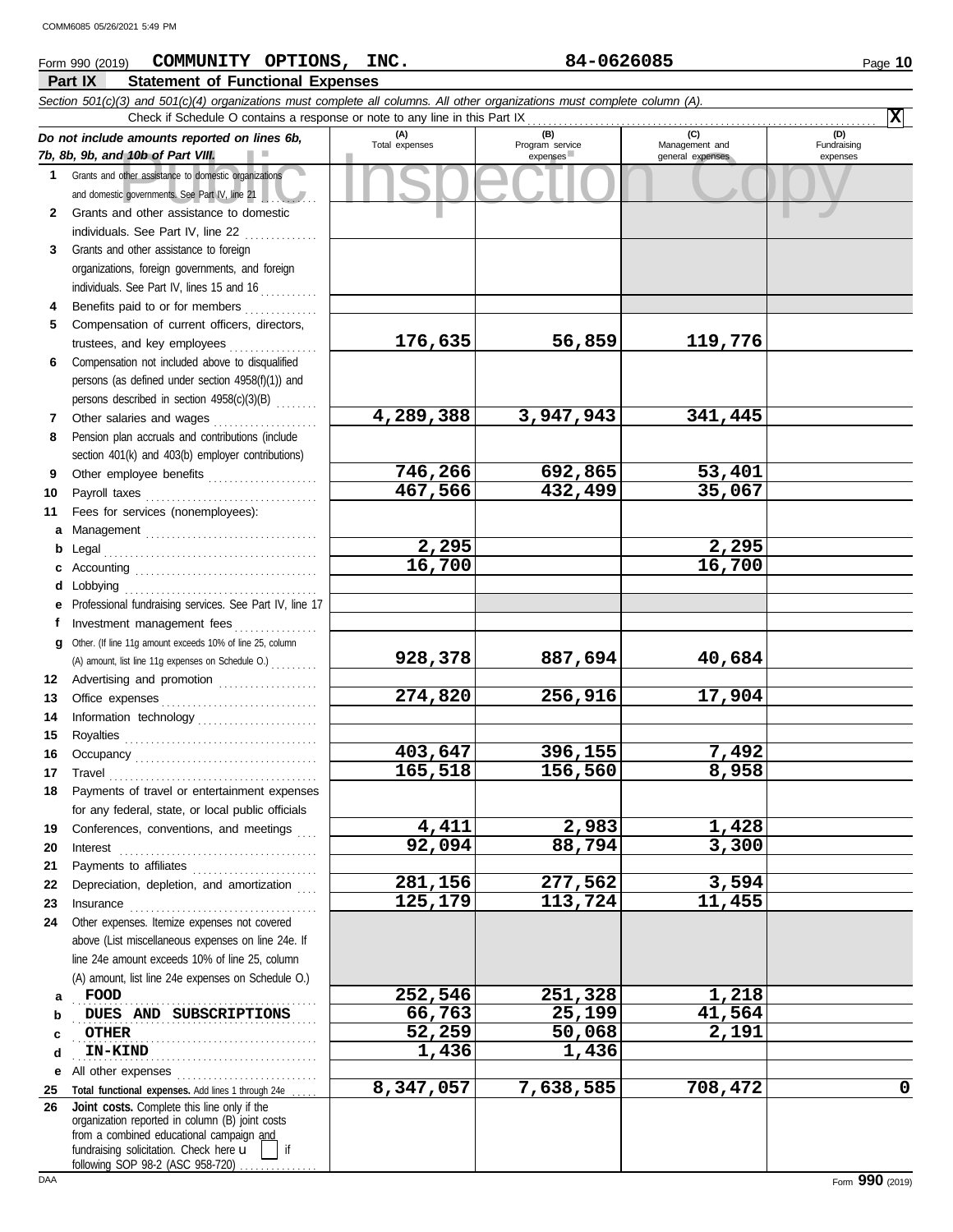#### of the assistance to domestic organizations<br>
Convernments. See Part IV, line 21<br>
The convernments See Part IV, line 21<br>
The copyright of the assistance to domestic<br>
Convernments. See Part IV, line 21 **Part IX Statement of Functional Expenses** Form 990 (2019) Page **10 COMMUNITY OPTIONS, INC. 84-0626085** *Section 501(c)(3) and 501(c)(4) organizations must complete all columns. All other organizations must complete column (A). Do not include amounts reported on lines 6b, 7b, 8b, 9b, and 10b of Part VIII.* **1 2 3 4 5 6 7 8 9 10 11 a** Management . . . . . . . . . . . . . . . . . . . . . . . . . . . . . . . . . **b** Legal . . . . . . . . . . . . . . . . . . . . . . . . . . . . . . . . . . . . . . . . . **c** Accounting . . . . . . . . . . . . . . . . . . . . . . . . . . . . . . . . . . . **d** Lobbying . . . . . . . . . . . . . . . . . . . . . . . . . . . . . . . . . . . . . **e f g** Other. (If line 11g amount exceeds 10% of line 25, column **12** Advertising and promotion . . . . . . . . . . . . . . . . . . . **13 14 15 16 17** Grants and other assistance to domestic organizations and domestic governments. See Part IV, line 21 Grants and other assistance to domestic individuals. See Part IV, line 22 Grants and other assistance to foreign organizations, foreign governments, and foreign individuals. See Part IV, lines 15 and 16 Benefits paid to or for members . . . . . . . . . . . . . . . . Compensation of current officers, directors, trustees, and key employees . . . . . . . . . . . . . . . . . Compensation not included above to disqualified persons (as defined under section 4958(f)(1)) and persons described in section 4958(c)(3)(B) . . . . . . . . Other salaries and wages ..................... Pension plan accruals and contributions (include section 401(k) and 403(b) employer contributions) Other employee benefits ..................... Payroll taxes . . . . . . . . . . . . . . . . . . . . . . . . . . . . . . . . . Fees for services (nonemployees): Professional fundraising services. See Part IV, line 17 Investment management fees ................ Office expenses . . . . . . . . . . . . . . . . . . . . . . . . . . . . . . Information technology . . . . . . . . . . . . . . . . . . . . . . . Royalties . . . . . . . . . . . . . . . . . . . . . . . . . . . . . . . . . . . . . Occupancy . . . . . . . . . . . . . . . . . . . . . . . . . . . . . . . . . . . Travel . . . . . . . . . . . . . . . . . . . . . . . . . . . . . . . . . . . . . . . . **(A) (B) (C) (D)** Total expenses Program service Management and expenses expenses (D)<br>Fundraising expenses Check if Schedule O contains a response or note to any line in this Part IX (A) amount, list line 11g expenses on Schedule O.) . . . . . . . . . **X 176,635 56,859 119,776 4,289,388 3,947,943 341,445 746,266 692,865 53,401 467,566 432,499 35,067 2,295 2,295 16,700 16,700 928,378 887,694 40,684 274,820 256,916 17,904 403,647 396,155 7,492 165,518 156,560 8,958** COMM6085 05/26/2021 5:49 PM

| 19 | Conferences, conventions, and meetings                                                                                                                                                                                     | 4,411     | 2,983     | 1,428   |   |
|----|----------------------------------------------------------------------------------------------------------------------------------------------------------------------------------------------------------------------------|-----------|-----------|---------|---|
| 20 | Interest                                                                                                                                                                                                                   | 92,094    | 88,794    | 3,300   |   |
| 21 | Payments to affiliates                                                                                                                                                                                                     |           |           |         |   |
| 22 | Depreciation, depletion, and amortization<br>.                                                                                                                                                                             | 281,156   | 277,562   | 3,594   |   |
| 23 | Insurance                                                                                                                                                                                                                  | 125,179   | 113,724   | 11,455  |   |
| 24 | Other expenses. Itemize expenses not covered<br>above (List miscellaneous expenses on line 24e. If<br>line 24e amount exceeds 10% of line 25, column<br>(A) amount, list line 24e expenses on Schedule O.)                 |           |           |         |   |
| a  | FOOD                                                                                                                                                                                                                       | 252,546   | 251,328   | 1,218   |   |
| b  | DUES AND SUBSCRIPTIONS                                                                                                                                                                                                     | 66,763    | 25,199    | 41,564  |   |
| С  | <b>OTHER</b>                                                                                                                                                                                                               | 52,259    | 50,068    | 2,191   |   |
| d  | <b>IN-KIND</b>                                                                                                                                                                                                             | 1,436     | 1,436     |         |   |
| е  | All other expenses                                                                                                                                                                                                         |           |           |         |   |
| 25 | Total functional expenses. Add lines 1 through 24e                                                                                                                                                                         | 8,347,057 | 7,638,585 | 708,472 | O |
| 26 | Joint costs. Complete this line only if the<br>organization reported in column (B) joint costs<br>from a combined educational campaign and<br>fundraising solicitation. Check here <b>u</b><br>$\overline{\phantom{a}}$ if |           |           |         |   |

**18**

Payments of travel or entertainment expenses for any federal, state, or local public officials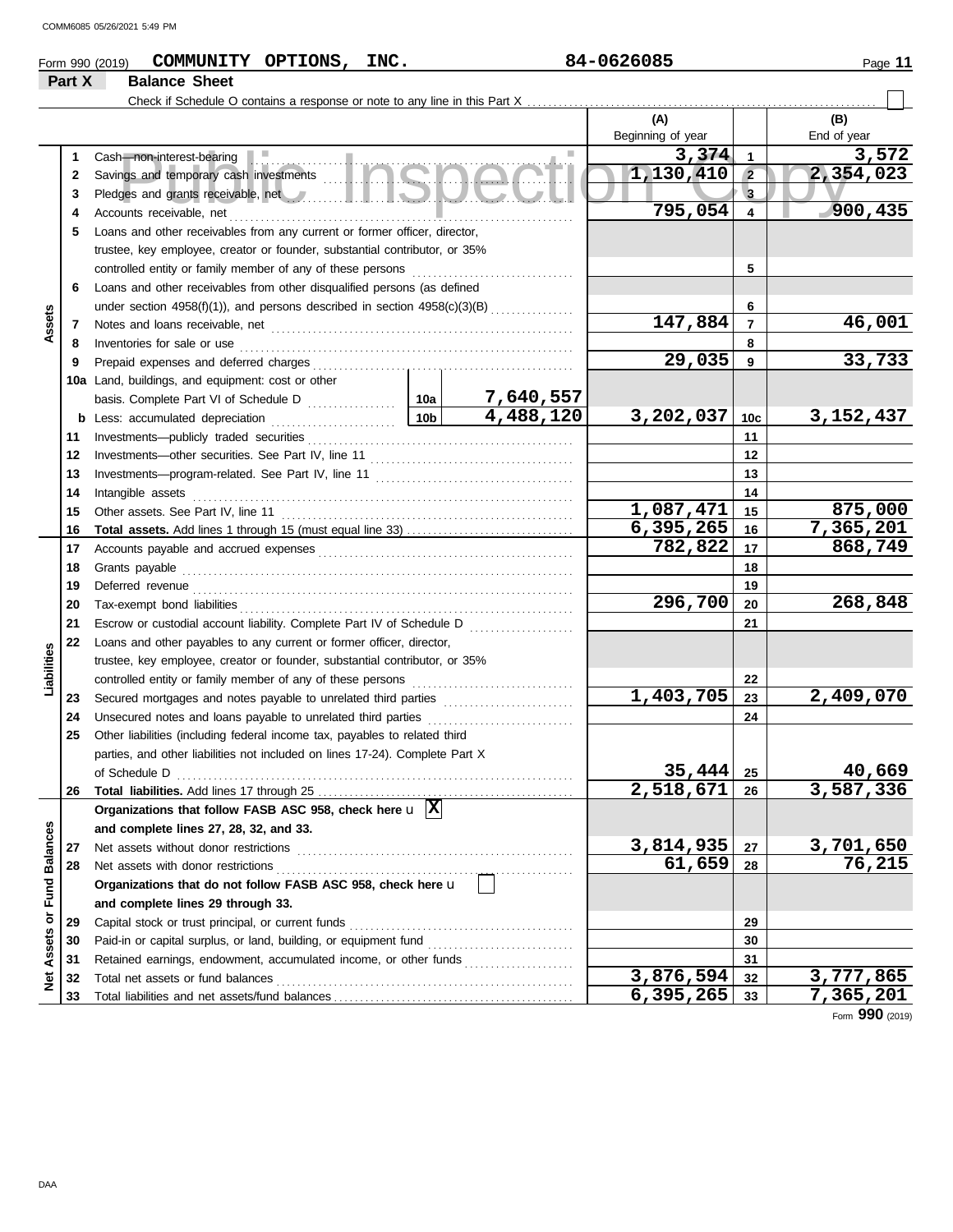| 84-0626085<br>INC.<br><b>OPTIONS</b><br>COMMUNITY<br>Form 990 (2019) | Page |
|----------------------------------------------------------------------|------|
|----------------------------------------------------------------------|------|

# **Part X Balance Sheet**<br>**Part X Balance Sheet**

Check if Schedule O contains a response or note to any line in this Part X . . . . . . . . . . . . . . . . . . . . . . . . . . . . . . . . . . . . . . . . . . . . . . . . . . . . . . . . . . . . . . . . . . .

|                            |                                                                                                                                                                                                                                      |                 |           | (A)               |                         | (B)         |
|----------------------------|--------------------------------------------------------------------------------------------------------------------------------------------------------------------------------------------------------------------------------------|-----------------|-----------|-------------------|-------------------------|-------------|
|                            |                                                                                                                                                                                                                                      |                 |           | Beginning of year |                         | End of year |
| 1                          | Cash-non-interest-bearing                                                                                                                                                                                                            |                 |           | 3,374             | $\mathbf{1}$            | 3,572       |
| $\mathbf{2}$               |                                                                                                                                                                                                                                      |                 |           | 1,130,410         | $\overline{2}$          | 2,354,023   |
| 3                          | Pledges and grants receivable, net <b>with a set of the set of the set of the set of the set of the set of the set of the set of the set of the set of the set of the set of the set of the set of the set of the set of the set</b> |                 |           |                   | $\mathbf{3}$            |             |
| 4                          | Accounts receivable, net                                                                                                                                                                                                             |                 |           | 795,054           | $\overline{\mathbf{4}}$ | 900,435     |
| 5                          | Loans and other receivables from any current or former officer, director,                                                                                                                                                            |                 |           |                   |                         |             |
|                            | trustee, key employee, creator or founder, substantial contributor, or 35%                                                                                                                                                           |                 |           |                   |                         |             |
|                            | controlled entity or family member of any of these persons                                                                                                                                                                           |                 | 5         |                   |                         |             |
| 6                          | Loans and other receivables from other disqualified persons (as defined                                                                                                                                                              |                 |           |                   |                         |             |
|                            | under section $4958(f)(1)$ ), and persons described in section $4958(c)(3)(B)$                                                                                                                                                       |                 |           | 6                 |                         |             |
| Assets<br>7                |                                                                                                                                                                                                                                      |                 |           | 147,884           | $\overline{7}$          | 46,001      |
| 8                          | Inventories for sale or use                                                                                                                                                                                                          |                 |           |                   | 8                       |             |
| 9                          | Prepaid expenses and deferred charges                                                                                                                                                                                                |                 |           | 29,035            | 9                       | 33,733      |
|                            | 10a Land, buildings, and equipment: cost or other                                                                                                                                                                                    |                 |           |                   |                         |             |
|                            |                                                                                                                                                                                                                                      |                 | 7,640,557 |                   |                         |             |
| b                          | Less: accumulated depreciation                                                                                                                                                                                                       | 10 <sub>b</sub> | 4,488,120 | 3,202,037         | 10 <sub>c</sub>         | 3, 152, 437 |
| 11                         | Investments-publicly traded securities                                                                                                                                                                                               |                 |           |                   | 11                      |             |
| 12                         | Investments-other securities. See Part IV, line 11                                                                                                                                                                                   |                 | 12        |                   |                         |             |
| 13                         |                                                                                                                                                                                                                                      |                 | 13        |                   |                         |             |
| 14                         | Intangible assets                                                                                                                                                                                                                    |                 | 14        |                   |                         |             |
| 15                         | Other assets. See Part IV, line 11                                                                                                                                                                                                   |                 |           | 1,087,471         | 15                      | 875,000     |
| 16                         |                                                                                                                                                                                                                                      |                 |           | 6,395,265         | 16                      | 7,365,201   |
| 17                         |                                                                                                                                                                                                                                      |                 |           | 782,822           | 17                      | 868,749     |
| 18                         | Grants payable                                                                                                                                                                                                                       |                 |           |                   | 18                      |             |
| 19                         | Deferred revenue                                                                                                                                                                                                                     |                 |           |                   | 19                      |             |
| 20                         | Tax-exempt bond liabilities                                                                                                                                                                                                          | 296,700         | 20        | 268,848           |                         |             |
| 21                         | Escrow or custodial account liability. Complete Part IV of Schedule D                                                                                                                                                                |                 | 21        |                   |                         |             |
| 22                         | Loans and other payables to any current or former officer, director,                                                                                                                                                                 |                 |           |                   |                         |             |
| Liabilities                | trustee, key employee, creator or founder, substantial contributor, or 35%                                                                                                                                                           |                 |           |                   |                         |             |
|                            | controlled entity or family member of any of these persons                                                                                                                                                                           |                 |           |                   | 22                      |             |
| 23                         | Secured mortgages and notes payable to unrelated third parties                                                                                                                                                                       |                 |           | 1,403,705         | 23                      | 2,409,070   |
| 24                         | Unsecured notes and loans payable to unrelated third parties                                                                                                                                                                         |                 |           |                   | 24                      |             |
| 25                         | Other liabilities (including federal income tax, payables to related third                                                                                                                                                           |                 |           |                   |                         |             |
|                            | parties, and other liabilities not included on lines 17-24). Complete Part X                                                                                                                                                         |                 |           |                   |                         |             |
|                            | of Schedule D                                                                                                                                                                                                                        |                 |           | 35,444            | 25                      | 40,669      |
| 26                         |                                                                                                                                                                                                                                      |                 |           | 2,518,671         | 26                      | 3,587,336   |
|                            | Organizations that follow FASB ASC 958, check here $\mathbf{u}$ $\overline{\mathbf{X}}$                                                                                                                                              |                 |           |                   |                         |             |
|                            | and complete lines 27, 28, 32, and 33.                                                                                                                                                                                               |                 |           |                   |                         |             |
| 27                         | Net assets without donor restrictions                                                                                                                                                                                                |                 |           | 3,814,935         | 27                      | 3,701,650   |
| <b>Fund Balances</b><br>28 | Net assets with donor restrictions                                                                                                                                                                                                   |                 |           | 61,659            | 28                      | 76,215      |
|                            | Organizations that do not follow FASB ASC 958, check here u                                                                                                                                                                          |                 |           |                   |                         |             |
|                            | and complete lines 29 through 33.                                                                                                                                                                                                    |                 |           |                   |                         |             |
| 29                         | Capital stock or trust principal, or current funds                                                                                                                                                                                   |                 |           |                   | 29                      |             |
| 30                         |                                                                                                                                                                                                                                      |                 |           |                   | 30                      |             |
| 31                         | Retained earnings, endowment, accumulated income, or other funds                                                                                                                                                                     |                 |           |                   | 31                      |             |
| Net Assets or<br>32        |                                                                                                                                                                                                                                      |                 |           | 3,876,594         |                         | 3,777,865   |
|                            | Total net assets or fund balances                                                                                                                                                                                                    |                 |           | 6,395,265         | 32                      | 7,365,201   |

Form **990** (2019)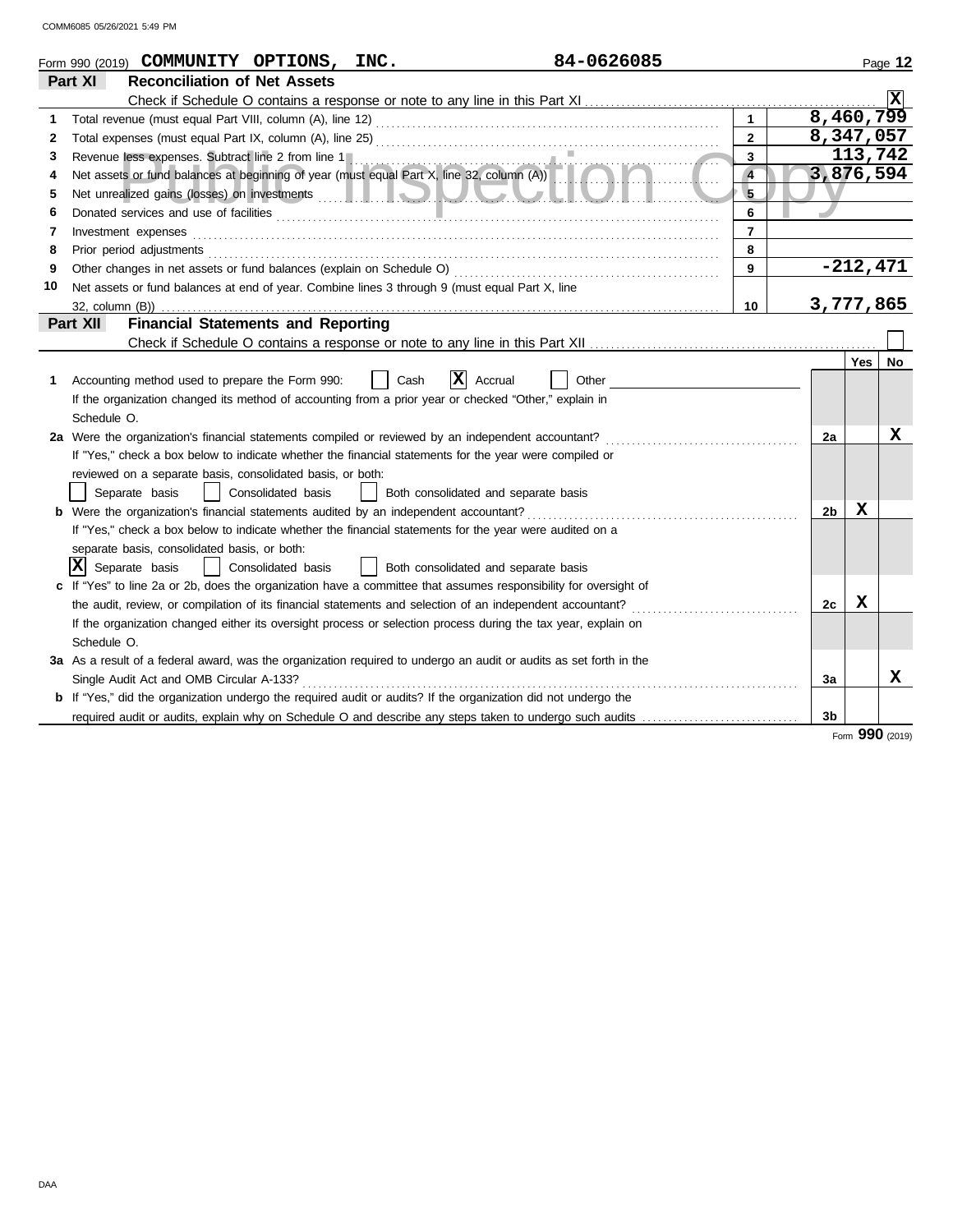|    | 84-0626085<br>Form 990 (2019) COMMUNITY OPTIONS, INC.                                                                                                                                                                          |                |                |            | Page 12 |
|----|--------------------------------------------------------------------------------------------------------------------------------------------------------------------------------------------------------------------------------|----------------|----------------|------------|---------|
|    | Part XI<br><b>Reconciliation of Net Assets</b>                                                                                                                                                                                 |                |                |            |         |
|    |                                                                                                                                                                                                                                |                |                |            |         |
| 1  |                                                                                                                                                                                                                                | $\overline{1}$ | 8,460,799      |            |         |
| 2  |                                                                                                                                                                                                                                | $\overline{2}$ | 8,347,057      |            |         |
| 3  |                                                                                                                                                                                                                                | $\overline{3}$ |                | 113,742    |         |
| 4  | Revenue less expenses. Subtract line 2 from line 1<br>Net assets or fund balances at beginning of year (must equal Part X, line 32, column (A))                                                                                | $\overline{4}$ | 3,876,594      |            |         |
| 5  |                                                                                                                                                                                                                                | $\overline{5}$ |                |            |         |
| 6  | Donated services and use of facilities <b>constructed and intervention of the service of facilities</b>                                                                                                                        | 6              |                |            |         |
| 7  | Investment expenses                                                                                                                                                                                                            | $\overline{7}$ |                |            |         |
| 8  | Prior period adjustments [11] production of the contract of the contract of the contract of the contract of the contract of the contract of the contract of the contract of the contract of the contract of the contract of th | 8              |                |            |         |
| 9  |                                                                                                                                                                                                                                | $\overline{9}$ |                | $-212,471$ |         |
| 10 | Net assets or fund balances at end of year. Combine lines 3 through 9 (must equal Part X, line                                                                                                                                 |                |                |            |         |
|    | 32, column (B))                                                                                                                                                                                                                | 10             | 3,777,865      |            |         |
|    | <b>Financial Statements and Reporting</b><br>Part XII                                                                                                                                                                          |                |                |            |         |
|    |                                                                                                                                                                                                                                |                |                |            |         |
|    |                                                                                                                                                                                                                                |                |                | <b>Yes</b> | No      |
| 1. | X <br>Other<br>Accounting method used to prepare the Form 990:<br>Cash<br>Accrual                                                                                                                                              |                |                |            |         |
|    | If the organization changed its method of accounting from a prior year or checked "Other," explain in                                                                                                                          |                |                |            |         |
|    | Schedule O.                                                                                                                                                                                                                    |                |                |            |         |
|    | 2a Were the organization's financial statements compiled or reviewed by an independent accountant?                                                                                                                             |                | 2a             |            | x       |
|    | If "Yes," check a box below to indicate whether the financial statements for the year were compiled or                                                                                                                         |                |                |            |         |
|    | reviewed on a separate basis, consolidated basis, or both:                                                                                                                                                                     |                |                |            |         |
|    | Separate basis<br>  Consolidated basis<br>Both consolidated and separate basis<br>$\Box$                                                                                                                                       |                |                |            |         |
|    | b Were the organization's financial statements audited by an independent accountant?                                                                                                                                           |                | 2 <sub>b</sub> | X          |         |
|    | If "Yes," check a box below to indicate whether the financial statements for the year were audited on a                                                                                                                        |                |                |            |         |
|    | separate basis, consolidated basis, or both:                                                                                                                                                                                   |                |                |            |         |
|    | lxl<br>Separate basis<br>Consolidated basis<br>Both consolidated and separate basis                                                                                                                                            |                |                |            |         |
|    | c If "Yes" to line 2a or 2b, does the organization have a committee that assumes responsibility for oversight of                                                                                                               |                |                |            |         |
|    | the audit, review, or compilation of its financial statements and selection of an independent accountant?                                                                                                                      |                | 2c             | х          |         |
|    | If the organization changed either its oversight process or selection process during the tax year, explain on                                                                                                                  |                |                |            |         |
|    | Schedule O.                                                                                                                                                                                                                    |                |                |            |         |
|    | 3a As a result of a federal award, was the organization required to undergo an audit or audits as set forth in the                                                                                                             |                |                |            |         |
|    | Single Audit Act and OMB Circular A-133?                                                                                                                                                                                       |                | За             |            | X       |
|    | <b>b</b> If "Yes," did the organization undergo the required audit or audits? If the organization did not undergo the                                                                                                          |                |                |            |         |
|    | required audit or audits, explain why on Schedule O and describe any steps taken to undergo such audits                                                                                                                        |                | 3b             |            |         |

Form **990** (2019)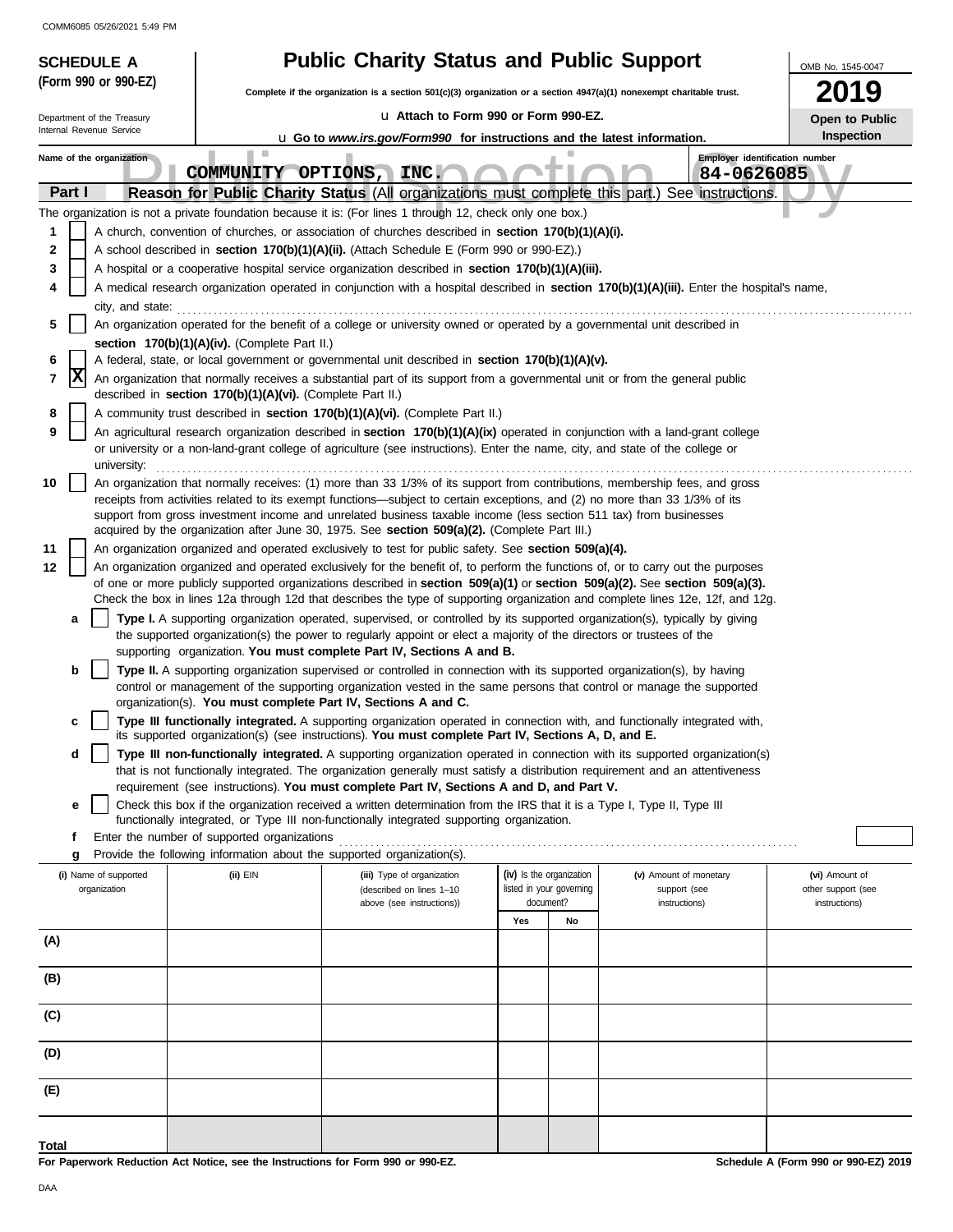| <b>SCHEDULE A</b>          |                                                                                                                                                                                                       | <b>Public Charity Status and Public Support</b>                                                                                                                                                                    |                                       |                                                                                                                                                                                                                                                                | OMB No. 1545-0047                           |  |  |  |
|----------------------------|-------------------------------------------------------------------------------------------------------------------------------------------------------------------------------------------------------|--------------------------------------------------------------------------------------------------------------------------------------------------------------------------------------------------------------------|---------------------------------------|----------------------------------------------------------------------------------------------------------------------------------------------------------------------------------------------------------------------------------------------------------------|---------------------------------------------|--|--|--|
| (Form 990 or 990-EZ)       |                                                                                                                                                                                                       | Complete if the organization is a section 501(c)(3) organization or a section $4947(a)(1)$ nonexempt charitable trust.                                                                                             |                                       |                                                                                                                                                                                                                                                                | 2019                                        |  |  |  |
| Department of the Treasury |                                                                                                                                                                                                       | La Attach to Form 990 or Form 990-EZ.                                                                                                                                                                              |                                       |                                                                                                                                                                                                                                                                | Open to Public                              |  |  |  |
| Internal Revenue Service   |                                                                                                                                                                                                       | <b>u</b> Go to www.irs.gov/Form990 for instructions and the latest information.                                                                                                                                    |                                       |                                                                                                                                                                                                                                                                | Inspection                                  |  |  |  |
| Name of the organization   | ш<br>COMMUNITY OPTIONS, INC.                                                                                                                                                                          |                                                                                                                                                                                                                    |                                       | Employer identification number<br>84-0626085                                                                                                                                                                                                                   |                                             |  |  |  |
| Part I                     |                                                                                                                                                                                                       |                                                                                                                                                                                                                    |                                       | Reason for Public Charity Status (All organizations must complete this part.) See instructions.                                                                                                                                                                |                                             |  |  |  |
|                            |                                                                                                                                                                                                       | The organization is not a private foundation because it is: (For lines 1 through 12, check only one box.)                                                                                                          |                                       |                                                                                                                                                                                                                                                                |                                             |  |  |  |
| 1                          |                                                                                                                                                                                                       | A church, convention of churches, or association of churches described in section 170(b)(1)(A)(i).                                                                                                                 |                                       |                                                                                                                                                                                                                                                                |                                             |  |  |  |
| 2<br>3                     |                                                                                                                                                                                                       | A school described in <b>section 170(b)(1)(A)(ii).</b> (Attach Schedule E (Form 990 or 990-EZ).)                                                                                                                   |                                       |                                                                                                                                                                                                                                                                |                                             |  |  |  |
| 4                          |                                                                                                                                                                                                       | A hospital or a cooperative hospital service organization described in section 170(b)(1)(A)(iii).                                                                                                                  |                                       | A medical research organization operated in conjunction with a hospital described in section 170(b)(1)(A)(iii). Enter the hospital's name,                                                                                                                     |                                             |  |  |  |
| city, and state:           |                                                                                                                                                                                                       |                                                                                                                                                                                                                    |                                       |                                                                                                                                                                                                                                                                |                                             |  |  |  |
| 5                          | An organization operated for the benefit of a college or university owned or operated by a governmental unit described in                                                                             |                                                                                                                                                                                                                    |                                       |                                                                                                                                                                                                                                                                |                                             |  |  |  |
|                            | section 170(b)(1)(A)(iv). (Complete Part II.)                                                                                                                                                         |                                                                                                                                                                                                                    |                                       |                                                                                                                                                                                                                                                                |                                             |  |  |  |
| 6                          |                                                                                                                                                                                                       | A federal, state, or local government or governmental unit described in section 170(b)(1)(A)(v).                                                                                                                   |                                       |                                                                                                                                                                                                                                                                |                                             |  |  |  |
|                            | Ιx<br>An organization that normally receives a substantial part of its support from a governmental unit or from the general public<br>7<br>described in section 170(b)(1)(A)(vi). (Complete Part II.) |                                                                                                                                                                                                                    |                                       |                                                                                                                                                                                                                                                                |                                             |  |  |  |
| 8<br>9                     |                                                                                                                                                                                                       | A community trust described in section 170(b)(1)(A)(vi). (Complete Part II.)                                                                                                                                       |                                       | An agricultural research organization described in section 170(b)(1)(A)(ix) operated in conjunction with a land-grant college                                                                                                                                  |                                             |  |  |  |
| university:                |                                                                                                                                                                                                       | or university or a non-land-grant college of agriculture (see instructions). Enter the name, city, and state of the college or                                                                                     |                                       |                                                                                                                                                                                                                                                                |                                             |  |  |  |
| 10                         |                                                                                                                                                                                                       |                                                                                                                                                                                                                    |                                       | An organization that normally receives: (1) more than 33 1/3% of its support from contributions, membership fees, and gross                                                                                                                                    |                                             |  |  |  |
|                            |                                                                                                                                                                                                       | receipts from activities related to its exempt functions—subject to certain exceptions, and (2) no more than 33 1/3% of its                                                                                        |                                       |                                                                                                                                                                                                                                                                |                                             |  |  |  |
|                            |                                                                                                                                                                                                       | support from gross investment income and unrelated business taxable income (less section 511 tax) from businesses<br>acquired by the organization after June 30, 1975. See section 509(a)(2). (Complete Part III.) |                                       |                                                                                                                                                                                                                                                                |                                             |  |  |  |
| 11                         |                                                                                                                                                                                                       | An organization organized and operated exclusively to test for public safety. See section 509(a)(4).                                                                                                               |                                       |                                                                                                                                                                                                                                                                |                                             |  |  |  |
| 12                         |                                                                                                                                                                                                       |                                                                                                                                                                                                                    |                                       | An organization organized and operated exclusively for the benefit of, to perform the functions of, or to carry out the purposes                                                                                                                               |                                             |  |  |  |
|                            |                                                                                                                                                                                                       |                                                                                                                                                                                                                    |                                       | of one or more publicly supported organizations described in section 509(a)(1) or section 509(a)(2). See section 509(a)(3).<br>Check the box in lines 12a through 12d that describes the type of supporting organization and complete lines 12e, 12f, and 12g. |                                             |  |  |  |
| a                          |                                                                                                                                                                                                       |                                                                                                                                                                                                                    |                                       | Type I. A supporting organization operated, supervised, or controlled by its supported organization(s), typically by giving                                                                                                                                    |                                             |  |  |  |
|                            |                                                                                                                                                                                                       | the supported organization(s) the power to regularly appoint or elect a majority of the directors or trustees of the                                                                                               |                                       |                                                                                                                                                                                                                                                                |                                             |  |  |  |
|                            |                                                                                                                                                                                                       | supporting organization. You must complete Part IV, Sections A and B.                                                                                                                                              |                                       |                                                                                                                                                                                                                                                                |                                             |  |  |  |
| b                          |                                                                                                                                                                                                       | Type II. A supporting organization supervised or controlled in connection with its supported organization(s), by having                                                                                            |                                       |                                                                                                                                                                                                                                                                |                                             |  |  |  |
|                            |                                                                                                                                                                                                       | organization(s). You must complete Part IV, Sections A and C.                                                                                                                                                      |                                       | control or management of the supporting organization vested in the same persons that control or manage the supported                                                                                                                                           |                                             |  |  |  |
| c                          |                                                                                                                                                                                                       |                                                                                                                                                                                                                    |                                       | Type III functionally integrated. A supporting organization operated in connection with, and functionally integrated with,                                                                                                                                     |                                             |  |  |  |
|                            |                                                                                                                                                                                                       | its supported organization(s) (see instructions). You must complete Part IV, Sections A, D, and E.                                                                                                                 |                                       |                                                                                                                                                                                                                                                                |                                             |  |  |  |
| d                          |                                                                                                                                                                                                       |                                                                                                                                                                                                                    |                                       | Type III non-functionally integrated. A supporting organization operated in connection with its supported organization(s)<br>that is not functionally integrated. The organization generally must satisfy a distribution requirement and an attentiveness      |                                             |  |  |  |
|                            |                                                                                                                                                                                                       | requirement (see instructions). You must complete Part IV, Sections A and D, and Part V.                                                                                                                           |                                       |                                                                                                                                                                                                                                                                |                                             |  |  |  |
| е                          |                                                                                                                                                                                                       | Check this box if the organization received a written determination from the IRS that it is a Type I, Type II, Type III                                                                                            |                                       |                                                                                                                                                                                                                                                                |                                             |  |  |  |
| f                          | Enter the number of supported organizations                                                                                                                                                           | functionally integrated, or Type III non-functionally integrated supporting organization.                                                                                                                          |                                       |                                                                                                                                                                                                                                                                |                                             |  |  |  |
| g                          | Provide the following information about the supported organization(s).                                                                                                                                |                                                                                                                                                                                                                    |                                       |                                                                                                                                                                                                                                                                |                                             |  |  |  |
| (i) Name of supported      | (ii) EIN                                                                                                                                                                                              | (iii) Type of organization                                                                                                                                                                                         | (iv) Is the organization              | (v) Amount of monetary                                                                                                                                                                                                                                         | (vi) Amount of                              |  |  |  |
| organization               |                                                                                                                                                                                                       | (described on lines 1-10                                                                                                                                                                                           | listed in your governing<br>document? | support (see                                                                                                                                                                                                                                                   | other support (see                          |  |  |  |
|                            |                                                                                                                                                                                                       | above (see instructions))                                                                                                                                                                                          | Yes<br>No                             | instructions)                                                                                                                                                                                                                                                  | instructions)                               |  |  |  |
| (A)                        |                                                                                                                                                                                                       |                                                                                                                                                                                                                    |                                       |                                                                                                                                                                                                                                                                |                                             |  |  |  |
|                            |                                                                                                                                                                                                       |                                                                                                                                                                                                                    |                                       |                                                                                                                                                                                                                                                                |                                             |  |  |  |
| (B)                        |                                                                                                                                                                                                       |                                                                                                                                                                                                                    |                                       |                                                                                                                                                                                                                                                                |                                             |  |  |  |
|                            |                                                                                                                                                                                                       |                                                                                                                                                                                                                    |                                       |                                                                                                                                                                                                                                                                |                                             |  |  |  |
| (C)                        |                                                                                                                                                                                                       |                                                                                                                                                                                                                    |                                       |                                                                                                                                                                                                                                                                |                                             |  |  |  |
| (D)                        |                                                                                                                                                                                                       |                                                                                                                                                                                                                    |                                       |                                                                                                                                                                                                                                                                |                                             |  |  |  |
|                            |                                                                                                                                                                                                       |                                                                                                                                                                                                                    |                                       |                                                                                                                                                                                                                                                                |                                             |  |  |  |
| (E)                        |                                                                                                                                                                                                       |                                                                                                                                                                                                                    |                                       |                                                                                                                                                                                                                                                                |                                             |  |  |  |
|                            |                                                                                                                                                                                                       |                                                                                                                                                                                                                    |                                       |                                                                                                                                                                                                                                                                |                                             |  |  |  |
| Total                      |                                                                                                                                                                                                       |                                                                                                                                                                                                                    |                                       |                                                                                                                                                                                                                                                                |                                             |  |  |  |
|                            | work Reduction Act Notice, can the Instructions for Ferm 000 or 000 FZ                                                                                                                                |                                                                                                                                                                                                                    |                                       |                                                                                                                                                                                                                                                                | <b>Cohodulo A (Form 000 or 000 EZ) 2010</b> |  |  |  |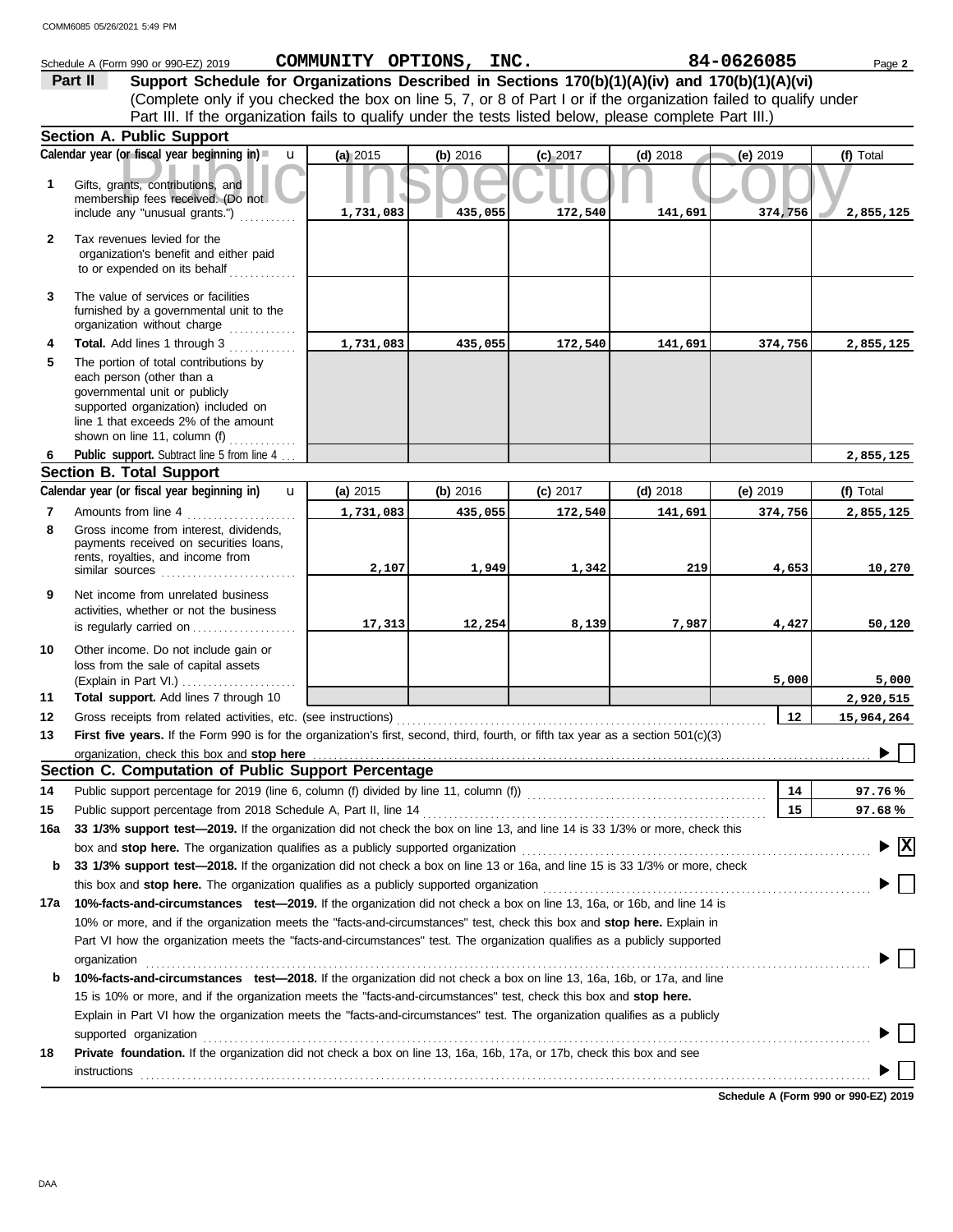|              | Schedule A (Form 990 or 990-EZ) 2019                                                                                                                                                                               |           | COMMUNITY OPTIONS, INC. |            |            | 84-0626085 | Page 2                                        |
|--------------|--------------------------------------------------------------------------------------------------------------------------------------------------------------------------------------------------------------------|-----------|-------------------------|------------|------------|------------|-----------------------------------------------|
|              | Support Schedule for Organizations Described in Sections 170(b)(1)(A)(iv) and 170(b)(1)(A)(vi)<br>Part II                                                                                                          |           |                         |            |            |            |                                               |
|              | (Complete only if you checked the box on line 5, 7, or 8 of Part I or if the organization failed to qualify under                                                                                                  |           |                         |            |            |            |                                               |
|              | Part III. If the organization fails to qualify under the tests listed below, please complete Part III.)                                                                                                            |           |                         |            |            |            |                                               |
|              | Section A. Public Support                                                                                                                                                                                          |           |                         |            |            |            |                                               |
|              | Calendar year (or fiscal year beginning in)<br>$\mathbf{u}$                                                                                                                                                        | (a) 2015  | (b) 2016                | $(c)$ 2017 | $(d)$ 2018 | (e) 2019   | (f) Total                                     |
| 1            | Gifts, grants, contributions, and<br>membership fees received. (Do not<br>include any "unusual grants.")                                                                                                           | 1,731,083 | 435,055                 | 172,540    | 141,691    | 374,756    |                                               |
|              |                                                                                                                                                                                                                    |           |                         |            |            |            | 2,855,125                                     |
| $\mathbf{2}$ | Tax revenues levied for the<br>organization's benefit and either paid<br>to or expended on its behalf                                                                                                              |           |                         |            |            |            |                                               |
| 3            | The value of services or facilities<br>furnished by a governmental unit to the<br>organization without charge<br>in a bha an an an an a                                                                            |           |                         |            |            |            |                                               |
| 4            | Total. Add lines 1 through 3                                                                                                                                                                                       | 1,731,083 | 435,055                 | 172,540    | 141,691    | 374,756    | 2,855,125                                     |
| 5            | The portion of total contributions by<br>each person (other than a<br>governmental unit or publicly<br>supported organization) included on<br>line 1 that exceeds 2% of the amount<br>shown on line 11, column (f) |           |                         |            |            |            |                                               |
| 6            | .<br>Public support. Subtract line 5 from line 4                                                                                                                                                                   |           |                         |            |            |            | 2,855,125                                     |
|              | <b>Section B. Total Support</b>                                                                                                                                                                                    |           |                         |            |            |            |                                               |
|              | Calendar year (or fiscal year beginning in)<br>$\mathbf{u}$                                                                                                                                                        | (a) 2015  | (b) 2016                | $(c)$ 2017 | $(d)$ 2018 | (e) $2019$ | (f) Total                                     |
| 7            | Amounts from line 4                                                                                                                                                                                                | 1,731,083 | 435,055                 | 172,540    | 141,691    | 374,756    | 2,855,125                                     |
| 8            | Gross income from interest, dividends,<br>payments received on securities loans,<br>rents, royalties, and income from<br>similar sources                                                                           | 2,107     | 1,949                   | 1,342      | 219        | 4,653      | 10,270                                        |
| 9            | Net income from unrelated business<br>activities, whether or not the business<br>is regularly carried on                                                                                                           | 17,313    | 12,254                  | 8,139      | 7,987      | 4,427      | 50,120                                        |
| 10           | Other income. Do not include gain or<br>loss from the sale of capital assets<br>(Explain in Part VI.)                                                                                                              |           |                         |            |            | 5,000      | 5,000                                         |
| 11           | Total support. Add lines 7 through 10                                                                                                                                                                              |           |                         |            |            |            | 2,920,515                                     |
| 12           | Gross receipts from related activities, etc. (see instructions)                                                                                                                                                    |           |                         |            |            | 12         | 15,964,264                                    |
| 13           | First five years. If the Form 990 is for the organization's first, second, third, fourth, or fifth tax year as a section 501(c)(3)                                                                                 |           |                         |            |            |            |                                               |
|              | organization, check this box and stop here                                                                                                                                                                         |           |                         |            |            |            |                                               |
|              | Section C. Computation of Public Support Percentage                                                                                                                                                                |           |                         |            |            |            |                                               |
| 14           | Public support percentage for 2019 (line 6, column (f) divided by line 11, column (f) [[[[[[[[[[[[[[[[[[[[[[[                                                                                                      |           |                         |            |            | 14         | 97.76%                                        |
| 15           | Public support percentage from 2018 Schedule A, Part II, line 14                                                                                                                                                   |           |                         |            |            | 15         | 97.68%                                        |
| 16a          | 33 1/3% support test-2019. If the organization did not check the box on line 13, and line 14 is 33 1/3% or more, check this                                                                                        |           |                         |            |            |            |                                               |
|              |                                                                                                                                                                                                                    |           |                         |            |            |            | $\blacktriangleright$ $\overline{\mathbf{X}}$ |
| b            | 33 1/3% support test—2018. If the organization did not check a box on line 13 or 16a, and line 15 is 33 1/3% or more, check                                                                                        |           |                         |            |            |            |                                               |
|              | this box and stop here. The organization qualifies as a publicly supported organization<br>10%-facts-and-circumstances test-2019. If the organization did not check a box on line 13, 16a, or 16b, and line 14 is  |           |                         |            |            |            |                                               |
| 17a          | 10% or more, and if the organization meets the "facts-and-circumstances" test, check this box and stop here. Explain in                                                                                            |           |                         |            |            |            |                                               |
|              | Part VI how the organization meets the "facts-and-circumstances" test. The organization qualifies as a publicly supported                                                                                          |           |                         |            |            |            |                                               |
|              | organization                                                                                                                                                                                                       |           |                         |            |            |            |                                               |
| b            | 10%-facts-and-circumstances test-2018. If the organization did not check a box on line 13, 16a, 16b, or 17a, and line                                                                                              |           |                         |            |            |            |                                               |
|              | 15 is 10% or more, and if the organization meets the "facts-and-circumstances" test, check this box and stop here.                                                                                                 |           |                         |            |            |            |                                               |
|              | Explain in Part VI how the organization meets the "facts-and-circumstances" test. The organization qualifies as a publicly                                                                                         |           |                         |            |            |            |                                               |
|              | supported organization                                                                                                                                                                                             |           |                         |            |            |            |                                               |
| 18           | Private foundation. If the organization did not check a box on line 13, 16a, 16b, 17a, or 17b, check this box and see<br>instructions                                                                              |           |                         |            |            |            |                                               |

**Schedule A (Form 990 or 990-EZ) 2019**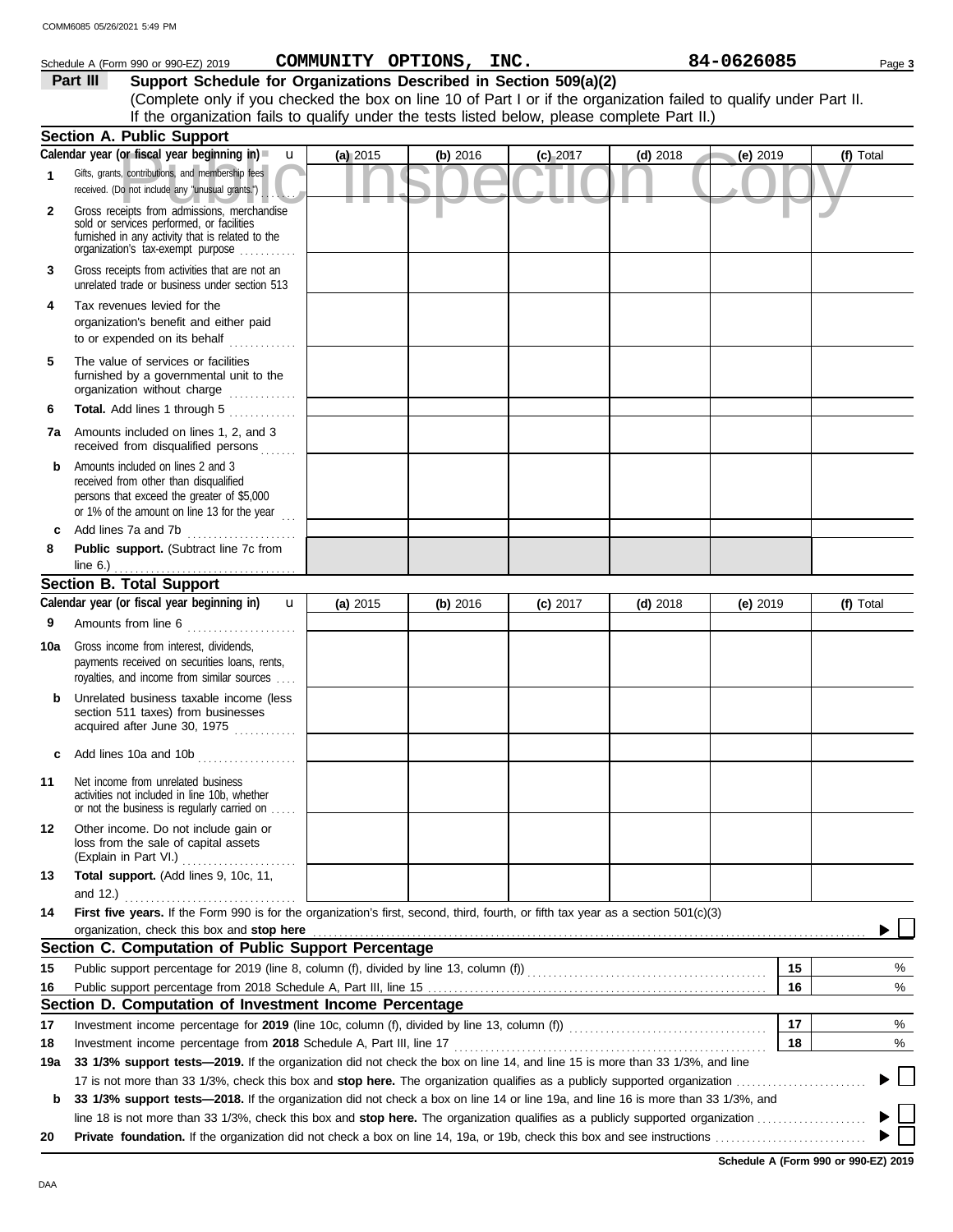|     | Schedule A (Form 990 or 990-EZ) 2019                                                                                                                                                                                                                                          |          | COMMUNITY OPTIONS, INC. |            |            | 84-0626085 | Page 3    |
|-----|-------------------------------------------------------------------------------------------------------------------------------------------------------------------------------------------------------------------------------------------------------------------------------|----------|-------------------------|------------|------------|------------|-----------|
|     | Support Schedule for Organizations Described in Section 509(a)(2)<br>Part III                                                                                                                                                                                                 |          |                         |            |            |            |           |
|     | (Complete only if you checked the box on line 10 of Part I or if the organization failed to qualify under Part II.                                                                                                                                                            |          |                         |            |            |            |           |
|     | If the organization fails to qualify under the tests listed below, please complete Part II.)                                                                                                                                                                                  |          |                         |            |            |            |           |
|     | <b>Section A. Public Support</b>                                                                                                                                                                                                                                              |          |                         |            |            |            |           |
|     | Calendar year (or fiscal year beginning in)<br>$\mathbf{u}$                                                                                                                                                                                                                   | (a) 2015 | (b) 2016                | $(c)$ 2017 | $(d)$ 2018 | (e) 2019   | (f) Total |
| 1   | Gifts, grants, contributions, and membership fees<br>received. (Do not include any "unusual grants.")                                                                                                                                                                         |          |                         |            |            |            |           |
| 2   | Gross receipts from admissions, merchandise<br>sold or services performed, or facilities<br>furnished in any activity that is related to the<br>organization's tax-exempt purpose                                                                                             |          |                         |            |            |            |           |
| 3   | Gross receipts from activities that are not an<br>unrelated trade or business under section 513                                                                                                                                                                               |          |                         |            |            |            |           |
| 4   | Tax revenues levied for the<br>organization's benefit and either paid<br>to or expended on its behalf                                                                                                                                                                         |          |                         |            |            |            |           |
| 5   | The value of services or facilities<br>furnished by a governmental unit to the<br>organization without charge                                                                                                                                                                 |          |                         |            |            |            |           |
| 6   | <b>Total.</b> Add lines 1 through 5<br>and a straight and a straight and a                                                                                                                                                                                                    |          |                         |            |            |            |           |
| 7a  | Amounts included on lines 1, 2, and 3<br>received from disqualified persons                                                                                                                                                                                                   |          |                         |            |            |            |           |
| b   | Amounts included on lines 2 and 3<br>received from other than disqualified<br>persons that exceed the greater of \$5,000<br>or 1% of the amount on line 13 for the year $\ldots$                                                                                              |          |                         |            |            |            |           |
|     | Add lines 7a and 7b                                                                                                                                                                                                                                                           |          |                         |            |            |            |           |
| 8   | Public support. (Subtract line 7c from                                                                                                                                                                                                                                        |          |                         |            |            |            |           |
|     | line 6.) $\ldots$ $\ldots$ $\ldots$ $\ldots$ $\ldots$ $\ldots$ $\ldots$<br><b>Section B. Total Support</b>                                                                                                                                                                    |          |                         |            |            |            |           |
|     | Calendar year (or fiscal year beginning in)<br>$\mathbf{u}$                                                                                                                                                                                                                   |          |                         |            |            |            |           |
|     |                                                                                                                                                                                                                                                                               | (a) 2015 | (b) 2016                | $(c)$ 2017 | $(d)$ 2018 | (e) $2019$ | (f) Total |
| 9   | Amounts from line 6                                                                                                                                                                                                                                                           |          |                         |            |            |            |           |
| 10a | Gross income from interest, dividends,<br>payments received on securities loans, rents,<br>royalties, and income from similar sources                                                                                                                                         |          |                         |            |            |            |           |
| b   | Unrelated business taxable income (less<br>section 511 taxes) from businesses<br>acquired after June 30, 1975                                                                                                                                                                 |          |                         |            |            |            |           |
| c   | Add lines 10a and 10b<br>. <b>.</b> .                                                                                                                                                                                                                                         |          |                         |            |            |            |           |
| 11  | Net income from unrelated business<br>activities not included in line 10b, whether<br>or not the business is regularly carried on                                                                                                                                             |          |                         |            |            |            |           |
| 12  | Other income. Do not include gain or<br>loss from the sale of capital assets                                                                                                                                                                                                  |          |                         |            |            |            |           |
| 13  | Total support. (Add lines 9, 10c, 11,                                                                                                                                                                                                                                         |          |                         |            |            |            |           |
| 14  | First five years. If the Form 990 is for the organization's first, second, third, fourth, or fifth tax year as a section 501(c)(3)                                                                                                                                            |          |                         |            |            |            |           |
|     |                                                                                                                                                                                                                                                                               |          |                         |            |            |            |           |
|     | Section C. Computation of Public Support Percentage                                                                                                                                                                                                                           |          |                         |            |            |            |           |
| 15  | Public support percentage for 2019 (line 8, column (f), divided by line 13, column (f) [[[[[[[[[[[[[[[[[[[[[[                                                                                                                                                                 |          |                         |            |            | 15         | %         |
| 16  |                                                                                                                                                                                                                                                                               |          |                         |            |            | 16         | %         |
|     | Section D. Computation of Investment Income Percentage                                                                                                                                                                                                                        |          |                         |            |            |            |           |
| 17  |                                                                                                                                                                                                                                                                               |          |                         |            |            | 17         | %         |
| 18  | Investment income percentage from 2018 Schedule A, Part III, line 17                                                                                                                                                                                                          |          |                         |            |            | 18         | %         |
| 19a | 33 1/3% support tests—2019. If the organization did not check the box on line 14, and line 15 is more than 33 1/3%, and line                                                                                                                                                  |          |                         |            |            |            |           |
|     |                                                                                                                                                                                                                                                                               |          |                         |            |            |            |           |
| b   | 33 1/3% support tests—2018. If the organization did not check a box on line 14 or line 19a, and line 16 is more than 33 1/3%, and<br>line 18 is not more than 33 1/3%, check this box and stop here. The organization qualifies as a publicly supported organization $\ldots$ |          |                         |            |            |            |           |
| 20  |                                                                                                                                                                                                                                                                               |          |                         |            |            |            |           |

**Schedule A (Form 990 or 990-EZ) 2019**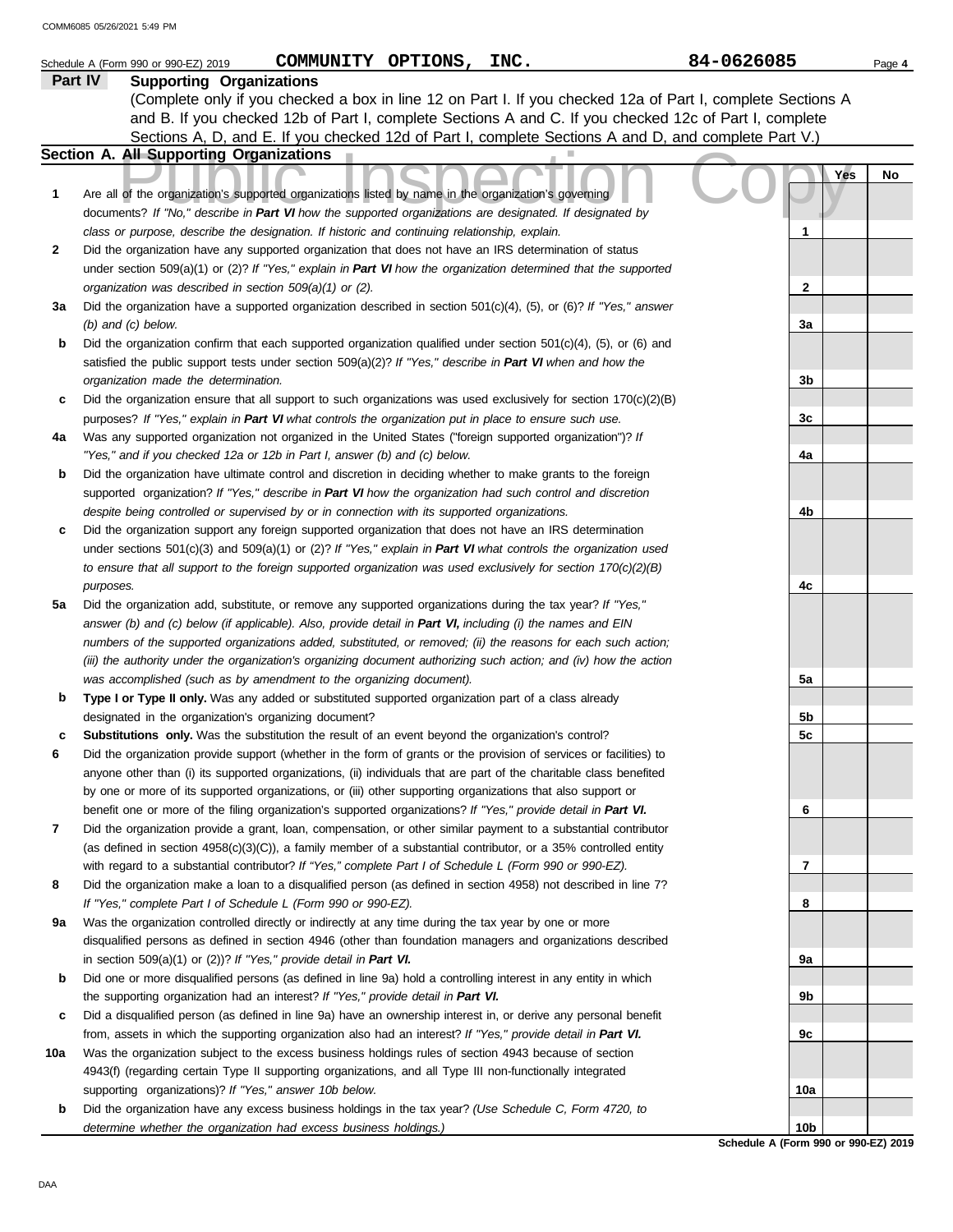|              | COMMUNITY OPTIONS, INC.<br>Schedule A (Form 990 or 990-EZ) 2019                                                                                                                                                            | 84-0626085                                              | Page 4 |
|--------------|----------------------------------------------------------------------------------------------------------------------------------------------------------------------------------------------------------------------------|---------------------------------------------------------|--------|
|              | Part IV<br><b>Supporting Organizations</b>                                                                                                                                                                                 |                                                         |        |
|              | (Complete only if you checked a box in line 12 on Part I. If you checked 12a of Part I, complete Sections A                                                                                                                |                                                         |        |
|              | and B. If you checked 12b of Part I, complete Sections A and C. If you checked 12c of Part I, complete                                                                                                                     |                                                         |        |
|              | Sections A, D, and E. If you checked 12d of Part I, complete Sections A and D, and complete Part V.)                                                                                                                       |                                                         |        |
|              | Section A. All Supporting Organizations                                                                                                                                                                                    |                                                         |        |
| 1            | Are all of the organization's supported organizations listed by name in the organization's governing                                                                                                                       | Yes                                                     | No     |
|              | documents? If "No," describe in Part VI how the supported organizations are designated. If designated by<br>class or purpose, describe the designation. If historic and continuing relationship, explain.                  | 1                                                       |        |
| $\mathbf{2}$ | Did the organization have any supported organization that does not have an IRS determination of status                                                                                                                     |                                                         |        |
|              | under section $509(a)(1)$ or (2)? If "Yes," explain in Part VI how the organization determined that the supported                                                                                                          |                                                         |        |
|              | organization was described in section 509(a)(1) or (2).                                                                                                                                                                    | $\mathbf{2}$                                            |        |
| За           | Did the organization have a supported organization described in section $501(c)(4)$ , (5), or (6)? If "Yes," answer                                                                                                        |                                                         |        |
|              | $(b)$ and $(c)$ below.                                                                                                                                                                                                     | 3a                                                      |        |
| b            | Did the organization confirm that each supported organization qualified under section $501(c)(4)$ , (5), or (6) and                                                                                                        |                                                         |        |
|              | satisfied the public support tests under section $509(a)(2)?$ If "Yes," describe in Part VI when and how the                                                                                                               |                                                         |        |
|              | organization made the determination.                                                                                                                                                                                       | 3b                                                      |        |
| c            | Did the organization ensure that all support to such organizations was used exclusively for section $170(c)(2)(B)$                                                                                                         |                                                         |        |
|              | purposes? If "Yes," explain in Part VI what controls the organization put in place to ensure such use.                                                                                                                     | 3c                                                      |        |
| 4a           | Was any supported organization not organized in the United States ("foreign supported organization")? If                                                                                                                   |                                                         |        |
|              | "Yes," and if you checked 12a or 12b in Part I, answer (b) and (c) below.                                                                                                                                                  | 4a                                                      |        |
| b            | Did the organization have ultimate control and discretion in deciding whether to make grants to the foreign                                                                                                                |                                                         |        |
|              | supported organization? If "Yes," describe in Part VI how the organization had such control and discretion                                                                                                                 |                                                         |        |
|              | despite being controlled or supervised by or in connection with its supported organizations.                                                                                                                               | 4b                                                      |        |
| c            | Did the organization support any foreign supported organization that does not have an IRS determination                                                                                                                    |                                                         |        |
|              | under sections $501(c)(3)$ and $509(a)(1)$ or (2)? If "Yes," explain in Part VI what controls the organization used                                                                                                        |                                                         |        |
|              | to ensure that all support to the foreign supported organization was used exclusively for section $170(c)(2)(B)$                                                                                                           |                                                         |        |
| 5а           | purposes.<br>Did the organization add, substitute, or remove any supported organizations during the tax year? If "Yes,"                                                                                                    | 4c                                                      |        |
|              | answer (b) and (c) below (if applicable). Also, provide detail in Part VI, including (i) the names and EIN                                                                                                                 |                                                         |        |
|              | numbers of the supported organizations added, substituted, or removed; (ii) the reasons for each such action;                                                                                                              |                                                         |        |
|              | (iii) the authority under the organization's organizing document authorizing such action; and (iv) how the action                                                                                                          |                                                         |        |
|              | was accomplished (such as by amendment to the organizing document).                                                                                                                                                        | 5a                                                      |        |
| b            | Type I or Type II only. Was any added or substituted supported organization part of a class already                                                                                                                        |                                                         |        |
|              | designated in the organization's organizing document?                                                                                                                                                                      | 5b                                                      |        |
|              | <b>Substitutions only.</b> Was the substitution the result of an event beyond the organization's control?                                                                                                                  | 5 <sub>c</sub>                                          |        |
| 6            | Did the organization provide support (whether in the form of grants or the provision of services or facilities) to                                                                                                         |                                                         |        |
|              | anyone other than (i) its supported organizations, (ii) individuals that are part of the charitable class benefited                                                                                                        |                                                         |        |
|              | by one or more of its supported organizations, or (iii) other supporting organizations that also support or                                                                                                                |                                                         |        |
|              | benefit one or more of the filing organization's supported organizations? If "Yes," provide detail in Part VI.                                                                                                             | 6                                                       |        |
| 7            | Did the organization provide a grant, loan, compensation, or other similar payment to a substantial contributor                                                                                                            |                                                         |        |
|              | (as defined in section $4958(c)(3)(C)$ ), a family member of a substantial contributor, or a 35% controlled entity                                                                                                         |                                                         |        |
| 8            | with regard to a substantial contributor? If "Yes," complete Part I of Schedule L (Form 990 or 990-EZ).<br>Did the organization make a loan to a disqualified person (as defined in section 4958) not described in line 7? | 7                                                       |        |
|              | If "Yes," complete Part I of Schedule L (Form 990 or 990-EZ).                                                                                                                                                              | 8                                                       |        |
| 9a           | Was the organization controlled directly or indirectly at any time during the tax year by one or more                                                                                                                      |                                                         |        |
|              | disqualified persons as defined in section 4946 (other than foundation managers and organizations described                                                                                                                |                                                         |        |
|              | in section $509(a)(1)$ or $(2)$ ? If "Yes," provide detail in Part VI.                                                                                                                                                     | 9а                                                      |        |
| b            | Did one or more disqualified persons (as defined in line 9a) hold a controlling interest in any entity in which                                                                                                            |                                                         |        |
|              | the supporting organization had an interest? If "Yes," provide detail in Part VI.                                                                                                                                          | 9b                                                      |        |
| c            | Did a disqualified person (as defined in line 9a) have an ownership interest in, or derive any personal benefit                                                                                                            |                                                         |        |
|              | from, assets in which the supporting organization also had an interest? If "Yes," provide detail in Part VI.                                                                                                               | 9c                                                      |        |
| 10a          | Was the organization subject to the excess business holdings rules of section 4943 because of section                                                                                                                      |                                                         |        |
|              | 4943(f) (regarding certain Type II supporting organizations, and all Type III non-functionally integrated                                                                                                                  |                                                         |        |
|              | supporting organizations)? If "Yes," answer 10b below.                                                                                                                                                                     | 10a                                                     |        |
| b            | Did the organization have any excess business holdings in the tax year? (Use Schedule C, Form 4720, to                                                                                                                     |                                                         |        |
|              | determine whether the organization had excess business holdings.)                                                                                                                                                          | 10 <sub>b</sub><br>Schedule A (Form 990 or 990-EZ) 2019 |        |
|              |                                                                                                                                                                                                                            |                                                         |        |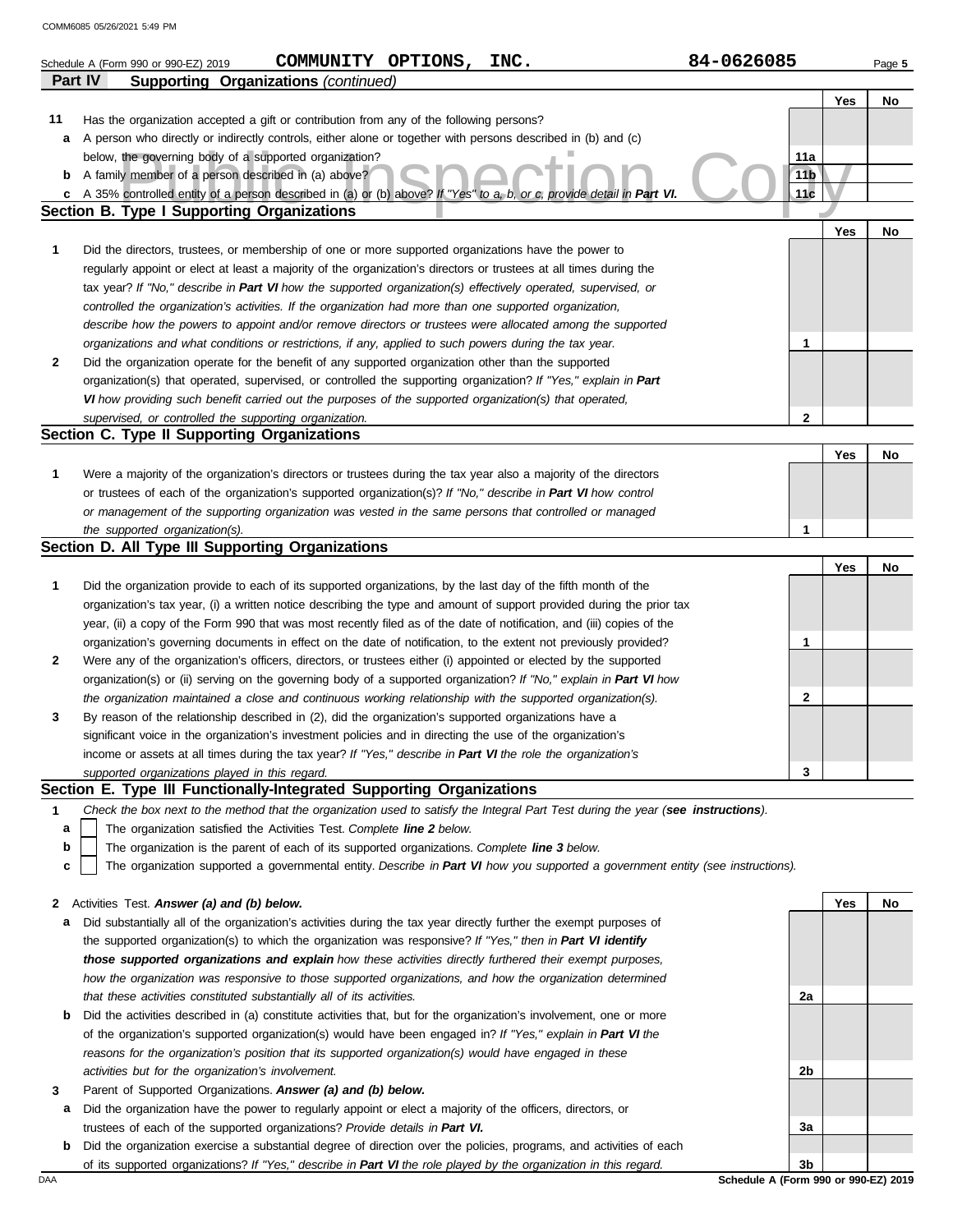|        | COMMUNITY OPTIONS,<br>INC.<br>Schedule A (Form 990 or 990-EZ) 2019                                                                                                                                                                         | 84-0626085             |     | Page 5 |
|--------|--------------------------------------------------------------------------------------------------------------------------------------------------------------------------------------------------------------------------------------------|------------------------|-----|--------|
|        | <b>Part IV</b><br><b>Supporting Organizations (continued)</b>                                                                                                                                                                              |                        |     |        |
|        |                                                                                                                                                                                                                                            |                        | Yes | No     |
| 11     | Has the organization accepted a gift or contribution from any of the following persons?                                                                                                                                                    |                        |     |        |
| а      | A person who directly or indirectly controls, either alone or together with persons described in (b) and (c)                                                                                                                               |                        |     |        |
|        | below, the governing body of a supported organization?                                                                                                                                                                                     | 11a<br>11 <sub>b</sub> |     |        |
| b<br>c | A family member of a person described in (a) above?<br>A 35% controlled entity of a person described in (a) or (b) above? If "Yes" to a, b, or c, provide detail in Part VI.                                                               | 11c                    |     |        |
|        | <b>Section B. Type I Supporting Organizations</b>                                                                                                                                                                                          |                        |     |        |
|        |                                                                                                                                                                                                                                            |                        | Yes | No     |
| 1      | Did the directors, trustees, or membership of one or more supported organizations have the power to                                                                                                                                        |                        |     |        |
|        | regularly appoint or elect at least a majority of the organization's directors or trustees at all times during the                                                                                                                         |                        |     |        |
|        | tax year? If "No," describe in Part VI how the supported organization(s) effectively operated, supervised, or                                                                                                                              |                        |     |        |
|        | controlled the organization's activities. If the organization had more than one supported organization,                                                                                                                                    |                        |     |        |
|        | describe how the powers to appoint and/or remove directors or trustees were allocated among the supported                                                                                                                                  |                        |     |        |
|        | organizations and what conditions or restrictions, if any, applied to such powers during the tax year.                                                                                                                                     | 1.                     |     |        |
| 2      | Did the organization operate for the benefit of any supported organization other than the supported                                                                                                                                        |                        |     |        |
|        | organization(s) that operated, supervised, or controlled the supporting organization? If "Yes," explain in Part                                                                                                                            |                        |     |        |
|        | VI how providing such benefit carried out the purposes of the supported organization(s) that operated,                                                                                                                                     |                        |     |        |
|        | supervised, or controlled the supporting organization.                                                                                                                                                                                     | $\mathbf{2}$           |     |        |
|        | Section C. Type II Supporting Organizations                                                                                                                                                                                                |                        |     |        |
|        |                                                                                                                                                                                                                                            |                        | Yes | No     |
| 1      | Were a majority of the organization's directors or trustees during the tax year also a majority of the directors                                                                                                                           |                        |     |        |
|        | or trustees of each of the organization's supported organization(s)? If "No," describe in Part VI how control                                                                                                                              |                        |     |        |
|        | or management of the supporting organization was vested in the same persons that controlled or managed                                                                                                                                     |                        |     |        |
|        | the supported organization(s).                                                                                                                                                                                                             | 1                      |     |        |
|        | Section D. All Type III Supporting Organizations                                                                                                                                                                                           |                        |     |        |
|        |                                                                                                                                                                                                                                            |                        | Yes | No     |
| 1      | Did the organization provide to each of its supported organizations, by the last day of the fifth month of the                                                                                                                             |                        |     |        |
|        | organization's tax year, (i) a written notice describing the type and amount of support provided during the prior tax                                                                                                                      |                        |     |        |
|        | year, (ii) a copy of the Form 990 that was most recently filed as of the date of notification, and (iii) copies of the<br>organization's governing documents in effect on the date of notification, to the extent not previously provided? |                        |     |        |
| 2      | Were any of the organization's officers, directors, or trustees either (i) appointed or elected by the supported                                                                                                                           | 1                      |     |        |
|        | organization(s) or (ii) serving on the governing body of a supported organization? If "No," explain in Part VI how                                                                                                                         |                        |     |        |
|        | the organization maintained a close and continuous working relationship with the supported organization(s).                                                                                                                                | 2                      |     |        |
| 3      | By reason of the relationship described in (2), did the organization's supported organizations have a                                                                                                                                      |                        |     |        |
|        | significant voice in the organization's investment policies and in directing the use of the organization's                                                                                                                                 |                        |     |        |
|        | income or assets at all times during the tax year? If "Yes," describe in Part VI the role the organization's                                                                                                                               |                        |     |        |
|        | supported organizations played in this regard.                                                                                                                                                                                             | 3                      |     |        |
|        | Section E. Type III Functionally-Integrated Supporting Organizations                                                                                                                                                                       |                        |     |        |
| 1      | Check the box next to the method that the organization used to satisfy the Integral Part Test during the year (see instructions).                                                                                                          |                        |     |        |
| а      | The organization satisfied the Activities Test. Complete line 2 below.                                                                                                                                                                     |                        |     |        |
| b      | The organization is the parent of each of its supported organizations. Complete line 3 below.                                                                                                                                              |                        |     |        |
| c      | The organization supported a governmental entity. Describe in Part VI how you supported a government entity (see instructions).                                                                                                            |                        |     |        |
|        |                                                                                                                                                                                                                                            |                        |     |        |
| 2      | Activities Test. Answer (a) and (b) below.                                                                                                                                                                                                 |                        | Yes | No     |
| а      | Did substantially all of the organization's activities during the tax year directly further the exempt purposes of                                                                                                                         |                        |     |        |
|        | the supported organization(s) to which the organization was responsive? If "Yes," then in Part VI identify                                                                                                                                 |                        |     |        |
|        | those supported organizations and explain how these activities directly furthered their exempt purposes,                                                                                                                                   |                        |     |        |
|        | how the organization was responsive to those supported organizations, and how the organization determined                                                                                                                                  |                        |     |        |
|        | that these activities constituted substantially all of its activities.                                                                                                                                                                     | 2a                     |     |        |
| b      | Did the activities described in (a) constitute activities that, but for the organization's involvement, one or more                                                                                                                        |                        |     |        |
|        | of the organization's supported organization(s) would have been engaged in? If "Yes," explain in Part VI the                                                                                                                               |                        |     |        |
|        | reasons for the organization's position that its supported organization(s) would have engaged in these                                                                                                                                     |                        |     |        |
|        | activities but for the organization's involvement.                                                                                                                                                                                         | 2b                     |     |        |
| 3<br>а | Parent of Supported Organizations. Answer (a) and (b) below.<br>Did the organization have the power to regularly appoint or elect a majority of the officers, directors, or                                                                |                        |     |        |
|        | trustees of each of the supported organizations? Provide details in Part VI.                                                                                                                                                               | За                     |     |        |

**b** Did the organization exercise a substantial degree of direction over the policies, programs, and activities of each

of its supported organizations? *If "Yes," describe in Part VI the role played by the organization in this regard.*

DAA **Schedule A (Form 990 or 990-EZ) 2019 3b**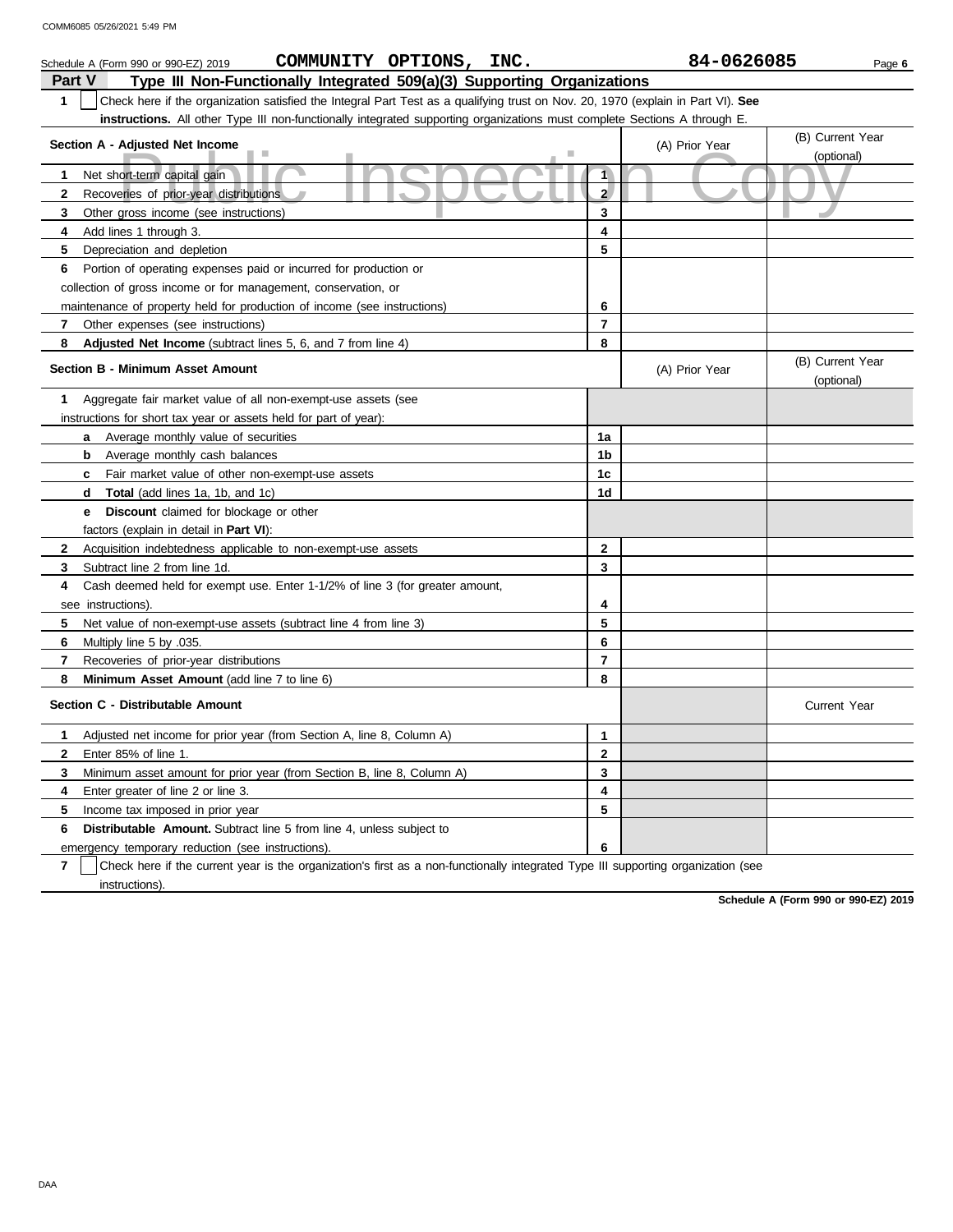| COMMUNITY OPTIONS, INC.<br>Schedule A (Form 990 or 990-EZ) 2019                                                                       |                | 84-0626085     | Page 6                         |
|---------------------------------------------------------------------------------------------------------------------------------------|----------------|----------------|--------------------------------|
| Type III Non-Functionally Integrated 509(a)(3) Supporting Organizations<br>Part V                                                     |                |                |                                |
| Check here if the organization satisfied the Integral Part Test as a qualifying trust on Nov. 20, 1970 (explain in Part VI). See<br>1 |                |                |                                |
| <b>instructions.</b> All other Type III non-functionally integrated supporting organizations must complete Sections A through E.      |                |                |                                |
|                                                                                                                                       |                |                | (B) Current Year               |
| Section A - Adjusted Net Income                                                                                                       |                | (A) Prior Year | (optional)                     |
| ۰<br>Net short-term capital gain<br>1.                                                                                                | $\overline{1}$ |                |                                |
| $\mathbf{2}$<br>Recoveries of prior-year distributions                                                                                | 2 <sup>1</sup> |                |                                |
| 3<br>Other gross income (see instructions)                                                                                            | 3              |                |                                |
| 4<br>Add lines 1 through 3.                                                                                                           | 4              |                |                                |
| 5<br>Depreciation and depletion                                                                                                       | 5              |                |                                |
| 6<br>Portion of operating expenses paid or incurred for production or                                                                 |                |                |                                |
| collection of gross income or for management, conservation, or                                                                        |                |                |                                |
| maintenance of property held for production of income (see instructions)                                                              | 6              |                |                                |
| $\mathbf{7}$                                                                                                                          | $\overline{7}$ |                |                                |
| Other expenses (see instructions)                                                                                                     | 8              |                |                                |
| 8<br>Adjusted Net Income (subtract lines 5, 6, and 7 from line 4)                                                                     |                |                |                                |
| <b>Section B - Minimum Asset Amount</b>                                                                                               |                | (A) Prior Year | (B) Current Year<br>(optional) |
| Aggregate fair market value of all non-exempt-use assets (see<br>1                                                                    |                |                |                                |
| instructions for short tax year or assets held for part of year):                                                                     |                |                |                                |
| Average monthly value of securities<br>a                                                                                              | 1a             |                |                                |
| <b>b</b> Average monthly cash balances                                                                                                | 1 <sub>b</sub> |                |                                |
| Fair market value of other non-exempt-use assets<br>C                                                                                 | 1c             |                |                                |
| <b>Total</b> (add lines 1a, 1b, and 1c)<br>d                                                                                          | 1 <sub>d</sub> |                |                                |
| Discount claimed for blockage or other<br>е                                                                                           |                |                |                                |
| factors (explain in detail in <b>Part VI</b> ):                                                                                       |                |                |                                |
| $\mathbf{2}$<br>Acquisition indebtedness applicable to non-exempt-use assets                                                          | $\mathbf{2}$   |                |                                |
| 3<br>Subtract line 2 from line 1d.                                                                                                    | 3              |                |                                |
| 4<br>Cash deemed held for exempt use. Enter 1-1/2% of line 3 (for greater amount,                                                     |                |                |                                |
| see instructions)                                                                                                                     | 4              |                |                                |
| 5                                                                                                                                     | 5              |                |                                |
| Net value of non-exempt-use assets (subtract line 4 from line 3)<br>6<br>Multiply line 5 by .035.                                     | 6              |                |                                |
| 7                                                                                                                                     | $\overline{7}$ |                |                                |
| Recoveries of prior-year distributions<br>8<br><b>Minimum Asset Amount</b> (add line 7 to line 6)                                     | 8              |                |                                |
|                                                                                                                                       |                |                |                                |
| Section C - Distributable Amount                                                                                                      |                |                | <b>Current Year</b>            |
| Adjusted net income for prior year (from Section A, line 8, Column A)<br>1                                                            | 1              |                |                                |
| $\mathbf{2}$<br>Enter 85% of line 1.                                                                                                  | $\overline{2}$ |                |                                |
| 3<br>Minimum asset amount for prior year (from Section B, line 8, Column A)                                                           | 3              |                |                                |
| 4<br>Enter greater of line 2 or line 3.                                                                                               | 4              |                |                                |
| 5<br>Income tax imposed in prior year                                                                                                 | 5              |                |                                |
| 6<br><b>Distributable Amount.</b> Subtract line 5 from line 4, unless subject to                                                      |                |                |                                |
| emergency temporary reduction (see instructions).                                                                                     | 6              |                |                                |

**7** instructions). Check here if the current year is the organization's first as a non-functionally integrated Type III supporting organization (see

**Schedule A (Form 990 or 990-EZ) 2019**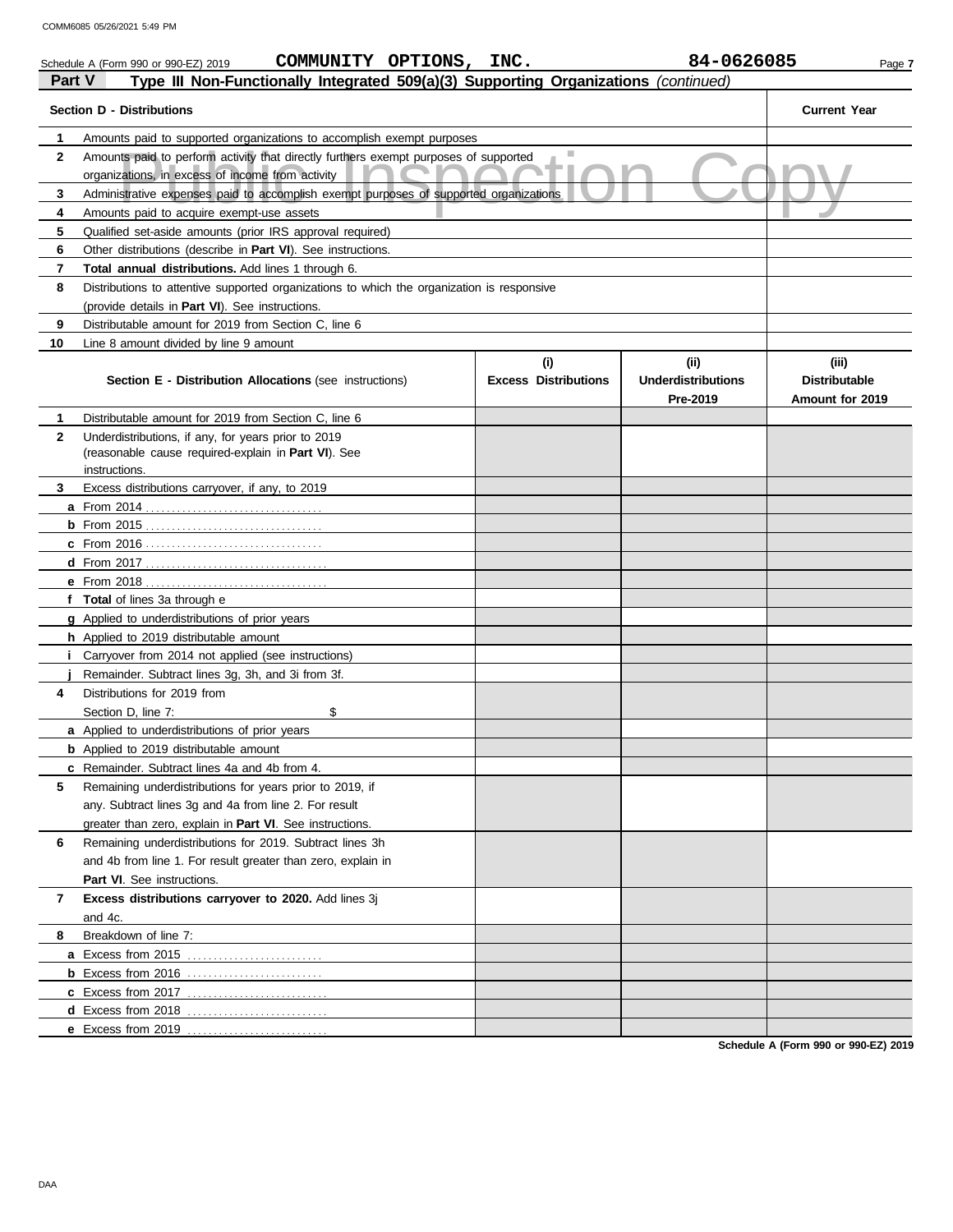| Part V         | COMMUNITY OPTIONS, INC.<br>Schedule A (Form 990 or 990-EZ) 2019<br>Type III Non-Functionally Integrated 509(a)(3) Supporting Organizations (continued) |                                    | 84-0626085                                   | Page 7                                           |
|----------------|--------------------------------------------------------------------------------------------------------------------------------------------------------|------------------------------------|----------------------------------------------|--------------------------------------------------|
|                | <b>Section D - Distributions</b>                                                                                                                       |                                    |                                              | <b>Current Year</b>                              |
| 1              | Amounts paid to supported organizations to accomplish exempt purposes                                                                                  |                                    |                                              |                                                  |
| $\mathbf{2}$   | Amounts paid to perform activity that directly furthers exempt purposes of supported<br>organizations, in excess of income from activity               |                                    |                                              |                                                  |
| 3              | Administrative expenses paid to accomplish exempt purposes of supported organizations                                                                  |                                    |                                              |                                                  |
| 4              | Amounts paid to acquire exempt-use assets                                                                                                              |                                    |                                              |                                                  |
| 5              | Qualified set-aside amounts (prior IRS approval required)                                                                                              |                                    |                                              |                                                  |
| 6              | Other distributions (describe in <b>Part VI</b> ). See instructions.                                                                                   |                                    |                                              |                                                  |
| $\overline{7}$ | Total annual distributions. Add lines 1 through 6.                                                                                                     |                                    |                                              |                                                  |
| 8              | Distributions to attentive supported organizations to which the organization is responsive                                                             |                                    |                                              |                                                  |
|                | (provide details in <b>Part VI</b> ). See instructions.                                                                                                |                                    |                                              |                                                  |
| 9              | Distributable amount for 2019 from Section C, line 6                                                                                                   |                                    |                                              |                                                  |
| 10             | Line 8 amount divided by line 9 amount                                                                                                                 |                                    |                                              |                                                  |
|                | <b>Section E - Distribution Allocations (see instructions)</b>                                                                                         | (i)<br><b>Excess Distributions</b> | (i)<br><b>Underdistributions</b><br>Pre-2019 | (iii)<br><b>Distributable</b><br>Amount for 2019 |
| 1              | Distributable amount for 2019 from Section C, line 6                                                                                                   |                                    |                                              |                                                  |
| $\mathbf{2}$   | Underdistributions, if any, for years prior to 2019<br>(reasonable cause required-explain in Part VI). See<br>instructions.                            |                                    |                                              |                                                  |
| 3              | Excess distributions carryover, if any, to 2019                                                                                                        |                                    |                                              |                                                  |
|                |                                                                                                                                                        |                                    |                                              |                                                  |
|                |                                                                                                                                                        |                                    |                                              |                                                  |
|                |                                                                                                                                                        |                                    |                                              |                                                  |
|                |                                                                                                                                                        |                                    |                                              |                                                  |
|                |                                                                                                                                                        |                                    |                                              |                                                  |
|                | f Total of lines 3a through e                                                                                                                          |                                    |                                              |                                                  |
|                | <b>g</b> Applied to underdistributions of prior years                                                                                                  |                                    |                                              |                                                  |
|                | h Applied to 2019 distributable amount                                                                                                                 |                                    |                                              |                                                  |
|                | Carryover from 2014 not applied (see instructions)                                                                                                     |                                    |                                              |                                                  |
|                | Remainder. Subtract lines 3g, 3h, and 3i from 3f.                                                                                                      |                                    |                                              |                                                  |
| 4              | Distributions for 2019 from                                                                                                                            |                                    |                                              |                                                  |
|                | \$<br>Section D, line 7:                                                                                                                               |                                    |                                              |                                                  |
|                | a Applied to underdistributions of prior years                                                                                                         |                                    |                                              |                                                  |
|                | <b>b</b> Applied to 2019 distributable amount                                                                                                          |                                    |                                              |                                                  |
|                | <b>c</b> Remainder. Subtract lines 4a and 4b from 4.                                                                                                   |                                    |                                              |                                                  |
| 5              | Remaining underdistributions for years prior to 2019, if                                                                                               |                                    |                                              |                                                  |
|                | any. Subtract lines 3g and 4a from line 2. For result                                                                                                  |                                    |                                              |                                                  |
|                | greater than zero, explain in Part VI. See instructions.                                                                                               |                                    |                                              |                                                  |
| 6              | Remaining underdistributions for 2019. Subtract lines 3h                                                                                               |                                    |                                              |                                                  |
|                | and 4b from line 1. For result greater than zero, explain in                                                                                           |                                    |                                              |                                                  |
|                | Part VI. See instructions.                                                                                                                             |                                    |                                              |                                                  |
| 7              | Excess distributions carryover to 2020. Add lines 3j                                                                                                   |                                    |                                              |                                                  |
|                | and 4c.                                                                                                                                                |                                    |                                              |                                                  |
| 8              | Breakdown of line 7:                                                                                                                                   |                                    |                                              |                                                  |
|                | a Excess from 2015                                                                                                                                     |                                    |                                              |                                                  |
|                |                                                                                                                                                        |                                    |                                              |                                                  |
|                |                                                                                                                                                        |                                    |                                              |                                                  |
|                | d Excess from 2018                                                                                                                                     |                                    |                                              |                                                  |
|                | e Excess from 2019                                                                                                                                     |                                    |                                              |                                                  |

**Schedule A (Form 990 or 990-EZ) 2019**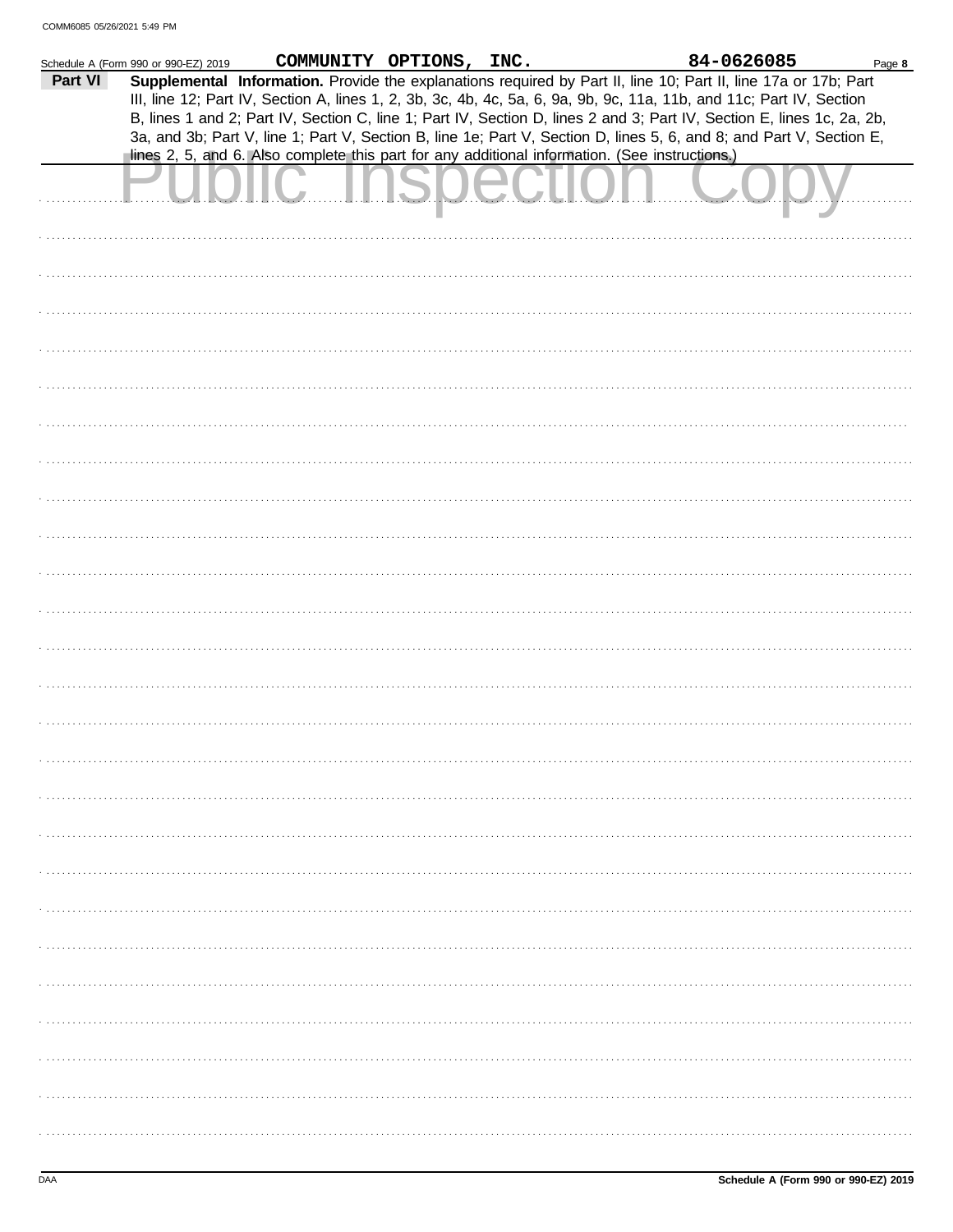|         | Schedule A (Form 990 or 990-EZ) 2019 |                                                                                                                                                                                                                                                                                                                                                                                                                                                                                           | COMMUNITY OPTIONS, INC. |  | 84-0626085 | Page 8 |
|---------|--------------------------------------|-------------------------------------------------------------------------------------------------------------------------------------------------------------------------------------------------------------------------------------------------------------------------------------------------------------------------------------------------------------------------------------------------------------------------------------------------------------------------------------------|-------------------------|--|------------|--------|
| Part VI |                                      | Supplemental Information. Provide the explanations required by Part II, line 10; Part II, line 17a or 17b; Part<br>III, line 12; Part IV, Section A, lines 1, 2, 3b, 3c, 4b, 4c, 5a, 6, 9a, 9b, 9c, 11a, 11b, and 11c; Part IV, Section<br>B, lines 1 and 2; Part IV, Section C, line 1; Part IV, Section D, lines 2 and 3; Part IV, Section E, lines 1c, 2a, 2b,<br>3a, and 3b; Part V, line 1; Part V, Section B, line 1e; Part V, Section D, lines 5, 6, and 8; and Part V, Section E, |                         |  |            |        |
|         |                                      | lines 2, 5, and 6. Also complete this part for any additional information. (See instructions.)                                                                                                                                                                                                                                                                                                                                                                                            |                         |  |            |        |
|         |                                      |                                                                                                                                                                                                                                                                                                                                                                                                                                                                                           |                         |  |            |        |
|         |                                      |                                                                                                                                                                                                                                                                                                                                                                                                                                                                                           |                         |  |            |        |
|         |                                      |                                                                                                                                                                                                                                                                                                                                                                                                                                                                                           |                         |  |            |        |
|         |                                      |                                                                                                                                                                                                                                                                                                                                                                                                                                                                                           |                         |  |            |        |
|         |                                      |                                                                                                                                                                                                                                                                                                                                                                                                                                                                                           |                         |  |            |        |
|         |                                      |                                                                                                                                                                                                                                                                                                                                                                                                                                                                                           |                         |  |            |        |
|         |                                      |                                                                                                                                                                                                                                                                                                                                                                                                                                                                                           |                         |  |            |        |
|         |                                      |                                                                                                                                                                                                                                                                                                                                                                                                                                                                                           |                         |  |            |        |
|         |                                      |                                                                                                                                                                                                                                                                                                                                                                                                                                                                                           |                         |  |            |        |
|         |                                      |                                                                                                                                                                                                                                                                                                                                                                                                                                                                                           |                         |  |            |        |
|         |                                      |                                                                                                                                                                                                                                                                                                                                                                                                                                                                                           |                         |  |            |        |
|         |                                      |                                                                                                                                                                                                                                                                                                                                                                                                                                                                                           |                         |  |            |        |
|         |                                      |                                                                                                                                                                                                                                                                                                                                                                                                                                                                                           |                         |  |            |        |
|         |                                      |                                                                                                                                                                                                                                                                                                                                                                                                                                                                                           |                         |  |            |        |
|         |                                      |                                                                                                                                                                                                                                                                                                                                                                                                                                                                                           |                         |  |            |        |
|         |                                      |                                                                                                                                                                                                                                                                                                                                                                                                                                                                                           |                         |  |            |        |
|         |                                      |                                                                                                                                                                                                                                                                                                                                                                                                                                                                                           |                         |  |            |        |
|         |                                      |                                                                                                                                                                                                                                                                                                                                                                                                                                                                                           |                         |  |            |        |
|         |                                      |                                                                                                                                                                                                                                                                                                                                                                                                                                                                                           |                         |  |            |        |
|         |                                      |                                                                                                                                                                                                                                                                                                                                                                                                                                                                                           |                         |  |            |        |
|         |                                      |                                                                                                                                                                                                                                                                                                                                                                                                                                                                                           |                         |  |            |        |
|         |                                      |                                                                                                                                                                                                                                                                                                                                                                                                                                                                                           |                         |  |            |        |
|         |                                      |                                                                                                                                                                                                                                                                                                                                                                                                                                                                                           |                         |  |            |        |
|         |                                      |                                                                                                                                                                                                                                                                                                                                                                                                                                                                                           |                         |  |            |        |
|         |                                      |                                                                                                                                                                                                                                                                                                                                                                                                                                                                                           |                         |  |            |        |
|         |                                      |                                                                                                                                                                                                                                                                                                                                                                                                                                                                                           |                         |  |            |        |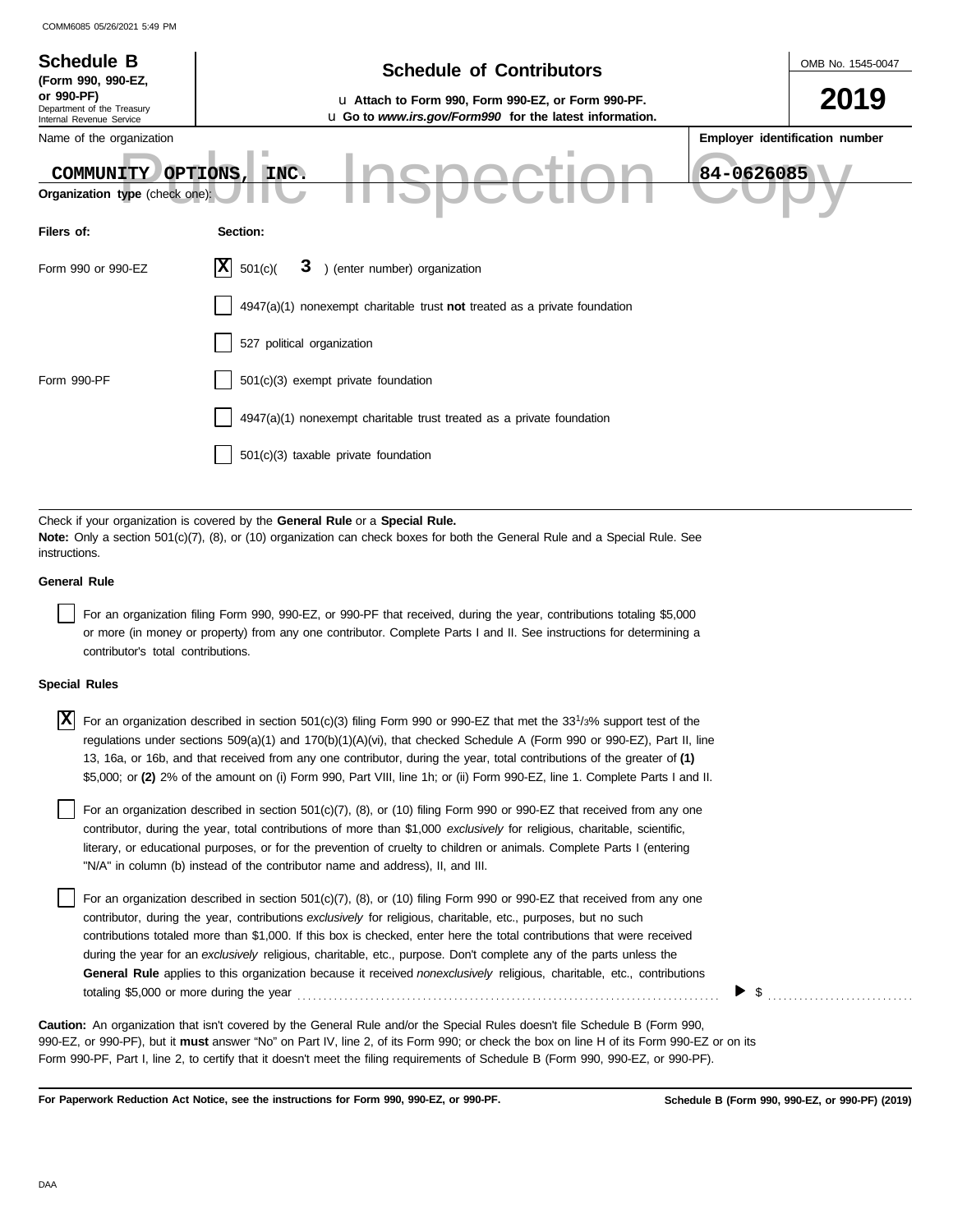| <b>Schedule B</b><br>(Form 990, 990-EZ,                              | <b>Schedule of Contributors</b>                                                                                                                                                                             | OMB No. 1545-0047              |  |  |  |  |  |
|----------------------------------------------------------------------|-------------------------------------------------------------------------------------------------------------------------------------------------------------------------------------------------------------|--------------------------------|--|--|--|--|--|
| or 990-PF)<br>Department of the Treasury<br>Internal Revenue Service | u Attach to Form 990, Form 990-EZ, or Form 990-PF.<br>u Go to www.irs.gov/Form990 for the latest information.                                                                                               | 2019                           |  |  |  |  |  |
| Name of the organization                                             |                                                                                                                                                                                                             | Employer identification number |  |  |  |  |  |
| COMMUNITY                                                            | 84-0626085<br>OPTIONS,<br>INC.<br>Organization type (check one):                                                                                                                                            |                                |  |  |  |  |  |
| Filers of:                                                           | Section:                                                                                                                                                                                                    |                                |  |  |  |  |  |
| Form 990 or 990-EZ                                                   | IХ<br>3 ) (enter number) organization<br>501(c)                                                                                                                                                             |                                |  |  |  |  |  |
|                                                                      | $4947(a)(1)$ nonexempt charitable trust not treated as a private foundation                                                                                                                                 |                                |  |  |  |  |  |
|                                                                      | 527 political organization                                                                                                                                                                                  |                                |  |  |  |  |  |
| Form 990-PF                                                          | 501(c)(3) exempt private foundation                                                                                                                                                                         |                                |  |  |  |  |  |
|                                                                      | 4947(a)(1) nonexempt charitable trust treated as a private foundation                                                                                                                                       |                                |  |  |  |  |  |
|                                                                      | 501(c)(3) taxable private foundation                                                                                                                                                                        |                                |  |  |  |  |  |
|                                                                      |                                                                                                                                                                                                             |                                |  |  |  |  |  |
| instructions.                                                        | Check if your organization is covered by the General Rule or a Special Rule.<br>Note: Only a section 501(c)(7), (8), or (10) organization can check boxes for both the General Rule and a Special Rule. See |                                |  |  |  |  |  |
| <b>General Rule</b>                                                  |                                                                                                                                                                                                             |                                |  |  |  |  |  |
|                                                                      |                                                                                                                                                                                                             |                                |  |  |  |  |  |

For an organization filing Form 990, 990-EZ, or 990-PF that received, during the year, contributions totaling \$5,000 or more (in money or property) from any one contributor. Complete Parts I and II. See instructions for determining a contributor's total contributions.

### **Special Rules**

| $\overline{X}$ For an organization described in section 501(c)(3) filing Form 990 or 990-EZ that met the 33 <sup>1</sup> /3% support test of the |
|--------------------------------------------------------------------------------------------------------------------------------------------------|
| regulations under sections 509(a)(1) and 170(b)(1)(A)(vi), that checked Schedule A (Form 990 or 990-EZ), Part II, line                           |
| 13, 16a, or 16b, and that received from any one contributor, during the year, total contributions of the greater of (1)                          |
| \$5,000; or (2) 2% of the amount on (i) Form 990, Part VIII, line 1h; or (ii) Form 990-EZ, line 1. Complete Parts I and II.                      |

literary, or educational purposes, or for the prevention of cruelty to children or animals. Complete Parts I (entering For an organization described in section 501(c)(7), (8), or (10) filing Form 990 or 990-EZ that received from any one contributor, during the year, total contributions of more than \$1,000 *exclusively* for religious, charitable, scientific, "N/A" in column (b) instead of the contributor name and address), II, and III.

For an organization described in section 501(c)(7), (8), or (10) filing Form 990 or 990-EZ that received from any one contributor, during the year, contributions *exclusively* for religious, charitable, etc., purposes, but no such contributions totaled more than \$1,000. If this box is checked, enter here the total contributions that were received during the year for an *exclusively* religious, charitable, etc., purpose. Don't complete any of the parts unless the **General Rule** applies to this organization because it received *nonexclusively* religious, charitable, etc., contributions totaling \$5,000 or more during the year . . . . . . . . . . . . . . . . . . . . . . . . . . . . . . . . . . . . . . . . . . . . . . . . . . . . . . . . . . . . . . . . . . . . . . . . . . . . . . . . .

990-EZ, or 990-PF), but it **must** answer "No" on Part IV, line 2, of its Form 990; or check the box on line H of its Form 990-EZ or on its Form 990-PF, Part I, line 2, to certify that it doesn't meet the filing requirements of Schedule B (Form 990, 990-EZ, or 990-PF). **Caution:** An organization that isn't covered by the General Rule and/or the Special Rules doesn't file Schedule B (Form 990,

**For Paperwork Reduction Act Notice, see the instructions for Form 990, 990-EZ, or 990-PF.**

▶

 $\mathfrak s$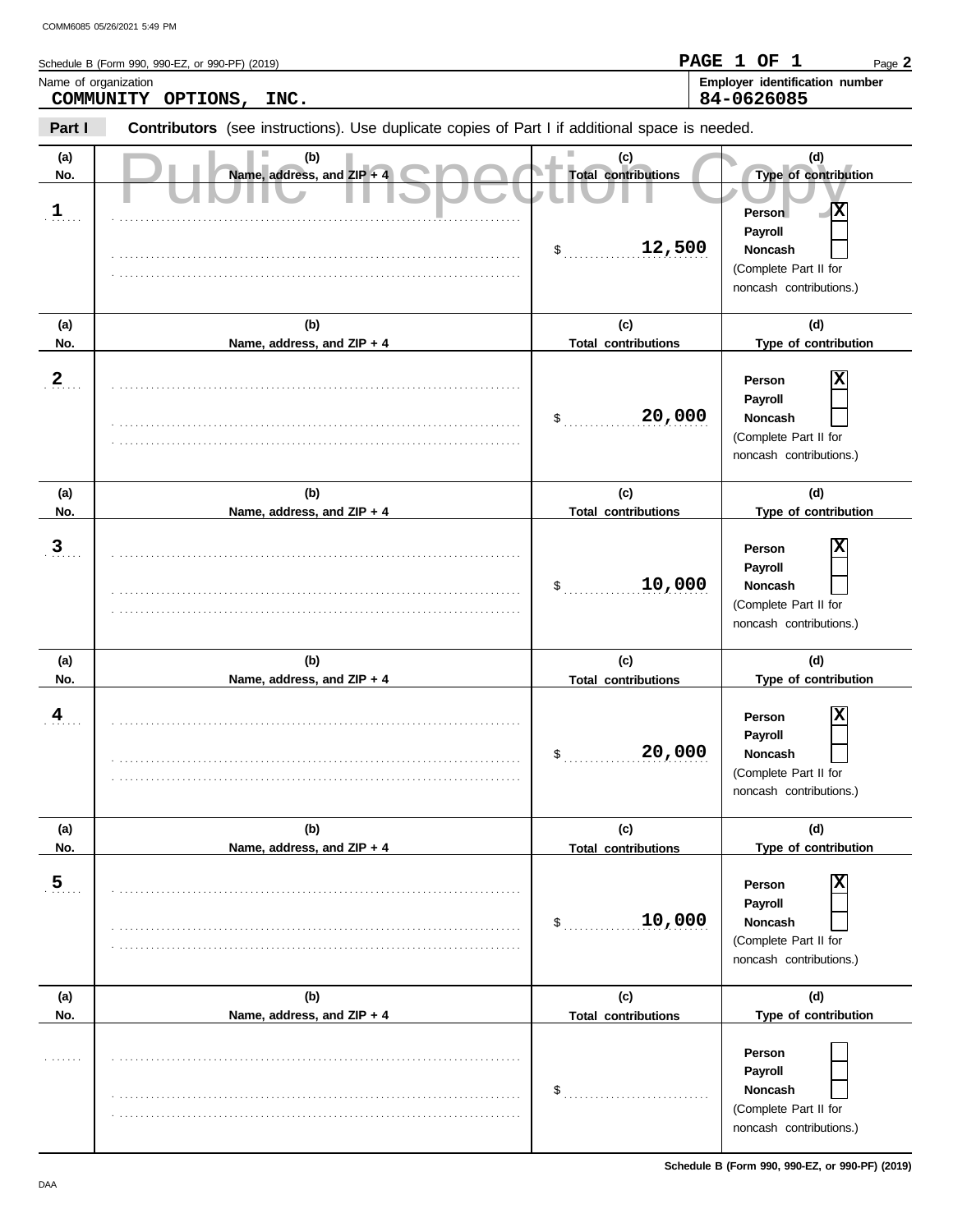|                      | COMM6085 05/26/2021 5:49 PM                                                                    |                                   |                                                                                                                    |  |  |  |  |
|----------------------|------------------------------------------------------------------------------------------------|-----------------------------------|--------------------------------------------------------------------------------------------------------------------|--|--|--|--|
|                      | Schedule B (Form 990, 990-EZ, or 990-PF) (2019)                                                |                                   | PAGE 1 OF 1<br>Page 2                                                                                              |  |  |  |  |
| Name of organization |                                                                                                |                                   | Employer identification number                                                                                     |  |  |  |  |
|                      | COMMUNITY<br>OPTIONS,<br>INC.                                                                  |                                   | 84-0626085                                                                                                         |  |  |  |  |
| Part I               | Contributors (see instructions). Use duplicate copies of Part I if additional space is needed. |                                   |                                                                                                                    |  |  |  |  |
| (a)<br>No.           | (b)<br>п<br>Name, address, and ZIP + 4                                                         | (c)<br><b>Total contributions</b> | (d)<br>Type of contribution                                                                                        |  |  |  |  |
| $\mathbf{1}$         |                                                                                                | 12,500<br>\$                      | $\overline{\mathbf{x}}$<br>Person<br>Payroll<br><b>Noncash</b><br>(Complete Part II for<br>noncash contributions.) |  |  |  |  |
| (a)                  | (b)                                                                                            | (c)                               | (d)                                                                                                                |  |  |  |  |
| No.                  | Name, address, and ZIP + 4                                                                     | <b>Total contributions</b>        | Type of contribution                                                                                               |  |  |  |  |
| $\mathbf{2}$         |                                                                                                | 20,000<br>\$                      | х<br>Person<br>Payroll<br><b>Noncash</b><br>(Complete Part II for<br>noncash contributions.)                       |  |  |  |  |
| (a)                  | (b)                                                                                            | (c)                               | (d)                                                                                                                |  |  |  |  |
| No.                  | Name, address, and ZIP + 4                                                                     | <b>Total contributions</b>        | Type of contribution                                                                                               |  |  |  |  |
| $\mathbf{3}$         |                                                                                                | 10,000<br>\$                      | х<br>Person<br>Payroll<br><b>Noncash</b><br>(Complete Part II for<br>noncash contributions.)                       |  |  |  |  |
| (a)                  | (b)                                                                                            | (c)                               | (d)                                                                                                                |  |  |  |  |
| No.                  | Name, address, and ZIP + 4                                                                     | <b>Total contributions</b>        | Type of contribution                                                                                               |  |  |  |  |
| 4                    |                                                                                                | 20,000<br>\$                      | X<br>Person<br>Payroll<br>Noncash<br>(Complete Part II for<br>noncash contributions.)                              |  |  |  |  |
| (a)                  | (b)                                                                                            | (c)                               | (d)                                                                                                                |  |  |  |  |
| No.                  | Name, address, and ZIP + 4                                                                     | <b>Total contributions</b>        | Type of contribution                                                                                               |  |  |  |  |
| $\overline{5}$       |                                                                                                | 10,000<br>\$                      | х<br>Person<br>Payroll<br><b>Noncash</b><br>(Complete Part II for<br>noncash contributions.)                       |  |  |  |  |
| (a)<br>No.           | (b)<br>Name, address, and ZIP + 4                                                              | (c)<br><b>Total contributions</b> | (d)<br>Type of contribution                                                                                        |  |  |  |  |
|                      |                                                                                                |                                   | Person                                                                                                             |  |  |  |  |

\$ . . . . . . . . . . . . . . . . . . . . . . . . . . . .

. . . . . . . . . . . . . . . . . . . . . . . . . . . . . . . . . . . . . . . . . . . . . . . . . . . . . . . . . . . . . . . . . . . . . . . . . . . . . .

. . . . . . . . . . . . . . . . . . . . . . . . . . . . . . . . . . . . . . . . . . . . . . . . . . . . . . . . . . . . . . . . . . . . . . . . . . . . . .

**Payroll Noncash** (Complete Part II for noncash contributions.)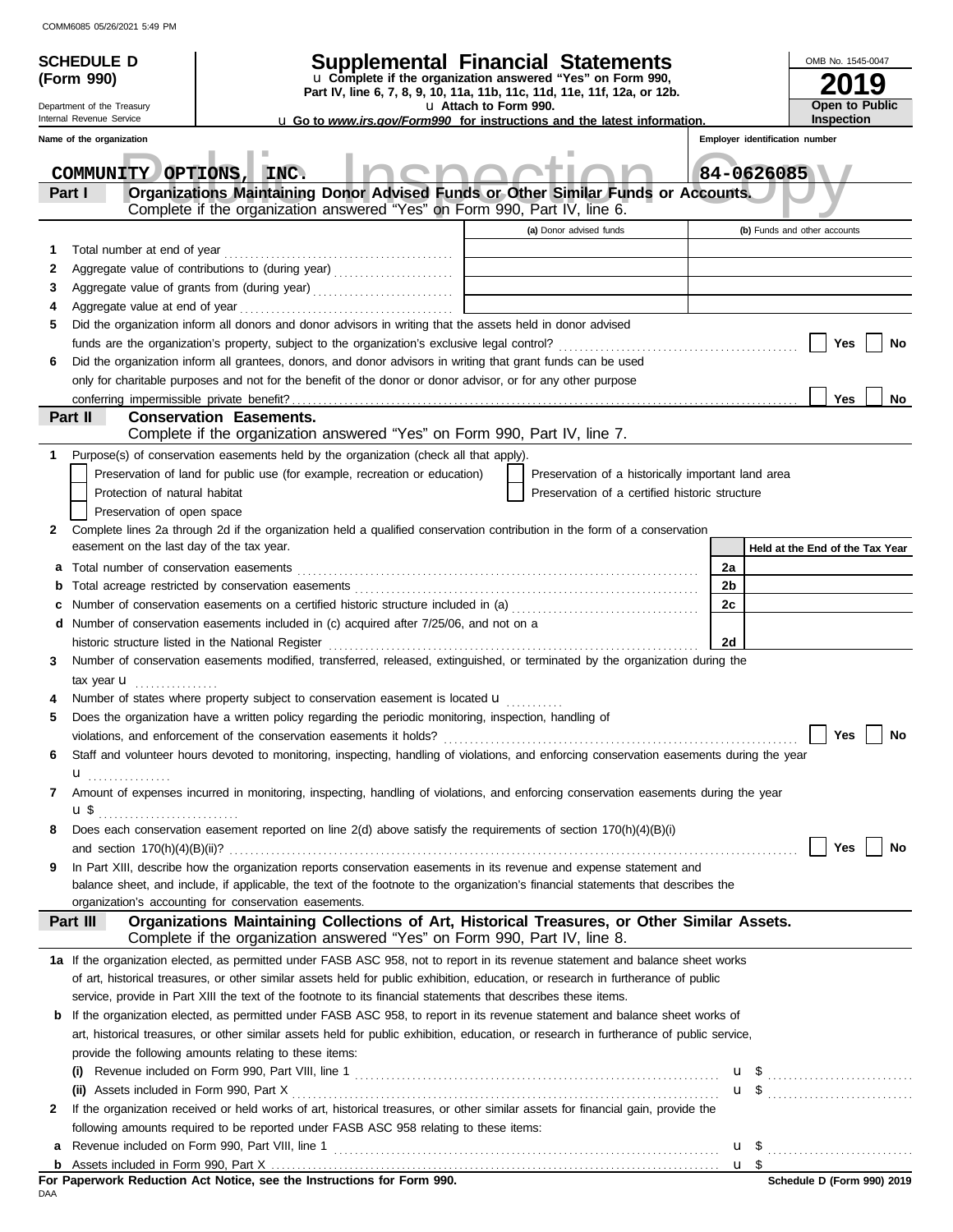|    | <b>SCHEDULE D</b>                                    |                                                                                                                                                                           | Supplemental Financial Statements                                                                                                      |                                | OMB No. 1545-0047                                   |  |  |
|----|------------------------------------------------------|---------------------------------------------------------------------------------------------------------------------------------------------------------------------------|----------------------------------------------------------------------------------------------------------------------------------------|--------------------------------|-----------------------------------------------------|--|--|
|    | (Form 990)                                           |                                                                                                                                                                           | u Complete if the organization answered "Yes" on Form 990,<br>Part IV, line 6, 7, 8, 9, 10, 11a, 11b, 11c, 11d, 11e, 11f, 12a, or 12b. |                                |                                                     |  |  |
|    | Department of the Treasury                           |                                                                                                                                                                           | u Attach to Form 990.                                                                                                                  |                                | Open to Public                                      |  |  |
|    | Internal Revenue Service<br>Name of the organization |                                                                                                                                                                           | <b>u</b> Go to <i>www.irs.gov/Form990</i> for instructions and the latest information.                                                 | Employer identification number | <b>Inspection</b>                                   |  |  |
|    |                                                      |                                                                                                                                                                           |                                                                                                                                        |                                |                                                     |  |  |
|    | COMMUNITY OPTIONS, INC.                              |                                                                                                                                                                           |                                                                                                                                        | 84-0626085                     |                                                     |  |  |
|    | Part I                                               | Organizations Maintaining Donor Advised Funds or Other Similar Funds or Accounts.<br>Complete if the organization answered "Yes" on Form 990, Part IV, line 6.            |                                                                                                                                        |                                |                                                     |  |  |
|    |                                                      |                                                                                                                                                                           | (a) Donor advised funds                                                                                                                |                                | (b) Funds and other accounts                        |  |  |
| 1  |                                                      |                                                                                                                                                                           |                                                                                                                                        |                                |                                                     |  |  |
| 2  |                                                      |                                                                                                                                                                           |                                                                                                                                        |                                |                                                     |  |  |
| 3  |                                                      |                                                                                                                                                                           |                                                                                                                                        |                                |                                                     |  |  |
| 4  |                                                      |                                                                                                                                                                           |                                                                                                                                        |                                |                                                     |  |  |
| 5  |                                                      | Did the organization inform all donors and donor advisors in writing that the assets held in donor advised                                                                |                                                                                                                                        |                                |                                                     |  |  |
|    |                                                      |                                                                                                                                                                           |                                                                                                                                        |                                | Yes<br>No                                           |  |  |
| 6  |                                                      | Did the organization inform all grantees, donors, and donor advisors in writing that grant funds can be used                                                              |                                                                                                                                        |                                |                                                     |  |  |
|    |                                                      | only for charitable purposes and not for the benefit of the donor or donor advisor, or for any other purpose                                                              |                                                                                                                                        |                                |                                                     |  |  |
|    | Part II                                              | <b>Conservation Easements.</b>                                                                                                                                            |                                                                                                                                        |                                | Yes<br>No                                           |  |  |
|    |                                                      | Complete if the organization answered "Yes" on Form 990, Part IV, line 7.                                                                                                 |                                                                                                                                        |                                |                                                     |  |  |
| 1. |                                                      | Purpose(s) of conservation easements held by the organization (check all that apply).                                                                                     |                                                                                                                                        |                                |                                                     |  |  |
|    |                                                      | Preservation of land for public use (for example, recreation or education)                                                                                                | Preservation of a historically important land area                                                                                     |                                |                                                     |  |  |
|    | Protection of natural habitat                        |                                                                                                                                                                           | Preservation of a certified historic structure                                                                                         |                                |                                                     |  |  |
|    | Preservation of open space                           |                                                                                                                                                                           |                                                                                                                                        |                                |                                                     |  |  |
| 2  |                                                      | Complete lines 2a through 2d if the organization held a qualified conservation contribution in the form of a conservation                                                 |                                                                                                                                        |                                |                                                     |  |  |
|    | easement on the last day of the tax year.            |                                                                                                                                                                           |                                                                                                                                        |                                | Held at the End of the Tax Year                     |  |  |
| a  | Total number of conservation easements               |                                                                                                                                                                           |                                                                                                                                        | 2a                             |                                                     |  |  |
| b  |                                                      |                                                                                                                                                                           |                                                                                                                                        | 2b                             |                                                     |  |  |
| c  |                                                      | Number of conservation easements on a certified historic structure included in (a) [[[[[[[[[[[[[[[[[[[[[[[[[]]]]]]]                                                       |                                                                                                                                        | 2c                             |                                                     |  |  |
|    |                                                      | d Number of conservation easements included in (c) acquired after 7/25/06, and not on a                                                                                   |                                                                                                                                        |                                |                                                     |  |  |
|    |                                                      | historic structure listed in the National Register                                                                                                                        |                                                                                                                                        | 2d                             |                                                     |  |  |
| 3  |                                                      | Number of conservation easements modified, transferred, released, extinguished, or terminated by the organization during the                                              |                                                                                                                                        |                                |                                                     |  |  |
|    | tax year <b>u</b>                                    |                                                                                                                                                                           |                                                                                                                                        |                                |                                                     |  |  |
|    |                                                      | Number of states where property subject to conservation easement is located u                                                                                             |                                                                                                                                        |                                |                                                     |  |  |
| 5  |                                                      | Does the organization have a written policy regarding the periodic monitoring, inspection, handling of                                                                    |                                                                                                                                        |                                | $\Box$ Yes $\Box$ No                                |  |  |
|    |                                                      |                                                                                                                                                                           |                                                                                                                                        |                                |                                                     |  |  |
| 6  |                                                      | Staff and volunteer hours devoted to monitoring, inspecting, handling of violations, and enforcing conservation easements during the year                                 |                                                                                                                                        |                                |                                                     |  |  |
| 7  | u <sub></sub>                                        | Amount of expenses incurred in monitoring, inspecting, handling of violations, and enforcing conservation easements during the year                                       |                                                                                                                                        |                                |                                                     |  |  |
|    |                                                      |                                                                                                                                                                           |                                                                                                                                        |                                |                                                     |  |  |
| 8  |                                                      | Does each conservation easement reported on line 2(d) above satisfy the requirements of section 170(h)(4)(B)(i)                                                           |                                                                                                                                        |                                |                                                     |  |  |
|    |                                                      |                                                                                                                                                                           |                                                                                                                                        |                                | Yes<br>No                                           |  |  |
| 9  |                                                      | In Part XIII, describe how the organization reports conservation easements in its revenue and expense statement and                                                       |                                                                                                                                        |                                |                                                     |  |  |
|    |                                                      | balance sheet, and include, if applicable, the text of the footnote to the organization's financial statements that describes the                                         |                                                                                                                                        |                                |                                                     |  |  |
|    |                                                      | organization's accounting for conservation easements.                                                                                                                     |                                                                                                                                        |                                |                                                     |  |  |
|    | Part III                                             | Organizations Maintaining Collections of Art, Historical Treasures, or Other Similar Assets.<br>Complete if the organization answered "Yes" on Form 990, Part IV, line 8. |                                                                                                                                        |                                |                                                     |  |  |
|    |                                                      | 1a If the organization elected, as permitted under FASB ASC 958, not to report in its revenue statement and balance sheet works                                           |                                                                                                                                        |                                |                                                     |  |  |
|    |                                                      | of art, historical treasures, or other similar assets held for public exhibition, education, or research in furtherance of public                                         |                                                                                                                                        |                                |                                                     |  |  |
|    |                                                      | service, provide in Part XIII the text of the footnote to its financial statements that describes these items.                                                            |                                                                                                                                        |                                |                                                     |  |  |
|    |                                                      | <b>b</b> If the organization elected, as permitted under FASB ASC 958, to report in its revenue statement and balance sheet works of                                      |                                                                                                                                        |                                |                                                     |  |  |
|    |                                                      | art, historical treasures, or other similar assets held for public exhibition, education, or research in furtherance of public service,                                   |                                                                                                                                        |                                |                                                     |  |  |
|    |                                                      | provide the following amounts relating to these items:                                                                                                                    |                                                                                                                                        |                                |                                                     |  |  |
|    | (i)                                                  |                                                                                                                                                                           |                                                                                                                                        | u \$                           |                                                     |  |  |
|    | (ii) Assets included in Form 990, Part X             |                                                                                                                                                                           |                                                                                                                                        |                                | $\mathbf{u}$ \$ $\ldots$ $\ldots$ $\ldots$ $\ldots$ |  |  |
| 2  |                                                      | If the organization received or held works of art, historical treasures, or other similar assets for financial gain, provide the                                          |                                                                                                                                        |                                |                                                     |  |  |
|    |                                                      | following amounts required to be reported under FASB ASC 958 relating to these items:                                                                                     |                                                                                                                                        |                                |                                                     |  |  |
| a  |                                                      | Revenue included on Form 990, Part VIII, line 1                                                                                                                           |                                                                                                                                        |                                |                                                     |  |  |
|    |                                                      |                                                                                                                                                                           |                                                                                                                                        |                                |                                                     |  |  |

For Paperwork Reduction Act Notice, see the Instructions for Form 990.<br><sup>DAA</sup>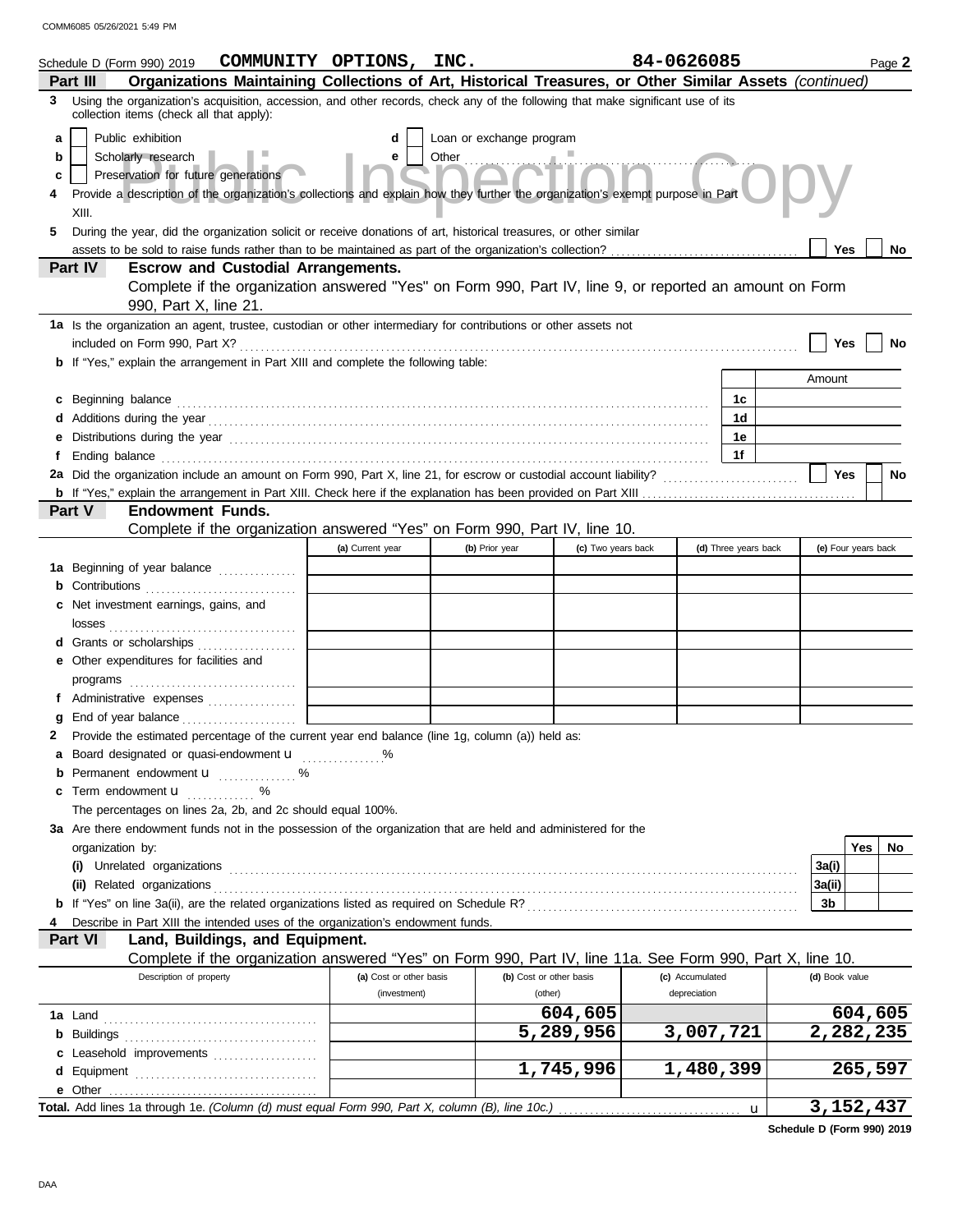|   | Schedule D (Form 990) 2019                                                                                                                                                                                                          | COMMUNITY OPTIONS, INC. |                          |                         | 84-0626085      |                      |                | Page 2              |
|---|-------------------------------------------------------------------------------------------------------------------------------------------------------------------------------------------------------------------------------------|-------------------------|--------------------------|-------------------------|-----------------|----------------------|----------------|---------------------|
|   | Organizations Maintaining Collections of Art, Historical Treasures, or Other Similar Assets (continued)<br>Part III                                                                                                                 |                         |                          |                         |                 |                      |                |                     |
|   | 3 Using the organization's acquisition, accession, and other records, check any of the following that make significant use of its<br>collection items (check all that apply):                                                       |                         |                          |                         |                 |                      |                |                     |
| a | Public exhibition                                                                                                                                                                                                                   | d                       | Loan or exchange program |                         |                 |                      |                |                     |
| b | Scholarly research                                                                                                                                                                                                                  | е                       | Other                    |                         |                 |                      |                |                     |
| c | Preservation for future generations                                                                                                                                                                                                 |                         |                          |                         |                 |                      |                |                     |
|   | Provide a description of the organization's collections and explain how they further the organization's exempt purpose in Part                                                                                                      |                         |                          |                         |                 |                      |                |                     |
|   | XIII.                                                                                                                                                                                                                               |                         |                          |                         |                 |                      |                |                     |
| 5 | During the year, did the organization solicit or receive donations of art, historical treasures, or other similar                                                                                                                   |                         |                          |                         |                 |                      |                |                     |
|   | Yes<br>No<br><b>Escrow and Custodial Arrangements.</b>                                                                                                                                                                              |                         |                          |                         |                 |                      |                |                     |
|   | Part IV<br>Complete if the organization answered "Yes" on Form 990, Part IV, line 9, or reported an amount on Form                                                                                                                  |                         |                          |                         |                 |                      |                |                     |
|   | 990, Part X, line 21.                                                                                                                                                                                                               |                         |                          |                         |                 |                      |                |                     |
|   | 1a Is the organization an agent, trustee, custodian or other intermediary for contributions or other assets not<br>included on Form 990, Part X?                                                                                    |                         |                          |                         |                 |                      | Yes            | No                  |
|   | <b>b</b> If "Yes," explain the arrangement in Part XIII and complete the following table:                                                                                                                                           |                         |                          |                         |                 |                      |                |                     |
|   |                                                                                                                                                                                                                                     |                         |                          |                         |                 |                      | Amount         |                     |
| c | Beginning balance <b>construction and the construction of the construction</b> of the construction of the construction of the construction of the construction of the construction of the construction of the construction of the c |                         |                          |                         |                 | 1c                   |                |                     |
|   |                                                                                                                                                                                                                                     |                         |                          |                         |                 | 1d                   |                |                     |
|   |                                                                                                                                                                                                                                     |                         |                          |                         |                 | 1e                   |                |                     |
|   |                                                                                                                                                                                                                                     |                         |                          |                         |                 | 1f                   |                |                     |
|   |                                                                                                                                                                                                                                     |                         |                          |                         |                 |                      | Yes            | <b>No</b>           |
|   |                                                                                                                                                                                                                                     |                         |                          |                         |                 |                      |                |                     |
|   | Part V<br><b>Endowment Funds.</b>                                                                                                                                                                                                   |                         |                          |                         |                 |                      |                |                     |
|   | Complete if the organization answered "Yes" on Form 990, Part IV, line 10.                                                                                                                                                          |                         |                          |                         |                 |                      |                |                     |
|   |                                                                                                                                                                                                                                     | (a) Current year        | (b) Prior year           | (c) Two years back      |                 | (d) Three years back |                | (e) Four years back |
|   | 1a Beginning of year balance                                                                                                                                                                                                        |                         |                          |                         |                 |                      |                |                     |
|   | <b>b</b> Contributions <b>contributions</b>                                                                                                                                                                                         |                         |                          |                         |                 |                      |                |                     |
|   | c Net investment earnings, gains, and                                                                                                                                                                                               |                         |                          |                         |                 |                      |                |                     |
|   |                                                                                                                                                                                                                                     |                         |                          |                         |                 |                      |                |                     |
|   | d Grants or scholarships                                                                                                                                                                                                            |                         |                          |                         |                 |                      |                |                     |
|   | <b>e</b> Other expenditures for facilities and                                                                                                                                                                                      |                         |                          |                         |                 |                      |                |                     |
|   |                                                                                                                                                                                                                                     |                         |                          |                         |                 |                      |                |                     |
|   | f Administrative expenses                                                                                                                                                                                                           |                         |                          |                         |                 |                      |                |                     |
|   |                                                                                                                                                                                                                                     |                         |                          |                         |                 |                      |                |                     |
| 2 | Provide the estimated percentage of the current year end balance (line 1g, column (a)) held as:                                                                                                                                     |                         |                          |                         |                 |                      |                |                     |
|   | a Board designated or quasi-endowment <b>u</b> %<br>Permanent endowment <b>u</b> %                                                                                                                                                  |                         |                          |                         |                 |                      |                |                     |
| С | Term endowment <b>u</b>                                                                                                                                                                                                             |                         |                          |                         |                 |                      |                |                     |
|   | . %<br>The percentages on lines 2a, 2b, and 2c should equal 100%.                                                                                                                                                                   |                         |                          |                         |                 |                      |                |                     |
|   | 3a Are there endowment funds not in the possession of the organization that are held and administered for the                                                                                                                       |                         |                          |                         |                 |                      |                |                     |
|   | organization by:                                                                                                                                                                                                                    |                         |                          |                         |                 |                      |                | Yes<br>No           |
|   | (i) Unrelated organizations                                                                                                                                                                                                         |                         |                          |                         |                 |                      | 3a(i)          |                     |
|   | (ii) Related organizations                                                                                                                                                                                                          |                         |                          |                         |                 |                      | 3a(ii)         |                     |
|   |                                                                                                                                                                                                                                     |                         |                          |                         |                 |                      | 3b             |                     |
|   | Describe in Part XIII the intended uses of the organization's endowment funds.                                                                                                                                                      |                         |                          |                         |                 |                      |                |                     |
|   | Part VI<br>Land, Buildings, and Equipment.                                                                                                                                                                                          |                         |                          |                         |                 |                      |                |                     |
|   | Complete if the organization answered "Yes" on Form 990, Part IV, line 11a. See Form 990, Part X, line 10.                                                                                                                          |                         |                          |                         |                 |                      |                |                     |
|   | Description of property                                                                                                                                                                                                             | (a) Cost or other basis |                          | (b) Cost or other basis | (c) Accumulated |                      | (d) Book value |                     |
|   |                                                                                                                                                                                                                                     | (investment)            |                          | (other)                 | depreciation    |                      |                |                     |
|   |                                                                                                                                                                                                                                     |                         |                          | 604,605                 |                 |                      |                | 604,605             |
|   |                                                                                                                                                                                                                                     |                         |                          | 5,289,956               | 3,007,721       |                      |                | 2,282,235           |
|   | c Leasehold improvements                                                                                                                                                                                                            |                         |                          |                         |                 |                      |                |                     |
|   |                                                                                                                                                                                                                                     |                         |                          | 1,745,996               | 1,480,399       |                      |                | 265,597             |
|   | e Other                                                                                                                                                                                                                             |                         |                          |                         |                 |                      |                |                     |
|   | Total. Add lines 1a through 1e. (Column (d) must equal Form 990, Part X, column (B), line 10c.)                                                                                                                                     |                         |                          |                         |                 | u                    |                | 3, 152, 437         |

**Schedule D (Form 990) 2019**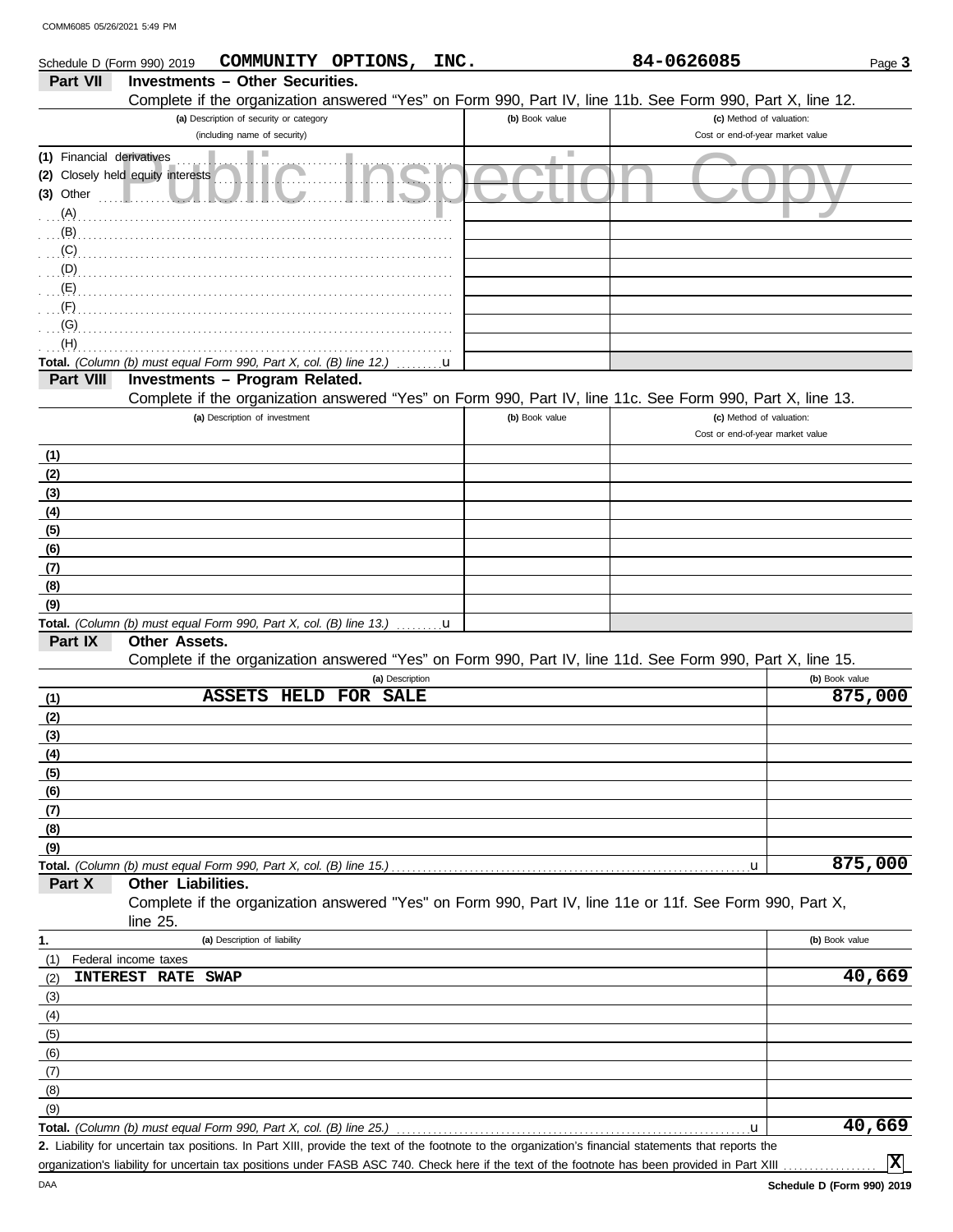|                                               | Schedule D (Form 990) 2019                                         | COMMUNITY OPTIONS, INC.                 |                      |              |                | 84-0626085                                                                                                 | Page 3         |
|-----------------------------------------------|--------------------------------------------------------------------|-----------------------------------------|----------------------|--------------|----------------|------------------------------------------------------------------------------------------------------------|----------------|
| Part VII                                      |                                                                    | <b>Investments - Other Securities.</b>  |                      |              |                |                                                                                                            |                |
|                                               |                                                                    |                                         |                      |              |                | Complete if the organization answered "Yes" on Form 990, Part IV, line 11b. See Form 990, Part X, line 12. |                |
|                                               |                                                                    | (a) Description of security or category |                      |              | (b) Book value | (c) Method of valuation:                                                                                   |                |
|                                               |                                                                    | (including name of security)            |                      |              |                | Cost or end-of-year market value                                                                           |                |
| (1) Financial derivatives<br>(3) Other<br>(A) | (2) Closely held equity interests                                  |                                         |                      |              |                |                                                                                                            |                |
| (B)                                           |                                                                    |                                         |                      |              |                |                                                                                                            |                |
| (C)                                           |                                                                    |                                         |                      |              |                |                                                                                                            |                |
| (D)<br>(E)                                    |                                                                    |                                         |                      |              |                |                                                                                                            |                |
| (F)                                           |                                                                    |                                         |                      |              |                |                                                                                                            |                |
| (G)                                           |                                                                    |                                         |                      |              |                |                                                                                                            |                |
| (H)                                           |                                                                    |                                         |                      |              |                |                                                                                                            |                |
|                                               | Total. (Column (b) must equal Form 990, Part X, col. (B) line 12.) |                                         |                      | u            |                |                                                                                                            |                |
| <b>Part VIII</b>                              |                                                                    | Investments - Program Related.          |                      |              |                |                                                                                                            |                |
|                                               |                                                                    |                                         |                      |              |                | Complete if the organization answered "Yes" on Form 990, Part IV, line 11c. See Form 990, Part X, line 13. |                |
|                                               |                                                                    | (a) Description of investment           |                      |              | (b) Book value | (c) Method of valuation:<br>Cost or end-of-year market value                                               |                |
| (1)                                           |                                                                    |                                         |                      |              |                |                                                                                                            |                |
| (2)                                           |                                                                    |                                         |                      |              |                |                                                                                                            |                |
| (3)                                           |                                                                    |                                         |                      |              |                |                                                                                                            |                |
| (4)                                           |                                                                    |                                         |                      |              |                |                                                                                                            |                |
| (5)                                           |                                                                    |                                         |                      |              |                |                                                                                                            |                |
| (6)                                           |                                                                    |                                         |                      |              |                |                                                                                                            |                |
| (7)                                           |                                                                    |                                         |                      |              |                |                                                                                                            |                |
| (8)<br>(9)                                    |                                                                    |                                         |                      |              |                |                                                                                                            |                |
|                                               | Total. (Column (b) must equal Form 990, Part X, col. (B) line 13.) |                                         |                      | $\mathbf{u}$ |                |                                                                                                            |                |
| Part IX                                       | Other Assets.                                                      |                                         |                      |              |                |                                                                                                            |                |
|                                               |                                                                    |                                         |                      |              |                | Complete if the organization answered "Yes" on Form 990, Part IV, line 11d. See Form 990, Part X, line 15. |                |
|                                               |                                                                    |                                         | (a) Description      |              |                |                                                                                                            | (b) Book value |
| (1)                                           |                                                                    | <b>ASSETS</b>                           | <b>HELD FOR SALE</b> |              |                |                                                                                                            | 875,000        |
| (2)                                           |                                                                    |                                         |                      |              |                |                                                                                                            |                |
| (3)                                           |                                                                    |                                         |                      |              |                |                                                                                                            |                |
| (4)                                           |                                                                    |                                         |                      |              |                |                                                                                                            |                |
| (5)                                           |                                                                    |                                         |                      |              |                |                                                                                                            |                |
| (6)                                           |                                                                    |                                         |                      |              |                |                                                                                                            |                |
| (7)<br>(8)                                    |                                                                    |                                         |                      |              |                |                                                                                                            |                |
| (9)                                           |                                                                    |                                         |                      |              |                |                                                                                                            |                |
|                                               | Total. (Column (b) must equal Form 990, Part X, col. (B) line 15.) |                                         |                      |              |                | $\mathbf{u}$                                                                                               | 875,000        |
| Part X                                        | Other Liabilities.                                                 |                                         |                      |              |                |                                                                                                            |                |
|                                               | line 25.                                                           |                                         |                      |              |                | Complete if the organization answered "Yes" on Form 990, Part IV, line 11e or 11f. See Form 990, Part X,   |                |
| 1.                                            |                                                                    | (a) Description of liability            |                      |              |                |                                                                                                            | (b) Book value |
| (1)                                           | Federal income taxes                                               |                                         |                      |              |                |                                                                                                            |                |
| (2)                                           | <b>INTEREST RATE</b>                                               | <b>SWAP</b>                             |                      |              |                |                                                                                                            | 40,669         |
| (3)                                           |                                                                    |                                         |                      |              |                |                                                                                                            |                |
| (4)                                           |                                                                    |                                         |                      |              |                |                                                                                                            |                |
| (5)                                           |                                                                    |                                         |                      |              |                |                                                                                                            |                |
| (6)                                           |                                                                    |                                         |                      |              |                |                                                                                                            |                |
| (7)                                           |                                                                    |                                         |                      |              |                |                                                                                                            |                |
| (8)<br>(9)                                    |                                                                    |                                         |                      |              |                |                                                                                                            |                |
|                                               | Total. (Column (b) must equal Form 990, Part X, col. (B) line 25.) |                                         |                      |              |                | u                                                                                                          | 40,669         |

Liability for uncertain tax positions. In Part XIII, provide the text of the footnote to the organization's financial statements that reports the **2.** organization's liability for uncertain tax positions under FASB ASC 740. Check here if the text of the footnote has been provided in Part XIII

**X**

DAA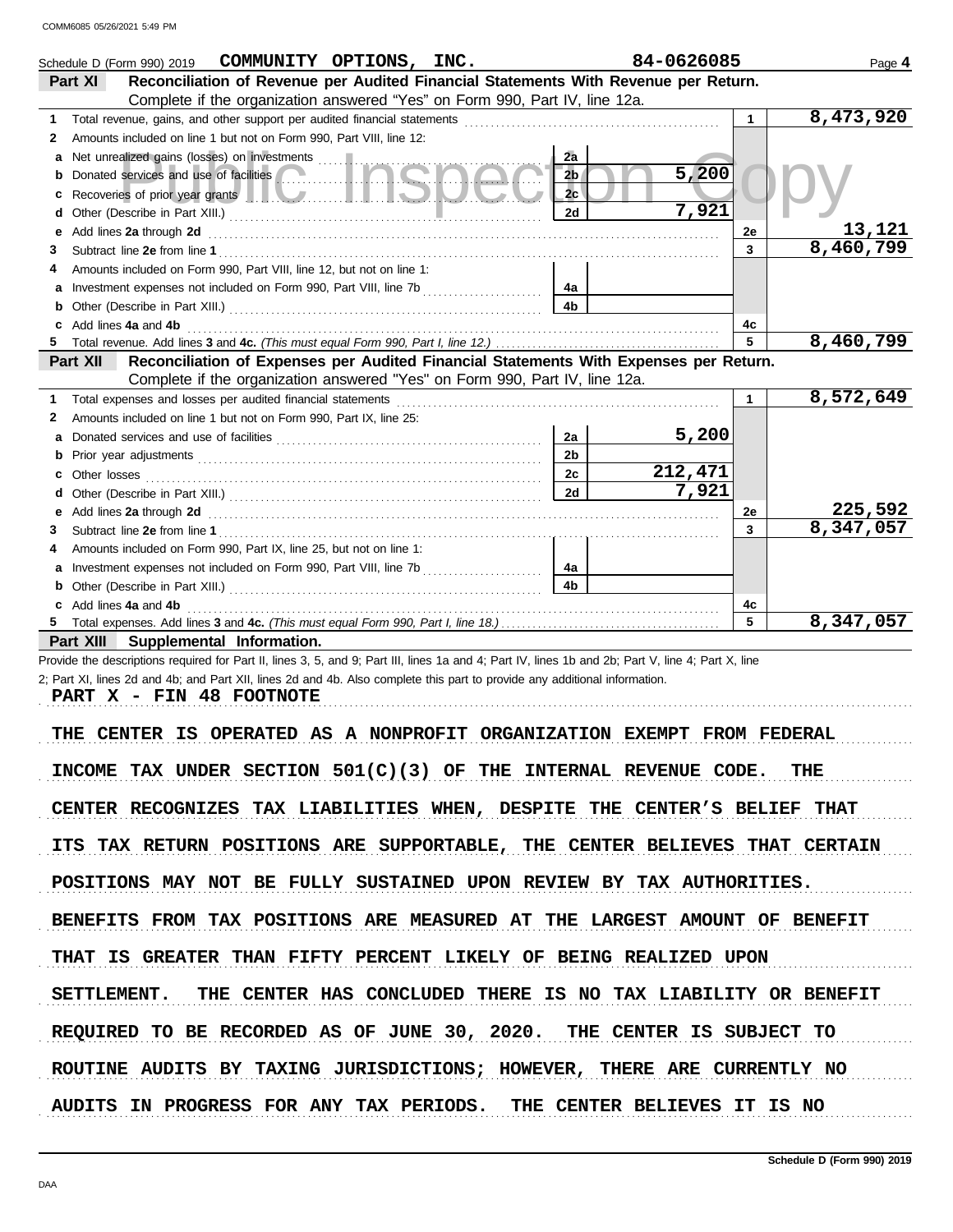|        | Schedule D (Form 990) 2019                                                                                                                                                                                                         | COMMUNITY OPTIONS, INC. |                | 84-0626085 |             | Page 4    |
|--------|------------------------------------------------------------------------------------------------------------------------------------------------------------------------------------------------------------------------------------|-------------------------|----------------|------------|-------------|-----------|
|        | Reconciliation of Revenue per Audited Financial Statements With Revenue per Return.<br>Part XI                                                                                                                                     |                         |                |            |             |           |
|        | Complete if the organization answered "Yes" on Form 990, Part IV, line 12a.                                                                                                                                                        |                         |                |            |             |           |
| 1      | Total revenue, gains, and other support per audited financial statements [11] [11] Total revenue, gains, and other support per audited financial statements                                                                        |                         |                |            | $\mathbf 1$ | 8,473,920 |
| 2      | Amounts included on line 1 but not on Form 990, Part VIII, line 12:                                                                                                                                                                |                         |                |            |             |           |
| a      |                                                                                                                                                                                                                                    |                         | 2a             |            |             |           |
| b      | Donated services and use of facilities                                                                                                                                                                                             |                         | 2b             | 5,200      |             |           |
| c      | Recoveries of prior year grants <b>The Community of the Community of the Community of the Community of the Community</b>                                                                                                           |                         | 2c             |            |             |           |
| d      |                                                                                                                                                                                                                                    |                         | 2d             | 7,921      |             |           |
| е      | Add lines 2a through 2d                                                                                                                                                                                                            |                         |                |            | 2e          | 13,121    |
| З      |                                                                                                                                                                                                                                    |                         |                |            | 3           | 8,460,799 |
| 4      | Amounts included on Form 990, Part VIII, line 12, but not on line 1:                                                                                                                                                               |                         |                |            |             |           |
| a      |                                                                                                                                                                                                                                    |                         | 4a             |            |             |           |
| b      |                                                                                                                                                                                                                                    |                         | 4b             |            |             |           |
| c      | Add lines 4a and 4b                                                                                                                                                                                                                |                         |                |            | 4c          |           |
| 5.     |                                                                                                                                                                                                                                    |                         |                |            | 5           | 8,460,799 |
|        | Reconciliation of Expenses per Audited Financial Statements With Expenses per Return.<br>Part XII                                                                                                                                  |                         |                |            |             |           |
|        | Complete if the organization answered "Yes" on Form 990, Part IV, line 12a.                                                                                                                                                        |                         |                |            |             |           |
| 1      | Total expenses and losses per audited financial statements                                                                                                                                                                         |                         |                |            | 1.          | 8,572,649 |
| 2      | Amounts included on line 1 but not on Form 990, Part IX, line 25:                                                                                                                                                                  |                         |                |            |             |           |
| a      |                                                                                                                                                                                                                                    |                         | 2a             | 5,200      |             |           |
| b      |                                                                                                                                                                                                                                    |                         | 2 <sub>b</sub> |            |             |           |
| c      |                                                                                                                                                                                                                                    |                         | 2c             | 212,471    |             |           |
| d      |                                                                                                                                                                                                                                    |                         | 2d             | 7,921      |             | 225,592   |
| е      | Add lines 2a through 2d <b>Martin Community Community</b> and the set of the set of the set of the set of the set of the set of the set of the set of the set of the set of the set of the set of the set of the set of the set of |                         |                |            | 2e<br>3     | 8,347,057 |
| 3<br>4 | Amounts included on Form 990, Part IX, line 25, but not on line 1:                                                                                                                                                                 |                         |                |            |             |           |
| a      |                                                                                                                                                                                                                                    |                         | 4a             |            |             |           |
| b      |                                                                                                                                                                                                                                    |                         | 4b             |            |             |           |
| c      | Add lines 4a and 4b                                                                                                                                                                                                                |                         |                |            | 4c          |           |
|        |                                                                                                                                                                                                                                    |                         |                |            | 5           | 8,347,057 |
|        | Part XIII<br>Supplemental Information.                                                                                                                                                                                             |                         |                |            |             |           |
|        | Provide the descriptions required for Part II, lines 3, 5, and 9; Part III, lines 1a and 4; Part IV, lines 1b and 2b; Part V, line 4; Part X, line                                                                                 |                         |                |            |             |           |
|        | 2; Part XI, lines 2d and 4b; and Part XII, lines 2d and 4b. Also complete this part to provide any additional information.                                                                                                         |                         |                |            |             |           |
|        | PART X - FIN 48 FOOTNOTE                                                                                                                                                                                                           |                         |                |            |             |           |
|        |                                                                                                                                                                                                                                    |                         |                |            |             |           |
|        | E CENTER IS OPERATED AS A NONPROFIT ORGANIZATION EXEMPT FROM FEDERAL<br>THE.                                                                                                                                                       |                         |                |            |             |           |
|        |                                                                                                                                                                                                                                    |                         |                |            |             |           |
|        | INCOME TAX UNDER SECTION $501(C)(3)$ OF THE INTERNAL REVENUE CODE. THE                                                                                                                                                             |                         |                |            |             |           |
|        |                                                                                                                                                                                                                                    |                         |                |            |             |           |
|        | CENTER RECOGNIZES TAX LIABILITIES WHEN, DESPITE THE CENTER'S BELIEF THAT                                                                                                                                                           |                         |                |            |             |           |
|        |                                                                                                                                                                                                                                    |                         |                |            |             |           |
|        | ITS TAX RETURN POSITIONS ARE SUPPORTABLE, THE CENTER BELIEVES THAT CERTAIN                                                                                                                                                         |                         |                |            |             |           |
|        |                                                                                                                                                                                                                                    |                         |                |            |             |           |
|        | POSITIONS MAY NOT BE FULLY SUSTAINED UPON REVIEW BY TAX AUTHORITIES.                                                                                                                                                               |                         |                |            |             |           |
|        |                                                                                                                                                                                                                                    |                         |                |            |             |           |
|        | BENEFITS FROM TAX POSITIONS ARE MEASURED AT THE LARGEST AMOUNT OF BENEFIT                                                                                                                                                          |                         |                |            |             |           |
|        |                                                                                                                                                                                                                                    |                         |                |            |             |           |
|        | THAT IS GREATER THAN FIFTY PERCENT LIKELY OF BEING REALIZED UPON                                                                                                                                                                   |                         |                |            |             |           |
|        |                                                                                                                                                                                                                                    |                         |                |            |             |           |
|        | SETTLEMENT. THE CENTER HAS CONCLUDED THERE IS NO TAX LIABILITY OR BENEFIT                                                                                                                                                          |                         |                |            |             |           |
|        |                                                                                                                                                                                                                                    |                         |                |            |             |           |
|        | REQUIRED TO BE RECORDED AS OF JUNE 30, 2020. THE CENTER IS SUBJECT TO                                                                                                                                                              |                         |                |            |             |           |
|        | ROUTINE AUDITS BY TAXING JURISDICTIONS; HOWEVER, THERE ARE CURRENTLY NO                                                                                                                                                            |                         |                |            |             |           |
|        |                                                                                                                                                                                                                                    |                         |                |            |             |           |
|        | AUDITS IN PROGRESS FOR ANY TAX PERIODS. THE CENTER BELIEVES IT IS NO                                                                                                                                                               |                         |                |            |             |           |
|        |                                                                                                                                                                                                                                    |                         |                |            |             |           |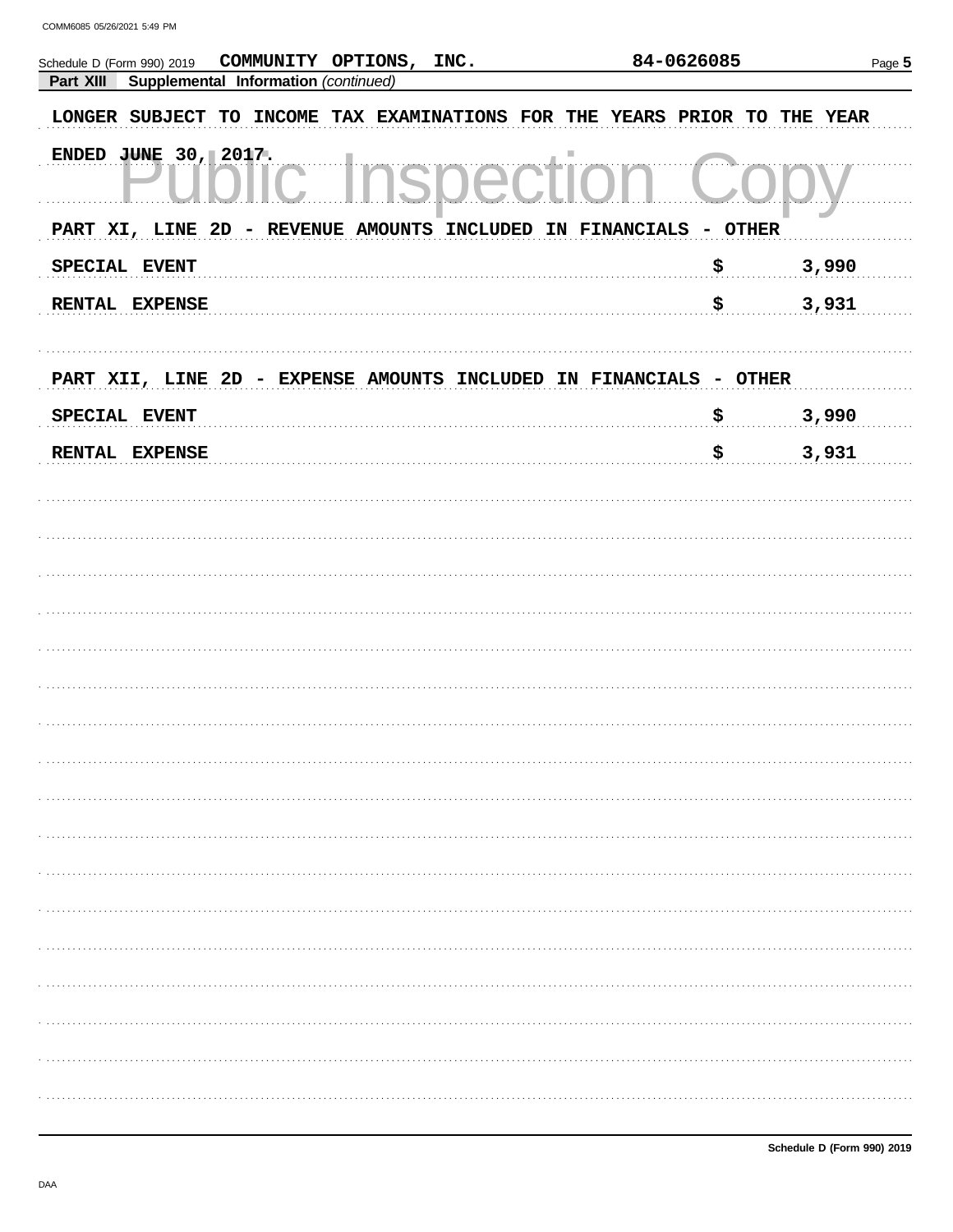| COMMUNITY OPTIONS, INC.<br>Schedule D (Form 990) 2019                     | 84-0626085   | Page 5 |
|---------------------------------------------------------------------------|--------------|--------|
| Supplemental Information (continued)<br>Part XIII                         |              |        |
| LONGER SUBJECT TO INCOME TAX EXAMINATIONS FOR THE YEARS PRIOR TO THE YEAR |              |        |
| ENDED JUNE 30, 2017.<br>ш                                                 |              |        |
| PART XI, LINE 2D - REVENUE AMOUNTS INCLUDED IN FINANCIALS - OTHER         |              |        |
| SPECIAL EVENT                                                             | \$           | 3,990  |
| RENTAL EXPENSE                                                            | $\mathbf{s}$ | 3,931  |
| PART XII, LINE 2D - EXPENSE AMOUNTS INCLUDED IN FINANCIALS - OTHER        |              |        |
| SPECIAL EVENT                                                             | \$           | 3,990  |
| RENTAL EXPENSE                                                            | \$           | 3,931  |
|                                                                           |              |        |
|                                                                           |              |        |
|                                                                           |              |        |
|                                                                           |              |        |
|                                                                           |              |        |
|                                                                           |              |        |
|                                                                           |              |        |
|                                                                           |              |        |
|                                                                           |              |        |
|                                                                           |              |        |
|                                                                           |              |        |
|                                                                           |              |        |
|                                                                           |              |        |
|                                                                           |              |        |
|                                                                           |              |        |
|                                                                           |              |        |
|                                                                           |              |        |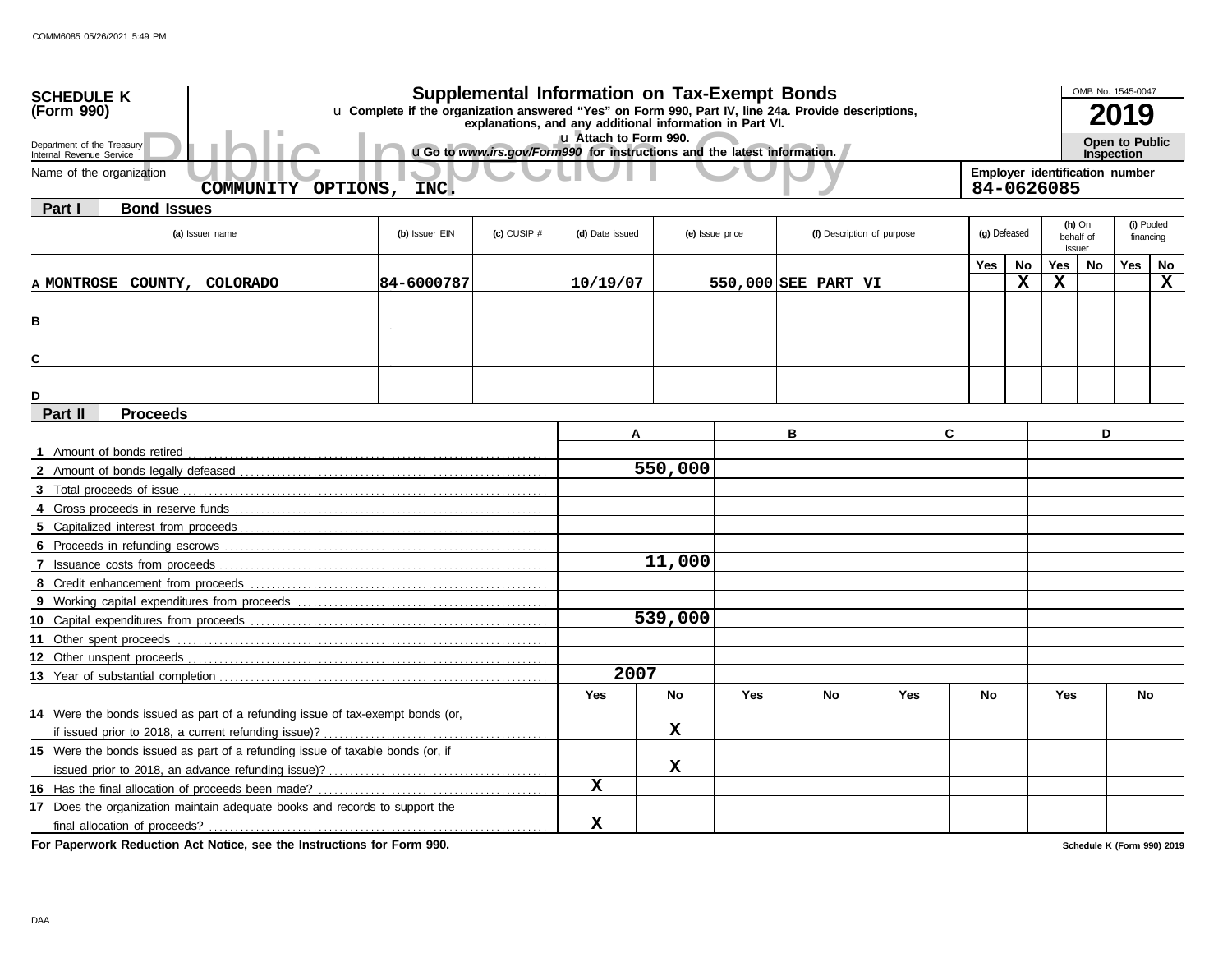| Supplemental Information on Tax-Exempt Bonds<br><b>SCHEDULE K</b><br>(Form 990)<br>u Complete if the organization answered "Yes" on Form 990, Part IV, line 24a. Provide descriptions,<br>explanations, and any additional information in Part VI. |                |               |                                                                                                   |                 |     |                            |            |              | OMB No. 1545-0047<br>2019                    |                                 |                   |                |                         |
|----------------------------------------------------------------------------------------------------------------------------------------------------------------------------------------------------------------------------------------------------|----------------|---------------|---------------------------------------------------------------------------------------------------|-----------------|-----|----------------------------|------------|--------------|----------------------------------------------|---------------------------------|-------------------|----------------|-------------------------|
| Department of the Treasury<br>Internal Revenue Service                                                                                                                                                                                             |                |               | Lu Attach to Form 990.<br>uGo to www.irs.gov/Form990 for instructions and the latest information. |                 |     |                            |            |              |                                              |                                 | <b>Inspection</b> | Open to Public |                         |
| Name of the organization<br>COMMUNITY OPTIONS,                                                                                                                                                                                                     | INC.           |               |                                                                                                   |                 |     |                            |            |              | Employer identification number<br>84-0626085 |                                 |                   |                |                         |
| Part I<br><b>Bond Issues</b>                                                                                                                                                                                                                       |                |               |                                                                                                   |                 |     |                            |            |              |                                              |                                 |                   |                |                         |
| (a) Issuer name                                                                                                                                                                                                                                    | (b) Issuer EIN | (c) CUSIP $#$ | (d) Date issued                                                                                   | (e) Issue price |     | (f) Description of purpose |            | (g) Defeased |                                              | $(h)$ On<br>behalf of<br>issuer |                   |                | (i) Pooled<br>financing |
|                                                                                                                                                                                                                                                    |                |               |                                                                                                   |                 |     |                            |            | Yes          | No                                           | Yes                             | No                | Yes            | No                      |
| A MONTROSE COUNTY, COLORADO                                                                                                                                                                                                                        | 84-6000787     |               | 10/19/07                                                                                          |                 |     | 550,000 SEE PART VI        |            |              | X                                            | X                               |                   |                | $\mathbf X$             |
| в                                                                                                                                                                                                                                                  |                |               |                                                                                                   |                 |     |                            |            |              |                                              |                                 |                   |                |                         |
| С                                                                                                                                                                                                                                                  |                |               |                                                                                                   |                 |     |                            |            |              |                                              |                                 |                   |                |                         |
| D                                                                                                                                                                                                                                                  |                |               |                                                                                                   |                 |     |                            |            |              |                                              |                                 |                   |                |                         |
| Part II<br><b>Proceeds</b>                                                                                                                                                                                                                         |                |               |                                                                                                   |                 |     |                            |            |              |                                              |                                 |                   |                |                         |
|                                                                                                                                                                                                                                                    |                |               | A                                                                                                 |                 |     | в                          | C          |              |                                              |                                 | D                 |                |                         |
| 1 Amount of bonds retired                                                                                                                                                                                                                          |                |               |                                                                                                   | 550,000         |     |                            |            |              |                                              |                                 |                   |                |                         |
|                                                                                                                                                                                                                                                    |                |               |                                                                                                   |                 |     |                            |            |              |                                              |                                 |                   |                |                         |
|                                                                                                                                                                                                                                                    |                |               |                                                                                                   |                 |     |                            |            |              |                                              |                                 |                   |                |                         |
|                                                                                                                                                                                                                                                    |                |               |                                                                                                   |                 |     |                            |            |              |                                              |                                 |                   |                |                         |
|                                                                                                                                                                                                                                                    |                |               |                                                                                                   |                 |     |                            |            |              |                                              |                                 |                   |                |                         |
| 7 Issuance costs from proceeds                                                                                                                                                                                                                     |                |               |                                                                                                   | 11,000          |     |                            |            |              |                                              |                                 |                   |                |                         |
|                                                                                                                                                                                                                                                    |                |               |                                                                                                   |                 |     |                            |            |              |                                              |                                 |                   |                |                         |
|                                                                                                                                                                                                                                                    |                |               |                                                                                                   |                 |     |                            |            |              |                                              |                                 |                   |                |                         |
|                                                                                                                                                                                                                                                    |                |               |                                                                                                   | 539,000         |     |                            |            |              |                                              |                                 |                   |                |                         |
| 11 Other spent proceeds                                                                                                                                                                                                                            |                |               |                                                                                                   |                 |     |                            |            |              |                                              |                                 |                   |                |                         |
|                                                                                                                                                                                                                                                    |                |               |                                                                                                   |                 |     |                            |            |              |                                              |                                 |                   |                |                         |
|                                                                                                                                                                                                                                                    |                |               | 2007                                                                                              |                 |     |                            |            |              |                                              |                                 |                   |                |                         |
|                                                                                                                                                                                                                                                    |                |               | <b>Yes</b>                                                                                        | <b>No</b>       | Yes | No                         | <b>Yes</b> | <b>No</b>    |                                              | Yes                             |                   | No             |                         |
| 14 Were the bonds issued as part of a refunding issue of tax-exempt bonds (or,                                                                                                                                                                     |                |               |                                                                                                   |                 |     |                            |            |              |                                              |                                 |                   |                |                         |
|                                                                                                                                                                                                                                                    |                |               |                                                                                                   | x               |     |                            |            |              |                                              |                                 |                   |                |                         |
| 15 Were the bonds issued as part of a refunding issue of taxable bonds (or, if                                                                                                                                                                     |                |               |                                                                                                   |                 |     |                            |            |              |                                              |                                 |                   |                |                         |
|                                                                                                                                                                                                                                                    |                |               | $\mathbf x$                                                                                       | х               |     |                            |            |              |                                              |                                 |                   |                |                         |
|                                                                                                                                                                                                                                                    |                |               |                                                                                                   |                 |     |                            |            |              |                                              |                                 |                   |                |                         |
| 17 Does the organization maintain adequate books and records to support the                                                                                                                                                                        |                |               | X                                                                                                 |                 |     |                            |            |              |                                              |                                 |                   |                |                         |
|                                                                                                                                                                                                                                                    |                |               |                                                                                                   |                 |     |                            |            |              |                                              |                                 |                   |                |                         |

**For Paperwork Reduction Act Notice, see the Instructions for Form 990.**

**Schedule K (Form 990) 2019**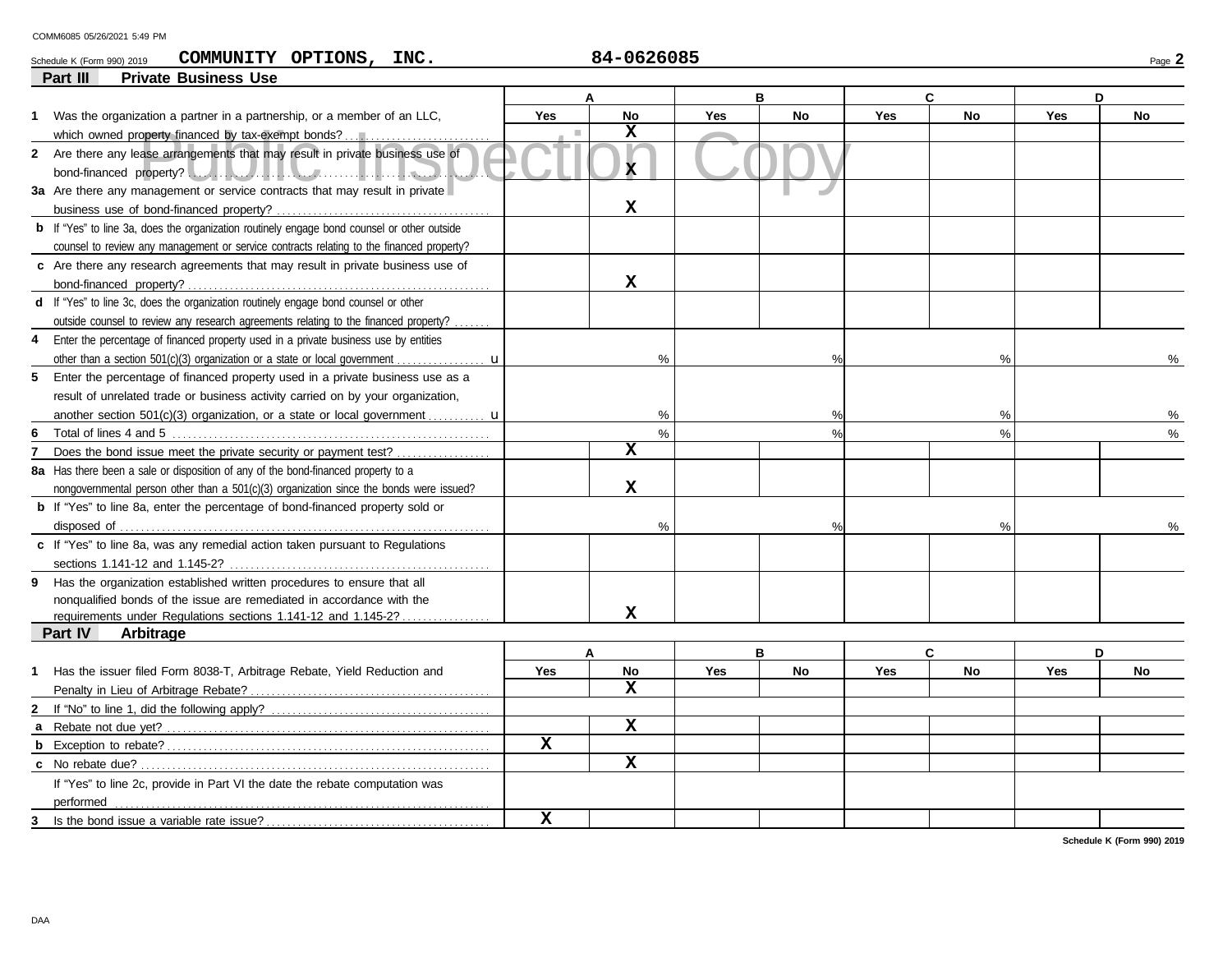#### Schedule K (Form 990) 2019 **COMMUNITY OPTIONS , INC .** 84-0626085 Page 2 **COMMUNITY OPTIONS, INC. 84-0626085**

|                | <b>Private Business Use</b><br>Part III                                                            |             |                         |            |               |            |               |            |               |
|----------------|----------------------------------------------------------------------------------------------------|-------------|-------------------------|------------|---------------|------------|---------------|------------|---------------|
|                |                                                                                                    |             | A                       |            | в             |            | C             |            | D             |
|                | 1 Was the organization a partner in a partnership, or a member of an LLC,                          | <b>Yes</b>  | <b>No</b>               | <b>Yes</b> | <b>No</b>     | <b>Yes</b> | <b>No</b>     | Yes        | <b>No</b>     |
|                | which owned property financed by tax-exempt bonds?                                                 | п           | $\mathbf x$             |            |               |            |               |            |               |
|                | 2 Are there any lease arrangements that may result in private business use of                      |             |                         |            |               |            |               |            |               |
|                |                                                                                                    |             | X.                      |            |               |            |               |            |               |
|                | 3a Are there any management or service contracts that may result in private                        |             |                         |            |               |            |               |            |               |
|                |                                                                                                    |             | X                       |            |               |            |               |            |               |
|                | <b>b</b> If "Yes" to line 3a, does the organization routinely engage bond counsel or other outside |             |                         |            |               |            |               |            |               |
|                | counsel to review any management or service contracts relating to the financed property?           |             |                         |            |               |            |               |            |               |
|                | c Are there any research agreements that may result in private business use of                     |             |                         |            |               |            |               |            |               |
|                |                                                                                                    |             | $\mathbf x$             |            |               |            |               |            |               |
|                | d If "Yes" to line 3c, does the organization routinely engage bond counsel or other                |             |                         |            |               |            |               |            |               |
|                | outside counsel to review any research agreements relating to the financed property?.              |             |                         |            |               |            |               |            |               |
|                | 4 Enter the percentage of financed property used in a private business use by entities             |             |                         |            |               |            |               |            |               |
|                |                                                                                                    |             | %                       |            |               |            | $\frac{0}{0}$ |            | ℅             |
|                | 5 Enter the percentage of financed property used in a private business use as a                    |             |                         |            |               |            |               |            |               |
|                | result of unrelated trade or business activity carried on by your organization,                    |             |                         |            |               |            |               |            |               |
|                | another section 501(c)(3) organization, or a state or local government $\mathbf{u}$                |             | %                       |            | %             |            | %             |            | ℅             |
| 6              |                                                                                                    |             | $\%$                    |            | $\frac{9}{6}$ |            | $\frac{0}{0}$ |            | $\frac{0}{0}$ |
| $\overline{7}$ | Does the bond issue meet the private security or payment test?                                     |             | $\overline{\mathbf{x}}$ |            |               |            |               |            |               |
|                | 8a Has there been a sale or disposition of any of the bond-financed property to a                  |             |                         |            |               |            |               |            |               |
|                | nongovernmental person other than a 501(c)(3) organization since the bonds were issued?            |             | $\mathbf x$             |            |               |            |               |            |               |
|                | <b>b</b> If "Yes" to line 8a, enter the percentage of bond-financed property sold or               |             |                         |            |               |            |               |            |               |
|                |                                                                                                    |             | %                       |            | $\%$          |            | %             |            |               |
|                | c If "Yes" to line 8a, was any remedial action taken pursuant to Regulations                       |             |                         |            |               |            |               |            |               |
|                |                                                                                                    |             |                         |            |               |            |               |            |               |
|                | 9 Has the organization established written procedures to ensure that all                           |             |                         |            |               |            |               |            |               |
|                | nonqualified bonds of the issue are remediated in accordance with the                              |             |                         |            |               |            |               |            |               |
|                | requirements under Regulations sections 1.141-12 and 1.145-2?                                      |             | x                       |            |               |            |               |            |               |
|                | <b>Part IV</b><br>Arbitrage                                                                        |             |                         |            |               |            |               |            |               |
|                |                                                                                                    |             | A                       |            | B             |            | C             |            | D             |
| 1              | Has the issuer filed Form 8038-T, Arbitrage Rebate, Yield Reduction and                            | Yes         | <b>No</b>               | <b>Yes</b> | <b>No</b>     | <b>Yes</b> | <b>No</b>     | <b>Yes</b> | <b>No</b>     |
|                |                                                                                                    |             | X                       |            |               |            |               |            |               |
|                |                                                                                                    |             |                         |            |               |            |               |            |               |
|                |                                                                                                    |             | $\mathbf{x}$            |            |               |            |               |            |               |
|                |                                                                                                    | x           |                         |            |               |            |               |            |               |
|                |                                                                                                    |             | $\mathbf{x}$            |            |               |            |               |            |               |
|                | If "Yes" to line 2c, provide in Part VI the date the rebate computation was                        |             |                         |            |               |            |               |            |               |
|                | performed                                                                                          |             |                         |            |               |            |               |            |               |
| 3              | Is the bond issue a variable rate issue?                                                           | $\mathbf x$ |                         |            |               |            |               |            |               |

**Schedule K (Form 990) 2019**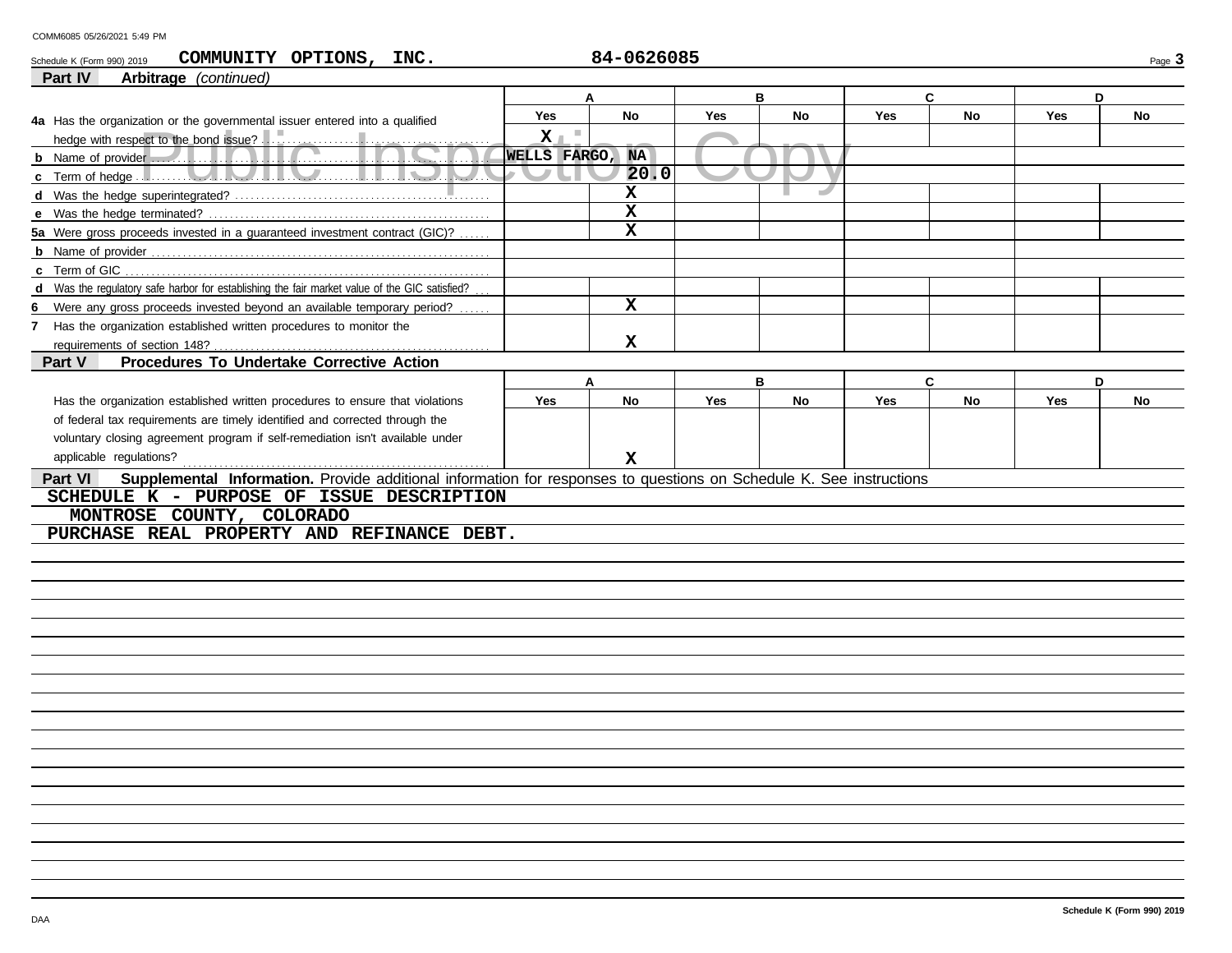### ect to the bond issue?<br>
Public Public Public Public Public Public Public Public Public Public Public Public Public Public Public Publ<br>
Public Public Public Public Public Public Public Public Public Public Public Public Pub **Part VI Part IV Arbitrage** *(continued)* Schedule K (Form 990) 2019 Page **3 COMMUNITY OPTIONS, INC. 84-0626085 Supplemental Information.** Provide additional information for responses to questions on Schedule K. See instructions applicable regulations? . . . . . . . . . . . . . . . . . . . . . . . . . . . . . . . . . . . . . . . . . . . . . . . . . . . . . . . . . . . **Part V Procedures To Undertake Corrective Action** voluntary closing agreement program if self-remediation isn't available under **Yes No Yes No Yes No Yes No A B C D** Has the organization established written procedures to ensure that violations of federal tax requirements are timely identified and corrected through the **7** Has the organization established written procedures to monitor the **d** Was the regulatory safe harbor for establishing the fair market value of the GIC satisfied? **6** Were any gross proceeds invested beyond an available temporary period? **b** Name of provider **c** Term of GIC **5a** Were gross proceeds invested in a guaranteed investment contract (GIC)? **A B C D Yes No Yes No Yes No Yes No** requirements of section 148? **4a** Has the organization or the governmental issuer entered into a qualified hedge with respect to the bond issue? **b** Name of provider **c** Term of hedge . . . . **d** Was the hedge superintegrated? . . . . . . . . . . . . . . . . . . . . . . . . . . . . . . . . . . . . . . . . . . . . . . . . . **e** Was the hedge terminated? . . . . . . . . . . . . . . . . . . . . . . . . . . . . . . . . . . . . . . . . . . . . . . . . . . . . . . **X WELLS FARGO, NA 20.0 X X X X X X SCHEDULE K - PURPOSE OF ISSUE DESCRIPTION MONTROSE COUNTY, COLORADO PURCHASE REAL PROPERTY AND REFINANCE DEBT.**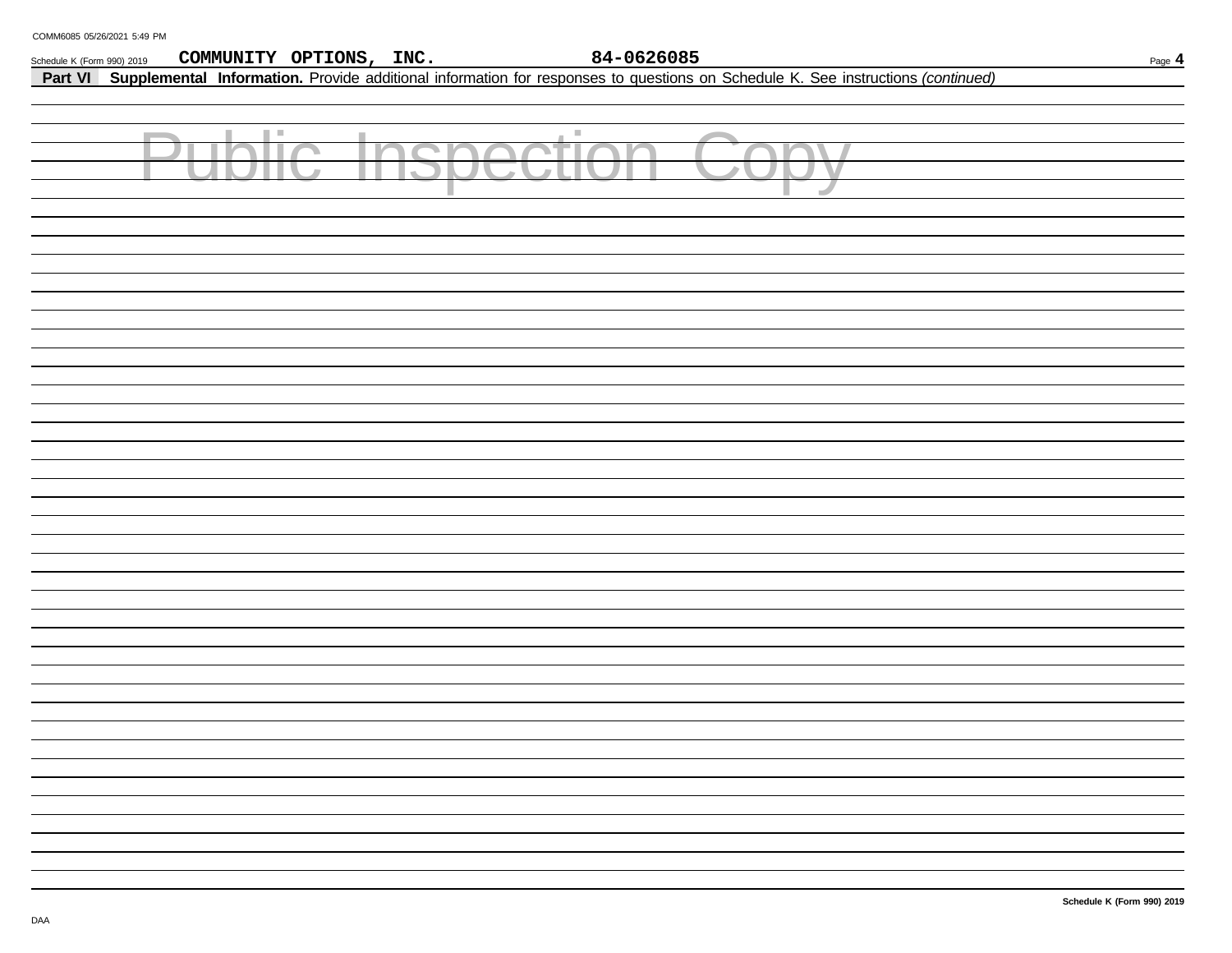| Schedule K (Form 990) 2019 | 84-0626085<br>COMMUNITY OPTIONS, INC.                                                                                                   | Page 4 |
|----------------------------|-----------------------------------------------------------------------------------------------------------------------------------------|--------|
|                            | Part VI Supplemental Information. Provide additional information for responses to questions on Schedule K. See instructions (continued) |        |
|                            |                                                                                                                                         |        |
|                            |                                                                                                                                         |        |
|                            | ш<br>$\mathbb{R}^n$<br><b>Contract</b><br><b>Contractor</b>                                                                             |        |
|                            |                                                                                                                                         |        |
|                            | ×                                                                                                                                       |        |
|                            |                                                                                                                                         |        |
|                            |                                                                                                                                         |        |
|                            |                                                                                                                                         |        |
|                            |                                                                                                                                         |        |
|                            |                                                                                                                                         |        |
|                            |                                                                                                                                         |        |
|                            |                                                                                                                                         |        |
|                            |                                                                                                                                         |        |
|                            |                                                                                                                                         |        |
|                            |                                                                                                                                         |        |
|                            |                                                                                                                                         |        |
|                            |                                                                                                                                         |        |
|                            |                                                                                                                                         |        |
|                            |                                                                                                                                         |        |
|                            |                                                                                                                                         |        |
|                            |                                                                                                                                         |        |
|                            |                                                                                                                                         |        |
|                            |                                                                                                                                         |        |
|                            |                                                                                                                                         |        |
|                            |                                                                                                                                         |        |
|                            |                                                                                                                                         |        |
|                            |                                                                                                                                         |        |
|                            |                                                                                                                                         |        |
|                            |                                                                                                                                         |        |
|                            |                                                                                                                                         |        |
|                            |                                                                                                                                         |        |
|                            |                                                                                                                                         |        |
|                            |                                                                                                                                         |        |
|                            |                                                                                                                                         |        |
|                            |                                                                                                                                         |        |
|                            |                                                                                                                                         |        |
|                            |                                                                                                                                         |        |
|                            |                                                                                                                                         |        |
|                            |                                                                                                                                         |        |
|                            |                                                                                                                                         |        |
|                            |                                                                                                                                         |        |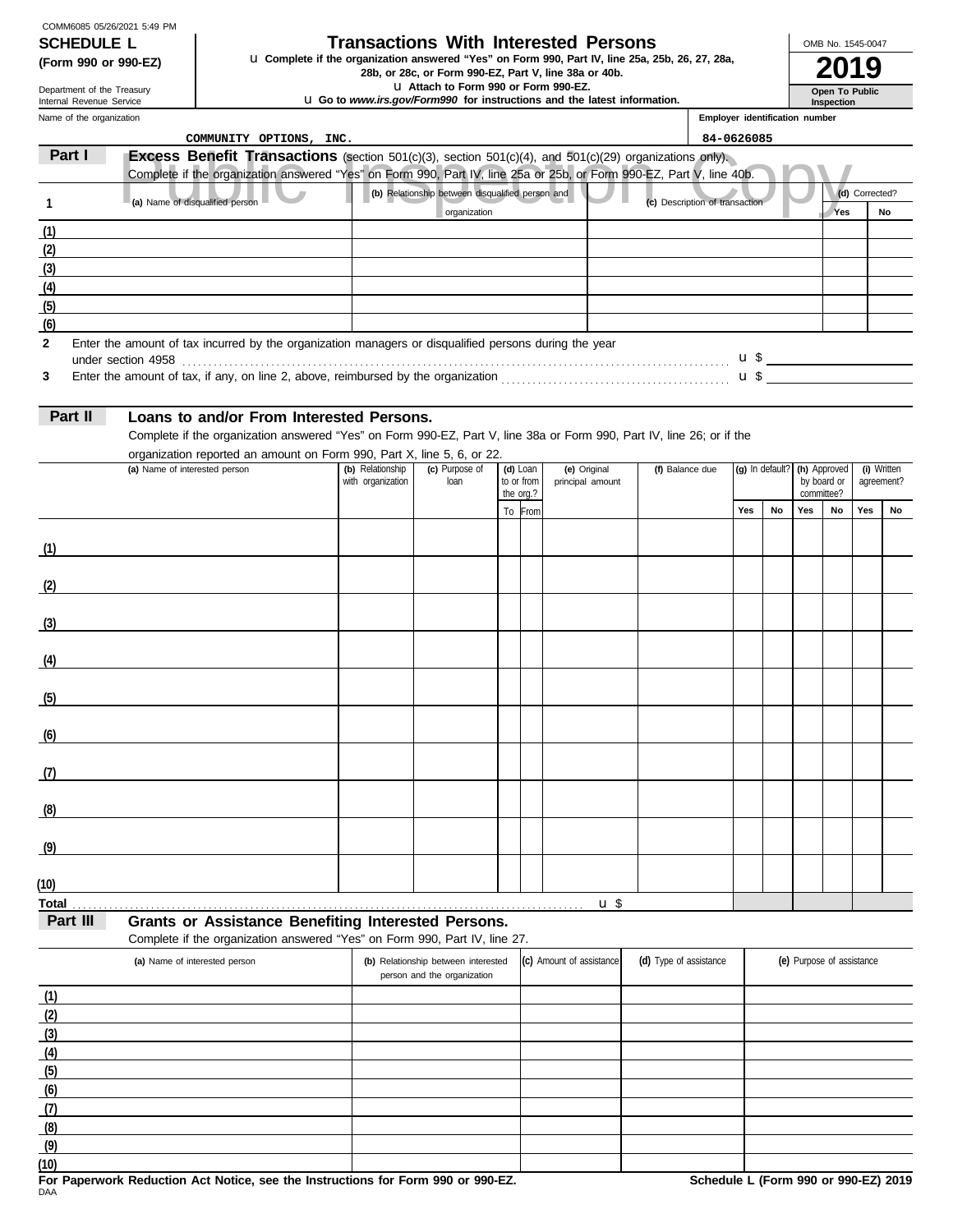| COMM6085 05/26/2021 5:49 PM |
|-----------------------------|
| <b>SCHEDULE L</b>           |
| (Form 990 or 990-EZ)        |

# **Transactions With Interested Persons**

**(Form 990 or 990-EZ) LI Complete if the organization answered "Yes" on Form 990, Part IV, line 25a, 25b, 26, 27, 28a, <b>2019** 

u **Attach to Form 990 or Form 990-EZ.**

u **Go to** *www.irs.gov/Form990* **for instructions and the latest information.**

Name of the organization Department of the Treasury Internal Revenue Service

### **Inspection Employer identification number**

**Open To Public**

OMB No. 1545-0047

|              | COMMUNITY OPTIONS, INC.                                                                                               |                   |                                                  |                         |              |                          |                                |                                                         |  |     |                           |                |             |
|--------------|-----------------------------------------------------------------------------------------------------------------------|-------------------|--------------------------------------------------|-------------------------|--------------|--------------------------|--------------------------------|---------------------------------------------------------|--|-----|---------------------------|----------------|-------------|
| Part I       | <b>Excess Benefit Transactions</b> (section $501(c)(3)$ , section $501(c)(4)$ , and $501(c)(29)$ organizations only). |                   |                                                  |                         |              |                          |                                |                                                         |  |     |                           |                |             |
|              | Complete if the organization answered "Yes" on Form 990, Part IV, line 25a or 25b, or Form 990-EZ, Part V, line 40b.  |                   |                                                  |                         |              |                          |                                |                                                         |  |     |                           |                |             |
| 1            | (a) Name of disqualified person                                                                                       |                   | (b) Relationship between disqualified person and |                         |              |                          | (c) Description of transaction |                                                         |  |     |                           | (d) Corrected? |             |
|              |                                                                                                                       |                   | organization                                     |                         |              |                          |                                | 84-0626085<br>(g) In default? (h) Approved<br>Yes<br>No |  | Yes |                           | No             |             |
| (1)          |                                                                                                                       |                   |                                                  |                         |              |                          |                                |                                                         |  |     |                           |                |             |
| (2)          |                                                                                                                       |                   |                                                  |                         |              |                          |                                |                                                         |  |     |                           |                |             |
| (3)          |                                                                                                                       |                   |                                                  |                         |              |                          |                                |                                                         |  |     |                           |                |             |
| (4)          |                                                                                                                       |                   |                                                  |                         |              |                          |                                |                                                         |  |     |                           |                |             |
| (5)          |                                                                                                                       |                   |                                                  |                         |              |                          |                                |                                                         |  |     |                           |                |             |
| (6)          |                                                                                                                       |                   |                                                  |                         |              |                          |                                |                                                         |  |     |                           |                |             |
| $\mathbf{2}$ | Enter the amount of tax incurred by the organization managers or disqualified persons during the year                 |                   |                                                  |                         |              |                          |                                |                                                         |  |     |                           |                |             |
| 3            |                                                                                                                       |                   |                                                  |                         |              |                          |                                |                                                         |  |     |                           |                |             |
|              |                                                                                                                       |                   |                                                  |                         |              |                          |                                |                                                         |  |     |                           |                |             |
| Part II      | Loans to and/or From Interested Persons.                                                                              |                   |                                                  |                         |              |                          |                                |                                                         |  |     |                           |                |             |
|              | Complete if the organization answered "Yes" on Form 990-EZ, Part V, line 38a or Form 990, Part IV, line 26; or if the |                   |                                                  |                         |              |                          |                                |                                                         |  |     |                           |                |             |
|              | organization reported an amount on Form 990, Part X, line 5, 6, or 22.                                                |                   |                                                  |                         |              |                          |                                |                                                         |  |     |                           |                |             |
|              | (a) Name of interested person                                                                                         | (b) Relationship  | (c) Purpose of                                   | $(d)$ Loan              | (e) Original |                          | (f) Balance due                |                                                         |  |     |                           |                | (i) Written |
|              |                                                                                                                       | with organization | loan                                             | to or from<br>the org.? |              | principal amount         |                                |                                                         |  |     | by board or<br>committee? |                | agreement?  |
|              |                                                                                                                       |                   |                                                  | To From                 |              |                          |                                |                                                         |  | Yes | No                        | Yes            | No          |
|              |                                                                                                                       |                   |                                                  |                         |              |                          |                                |                                                         |  |     |                           |                |             |
| (1)          | the control of the control of the control of the control of the control of                                            |                   |                                                  |                         |              |                          |                                |                                                         |  |     |                           |                |             |
|              |                                                                                                                       |                   |                                                  |                         |              |                          |                                |                                                         |  |     |                           |                |             |
| (2)          | <u> 1989 - Johann Barbara, martxa alemaniar amerikan a</u>                                                            |                   |                                                  |                         |              |                          |                                |                                                         |  |     |                           |                |             |
|              |                                                                                                                       |                   |                                                  |                         |              |                          |                                |                                                         |  |     |                           |                |             |
| (3)          | <u> 1980 - Johann Barn, amerikansk politiker (d. 1980)</u>                                                            |                   |                                                  |                         |              |                          |                                |                                                         |  |     |                           |                |             |
|              |                                                                                                                       |                   |                                                  |                         |              |                          |                                |                                                         |  |     |                           |                |             |
| (4)          |                                                                                                                       |                   |                                                  |                         |              |                          |                                |                                                         |  |     |                           |                |             |
| (5)          |                                                                                                                       |                   |                                                  |                         |              |                          |                                |                                                         |  |     |                           |                |             |
|              | <u> 1980 - Johann Barbara, martxa alemaniar a</u>                                                                     |                   |                                                  |                         |              |                          |                                |                                                         |  |     |                           |                |             |
| (6)          |                                                                                                                       |                   |                                                  |                         |              |                          |                                |                                                         |  |     |                           |                |             |
|              |                                                                                                                       |                   |                                                  |                         |              |                          |                                |                                                         |  |     |                           |                |             |
| (7)          | <u> 1989 - Johann Stoff, Amerikaansk politiker (</u>                                                                  |                   |                                                  |                         |              |                          |                                |                                                         |  |     |                           |                |             |
|              |                                                                                                                       |                   |                                                  |                         |              |                          |                                |                                                         |  |     |                           |                |             |
| (8)          |                                                                                                                       |                   |                                                  |                         |              |                          |                                |                                                         |  |     |                           |                |             |
|              |                                                                                                                       |                   |                                                  |                         |              |                          |                                |                                                         |  |     |                           |                |             |
| (9)          |                                                                                                                       |                   |                                                  |                         |              |                          |                                |                                                         |  |     |                           |                |             |
|              |                                                                                                                       |                   |                                                  |                         |              |                          |                                |                                                         |  |     |                           |                |             |
| (10)         |                                                                                                                       |                   |                                                  |                         |              |                          |                                |                                                         |  |     |                           |                |             |
| <b>Total</b> |                                                                                                                       |                   |                                                  |                         |              | $\mathbf{u} \mathbf{\$}$ |                                |                                                         |  |     |                           |                |             |
| Part III     | Grants or Assistance Benefiting Interested Persons.                                                                   |                   |                                                  |                         |              |                          |                                |                                                         |  |     |                           |                |             |
|              | Complete if the organization answered "Yes" on Form 990, Part IV, line 27.                                            |                   |                                                  |                         |              |                          |                                |                                                         |  |     |                           |                |             |

| (a) Name of interested person | (b) Relationship between interested<br>person and the organization | (c) Amount of assistance | (d) Type of assistance | (e) Purpose of assistance |
|-------------------------------|--------------------------------------------------------------------|--------------------------|------------------------|---------------------------|
| (1)                           |                                                                    |                          |                        |                           |
| (2)                           |                                                                    |                          |                        |                           |
| (3)                           |                                                                    |                          |                        |                           |
| (4)                           |                                                                    |                          |                        |                           |
| (5)                           |                                                                    |                          |                        |                           |
| (6)                           |                                                                    |                          |                        |                           |
| (7)                           |                                                                    |                          |                        |                           |
| (8)                           |                                                                    |                          |                        |                           |
| (9)                           |                                                                    |                          |                        |                           |
| (10)                          |                                                                    |                          |                        |                           |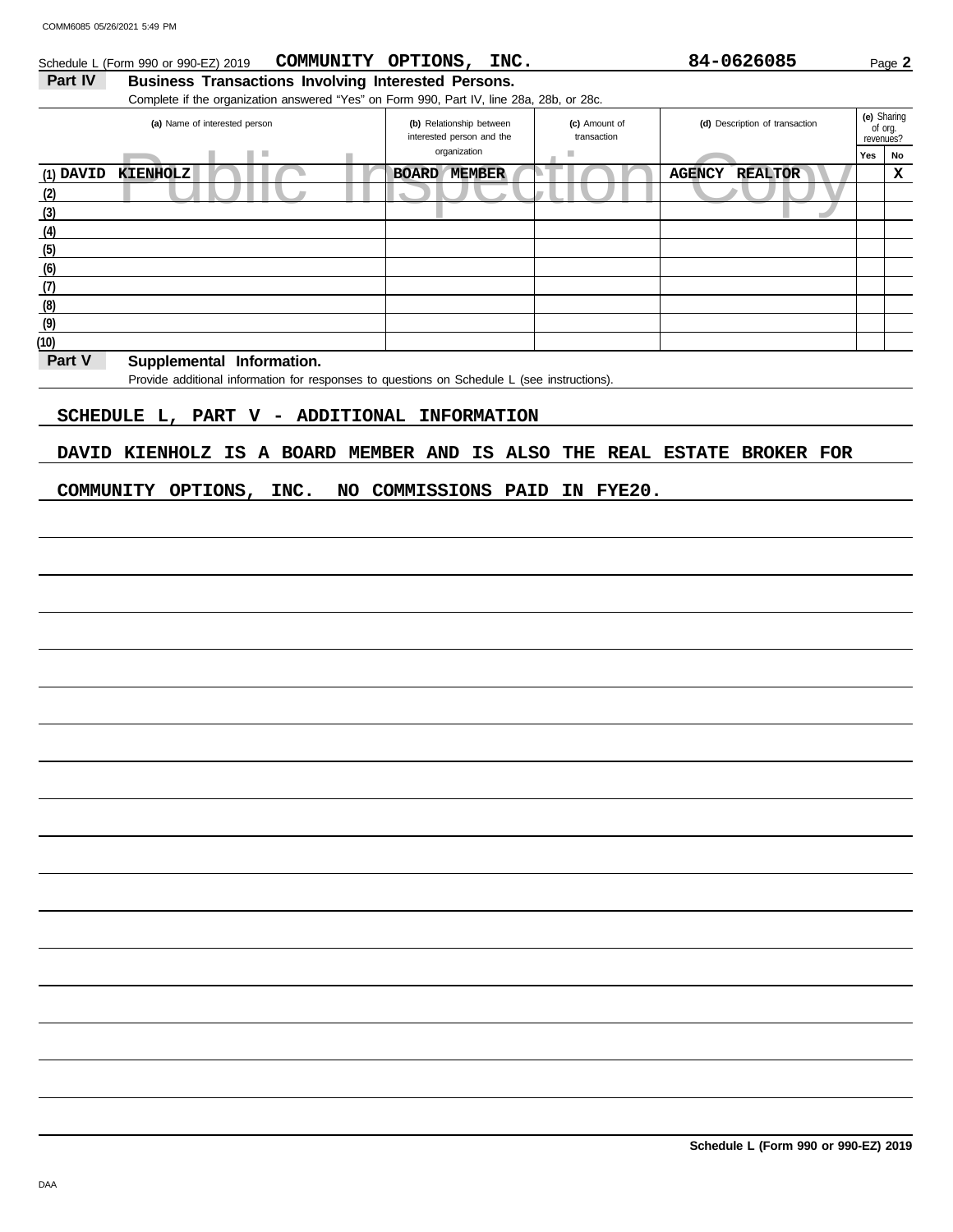#### Schedule L (Form 990 or 990-EZ) 2019 **COMMUNITY OPTIONS, INC.** 84-0626085 Page 2 **COMMUNITY OPTIONS, INC. 84-0626085**

# Part IV Business Transactions Involving Interested Persons.

Complete if the organization answered "Yes" on Form 990, Part IV, line 28a, 28b, or 28c.

| (a) Name of interested person       | (b) Relationship between<br>interested person and the | (c) Amount of<br>transaction | (d) Description of transaction  | (e) Sharing<br>of org.<br>revenues? |    |
|-------------------------------------|-------------------------------------------------------|------------------------------|---------------------------------|-------------------------------------|----|
| <b>I</b>                            | organization                                          | ш                            |                                 | Yes                                 | No |
| (1) <b>DAVID</b><br><b>KIENHOLZ</b> | <b>BOARD</b><br><b>MEMBER</b>                         |                              | <b>AGENCY</b><br><b>REALTOR</b> |                                     | х  |
| (2)                                 |                                                       |                              |                                 |                                     |    |
| (3)                                 |                                                       |                              |                                 |                                     |    |
| (4)                                 |                                                       |                              |                                 |                                     |    |
| (5)                                 |                                                       |                              |                                 |                                     |    |
| (6)                                 |                                                       |                              |                                 |                                     |    |
| (7)                                 |                                                       |                              |                                 |                                     |    |
| (8)                                 |                                                       |                              |                                 |                                     |    |
| (9)                                 |                                                       |                              |                                 |                                     |    |
| (10)                                |                                                       |                              |                                 |                                     |    |

## Part V Supplemental Information.

Provide additional information for responses to questions on Schedule L (see instructions).

# **SCHEDULE L, PART V - ADDITIONAL INFORMATION**

# **DAVID KIENHOLZ IS A BOARD MEMBER AND IS ALSO THE REAL ESTATE BROKER FOR**

## **COMMUNITY OPTIONS, INC. NO COMMISSIONS PAID IN FYE20.**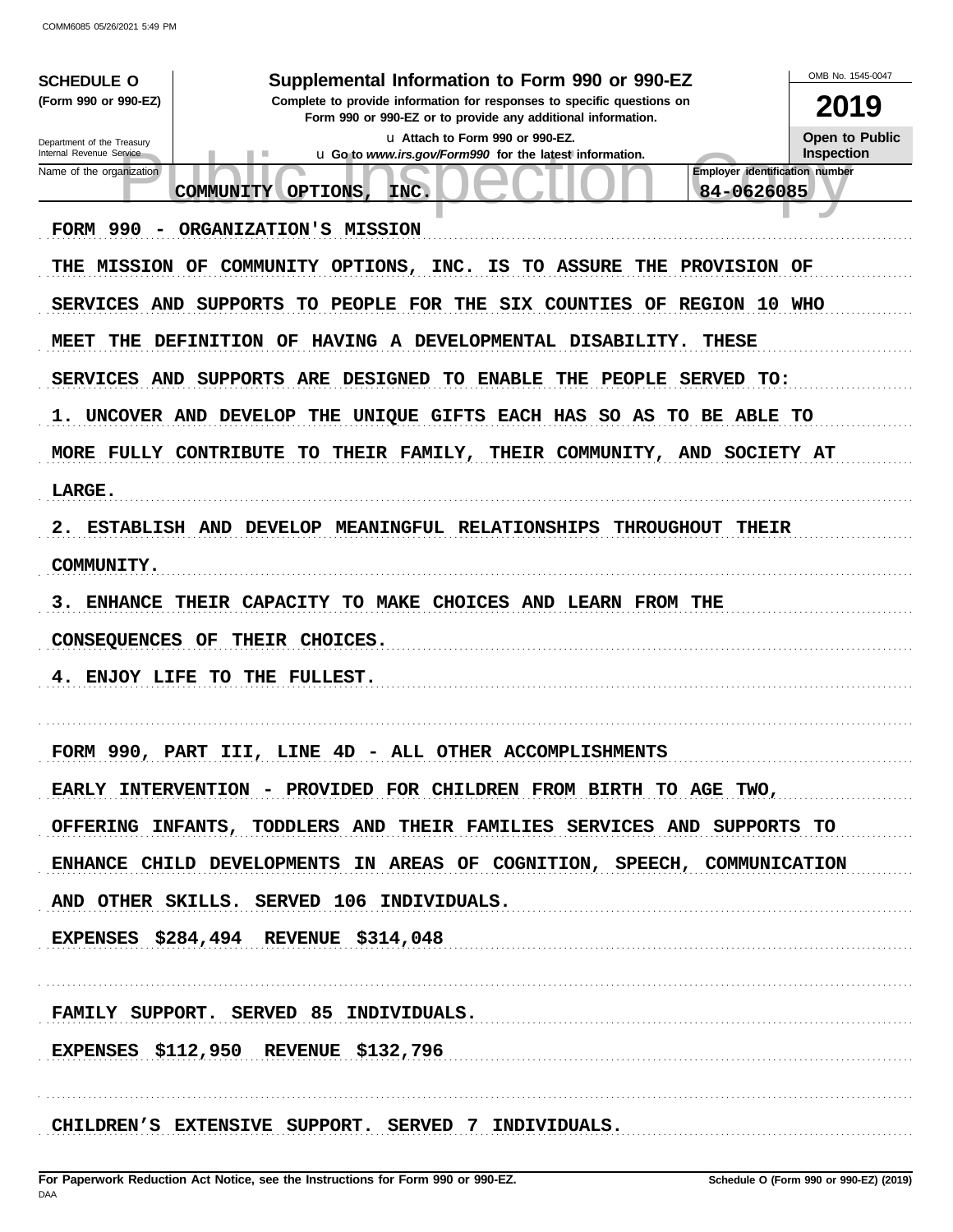| <b>SCHEDULE O</b>                                      | Supplemental Information to Form 990 or 990-EZ                                                                                         | OMB No. 1545-0047                          |
|--------------------------------------------------------|----------------------------------------------------------------------------------------------------------------------------------------|--------------------------------------------|
| (Form 990 or 990-EZ)                                   | Complete to provide information for responses to specific questions on<br>Form 990 or 990-EZ or to provide any additional information. | 2019                                       |
| Department of the Treasury<br>Internal Revenue Service | u Attach to Form 990 or 990-EZ.<br>u Go to www.irs.gov/Form990 for the latest information.                                             | <b>Open to Public</b><br><b>Inspection</b> |
| Name of the organization<br>COMMUNITY                  | 84-0626085<br>OPTIONS,<br>INC.                                                                                                         | <b>Employer identification number</b>      |
|                                                        |                                                                                                                                        |                                            |
| FORM 990<br>$\overline{\phantom{0}}$                   | ORGANIZATION'S MISSION                                                                                                                 |                                            |
| <b>THE MISSION OF</b>                                  | COMMUNITY OPTIONS, INC. IS TO ASSURE THE PROVISION OF                                                                                  |                                            |
| <b>SERVICES AND</b><br>SUPPORTS                        | TO PEOPLE FOR THE SIX COUNTIES OF REGION 10 WHO                                                                                        |                                            |
| MEET<br>THE<br>DEFINITION OF                           | HAVING A DEVELOPMENTAL DISABILITY.<br><b>THESE</b>                                                                                     |                                            |
| <b>SERVICES AND</b>                                    | SUPPORTS ARE DESIGNED TO ENABLE<br>THE PEOPLE SERVED TO:                                                                               |                                            |
| ı.                                                     | UNCOVER AND DEVELOP THE UNIQUE GIFTS EACH HAS SO AS TO BE ABLE TO                                                                      |                                            |
| MORE FULLY CONTRIBUTE                                  | TO THEIR FAMILY,<br>THEIR COMMUNITY, AND SOCIETY AT                                                                                    |                                            |
| LARGE.                                                 |                                                                                                                                        |                                            |
| 2.                                                     | ESTABLISH AND DEVELOP MEANINGFUL RELATIONSHIPS<br><b>THROUGHOUT</b><br>THEIR                                                           |                                            |
| COMMUNITY.                                             |                                                                                                                                        |                                            |
| з.<br><b>ENHANCE</b>                                   | THEIR CAPACITY TO MAKE CHOICES AND LEARN FROM THE                                                                                      |                                            |
| CONSEQUENCES OF                                        | THEIR CHOICES.                                                                                                                         |                                            |
| ENJOY LIFE TO THE FULLEST.<br>4.                       |                                                                                                                                        |                                            |
|                                                        |                                                                                                                                        |                                            |
| FORM 990,                                              | PART III, LINE 4D - ALL OTHER ACCOMPLISHMENTS                                                                                          |                                            |
|                                                        | EARLY INTERVENTION - PROVIDED FOR CHILDREN FROM BIRTH TO AGE TWO,                                                                      |                                            |
|                                                        | OFFERING INFANTS, TODDLERS AND THEIR FAMILIES SERVICES AND SUPPORTS TO                                                                 |                                            |
|                                                        | ENHANCE CHILD DEVELOPMENTS IN AREAS OF COGNITION, SPEECH, COMMUNICATION                                                                |                                            |
|                                                        | AND OTHER SKILLS. SERVED 106 INDIVIDUALS.                                                                                              |                                            |
| <b>EXPENSES \$284,494 REVENUE \$314,048</b>            |                                                                                                                                        |                                            |
|                                                        |                                                                                                                                        |                                            |
|                                                        | FAMILY SUPPORT. SERVED 85 INDIVIDUALS.                                                                                                 |                                            |
| <b>EXPENSES \$112,950 REVENUE \$132,796</b>            |                                                                                                                                        |                                            |
|                                                        |                                                                                                                                        |                                            |
|                                                        | CHILDREN'S EXTENSIVE SUPPORT. SERVED 7 INDIVIDUALS.                                                                                    |                                            |
|                                                        |                                                                                                                                        |                                            |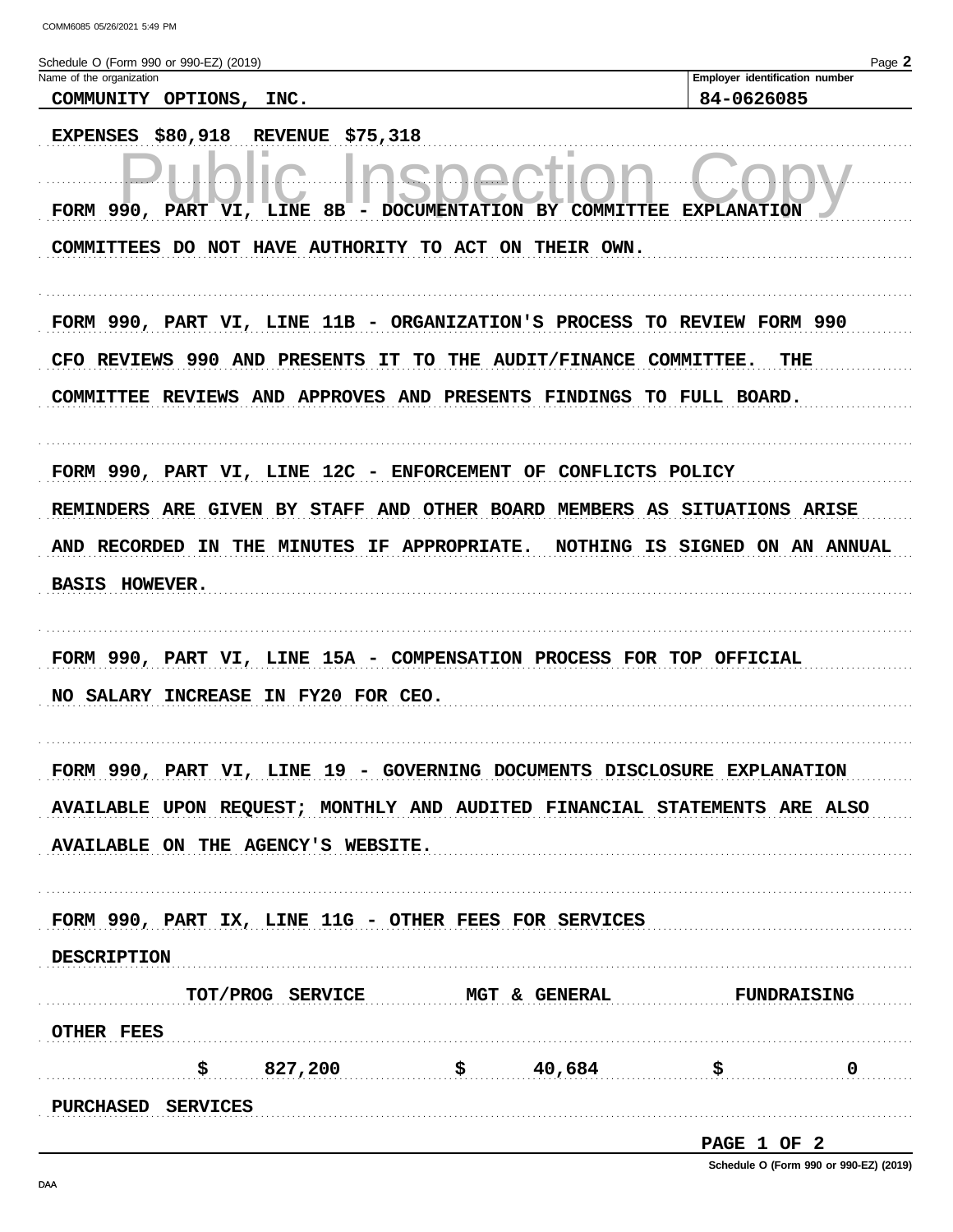Employer identification number 84-0626085

Schedule O (Form 990 or 990-EZ) (2019) Name of the organization

COMMUNITY OPTIONS, INC.

| EXPENSES \$80,918 REVENUE \$75,318                                         |
|----------------------------------------------------------------------------|
|                                                                            |
| - DOCUMENTATION BY COMMITTEE EXPLANATION<br>FORM 990, PART VI, LINE 8B     |
| COMMITTEES DO NOT HAVE AUTHORITY TO ACT ON THEIR OWN.                      |
|                                                                            |
| FORM 990, PART VI, LINE 11B - ORGANIZATION'S PROCESS TO REVIEW FORM 990    |
| CFO REVIEWS 990 AND PRESENTS IT TO THE AUDIT/FINANCE COMMITTEE.<br>THE     |
| COMMITTEE REVIEWS AND APPROVES AND PRESENTS FINDINGS TO FULL BOARD.        |
| FORM 990, PART VI, LINE 12C - ENFORCEMENT OF CONFLICTS POLICY              |
| REMINDERS ARE GIVEN BY STAFF AND OTHER BOARD MEMBERS AS SITUATIONS ARISE   |
| AND RECORDED IN THE MINUTES IF APPROPRIATE. NOTHING IS SIGNED ON AN ANNUAL |
| <b>BASIS HOWEVER.</b>                                                      |
|                                                                            |
| FORM 990, PART VI, LINE 15A - COMPENSATION PROCESS FOR TOP OFFICIAL        |
| NO SALARY INCREASE IN FY20 FOR CEO.                                        |
|                                                                            |
| FORM 990, PART VI, LINE 19 - GOVERNING DOCUMENTS DISCLOSURE EXPLANATION    |
| AVAILABLE UPON REQUEST; MONTHLY AND AUDITED FINANCIAL STATEMENTS ARE ALSO  |
| AVAILABLE ON THE AGENCY'S WEBSITE.                                         |
|                                                                            |
| FORM 990, PART IX, LINE 11G - OTHER FEES FOR SERVICES                      |
| <b>DESCRIPTION</b>                                                         |
|                                                                            |
| TOT/PROG SERVICE MGT & GENERAL<br><b>FUNDRAISING</b>                       |
| <b>OTHER FEES</b>                                                          |
| $\frac{1}{5}$ 827,200 $\frac{1}{5}$ 40,684<br>$\mathbf 0$                  |
| <b>PURCHASED SERVICES</b>                                                  |

PAGE 1 OF 2

Schedule O (Form 990 or 990-EZ) (2019)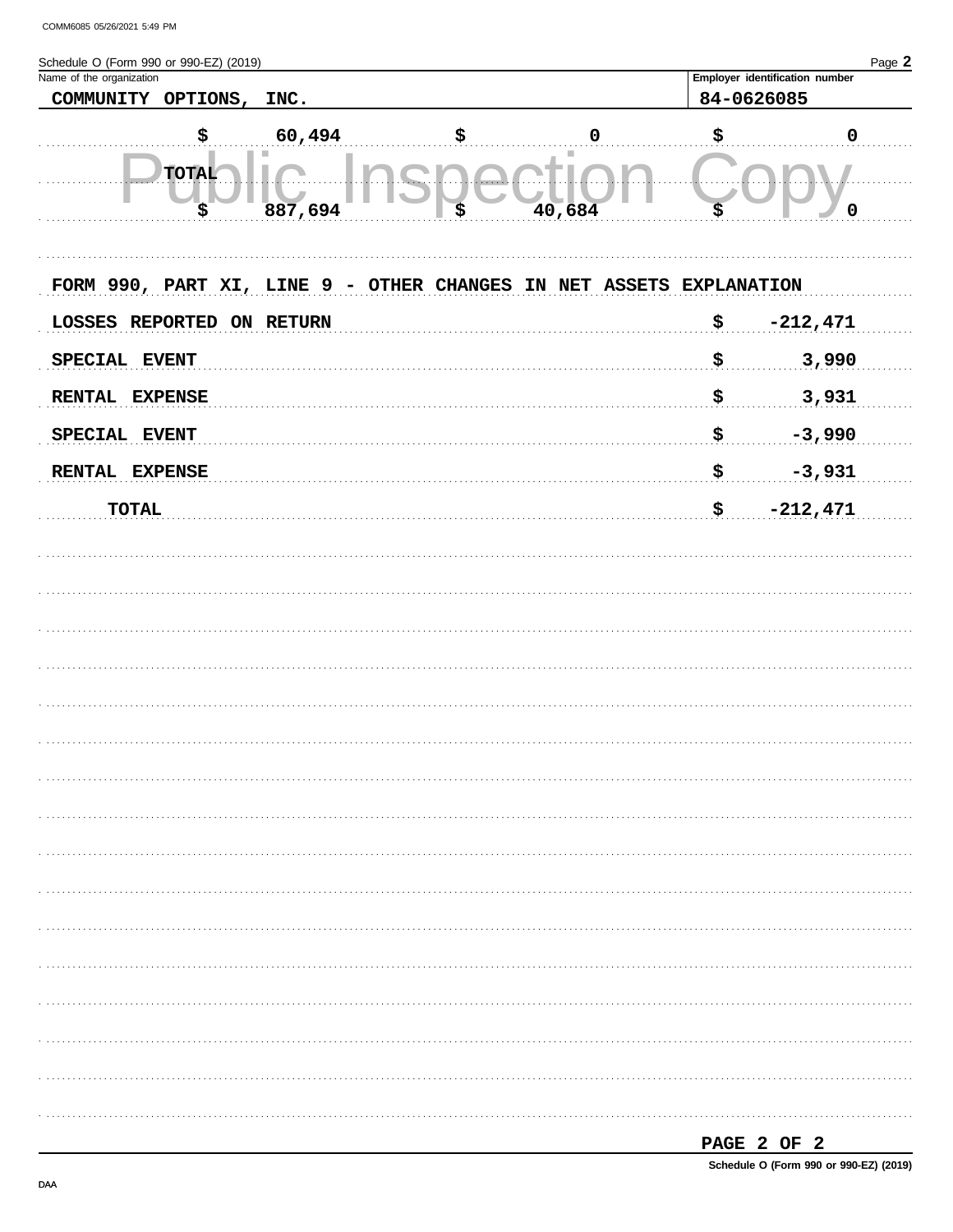| Schedule O (Form 990 or 990-EZ) (2019)<br>Name of the organization |                    |         |                                                                     |        | Page 2<br>Employer identification number |
|--------------------------------------------------------------------|--------------------|---------|---------------------------------------------------------------------|--------|------------------------------------------|
| COMMUNITY OPTIONS, INC.                                            |                    |         |                                                                     |        | 84-0626085                               |
|                                                                    | \$                 | 60,494  | \$                                                                  | 0      | \$<br>$\mathbf 0$                        |
|                                                                    | <b>TOTAL</b><br>\$ | 887,694 | \$                                                                  | 40,684 | \$<br>$\mathbf 0$                        |
|                                                                    |                    |         | FORM 990, PART XI, LINE 9 - OTHER CHANGES IN NET ASSETS EXPLANATION |        |                                          |
| LOSSES REPORTED ON RETURN                                          |                    |         |                                                                     |        | \$<br>$-212,471$                         |
| SPECIAL EVENT                                                      |                    |         |                                                                     |        | \$<br>3,990                              |
| RENTAL EXPENSE                                                     |                    |         |                                                                     |        | \$<br>3,931                              |
| SPECIAL EVENT                                                      |                    |         |                                                                     |        | \$<br>$-3,990$                           |
| RENTAL EXPENSE                                                     |                    |         |                                                                     |        | \$<br>$-3,931$                           |
| <b>TOTAL</b>                                                       |                    |         |                                                                     |        | \$<br>$-212,471$                         |
|                                                                    |                    |         |                                                                     |        |                                          |
|                                                                    |                    |         |                                                                     |        |                                          |
|                                                                    |                    |         |                                                                     |        |                                          |
|                                                                    |                    |         |                                                                     |        |                                          |
|                                                                    |                    |         |                                                                     |        |                                          |
|                                                                    |                    |         |                                                                     |        |                                          |
|                                                                    |                    |         |                                                                     |        |                                          |
|                                                                    |                    |         |                                                                     |        |                                          |
|                                                                    |                    |         |                                                                     |        |                                          |
|                                                                    |                    |         |                                                                     |        |                                          |
|                                                                    |                    |         |                                                                     |        |                                          |
|                                                                    |                    |         |                                                                     |        |                                          |
|                                                                    |                    |         |                                                                     |        |                                          |
|                                                                    |                    |         |                                                                     |        |                                          |
|                                                                    |                    |         |                                                                     |        |                                          |
|                                                                    |                    |         |                                                                     |        |                                          |

|--|

Schedule O (Form 990 or 990-EZ) (2019)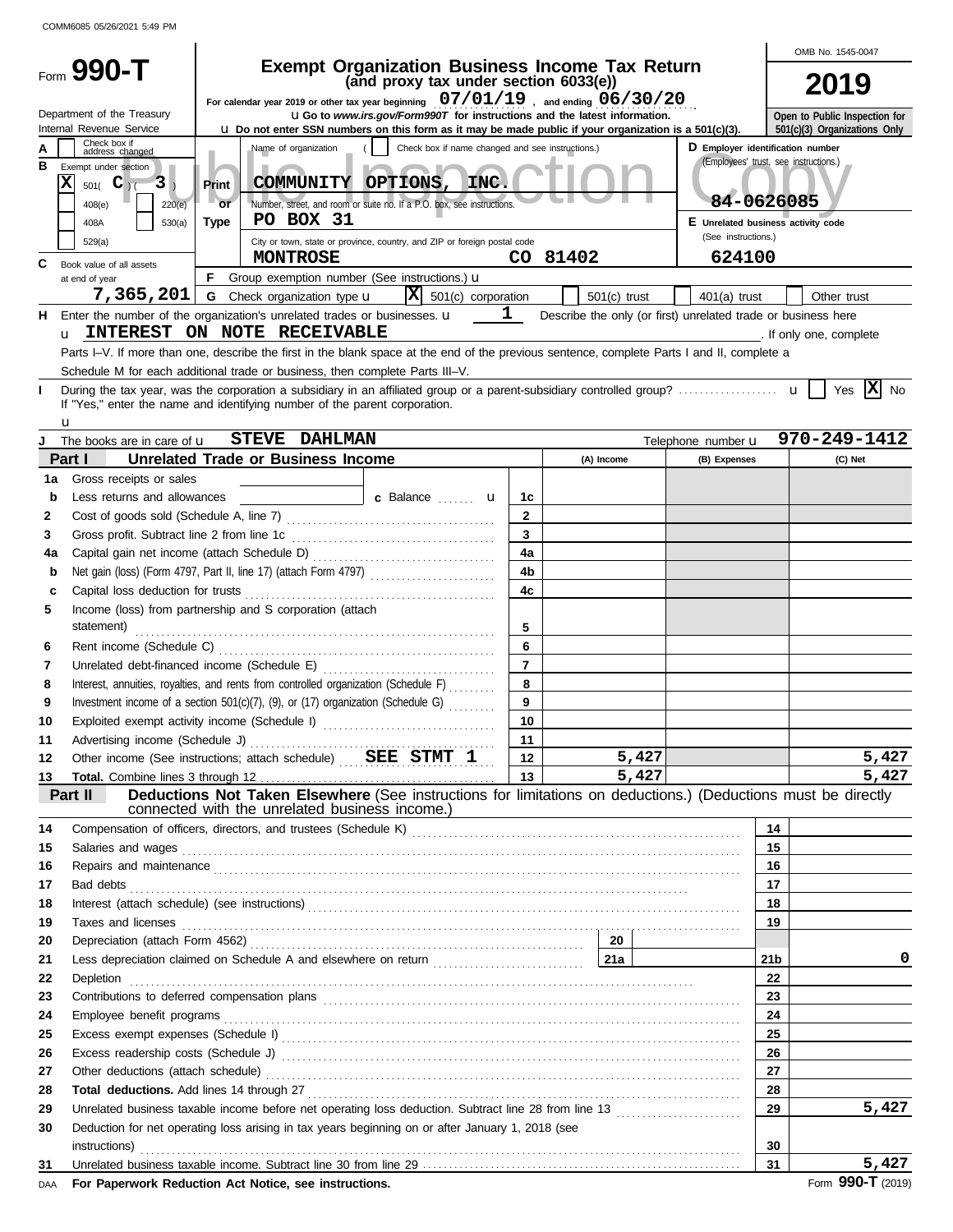|    |                                                                                                   |                                                                                                        |                                                |                                                                                                                                                                                                                                      |                         |                |       |                                                                           |                 | OMB No. 1545-0047             |
|----|---------------------------------------------------------------------------------------------------|--------------------------------------------------------------------------------------------------------|------------------------------------------------|--------------------------------------------------------------------------------------------------------------------------------------------------------------------------------------------------------------------------------------|-------------------------|----------------|-------|---------------------------------------------------------------------------|-----------------|-------------------------------|
|    | Form 990-T                                                                                        |                                                                                                        |                                                | <b>Exempt Organization Business Income Tax Return</b><br>(and proxy tax under section 6033(e))                                                                                                                                       |                         |                |       |                                                                           |                 |                               |
|    |                                                                                                   |                                                                                                        |                                                | For calendar year 2019 or other tax year beginning $07/01/19$ , and ending $06/30/20$                                                                                                                                                |                         |                |       |                                                                           |                 | 2019                          |
|    | Department of the Treasury                                                                        |                                                                                                        |                                                | <b>UGo</b> to www.irs.gov/Form990T for instructions and the latest information.                                                                                                                                                      |                         |                |       |                                                                           |                 | Open to Public Inspection for |
|    | Internal Revenue Service                                                                          | Lu Do not enter SSN numbers on this form as it may be made public if your organization is a 501(c)(3). |                                                |                                                                                                                                                                                                                                      |                         |                |       |                                                                           |                 |                               |
|    | Check box if<br>address changed                                                                   |                                                                                                        | Name of organization                           | Check box if name changed and see instructions.)                                                                                                                                                                                     |                         |                |       | D Employer identification number<br>(Employees' trust, see instructions.) |                 |                               |
| в  | Exempt under section                                                                              |                                                                                                        |                                                |                                                                                                                                                                                                                                      |                         |                |       |                                                                           |                 |                               |
|    | X<br>$501($ <b>C</b> $)1$<br>3                                                                    | Print                                                                                                  | COMMUNITY OPTIONS,                             | INC.                                                                                                                                                                                                                                 |                         |                |       | 84-0626085                                                                |                 |                               |
|    | 220(e)<br>408(e)                                                                                  | or                                                                                                     | PO BOX 31                                      | Number, street, and room or suite no. If a P.O. box, see instructions.                                                                                                                                                               |                         |                |       | E Unrelated business activity code                                        |                 |                               |
|    | 530(a)<br>408A<br>529(a)                                                                          | <b>Type</b>                                                                                            |                                                | City or town, state or province, country, and ZIP or foreign postal code                                                                                                                                                             |                         |                |       | (See instructions.)                                                       |                 |                               |
|    |                                                                                                   |                                                                                                        | <b>MONTROSE</b>                                |                                                                                                                                                                                                                                      |                         | CO 81402       |       | 624100                                                                    |                 |                               |
| C  | Book value of all assets<br>at end of year                                                        | F.                                                                                                     |                                                | Group exemption number (See instructions.) u                                                                                                                                                                                         |                         |                |       |                                                                           |                 |                               |
|    | 7,365,201                                                                                         |                                                                                                        | <b>G</b> Check organization type <b>u</b>      | $ \mathbf{X} $ 501(c) corporation                                                                                                                                                                                                    |                         | $501(c)$ trust |       | $401(a)$ trust                                                            |                 | Other trust                   |
| н. | Enter the number of the organization's unrelated trades or businesses. $\mathbf u$                |                                                                                                        |                                                |                                                                                                                                                                                                                                      | $\mathbf{1}$            |                |       | Describe the only (or first) unrelated trade or business here             |                 |                               |
|    | u INTEREST ON NOTE RECEIVABLE                                                                     |                                                                                                        |                                                |                                                                                                                                                                                                                                      |                         |                |       |                                                                           |                 | . If only one, complete       |
|    |                                                                                                   |                                                                                                        |                                                | Parts I-V. If more than one, describe the first in the blank space at the end of the previous sentence, complete Parts I and II, complete a                                                                                          |                         |                |       |                                                                           |                 |                               |
|    | Schedule M for each additional trade or business, then complete Parts III-V.                      |                                                                                                        |                                                |                                                                                                                                                                                                                                      |                         |                |       |                                                                           |                 |                               |
|    |                                                                                                   |                                                                                                        |                                                |                                                                                                                                                                                                                                      |                         |                |       |                                                                           |                 | Yes $ \mathbf{X} $ No         |
|    | If "Yes," enter the name and identifying number of the parent corporation.                        |                                                                                                        |                                                |                                                                                                                                                                                                                                      |                         |                |       |                                                                           |                 |                               |
|    | u<br>The books are in care of <b>u</b>                                                            |                                                                                                        | <b>STEVE DAHLMAN</b>                           |                                                                                                                                                                                                                                      |                         |                |       | Telephone number <b>u</b>                                                 |                 | 970-249-1412                  |
|    | Part I                                                                                            |                                                                                                        | Unrelated Trade or Business Income             |                                                                                                                                                                                                                                      |                         | (A) Income     |       | (B) Expenses                                                              |                 | (C) Net                       |
| 1a | Gross receipts or sales                                                                           |                                                                                                        |                                                |                                                                                                                                                                                                                                      |                         |                |       |                                                                           |                 |                               |
| b  | Less returns and allowances                                                                       |                                                                                                        |                                                | c Balance  u                                                                                                                                                                                                                         | 1c                      |                |       |                                                                           |                 |                               |
| 2  |                                                                                                   |                                                                                                        |                                                |                                                                                                                                                                                                                                      | $\mathbf{2}$            |                |       |                                                                           |                 |                               |
| 3  | Gross profit. Subtract line 2 from line 1c                                                        |                                                                                                        |                                                |                                                                                                                                                                                                                                      | $\overline{\mathbf{3}}$ |                |       |                                                                           |                 |                               |
| 4a |                                                                                                   |                                                                                                        |                                                |                                                                                                                                                                                                                                      | 4a                      |                |       |                                                                           |                 |                               |
| b  |                                                                                                   |                                                                                                        |                                                | Net gain (loss) (Form 4797, Part II, line 17) (attach Form 4797)                                                                                                                                                                     | 4 <sub>b</sub>          |                |       |                                                                           |                 |                               |
| с  | Capital loss deduction for trusts                                                                 |                                                                                                        |                                                |                                                                                                                                                                                                                                      | 4 <sub>c</sub>          |                |       |                                                                           |                 |                               |
| 5  | Income (loss) from partnership and S corporation (attach                                          |                                                                                                        |                                                |                                                                                                                                                                                                                                      |                         |                |       |                                                                           |                 |                               |
|    | statement)                                                                                        |                                                                                                        |                                                |                                                                                                                                                                                                                                      | 5                       |                |       |                                                                           |                 |                               |
| 6  | Rent income (Schedule C)                                                                          |                                                                                                        |                                                |                                                                                                                                                                                                                                      | 6                       |                |       |                                                                           |                 |                               |
| 7  | Unrelated debt-financed income (Schedule E)                                                       |                                                                                                        |                                                |                                                                                                                                                                                                                                      | $\overline{7}$          |                |       |                                                                           |                 |                               |
| 8  |                                                                                                   |                                                                                                        |                                                | Interest, annuities, royalties, and rents from controlled organization (Schedule F)                                                                                                                                                  | 8                       |                |       |                                                                           |                 |                               |
| 9  |                                                                                                   |                                                                                                        |                                                | Investment income of a section 501(c)(7), (9), or (17) organization (Schedule G)                                                                                                                                                     | 9                       |                |       |                                                                           |                 |                               |
| 10 | Exploited exempt activity income (Schedule I)                                                     |                                                                                                        |                                                |                                                                                                                                                                                                                                      | 10                      |                |       |                                                                           |                 |                               |
| 11 | Advertising income (Schedule J)<br>Other income (See instructions; attach schedule)<br>SEE STMT 1 |                                                                                                        |                                                |                                                                                                                                                                                                                                      | 11                      |                |       |                                                                           |                 |                               |
| 12 |                                                                                                   |                                                                                                        |                                                |                                                                                                                                                                                                                                      | 12                      |                | 5,427 |                                                                           |                 | 5,427                         |
| 13 |                                                                                                   |                                                                                                        |                                                |                                                                                                                                                                                                                                      | 13                      |                | 5,427 |                                                                           |                 | 5,427                         |
|    | Part II                                                                                           |                                                                                                        | connected with the unrelated business income.) | Deductions Not Taken Elsewhere (See instructions for limitations on deductions.) (Deductions must be directly                                                                                                                        |                         |                |       |                                                                           |                 |                               |
| 14 |                                                                                                   |                                                                                                        |                                                | Compensation of officers, directors, and trustees (Schedule K) [11] Compensation of officers, directors, and trustees (Schedule K) [11] [12] Compensation of officers, directors, and trustees (Schedule K) [12] [12] [12] [12       |                         |                |       |                                                                           | 14              |                               |
| 15 |                                                                                                   |                                                                                                        |                                                |                                                                                                                                                                                                                                      |                         |                |       |                                                                           | 15              |                               |
| 16 |                                                                                                   |                                                                                                        |                                                | Repairs and maintenance contains and maintenance contains and maintenance contains and maintenance contains and maintenance                                                                                                          |                         |                |       |                                                                           | 16              |                               |
| 17 |                                                                                                   |                                                                                                        |                                                | Bad debts <b>construction of the construction of the construction of the construction of the construction</b>                                                                                                                        |                         |                |       |                                                                           | 17              |                               |
| 18 |                                                                                                   |                                                                                                        |                                                |                                                                                                                                                                                                                                      |                         |                |       |                                                                           | 18              |                               |
| 19 |                                                                                                   |                                                                                                        |                                                | Taxes and licenses <b>contract the contract of the contract of the contract of the contract of the contract of the contract of the contract of the contract of the contract of the contract of the contract of the contract of t</b> |                         |                |       |                                                                           | 19              |                               |
| 20 |                                                                                                   |                                                                                                        |                                                |                                                                                                                                                                                                                                      |                         |                |       |                                                                           |                 |                               |
| 21 |                                                                                                   |                                                                                                        |                                                |                                                                                                                                                                                                                                      |                         |                |       |                                                                           | 21 <sub>b</sub> | 0                             |
| 22 |                                                                                                   |                                                                                                        |                                                |                                                                                                                                                                                                                                      |                         |                |       |                                                                           | 22              |                               |
| 23 |                                                                                                   |                                                                                                        |                                                | Contributions to deferred compensation plans [11] contracts are contributions to deferred compensation plans [11] contributions to deferred compensation plans [11] contracts are contract and contract are contract at the co       |                         |                |       |                                                                           | 23              |                               |
| 24 |                                                                                                   |                                                                                                        |                                                |                                                                                                                                                                                                                                      |                         |                |       |                                                                           | 24              |                               |
| 25 |                                                                                                   |                                                                                                        |                                                | Excess exempt expenses (Schedule I) Material Constant Constant Constant Constant Constant Constant Constant Constant Constant Constant Constant Constant Constant Constant Constant Constant Constant Constant Constant Consta       |                         |                |       |                                                                           | 25              |                               |
| 26 |                                                                                                   |                                                                                                        |                                                | Excess readership costs (Schedule J) Mathematic Annual Constant Constant Constant Constant Constant Constant Constant Constant Constant Constant Constant Constant Constant Constant Constant Constant Constant Constant Const       |                         |                |       |                                                                           | 26              |                               |
| 27 |                                                                                                   |                                                                                                        |                                                | Other deductions (attach schedule) contains and according to the schedule of the schedule of the schedule of the schedule of the schedule of the schedule of the schedule of the schedule of the schedule of the schedule of t       |                         |                |       |                                                                           | 27              |                               |
| 28 |                                                                                                   |                                                                                                        |                                                |                                                                                                                                                                                                                                      |                         |                |       |                                                                           | 28              |                               |
| 29 |                                                                                                   |                                                                                                        |                                                | Unrelated business taxable income before net operating loss deduction. Subtract line 28 from line 13 [[[[[[[[[                                                                                                                       |                         |                |       |                                                                           | 29              | 5,427                         |
| 30 |                                                                                                   |                                                                                                        |                                                | Deduction for net operating loss arising in tax years beginning on or after January 1, 2018 (see                                                                                                                                     |                         |                |       |                                                                           |                 |                               |
|    |                                                                                                   |                                                                                                        |                                                |                                                                                                                                                                                                                                      |                         |                |       |                                                                           | 30              |                               |
| 31 |                                                                                                   |                                                                                                        |                                                |                                                                                                                                                                                                                                      |                         |                |       |                                                                           | 31              | 5,427                         |

DAA For Paperwork Reduction Act Notice, see instructions. **For a state of the set of the set of the set of the set of the set of the set of the set of the set of the set of the set of the set of the set of the set of the s**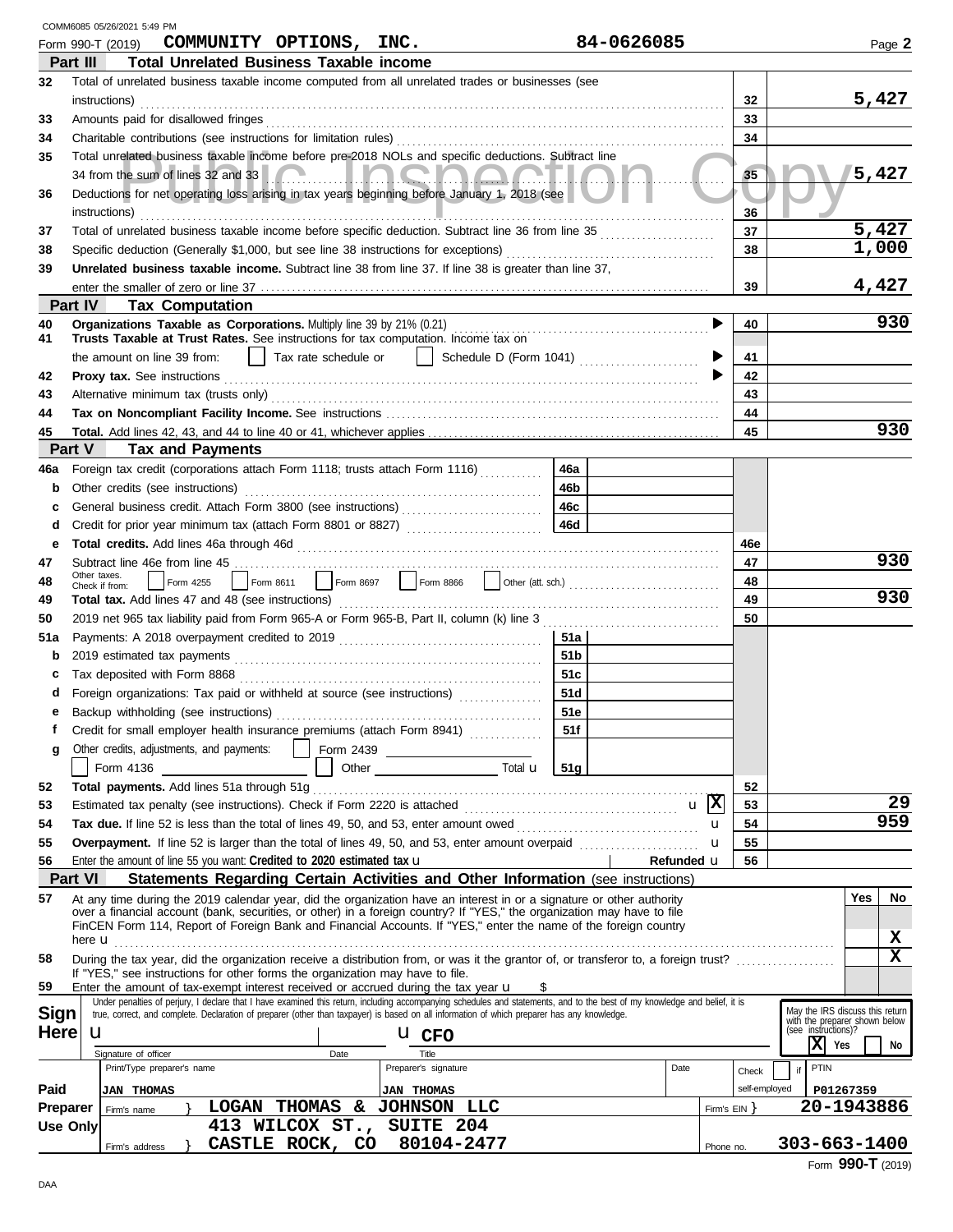|                 |                | COMM6085 05/26/2021 5:49 PM                                                                                                                                                                                                                                                                                                                                                                                                                      |                 |            |                |               |    |                                                                                         |       |        |
|-----------------|----------------|--------------------------------------------------------------------------------------------------------------------------------------------------------------------------------------------------------------------------------------------------------------------------------------------------------------------------------------------------------------------------------------------------------------------------------------------------|-----------------|------------|----------------|---------------|----|-----------------------------------------------------------------------------------------|-------|--------|
|                 |                | COMMUNITY OPTIONS, INC.<br>Form 990-T (2019)                                                                                                                                                                                                                                                                                                                                                                                                     | 84-0626085      |            |                |               |    |                                                                                         |       | Page 2 |
|                 | Part III       | <b>Total Unrelated Business Taxable income</b>                                                                                                                                                                                                                                                                                                                                                                                                   |                 |            |                |               |    |                                                                                         |       |        |
| 32              |                | Total of unrelated business taxable income computed from all unrelated trades or businesses (see<br>instructions)                                                                                                                                                                                                                                                                                                                                |                 |            |                | 32            |    |                                                                                         | 5,427 |        |
| 33              |                | Amounts paid for disallowed fringes                                                                                                                                                                                                                                                                                                                                                                                                              |                 |            |                | 33            |    |                                                                                         |       |        |
| 34              |                |                                                                                                                                                                                                                                                                                                                                                                                                                                                  |                 |            |                | 34            |    |                                                                                         |       |        |
| 35              |                | Total unrelated business taxable income before pre-2018 NOLs and specific deductions. Subtract line                                                                                                                                                                                                                                                                                                                                              |                 |            |                |               |    |                                                                                         |       |        |
|                 |                | 34 from the sum of lines 32 and 33 <b>A 20 MM DE A 20 MM DE A</b>                                                                                                                                                                                                                                                                                                                                                                                |                 |            |                | 35            |    |                                                                                         | 5,427 |        |
| 36              |                | Deductions for net operating loss arising in tax years beginning before January 1, 2018 (see                                                                                                                                                                                                                                                                                                                                                     |                 |            |                |               |    |                                                                                         |       |        |
|                 |                | instructions)                                                                                                                                                                                                                                                                                                                                                                                                                                    |                 |            |                | 36            |    |                                                                                         |       |        |
| 37              |                |                                                                                                                                                                                                                                                                                                                                                                                                                                                  |                 |            |                | 37            |    |                                                                                         | 5,427 |        |
| 38              |                |                                                                                                                                                                                                                                                                                                                                                                                                                                                  |                 |            |                | 38            |    |                                                                                         | 1,000 |        |
| 39              |                | Unrelated business taxable income. Subtract line 38 from line 37. If line 38 is greater than line 37,                                                                                                                                                                                                                                                                                                                                            |                 |            |                |               |    |                                                                                         |       |        |
|                 |                |                                                                                                                                                                                                                                                                                                                                                                                                                                                  |                 |            |                | 39            |    |                                                                                         | 4,427 |        |
|                 | Part IV        | <b>Tax Computation</b>                                                                                                                                                                                                                                                                                                                                                                                                                           |                 |            |                |               |    |                                                                                         |       |        |
| 40              |                |                                                                                                                                                                                                                                                                                                                                                                                                                                                  |                 |            |                | 40            |    |                                                                                         |       | 930    |
| 41              |                | Trusts Taxable at Trust Rates. See instructions for tax computation. Income tax on                                                                                                                                                                                                                                                                                                                                                               |                 |            |                |               |    |                                                                                         |       |        |
|                 |                | Tax rate schedule or $\ \cdot\ $ Schedule D (Form 1041) $\ldots$<br>the amount on line 39 from:                                                                                                                                                                                                                                                                                                                                                  |                 |            |                | 41            |    |                                                                                         |       |        |
| 42              |                | Proxy tax. See instructions <i>contained a contained a contained a contained a contained a contained a</i> contained a contained a contained a contained a contained a contained a contained a contained a contained a contained a                                                                                                                                                                                                               |                 |            |                | 42            |    |                                                                                         |       |        |
| 43              |                |                                                                                                                                                                                                                                                                                                                                                                                                                                                  |                 |            |                | 43            |    |                                                                                         |       |        |
| 44              |                |                                                                                                                                                                                                                                                                                                                                                                                                                                                  |                 |            |                | 44            |    |                                                                                         |       |        |
| 45              |                |                                                                                                                                                                                                                                                                                                                                                                                                                                                  |                 |            |                | 45            |    |                                                                                         |       | 930    |
|                 | Part V         | <b>Tax and Payments</b>                                                                                                                                                                                                                                                                                                                                                                                                                          |                 |            |                |               |    |                                                                                         |       |        |
| 46a             |                | Foreign tax credit (corporations attach Form 1118; trusts attach Form 1116)                                                                                                                                                                                                                                                                                                                                                                      | 46a             |            |                |               |    |                                                                                         |       |        |
| b               |                | Other credits (see instructions)                                                                                                                                                                                                                                                                                                                                                                                                                 | 46b             |            |                |               |    |                                                                                         |       |        |
| c               |                |                                                                                                                                                                                                                                                                                                                                                                                                                                                  | 46c             |            |                |               |    |                                                                                         |       |        |
| d               |                | Credit for prior year minimum tax (attach Form 8801 or 8827)                                                                                                                                                                                                                                                                                                                                                                                     | 46d             |            |                |               |    |                                                                                         |       |        |
| е               |                |                                                                                                                                                                                                                                                                                                                                                                                                                                                  |                 |            |                | 46e           |    |                                                                                         |       |        |
| 47              | Other taxes.   |                                                                                                                                                                                                                                                                                                                                                                                                                                                  |                 |            |                | 47            |    |                                                                                         |       | 930    |
| 48              |                | Check if from:                                                                                                                                                                                                                                                                                                                                                                                                                                   |                 |            |                | 48            |    |                                                                                         |       |        |
| 49              |                | Total tax. Add lines 47 and 48 (see instructions) Material Construction Constant Constant Construction Constant                                                                                                                                                                                                                                                                                                                                  |                 |            |                | 49            |    |                                                                                         |       | 930    |
| 50              |                |                                                                                                                                                                                                                                                                                                                                                                                                                                                  |                 |            |                | 50            |    |                                                                                         |       |        |
| 51a             |                |                                                                                                                                                                                                                                                                                                                                                                                                                                                  | 51a             |            |                |               |    |                                                                                         |       |        |
| b               |                |                                                                                                                                                                                                                                                                                                                                                                                                                                                  | 51 <sub>b</sub> |            |                |               |    |                                                                                         |       |        |
| c               |                | Tax deposited with Form 8868                                                                                                                                                                                                                                                                                                                                                                                                                     | 51c             |            |                |               |    |                                                                                         |       |        |
| d               |                | Foreign organizations: Tax paid or withheld at source (see instructions)                                                                                                                                                                                                                                                                                                                                                                         | 51d             |            |                |               |    |                                                                                         |       |        |
|                 |                |                                                                                                                                                                                                                                                                                                                                                                                                                                                  | 51e             |            |                |               |    |                                                                                         |       |        |
| f               |                | Credit for small employer health insurance premiums (attach Form 8941)                                                                                                                                                                                                                                                                                                                                                                           | 51f             |            |                |               |    |                                                                                         |       |        |
| g               |                | Other credits, adjustments, and payments:<br>$\fbox{\parbox{1.5cm}{ \begin{picture}(10,6) \label{fig:2} \put(0,0){\dashbox{0.5}(10,0){ }} \put(15,0){\circle{10}} \put(15,0){\circle{10}} \put(15,0){\circle{10}} \put(15,0){\circle{10}} \put(15,0){\circle{10}} \put(15,0){\circle{10}} \put(15,0){\circle{10}} \put(15,0){\circle{10}} \put(15,0){\circle{10}} \put(15,0){\circle{10}} \put(15,0){\circle{10}} \put(15,0){\circle{10}} \put($ |                 |            |                |               |    |                                                                                         |       |        |
|                 |                | Form 4136                                                                                                                                                                                                                                                                                                                                                                                                                                        | 51g             |            |                |               |    |                                                                                         |       |        |
| 52              |                | Total payments. Add lines 51a through 51g                                                                                                                                                                                                                                                                                                                                                                                                        |                 |            |                | 52            |    |                                                                                         |       |        |
| 53              |                |                                                                                                                                                                                                                                                                                                                                                                                                                                                  |                 |            |                | 53            |    |                                                                                         |       | 29     |
| 54              |                |                                                                                                                                                                                                                                                                                                                                                                                                                                                  |                 |            | u              | 54            |    |                                                                                         |       | 959    |
| 55              |                | Overpayment. If line 52 is larger than the total of lines 49, 50, and 53, enter amount overpaid <i>mummummmm</i>                                                                                                                                                                                                                                                                                                                                 |                 |            | u              | 55            |    |                                                                                         |       |        |
| 56              |                | Enter the amount of line 55 you want: Credited to 2020 estimated tax $\mathbf u$                                                                                                                                                                                                                                                                                                                                                                 |                 | Refunded u |                | 56            |    |                                                                                         |       |        |
|                 | <b>Part VI</b> | Statements Regarding Certain Activities and Other Information (see instructions)                                                                                                                                                                                                                                                                                                                                                                 |                 |            |                |               |    |                                                                                         |       |        |
| 57              |                | At any time during the 2019 calendar year, did the organization have an interest in or a signature or other authority<br>over a financial account (bank, securities, or other) in a foreign country? If "YES," the organization may have to file                                                                                                                                                                                                 |                 |            |                |               |    |                                                                                         | Yes   | No     |
|                 |                | FinCEN Form 114, Report of Foreign Bank and Financial Accounts. If "YES," enter the name of the foreign country                                                                                                                                                                                                                                                                                                                                  |                 |            |                |               |    |                                                                                         |       |        |
|                 | here <b>u</b>  |                                                                                                                                                                                                                                                                                                                                                                                                                                                  |                 |            |                |               |    |                                                                                         |       | x      |
| 58              |                | During the tax year, did the organization receive a distribution from, or was it the grantor of, or transferor to, a foreign trust?                                                                                                                                                                                                                                                                                                              |                 |            |                |               |    |                                                                                         |       | X      |
| 59              |                | If "YES," see instructions for other forms the organization may have to file.<br>Enter the amount of tax-exempt interest received or accrued during the tax year $\mathbf u$                                                                                                                                                                                                                                                                     |                 |            |                |               |    |                                                                                         |       |        |
|                 |                | Under penalties of perjury, I declare that I have examined this return, including accompanying schedules and statements, and to the best of my knowledge and belief, it is                                                                                                                                                                                                                                                                       |                 |            |                |               |    |                                                                                         |       |        |
| <b>Sign</b>     |                | true, correct, and complete. Declaration of preparer (other than taxpayer) is based on all information of which preparer has any knowledge.                                                                                                                                                                                                                                                                                                      |                 |            |                |               |    | May the IRS discuss this return<br>with the preparer shown below<br>(see instructions)? |       |        |
| <b>Here</b>     | u              | <b>U</b> CFO                                                                                                                                                                                                                                                                                                                                                                                                                                     |                 |            |                |               |    |                                                                                         |       |        |
|                 |                | Signature of officer<br>Title<br>Date                                                                                                                                                                                                                                                                                                                                                                                                            |                 |            |                |               |    | $ X $ Yes                                                                               |       | No     |
|                 |                | Print/Type preparer's name<br>Preparer's signature                                                                                                                                                                                                                                                                                                                                                                                               |                 | Date       |                | Check         | if | PTIN                                                                                    |       |        |
| Paid            |                | <b>JAN THOMAS</b><br><b>JAN THOMAS</b>                                                                                                                                                                                                                                                                                                                                                                                                           |                 |            |                | self-employed |    | P01267359                                                                               |       |        |
| <b>Preparer</b> |                | <b>LOGAN THOMAS</b><br>& JOHNSON LLC<br>Firm's name                                                                                                                                                                                                                                                                                                                                                                                              |                 |            | Firm's $EIN$ } |               |    | 20-1943886                                                                              |       |        |
| <b>Use Only</b> |                | SUITE 204<br>413 WILCOX ST.,                                                                                                                                                                                                                                                                                                                                                                                                                     |                 |            |                |               |    |                                                                                         |       |        |
|                 |                | 80104-2477<br>CASTLE ROCK, CO<br>Firm's address                                                                                                                                                                                                                                                                                                                                                                                                  |                 |            | Phone no.      |               |    | $303 - 663 - 1400$                                                                      |       |        |

| 303-003-1400 |  |  |                   |  |
|--------------|--|--|-------------------|--|
|              |  |  | <u>AAA Taalay</u> |  |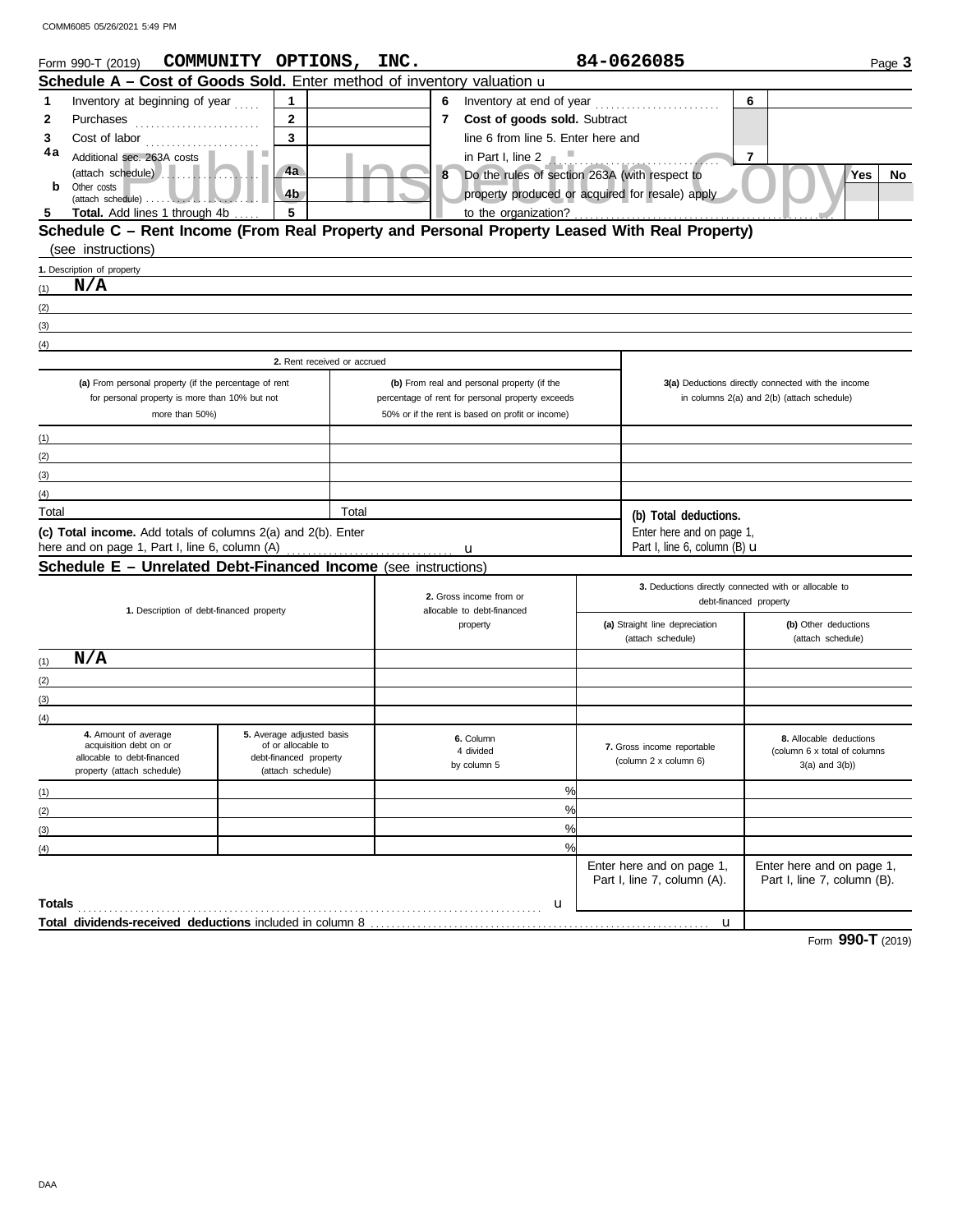|        | Form 990-T (2019) COMMUNITY OPTIONS, INC.                                                     |                                              |                             |              |                                                       | 84-0626085                                          | Page 3                                                |
|--------|-----------------------------------------------------------------------------------------------|----------------------------------------------|-----------------------------|--------------|-------------------------------------------------------|-----------------------------------------------------|-------------------------------------------------------|
|        | Schedule A - Cost of Goods Sold. Enter method of inventory valuation u                        |                                              |                             |              |                                                       |                                                     |                                                       |
| 1      | Inventory at beginning of year                                                                | 1                                            |                             | 6            |                                                       |                                                     | 6                                                     |
| 2      |                                                                                               | $\overline{2}$                               |                             | $\mathbf{7}$ | Cost of goods sold. Subtract                          |                                                     |                                                       |
| 3      |                                                                                               | 3                                            |                             |              | line 6 from line 5. Enter here and                    |                                                     |                                                       |
| 4a     | Additional sec. 263A costs                                                                    |                                              |                             |              | in Part I, line 2 $\blacksquare$                      |                                                     | $\overline{7}$                                        |
|        | $(\text{attach schedule})$                                                                    | 4a                                           |                             | 8            | Do the rules of section 263A (with respect to         |                                                     | Yes<br>No                                             |
| b      | Other costs                                                                                   | 4b                                           |                             |              | property produced or acquired for resale) apply       |                                                     |                                                       |
| -5     | <b>Total.</b> Add lines 1 through 4b                                                          | 5                                            |                             |              | to the organization?                                  |                                                     |                                                       |
|        | Schedule C - Rent Income (From Real Property and Personal Property Leased With Real Property) |                                              |                             |              |                                                       |                                                     |                                                       |
|        | (see instructions)                                                                            |                                              |                             |              |                                                       |                                                     |                                                       |
|        | 1. Description of property                                                                    |                                              |                             |              |                                                       |                                                     |                                                       |
| (1)    | N/A                                                                                           |                                              |                             |              |                                                       |                                                     |                                                       |
| (2)    |                                                                                               |                                              |                             |              |                                                       |                                                     |                                                       |
| (3)    |                                                                                               |                                              |                             |              |                                                       |                                                     |                                                       |
| (4)    |                                                                                               |                                              |                             |              |                                                       |                                                     |                                                       |
|        |                                                                                               |                                              | 2. Rent received or accrued |              |                                                       |                                                     |                                                       |
|        | (a) From personal property (if the percentage of rent                                         |                                              |                             |              | (b) From real and personal property (if the           |                                                     | 3(a) Deductions directly connected with the income    |
|        | for personal property is more than 10% but not                                                |                                              |                             |              | percentage of rent for personal property exceeds      |                                                     | in columns 2(a) and 2(b) (attach schedule)            |
|        | more than 50%)                                                                                |                                              |                             |              | 50% or if the rent is based on profit or income)      |                                                     |                                                       |
| (1)    |                                                                                               |                                              |                             |              |                                                       |                                                     |                                                       |
| (2)    |                                                                                               |                                              |                             |              |                                                       |                                                     |                                                       |
| (3)    |                                                                                               |                                              |                             |              |                                                       |                                                     |                                                       |
| (4)    |                                                                                               |                                              |                             |              |                                                       |                                                     |                                                       |
| Total  |                                                                                               |                                              | Total                       |              |                                                       | (b) Total deductions.                               |                                                       |
|        | (c) Total income. Add totals of columns 2(a) and 2(b). Enter                                  |                                              |                             |              |                                                       | Enter here and on page 1,                           |                                                       |
|        | here and on page 1, Part I, line 6, column (A)                                                |                                              |                             |              | u                                                     | Part I, line 6, column (B) <b>u</b>                 |                                                       |
|        | <b>Schedule E - Unrelated Debt-Financed Income</b> (see instructions)                         |                                              |                             |              |                                                       |                                                     |                                                       |
|        |                                                                                               |                                              |                             |              |                                                       |                                                     | 3. Deductions directly connected with or allocable to |
|        |                                                                                               | 1. Description of debt-financed property     |                             |              | 2. Gross income from or<br>allocable to debt-financed |                                                     | debt-financed property                                |
|        |                                                                                               |                                              |                             |              | property                                              | (a) Straight line depreciation                      | (b) Other deductions                                  |
|        |                                                                                               |                                              |                             |              |                                                       | (attach schedule)                                   | (attach schedule)                                     |
| (1)    | N/A                                                                                           |                                              |                             |              |                                                       |                                                     |                                                       |
| (2)    |                                                                                               |                                              |                             |              |                                                       |                                                     |                                                       |
| (3)    |                                                                                               |                                              |                             |              |                                                       |                                                     |                                                       |
| (4)    |                                                                                               |                                              |                             |              |                                                       |                                                     |                                                       |
|        | 4. Amount of average                                                                          | 5. Average adjusted basis                    |                             |              | 6. Column                                             |                                                     | 8. Allocable deductions                               |
|        | acquisition debt on or<br>allocable to debt-financed                                          | of or allocable to<br>debt-financed property |                             |              | 4 divided                                             | 7. Gross income reportable<br>(column 2 x column 6) | (column 6 x total of columns                          |
|        | property (attach schedule)                                                                    | (attach schedule)                            |                             |              | by column 5                                           |                                                     | $3(a)$ and $3(b)$ )                                   |
| (1)    |                                                                                               |                                              |                             |              | %                                                     |                                                     |                                                       |
| (2)    |                                                                                               |                                              |                             |              | $\frac{0}{0}$                                         |                                                     |                                                       |
| (3)    |                                                                                               |                                              |                             |              | $\frac{0}{0}$                                         |                                                     |                                                       |
| (4)    |                                                                                               |                                              |                             |              | $\frac{9}{6}$                                         |                                                     |                                                       |
|        |                                                                                               |                                              |                             |              |                                                       | Enter here and on page 1,                           | Enter here and on page 1,                             |
|        |                                                                                               |                                              |                             |              |                                                       | Part I, line 7, column (A).                         | Part I, line 7, column (B).                           |
| Totals |                                                                                               |                                              |                             |              | u                                                     |                                                     |                                                       |
|        |                                                                                               |                                              |                             |              |                                                       | $\mathbf{u}$                                        |                                                       |

Form **990-T** (2019)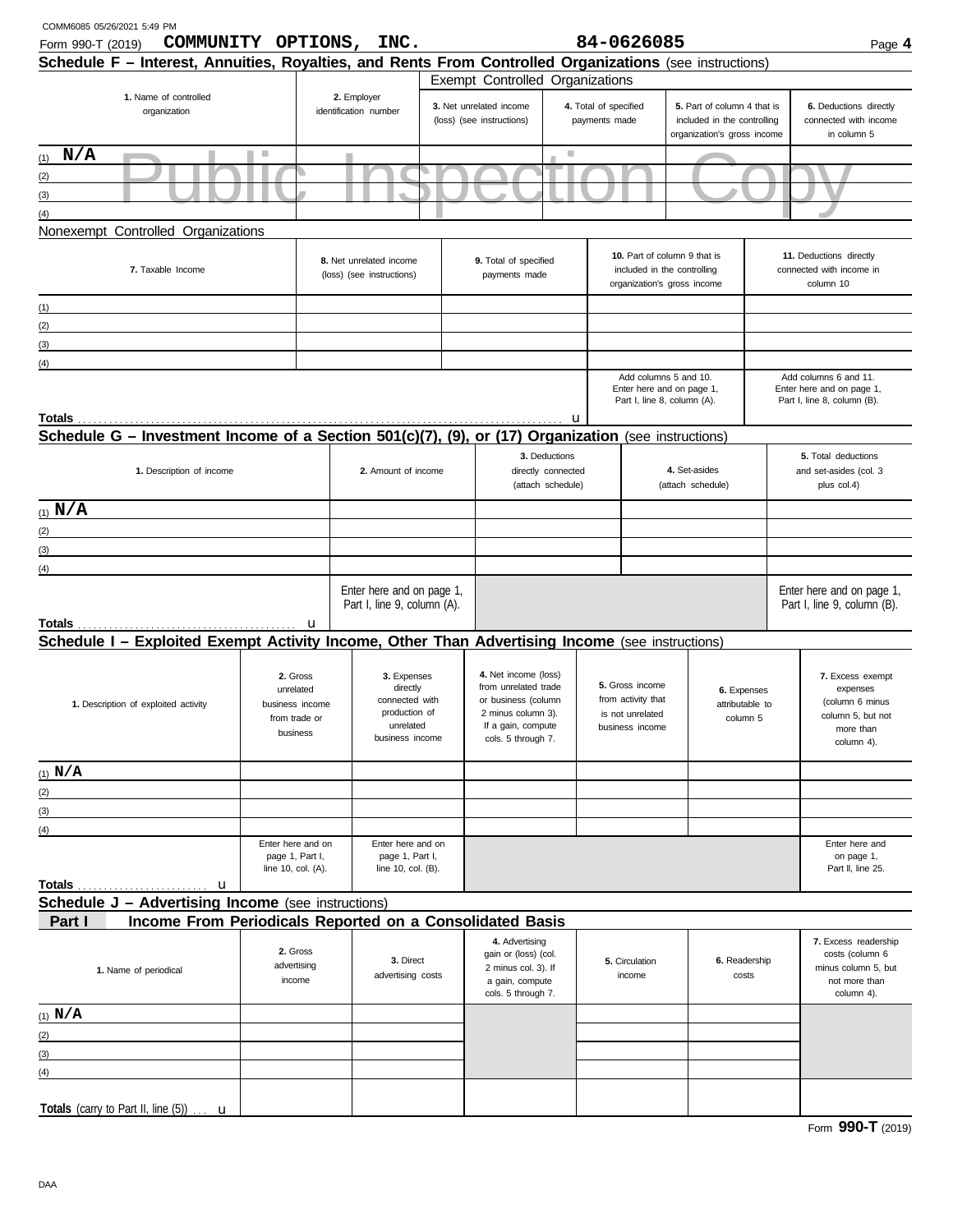| COMM6085 05/26/2021 5:49 PM<br>Form 990-T (2019)                                                              | COMMUNITY OPTIONS,                                                    | INC.                                                                                       |                                                                                                                                       |                                                          |                                        | 84-0626085                                                                                 |                                                                                           |                             | Page 4                                                                                          |
|---------------------------------------------------------------------------------------------------------------|-----------------------------------------------------------------------|--------------------------------------------------------------------------------------------|---------------------------------------------------------------------------------------------------------------------------------------|----------------------------------------------------------|----------------------------------------|--------------------------------------------------------------------------------------------|-------------------------------------------------------------------------------------------|-----------------------------|-------------------------------------------------------------------------------------------------|
| Schedule F - Interest, Annuities, Royalties, and Rents From Controlled Organizations (see instructions)       |                                                                       |                                                                                            |                                                                                                                                       |                                                          |                                        |                                                                                            |                                                                                           |                             |                                                                                                 |
| 1. Name of controlled                                                                                         |                                                                       | 2. Employer                                                                                | Exempt Controlled Organizations                                                                                                       |                                                          |                                        |                                                                                            |                                                                                           |                             |                                                                                                 |
| organization                                                                                                  |                                                                       | identification number                                                                      | 3. Net unrelated income<br>(loss) (see instructions)                                                                                  |                                                          | 4. Total of specified<br>payments made |                                                                                            | 5. Part of column 4 that is<br>included in the controlling<br>organization's gross income |                             | 6. Deductions directly<br>connected with income<br>in column 5                                  |
| $(1)$ N/A                                                                                                     | ш                                                                     |                                                                                            |                                                                                                                                       |                                                          |                                        |                                                                                            |                                                                                           |                             |                                                                                                 |
| (2)                                                                                                           |                                                                       |                                                                                            |                                                                                                                                       |                                                          |                                        |                                                                                            |                                                                                           |                             |                                                                                                 |
| (3)                                                                                                           |                                                                       |                                                                                            |                                                                                                                                       |                                                          |                                        |                                                                                            |                                                                                           |                             |                                                                                                 |
| (4)                                                                                                           |                                                                       |                                                                                            |                                                                                                                                       |                                                          |                                        |                                                                                            |                                                                                           |                             |                                                                                                 |
| Nonexempt Controlled Organizations                                                                            |                                                                       |                                                                                            |                                                                                                                                       |                                                          |                                        |                                                                                            |                                                                                           |                             |                                                                                                 |
| 7. Taxable Income                                                                                             |                                                                       | 8. Net unrelated income<br>(loss) (see instructions)                                       | 9. Total of specified<br>payments made                                                                                                |                                                          |                                        | 10. Part of column 9 that is<br>included in the controlling<br>organization's gross income |                                                                                           |                             | 11. Deductions directly<br>connected with income in<br>column 10                                |
| (1)                                                                                                           |                                                                       |                                                                                            |                                                                                                                                       |                                                          |                                        |                                                                                            |                                                                                           |                             |                                                                                                 |
| (2)                                                                                                           |                                                                       |                                                                                            |                                                                                                                                       |                                                          |                                        |                                                                                            |                                                                                           |                             |                                                                                                 |
| (3)                                                                                                           |                                                                       |                                                                                            |                                                                                                                                       |                                                          |                                        |                                                                                            |                                                                                           |                             |                                                                                                 |
| (4)                                                                                                           |                                                                       |                                                                                            |                                                                                                                                       |                                                          |                                        |                                                                                            |                                                                                           |                             |                                                                                                 |
|                                                                                                               |                                                                       |                                                                                            |                                                                                                                                       |                                                          |                                        | Add columns 5 and 10.<br>Enter here and on page 1,<br>Part I, line 8, column (A).          |                                                                                           |                             | Add columns 6 and 11.<br>Enter here and on page 1,<br>Part I, line 8, column (B).               |
| Totals<br>Schedule G - Investment Income of a Section 501(c)(7), (9), or (17) Organization (see instructions) |                                                                       |                                                                                            |                                                                                                                                       | u                                                        |                                        |                                                                                            |                                                                                           |                             |                                                                                                 |
|                                                                                                               |                                                                       |                                                                                            |                                                                                                                                       |                                                          |                                        |                                                                                            |                                                                                           |                             |                                                                                                 |
| 1. Description of income                                                                                      |                                                                       | 2. Amount of income                                                                        |                                                                                                                                       | 3. Deductions<br>directly connected<br>(attach schedule) |                                        |                                                                                            | 4. Set-asides<br>(attach schedule)                                                        |                             | 5. Total deductions<br>and set-asides (col. 3<br>plus col.4)                                    |
| (1) $N/A$                                                                                                     |                                                                       |                                                                                            |                                                                                                                                       |                                                          |                                        |                                                                                            |                                                                                           |                             |                                                                                                 |
| (2)                                                                                                           |                                                                       |                                                                                            |                                                                                                                                       |                                                          |                                        |                                                                                            |                                                                                           |                             |                                                                                                 |
| (3)                                                                                                           |                                                                       |                                                                                            |                                                                                                                                       |                                                          |                                        |                                                                                            |                                                                                           |                             |                                                                                                 |
| (4)                                                                                                           |                                                                       |                                                                                            |                                                                                                                                       |                                                          |                                        |                                                                                            |                                                                                           |                             |                                                                                                 |
|                                                                                                               |                                                                       | Enter here and on page 1,<br>Part I, line 9, column (A).                                   |                                                                                                                                       |                                                          |                                        |                                                                                            |                                                                                           |                             | Enter here and on page 1,<br>Part I, line 9, column (B).                                        |
| Totals                                                                                                        | $\mathbf u$                                                           |                                                                                            |                                                                                                                                       |                                                          |                                        |                                                                                            |                                                                                           |                             |                                                                                                 |
| Schedule I - Exploited Exempt Activity Income, Other Than Advertising Income (see instructions)               |                                                                       |                                                                                            |                                                                                                                                       |                                                          |                                        |                                                                                            |                                                                                           |                             |                                                                                                 |
| 1. Description of exploited activity                                                                          | 2. Gross<br>unrelated<br>business income<br>from trade or<br>business | 3. Expenses<br>directly<br>connected with<br>production of<br>unrelated<br>business income | 4. Net income (loss)<br>from unrelated trade<br>or business (column<br>2 minus column 3).<br>If a gain, compute<br>cols. 5 through 7. |                                                          |                                        | 5. Gross income<br>from activity that<br>is not unrelated<br>business income               | 6. Expenses                                                                               | attributable to<br>column 5 | 7. Excess exempt<br>expenses<br>(column 6 minus<br>column 5, but not<br>more than<br>column 4). |
| (1) $N/A$                                                                                                     |                                                                       |                                                                                            |                                                                                                                                       |                                                          |                                        |                                                                                            |                                                                                           |                             |                                                                                                 |
| (2)                                                                                                           |                                                                       |                                                                                            |                                                                                                                                       |                                                          |                                        |                                                                                            |                                                                                           |                             |                                                                                                 |
| (3)                                                                                                           |                                                                       |                                                                                            |                                                                                                                                       |                                                          |                                        |                                                                                            |                                                                                           |                             |                                                                                                 |
| (4)                                                                                                           |                                                                       |                                                                                            |                                                                                                                                       |                                                          |                                        |                                                                                            |                                                                                           |                             |                                                                                                 |
|                                                                                                               | Enter here and on<br>page 1, Part I,<br>line 10, col. (A).            | Enter here and on<br>page 1, Part I,<br>line 10, col. (B).                                 |                                                                                                                                       |                                                          |                                        |                                                                                            |                                                                                           |                             | Enter here and<br>on page 1,<br>Part II, line 25.                                               |
| <b>Schedule J - Advertising Income</b> (see instructions)                                                     |                                                                       |                                                                                            |                                                                                                                                       |                                                          |                                        |                                                                                            |                                                                                           |                             |                                                                                                 |
| Income From Periodicals Reported on a Consolidated Basis<br>Part I                                            |                                                                       |                                                                                            |                                                                                                                                       |                                                          |                                        |                                                                                            |                                                                                           |                             |                                                                                                 |
| 1. Name of periodical                                                                                         | 2. Gross<br>advertising<br>income                                     | 3. Direct<br>advertising costs                                                             | 4. Advertising<br>gain or (loss) (col.<br>2 minus col. 3). If<br>a gain, compute<br>cols. 5 through 7.                                |                                                          |                                        | 5. Circulation<br>income                                                                   | 6. Readership                                                                             | costs                       | 7. Excess readership<br>costs (column 6<br>minus column 5, but<br>not more than<br>column 4).   |
| (1) $N/A$                                                                                                     |                                                                       |                                                                                            |                                                                                                                                       |                                                          |                                        |                                                                                            |                                                                                           |                             |                                                                                                 |
| (2)                                                                                                           |                                                                       |                                                                                            |                                                                                                                                       |                                                          |                                        |                                                                                            |                                                                                           |                             |                                                                                                 |
| (3)                                                                                                           |                                                                       |                                                                                            |                                                                                                                                       |                                                          |                                        |                                                                                            |                                                                                           |                             |                                                                                                 |
| (4)                                                                                                           |                                                                       |                                                                                            |                                                                                                                                       |                                                          |                                        |                                                                                            |                                                                                           |                             |                                                                                                 |
| Totals (carry to Part II, line (5)) <b>u</b>                                                                  |                                                                       |                                                                                            |                                                                                                                                       |                                                          |                                        |                                                                                            |                                                                                           |                             |                                                                                                 |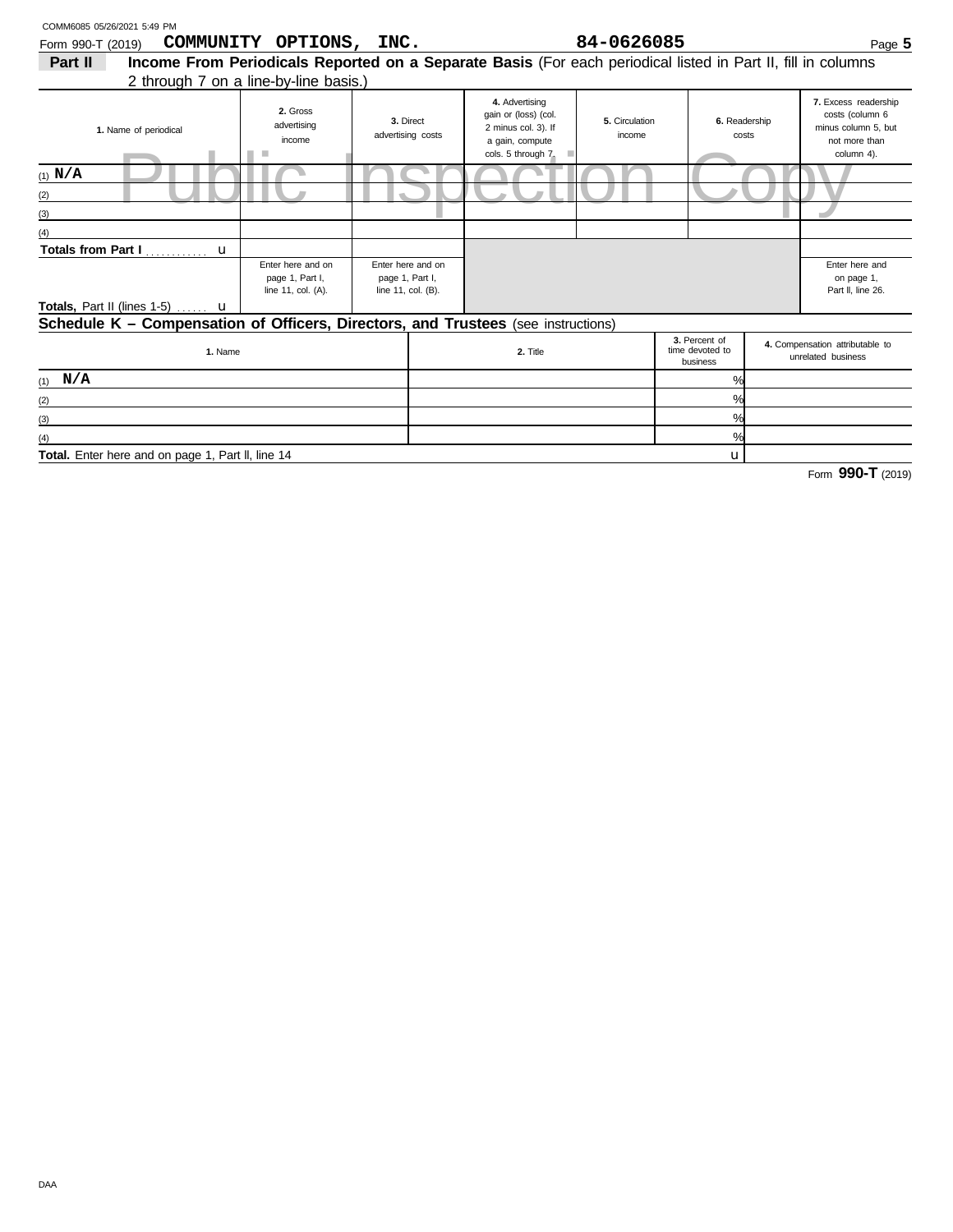| COMM6085 05/26/2021 5:49 PM                                                                                        |                                                                                                              |                                |                                                            |                                                                                                        |                          |                                              |  |                                                                                               |
|--------------------------------------------------------------------------------------------------------------------|--------------------------------------------------------------------------------------------------------------|--------------------------------|------------------------------------------------------------|--------------------------------------------------------------------------------------------------------|--------------------------|----------------------------------------------|--|-----------------------------------------------------------------------------------------------|
| Form 990-T (2019)                                                                                                  | COMMUNITY OPTIONS, INC.                                                                                      |                                |                                                            |                                                                                                        | 84-0626085               |                                              |  | Page 5                                                                                        |
| Part II                                                                                                            | Income From Periodicals Reported on a Separate Basis (For each periodical listed in Part II, fill in columns |                                |                                                            |                                                                                                        |                          |                                              |  |                                                                                               |
|                                                                                                                    | 2 through 7 on a line-by-line basis.)                                                                        |                                |                                                            |                                                                                                        |                          |                                              |  |                                                                                               |
| 1. Name of periodical                                                                                              | 2. Gross<br>advertising<br>income<br>ш                                                                       | 3. Direct<br>advertising costs |                                                            | 4. Advertising<br>gain or (loss) (col.<br>2 minus col. 3). If<br>a gain, compute<br>cols. 5 through 7. | 5. Circulation<br>income | 6. Readership<br>costs                       |  | 7. Excess readership<br>costs (column 6<br>minus column 5. but<br>not more than<br>column 4). |
| $(1)$ N/A                                                                                                          |                                                                                                              |                                |                                                            |                                                                                                        |                          |                                              |  |                                                                                               |
| (2)                                                                                                                |                                                                                                              |                                |                                                            |                                                                                                        |                          |                                              |  |                                                                                               |
| (3)                                                                                                                |                                                                                                              |                                |                                                            |                                                                                                        |                          |                                              |  |                                                                                               |
|                                                                                                                    |                                                                                                              |                                |                                                            |                                                                                                        |                          |                                              |  |                                                                                               |
| Totals from Part I<br>$\mathbf u$                                                                                  |                                                                                                              |                                |                                                            |                                                                                                        |                          |                                              |  |                                                                                               |
| Enter here and on<br>page 1, Part I,<br>line 11, col. (A).<br><b>Totals, Part II (lines 1-5)</b> $\ldots$ <b>u</b> |                                                                                                              |                                | Enter here and on<br>page 1, Part I,<br>line 11, col. (B). |                                                                                                        |                          |                                              |  |                                                                                               |
| Schedule K - Compensation of Officers, Directors, and Trustees (see instructions)                                  |                                                                                                              |                                |                                                            |                                                                                                        |                          |                                              |  |                                                                                               |
| 1. Name                                                                                                            |                                                                                                              |                                |                                                            | 2. Title                                                                                               |                          | 3. Percent of<br>time devoted to<br>business |  | 4. Compensation attributable to<br>unrelated business                                         |
| $(1)$ N/A                                                                                                          |                                                                                                              |                                |                                                            |                                                                                                        |                          | %                                            |  |                                                                                               |

u % % %

Total. Enter here and on page 1, Part II, line 14

(2)  $(3)$ (4)

Form **990-T** (2019)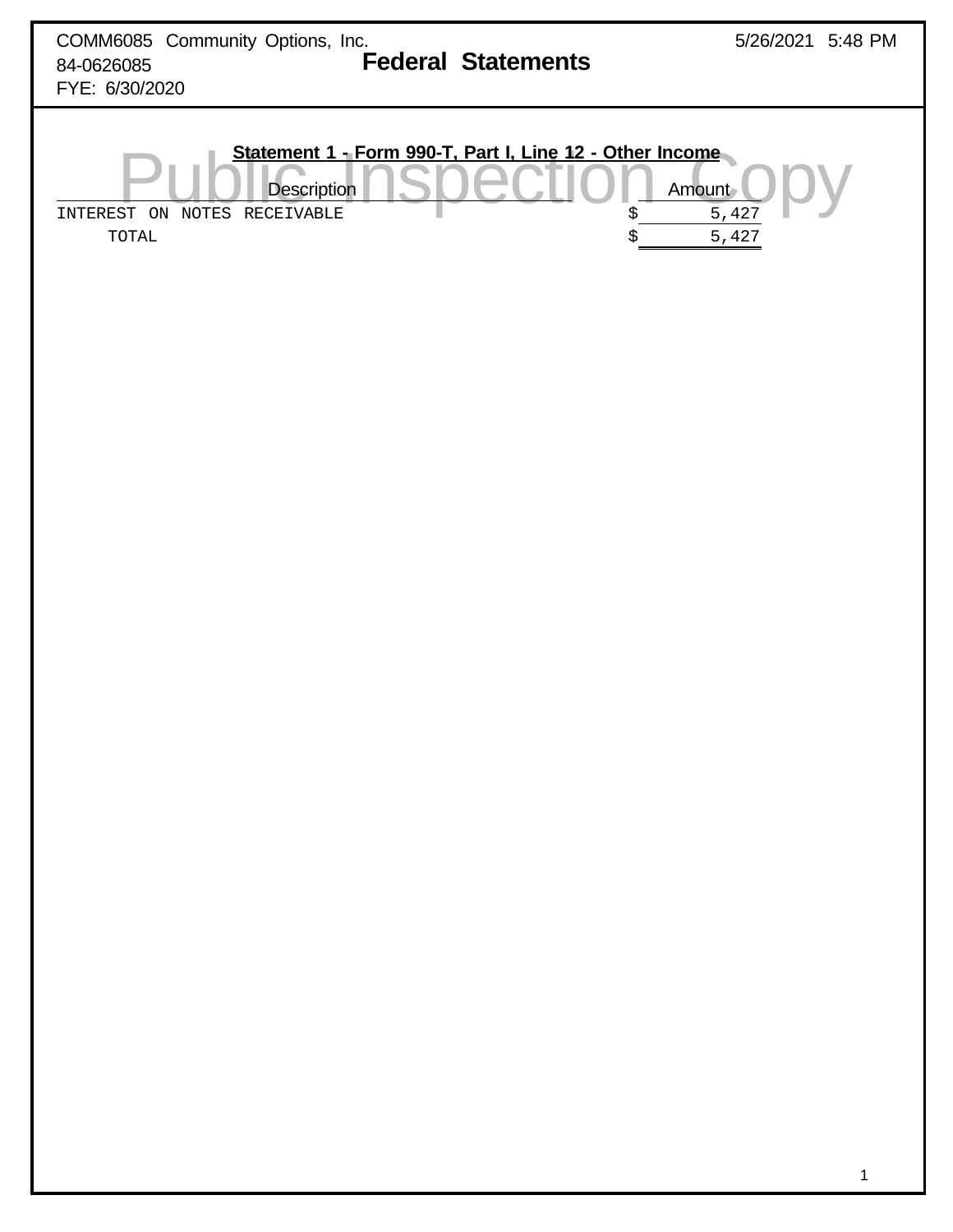| COMM6085 Community Options, Inc.<br><b>Federal Statements</b><br>84-0626085<br>FYE: 6/30/2020                                             | 5/26/2021 5:48 PM            |
|-------------------------------------------------------------------------------------------------------------------------------------------|------------------------------|
| Statement 1 - Form 990-T, Part I, Line 12 - Other Income<br><b>Description</b><br>INTEREST ON NOTES RECEIVABLE<br>\$<br>$\tt TOTAL$<br>\$ | Amount<br>$5\,,427$<br>5,427 |
|                                                                                                                                           |                              |
|                                                                                                                                           |                              |
|                                                                                                                                           |                              |
|                                                                                                                                           |                              |
|                                                                                                                                           |                              |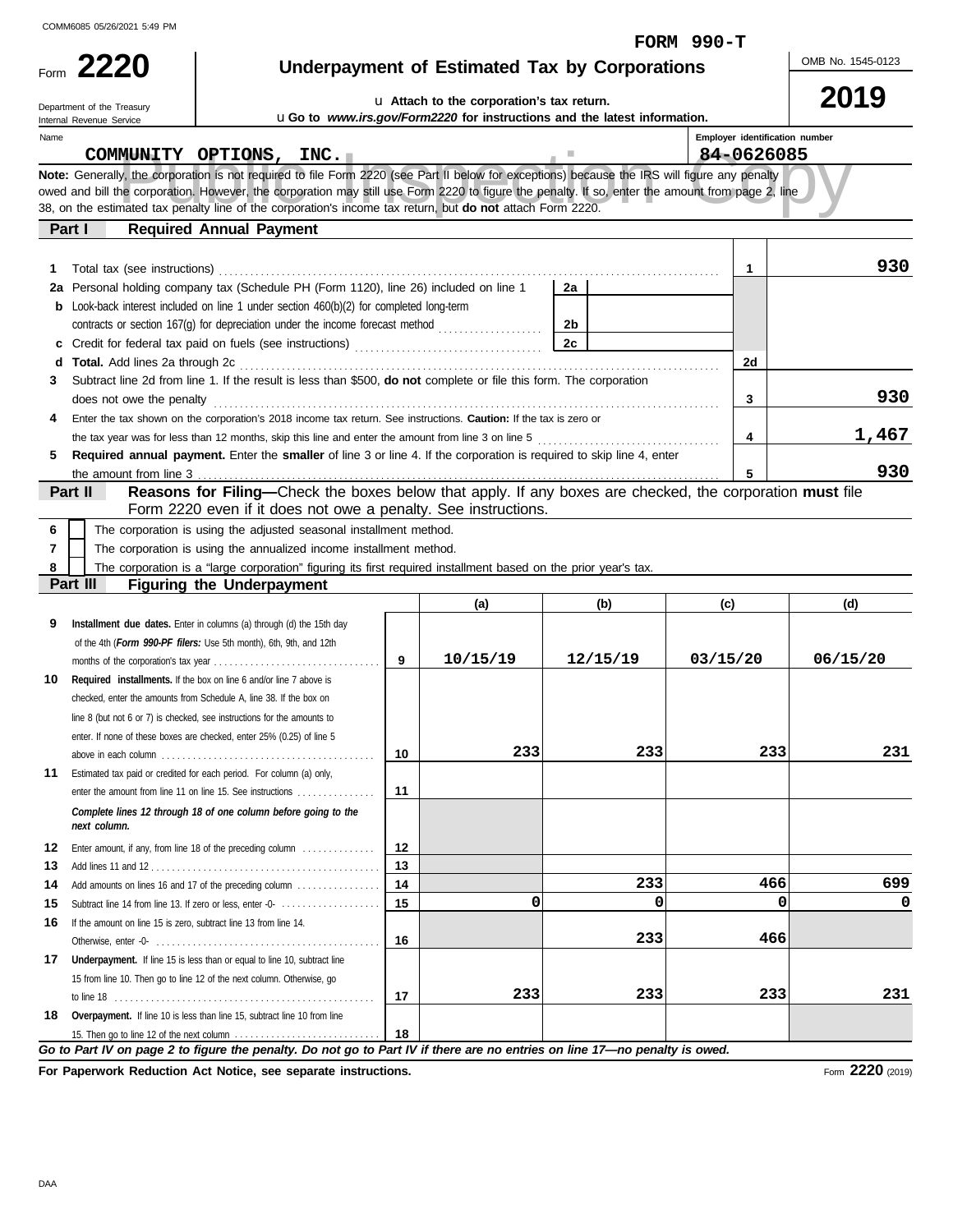**2220** Form

# **Underpayment of Estimated Tax by Corporations FORM 990-T**

OMB No. 1545-0123

# u **Attach to the corporation's tax return.**

**2019**

|          | Department of the Treasury<br>Internal Revenue Service           |                                                                                                                                                                                                                             |          | <b>u</b> Attach to the corporation's tax return.<br>uGo to www.irs.gov/Form2220 for instructions and the latest information. |                |                                | ZU I J   |
|----------|------------------------------------------------------------------|-----------------------------------------------------------------------------------------------------------------------------------------------------------------------------------------------------------------------------|----------|------------------------------------------------------------------------------------------------------------------------------|----------------|--------------------------------|----------|
| Name     |                                                                  |                                                                                                                                                                                                                             |          |                                                                                                                              |                | Employer identification number |          |
|          |                                                                  | COMMUNITY OPTIONS, INC.                                                                                                                                                                                                     |          |                                                                                                                              |                | 84-0626085                     |          |
|          |                                                                  | Note: Generally, the corporation is not required to file Form 2220 (see Part II below for exceptions) because the IRS will figure any penalty                                                                               |          |                                                                                                                              |                |                                |          |
|          |                                                                  | owed and bill the corporation. However, the corporation may still use Form 2220 to figure the penalty. If so, enter the amount from page 2, line                                                                            |          |                                                                                                                              |                |                                |          |
|          |                                                                  | 38, on the estimated tax penalty line of the corporation's income tax return, but do not attach Form 2220.                                                                                                                  |          |                                                                                                                              |                |                                |          |
|          | Part I                                                           | <b>Required Annual Payment</b>                                                                                                                                                                                              |          |                                                                                                                              |                |                                |          |
|          |                                                                  |                                                                                                                                                                                                                             |          |                                                                                                                              |                |                                |          |
| 1.       |                                                                  |                                                                                                                                                                                                                             |          |                                                                                                                              |                | 1                              | 930      |
|          |                                                                  | 2a Personal holding company tax (Schedule PH (Form 1120), line 26) included on line 1                                                                                                                                       |          |                                                                                                                              | 2a             |                                |          |
| b        |                                                                  | Look-back interest included on line 1 under section 460(b)(2) for completed long-term                                                                                                                                       |          |                                                                                                                              |                |                                |          |
|          |                                                                  |                                                                                                                                                                                                                             |          |                                                                                                                              | 2 <sub>b</sub> |                                |          |
|          |                                                                  |                                                                                                                                                                                                                             |          |                                                                                                                              | 2c             |                                |          |
| d        | Total. Add lines 2a through 2c                                   |                                                                                                                                                                                                                             |          |                                                                                                                              |                | 2d                             |          |
| 3        |                                                                  | Subtract line 2d from line 1. If the result is less than \$500, do not complete or file this form. The corporation                                                                                                          |          |                                                                                                                              |                |                                | 930      |
|          | does not owe the penalty                                         |                                                                                                                                                                                                                             |          |                                                                                                                              |                | 3                              |          |
| 4        |                                                                  | Enter the tax shown on the corporation's 2018 income tax return. See instructions. Caution: If the tax is zero or                                                                                                           |          |                                                                                                                              |                | 4                              | 1,467    |
| 5        |                                                                  | the tax year was for less than 12 months, skip this line and enter the amount from line 3 on line 5<br>Required annual payment. Enter the smaller of line 3 or line 4. If the corporation is required to skip line 4, enter |          |                                                                                                                              |                |                                |          |
|          | the amount from line 3                                           |                                                                                                                                                                                                                             |          |                                                                                                                              |                |                                | 930      |
|          | Part II                                                          | Reasons for Filing-Check the boxes below that apply. If any boxes are checked, the corporation must file                                                                                                                    |          |                                                                                                                              |                |                                |          |
|          |                                                                  | Form 2220 even if it does not owe a penalty. See instructions.                                                                                                                                                              |          |                                                                                                                              |                |                                |          |
| 6        |                                                                  | The corporation is using the adjusted seasonal installment method.                                                                                                                                                          |          |                                                                                                                              |                |                                |          |
| 7        |                                                                  | The corporation is using the annualized income installment method.                                                                                                                                                          |          |                                                                                                                              |                |                                |          |
| 8        |                                                                  | The corporation is a "large corporation" figuring its first required installment based on the prior year's tax.                                                                                                             |          |                                                                                                                              |                |                                |          |
|          | Part III                                                         | <b>Figuring the Underpayment</b>                                                                                                                                                                                            |          |                                                                                                                              |                |                                |          |
|          |                                                                  |                                                                                                                                                                                                                             |          | (a)                                                                                                                          | (b)            | (c)                            | (d)      |
| 9        |                                                                  | Installment due dates. Enter in columns (a) through (d) the 15th day                                                                                                                                                        |          |                                                                                                                              |                |                                |          |
|          |                                                                  | of the 4th (Form 990-PF filers: Use 5th month), 6th, 9th, and 12th                                                                                                                                                          |          |                                                                                                                              |                |                                |          |
|          |                                                                  |                                                                                                                                                                                                                             | 9        | 10/15/19                                                                                                                     | 12/15/19       | 03/15/20                       | 06/15/20 |
| 10       |                                                                  | Required installments. If the box on line 6 and/or line 7 above is                                                                                                                                                          |          |                                                                                                                              |                |                                |          |
|          |                                                                  | checked, enter the amounts from Schedule A, line 38. If the box on                                                                                                                                                          |          |                                                                                                                              |                |                                |          |
|          |                                                                  | line 8 (but not 6 or 7) is checked, see instructions for the amounts to                                                                                                                                                     |          |                                                                                                                              |                |                                |          |
|          |                                                                  | enter. If none of these boxes are checked, enter 25% (0.25) of line 5                                                                                                                                                       |          |                                                                                                                              |                |                                |          |
|          |                                                                  |                                                                                                                                                                                                                             | 10       | 233                                                                                                                          | 233            | 233                            | 231      |
| 11       |                                                                  | Estimated tax paid or credited for each period. For column (a) only,                                                                                                                                                        |          |                                                                                                                              |                |                                |          |
|          |                                                                  | enter the amount from line 11 on line 15. See instructions                                                                                                                                                                  | 11       |                                                                                                                              |                |                                |          |
|          | next column.                                                     | Complete lines 12 through 18 of one column before going to the                                                                                                                                                              |          |                                                                                                                              |                |                                |          |
|          |                                                                  |                                                                                                                                                                                                                             |          |                                                                                                                              |                |                                |          |
| 12<br>13 |                                                                  | Enter amount, if any, from line 18 of the preceding column                                                                                                                                                                  | 12<br>13 |                                                                                                                              |                |                                |          |
| 14       |                                                                  | Add amounts on lines 16 and 17 of the preceding column                                                                                                                                                                      | 14       |                                                                                                                              | 233            | 466                            | 699      |
| 15       |                                                                  | Subtract line 14 from line 13. If zero or less, enter -0-                                                                                                                                                                   | 15       | 0                                                                                                                            | $\Omega$       | $\Omega$                       | O        |
| 16       | If the amount on line 15 is zero, subtract line 13 from line 14. |                                                                                                                                                                                                                             |          |                                                                                                                              |                |                                |          |
|          |                                                                  |                                                                                                                                                                                                                             | 16       |                                                                                                                              | 233            | 466                            |          |
| 17       |                                                                  | Underpayment. If line 15 is less than or equal to line 10, subtract line                                                                                                                                                    |          |                                                                                                                              |                |                                |          |
|          |                                                                  | 15 from line 10. Then go to line 12 of the next column. Otherwise, go                                                                                                                                                       |          |                                                                                                                              |                |                                |          |
|          |                                                                  |                                                                                                                                                                                                                             | 17       | 233                                                                                                                          | 233            | 233                            | 231      |
| 18       |                                                                  | Overpayment. If line 10 is less than line 15, subtract line 10 from line                                                                                                                                                    |          |                                                                                                                              |                |                                |          |
|          |                                                                  |                                                                                                                                                                                                                             | 18       |                                                                                                                              |                |                                |          |
|          |                                                                  | Go to Part IV on page 2 to figure the penalty. Do not go to Part IV if there are no entries on line 17-no penalty is owed.                                                                                                  |          |                                                                                                                              |                |                                |          |

**For Paperwork Reduction Act Notice, see separate instructions.**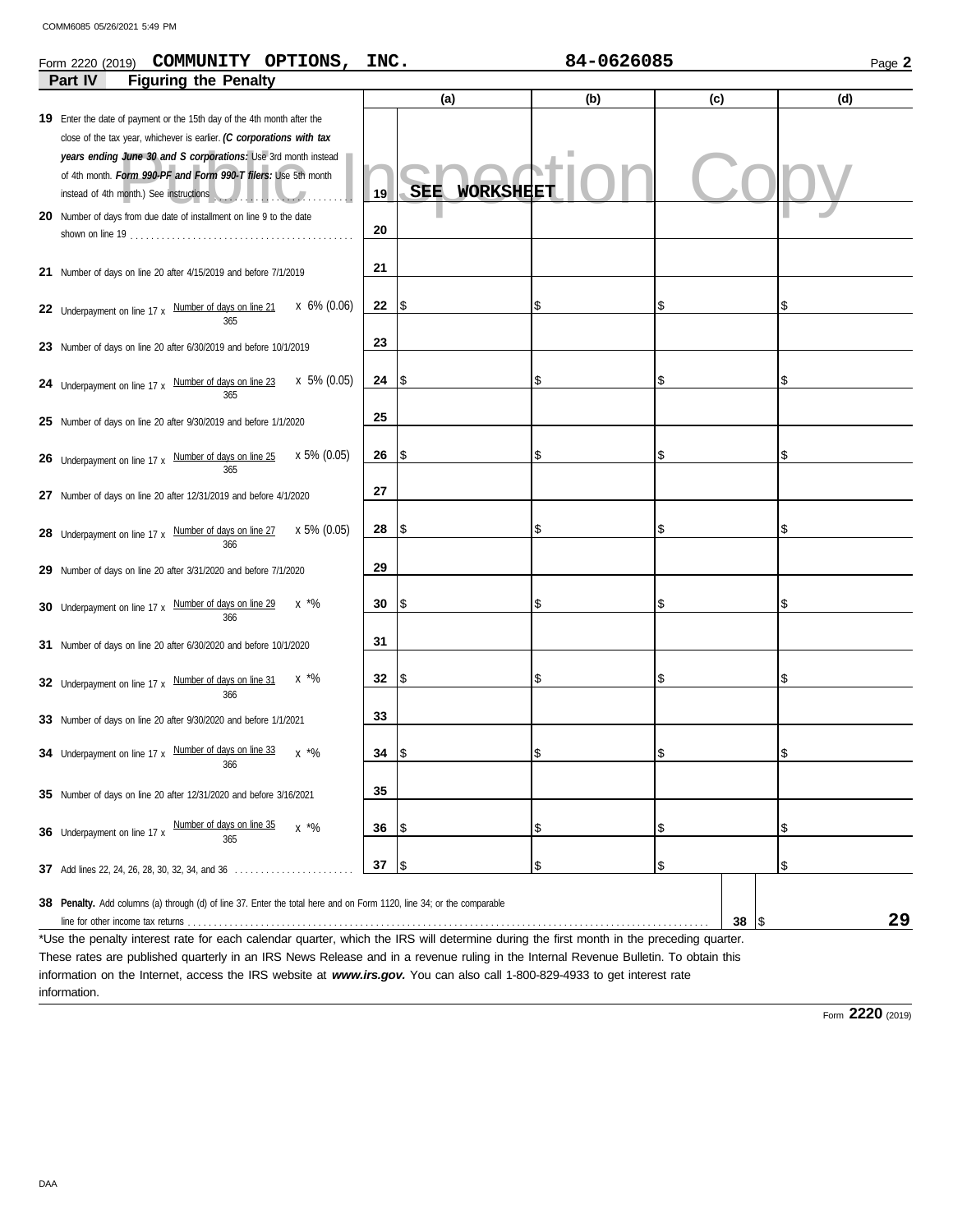#### Form 990-PF and Form 990-T filers: Use 3th month instead<br>Form 990-PF and Form 990-T filers: Use 5th month<br>See instructions<br>See instructions<br>See instructions Number of days on line 20 after 6/30/2020 and before 10/1/2020 **31 31 21** Number of days on line 20 after 4/15/2019 and before 7/1/2019 **Part IV Figuring the Penalty (a) (b) (c) (d) 19** Enter the date of payment or the 15th day of the 4th month after the **19 20** Number of days from due date of installment on line 9 to the date **20 21 22** Underpayment on line 17 x Number of days on line  $21$  x 6% (0.06) **22 \$ 23 23** Number of days on line 20 after 6/30/2019 and before 10/1/2019 **24** Underpayment on line 17 x  $\frac{Number\ of\ days\ on\ line\ 23}{\ A\ 23}$  x 5% (0.05) 24 \$ **25 25** Number of days on line 20 after 9/30/2019 and before 1/1/2020 **26** Underpayment on line 17 x Number of days on line 25 x 5% (0.05) 26 \$ **27** Number of days on line 20 after 12/31/2019 and before 4/1/2020 **28** Underpayment on line 17 x Number of days on line 27 x 5% (0.05) 28 \$ **29 29** Number of days on line 20 after 3/31/2020 and before 7/1/2020 **30** Underpayment on line 17 x Number of days on line 29 x  $*$ % **30 \$ 32 32** Underpayment on line 17 x Number of days on line 31 x \*% \$ **33 33** Number of days on line 20 after 9/30/2020 and before 1/1/2021 **38 Penalty.** Add columns (a) through (d) of line 37. Enter the total here and on Form 1120, line 34; or the comparable Form 2220 (2019) Page **2 COMMUNITY OPTIONS, INC. 84-0626085** close of the tax year, whichever is earlier. *(C corporations with tax years ending June 30 and S corporations:* Use 3rd month instead of 4th month. *Form 990-PF and Form 990-T filers:* Use 5th month shown on line 19 . . . . . . . . . . . . . . . . . . . . . . . . . . . . . . . . . . . . . . . . . . . 365 365 366 366 366 Add lines 22, 24, 26, 28, 30, 32, 34, and 36 \$ . . . . . . . . . . . . . . . . . . . . . . . **37 37** line for other income tax returns. **38** 365 366 x \*% \$ **34** Underpayment on line 17 x **Number of days on line 33 35 35** Number of days on line 20 after 12/31/2020 and before 3/16/2021 **36** Underpayment on line 17 x Number of days on line 35 x \*% 36 Number of days on line 35  $\times$  \*%  $\frac{1}{36}$  \s 365 \$ \$ \$ \$ \$ \$  $\mathbf{\hat{s}}$ \$  $\sim$  \$ \$ \$ \$ \$ \$ \$ \$ \$ \$ \$ \$ \$ \$ \$ \$ \$ \$ instead of 4th month.) See instructions . . . . . . . . . . . . . . . . . . . . . . . . . . . x 5% (0.05) SEE WORKSHEET **29**

\*Use the penalty interest rate for each calendar quarter, which the IRS will determine during the first month in the preceding quarter. These rates are published quarterly in an IRS News Release and in a revenue ruling in the Internal Revenue Bulletin. To obtain this information on the Internet, access the IRS website at *www.irs.gov.* You can also call 1-800-829-4933 to get interest rate information.

Form **2220** (2019)